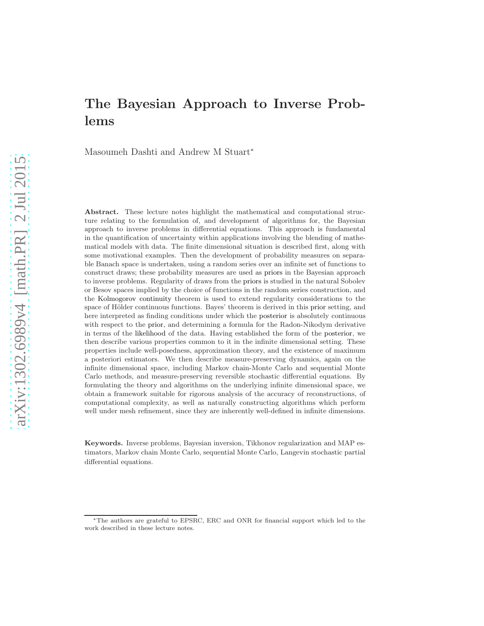Masoumeh Dashti and Andrew M Stuart<sup>∗</sup>

Abstract. These lecture notes highlight the mathematical and computational structure relating to the formulation of, and development of algorithms for, the Bayesian approach to inverse problems in differential equations. This approach is fundamental in the quantification of uncertainty within applications involving the blending of mathematical models with data. The finite dimensional situation is described first, along with some motivational examples. Then the development of probability measures on separable Banach space is undertaken, using a random series over an infinite set of functions to construct draws; these probability measures are used as priors in the Bayesian approach to inverse problems. Regularity of draws from the priors is studied in the natural Sobolev or Besov spaces implied by the choice of functions in the random series construction, and the Kolmogorov continuity theorem is used to extend regularity considerations to the space of Hölder continuous functions. Bayes' theorem is derived in this prior setting, and here interpreted as finding conditions under which the posterior is absolutely continuous with respect to the prior, and determining a formula for the Radon-Nikodym derivative in terms of the likelihood of the data. Having established the form of the posterior, we then describe various properties common to it in the infinite dimensional setting. These properties include well-posedness, approximation theory, and the existence of maximum a posteriori estimators. We then describe measure-preserving dynamics, again on the infinite dimensional space, including Markov chain-Monte Carlo and sequential Monte Carlo methods, and measure-preserving reversible stochastic differential equations. By formulating the theory and algorithms on the underlying infinite dimensional space, we obtain a framework suitable for rigorous analysis of the accuracy of reconstructions, of computational complexity, as well as naturally constructing algorithms which perform well under mesh refinement, since they are inherently well-defined in infinite dimensions.

Keywords. Inverse problems, Bayesian inversion, Tikhonov regularization and MAP estimators, Markov chain Monte Carlo, sequential Monte Carlo, Langevin stochastic partial differential equations.

<sup>∗</sup>The authors are grateful to EPSRC, ERC and ONR for financial support which led to the work described in these lecture notes.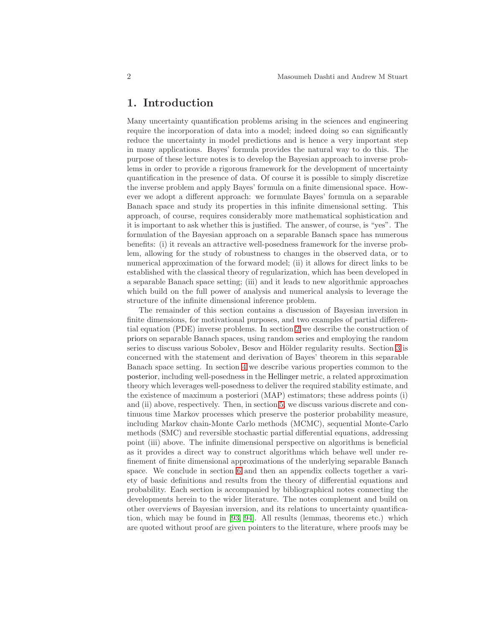### 1. Introduction

Many uncertainty quantification problems arising in the sciences and engineering require the incorporation of data into a model; indeed doing so can significantly reduce the uncertainty in model predictions and is hence a very important step in many applications. Bayes' formula provides the natural way to do this. The purpose of these lecture notes is to develop the Bayesian approach to inverse problems in order to provide a rigorous framework for the development of uncertainty quantification in the presence of data. Of course it is possible to simply discretize the inverse problem and apply Bayes' formula on a finite dimensional space. However we adopt a different approach: we formulate Bayes' formula on a separable Banach space and study its properties in this infinite dimensional setting. This approach, of course, requires considerably more mathematical sophistication and it is important to ask whether this is justified. The answer, of course, is "yes". The formulation of the Bayesian approach on a separable Banach space has numerous benefits: (i) it reveals an attractive well-posedness framework for the inverse problem, allowing for the study of robustness to changes in the observed data, or to numerical approximation of the forward model; (ii) it allows for direct links to be established with the classical theory of regularization, which has been developed in a separable Banach space setting; (iii) and it leads to new algorithmic approaches which build on the full power of analysis and numerical analysis to leverage the structure of the infinite dimensional inference problem.

The remainder of this section contains a discussion of Bayesian inversion in finite dimensions, for motivational purposes, and two examples of partial differential equation (PDE) inverse problems. In section [2](#page-8-0) we describe the construction of priors on separable Banach spaces, using random series and employing the random series to discuss various Sobolev, Besov and Hölder regularity results. Section [3](#page-26-0) is concerned with the statement and derivation of Bayes' theorem in this separable Banach space setting. In section [4](#page-34-0) we describe various properties common to the posterior, including well-posedness in the Hellinger metric, a related approximation theory which leverages well-posedness to deliver the required stability estimate, and the existence of maximum a posteriori (MAP) estimators; these address points (i) and (ii) above, respectively. Then, in section [5,](#page-47-0) we discuss various discrete and continuous time Markov processes which preserve the posterior probability measure, including Markov chain-Monte Carlo methods (MCMC), sequential Monte-Carlo methods (SMC) and reversible stochastic partial differential equations, addressing point (iii) above. The infinite dimensional perspective on algorithms is beneficial as it provides a direct way to construct algorithms which behave well under refinement of finite dimensional approximations of the underlying separable Banach space. We conclude in section [6](#page-73-0) and then an appendix collects together a variety of basic definitions and results from the theory of differential equations and probability. Each section is accompanied by bibliographical notes connecting the developments herein to the wider literature. The notes complement and build on other overviews of Bayesian inversion, and its relations to uncertainty quantification, which may be found in [\[93,](#page-105-0) [94\]](#page-105-1). All results (lemmas, theorems etc.) which are quoted without proof are given pointers to the literature, where proofs may be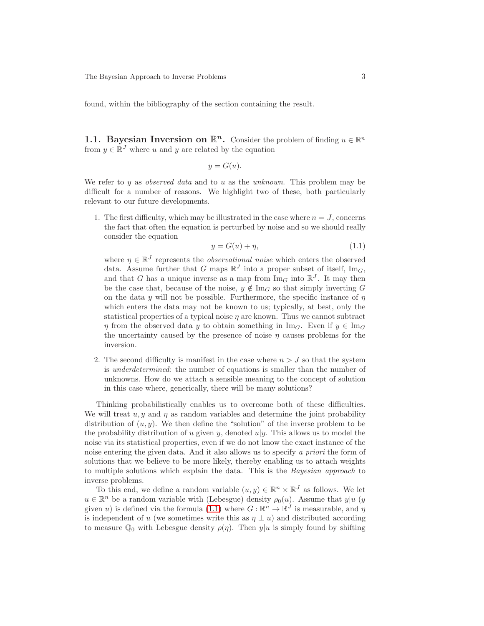found, within the bibliography of the section containing the result.

<span id="page-2-1"></span>**1.1. Bayesian Inversion on**  $\mathbb{R}^n$ **.** Consider the problem of finding  $u \in \mathbb{R}^n$ from  $y \in \mathbb{R}^J$  where u and y are related by the equation

$$
y = G(u).
$$

We refer to y as *observed data* and to u as the *unknown*. This problem may be difficult for a number of reasons. We highlight two of these, both particularly relevant to our future developments.

1. The first difficulty, which may be illustrated in the case where  $n = J$ , concerns the fact that often the equation is perturbed by noise and so we should really consider the equation

<span id="page-2-0"></span>
$$
y = G(u) + \eta,\tag{1.1}
$$

where  $\eta \in \mathbb{R}^J$  represents the *observational noise* which enters the observed data. Assume further that G maps  $\mathbb{R}^J$  into a proper subset of itself,  $\text{Im}_G$ , and that G has a unique inverse as a map from  $\text{Im}_G$  into  $\mathbb{R}^J$ . It may then be the case that, because of the noise,  $y \notin \text{Im}_G$  so that simply inverting G on the data y will not be possible. Furthermore, the specific instance of  $\eta$ which enters the data may not be known to us; typically, at best, only the statistical properties of a typical noise  $\eta$  are known. Thus we cannot subtract  $\eta$  from the observed data y to obtain something in Im<sub>G</sub>. Even if  $y \in \text{Im}_G$ the uncertainty caused by the presence of noise  $\eta$  causes problems for the inversion.

2. The second difficulty is manifest in the case where  $n > J$  so that the system is underdetermined: the number of equations is smaller than the number of unknowns. How do we attach a sensible meaning to the concept of solution in this case where, generically, there will be many solutions?

Thinking probabilistically enables us to overcome both of these difficulties. We will treat  $u, y$  and  $\eta$  as random variables and determine the joint probability distribution of  $(u, y)$ . We then define the "solution" of the inverse problem to be the probability distribution of u given y, denoted  $u|y$ . This allows us to model the noise via its statistical properties, even if we do not know the exact instance of the noise entering the given data. And it also allows us to specify a priori the form of solutions that we believe to be more likely, thereby enabling us to attach weights to multiple solutions which explain the data. This is the Bayesian approach to inverse problems.

To this end, we define a random variable  $(u, y) \in \mathbb{R}^n \times \mathbb{R}^J$  as follows. We let  $u \in \mathbb{R}^n$  be a random variable with (Lebesgue) density  $\rho_0(u)$ . Assume that  $y|u$  (y given *u*) is defined via the formula [\(1.1\)](#page-2-0) where  $G : \mathbb{R}^n \to \mathbb{R}^J$  is measurable, and  $\eta$ is independent of u (we sometimes write this as  $\eta \perp u$ ) and distributed according to measure  $\mathbb{Q}_0$  with Lebesgue density  $\rho(\eta)$ . Then  $y|u$  is simply found by shifting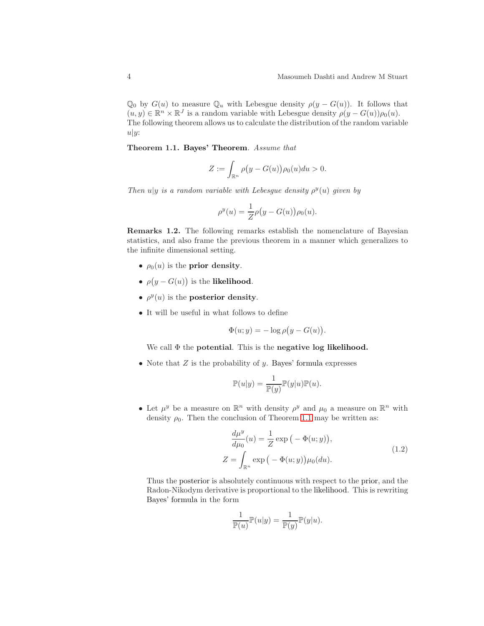$\mathbb{Q}_0$  by  $G(u)$  to measure  $\mathbb{Q}_u$  with Lebesgue density  $\rho(y - G(u))$ . It follows that  $(u, y) \in \mathbb{R}^n \times \mathbb{R}^J$  is a random variable with Lebesgue density  $\rho(y - G(u))\rho_0(u)$ . The following theorem allows us to calculate the distribution of the random variable  $u|y:$ 

<span id="page-3-0"></span>Theorem 1.1. Bayes' Theorem. Assume that

$$
Z:=\int_{\mathbb{R}^n}\rho\bigl(y-G(u)\bigr)\rho_0(u)du>0.
$$

Then  $u|y$  is a random variable with Lebesgue density  $\rho^y(u)$  given by

$$
\rho^{y}(u) = \frac{1}{Z}\rho(y - G(u))\rho_0(u).
$$

Remarks 1.2. The following remarks establish the nomenclature of Bayesian statistics, and also frame the previous theorem in a manner which generalizes to the infinite dimensional setting.

- $\rho_0(u)$  is the **prior density**.
- $\rho(y G(u))$  is the **likelihood**.
- $\rho^{y}(u)$  is the **posterior density**.
- It will be useful in what follows to define

$$
\Phi(u; y) = -\log \rho (y - G(u)).
$$

We call  $\Phi$  the potential. This is the negative log likelihood.

• Note that  $Z$  is the probability of  $y$ . Bayes' formula expresses

$$
\mathbb{P}(u|y) = \frac{1}{\mathbb{P}(y)} \mathbb{P}(y|u)\mathbb{P}(u).
$$

• Let  $\mu^y$  be a measure on  $\mathbb{R}^n$  with density  $\rho^y$  and  $\mu_0$  a measure on  $\mathbb{R}^n$  with density  $\rho_0$ . Then the conclusion of Theorem [1.1](#page-3-0) may be written as:

$$
\frac{d\mu^y}{d\mu_0}(u) = \frac{1}{Z} \exp\left(-\Phi(u; y)\right),
$$
  

$$
Z = \int_{\mathbb{R}^n} \exp\left(-\Phi(u; y)\right) \mu_0(du).
$$
 (1.2)

Thus the posterior is absolutely continuous with respect to the prior, and the Radon-Nikodym derivative is proportional to the likelihood. This is rewriting Bayes' formula in the form

$$
\frac{1}{\mathbb{P}(u)}\mathbb{P}(u|y) = \frac{1}{\mathbb{P}(y)}\mathbb{P}(y|u).
$$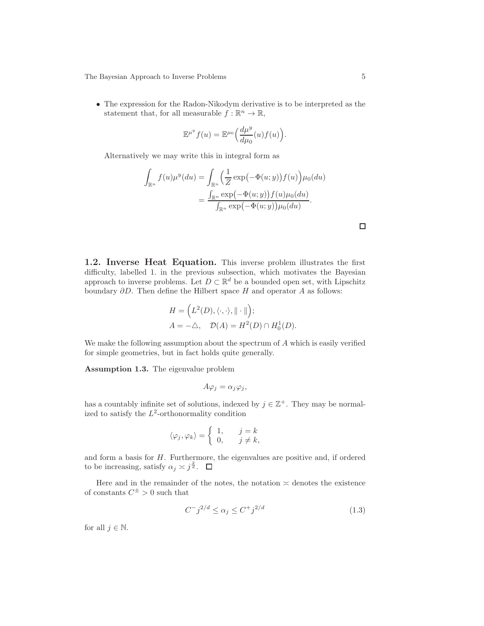• The expression for the Radon-Nikodym derivative is to be interpreted as the statement that, for all measurable  $f : \mathbb{R}^n \to \mathbb{R}$ ,

$$
\mathbb{E}^{\mu^y} f(u) = \mathbb{E}^{\mu_0} \left( \frac{d\mu^y}{d\mu_0}(u) f(u) \right).
$$

Alternatively we may write this in integral form as

$$
\int_{\mathbb{R}^n} f(u)\mu^y(du) = \int_{\mathbb{R}^n} \left(\frac{1}{Z} \exp(-\Phi(u; y)) f(u)\right) \mu_0(du)
$$

$$
= \frac{\int_{\mathbb{R}^n} \exp(-\Phi(u; y)) f(u) \mu_0(du)}{\int_{\mathbb{R}^n} \exp(-\Phi(u; y)) \mu_0(du)}.
$$

<span id="page-4-1"></span>1.2. Inverse Heat Equation. This inverse problem illustrates the first difficulty, labelled 1. in the previous subsection, which motivates the Bayesian approach to inverse problems. Let  $D \subset \mathbb{R}^d$  be a bounded open set, with Lipschitz boundary  $\partial D$ . Then define the Hilbert space H and operator A as follows:

$$
H = \left( L^2(D), \langle \cdot, \cdot \rangle, \|\cdot\| \right);
$$
  

$$
A = -\triangle, \quad \mathcal{D}(A) = H^2(D) \cap H_0^1(D).
$$

<span id="page-4-0"></span>We make the following assumption about the spectrum of A which is easily verified for simple geometries, but in fact holds quite generally.

Assumption 1.3. The eigenvalue problem

$$
A\varphi_j = \alpha_j \varphi_j,
$$

has a countably infinite set of solutions, indexed by  $j \in \mathbb{Z}^+$ . They may be normalized to satisfy the  $L^2$ -orthonormality condition

$$
\langle \varphi_j, \varphi_k \rangle = \left\{ \begin{array}{ll} 1, \quad & j=k \\ 0, \quad & j \neq k, \end{array} \right.
$$

and form a basis for H. Furthermore, the eigenvalues are positive and, if ordered to be increasing, satisfy  $\alpha_j \asymp j^{\frac{2}{d}}$ .

Here and in the remainder of the notes, the notation  $\approx$  denotes the existence of constants  $C^{\pm} > 0$  such that

$$
C^{-}j^{2/d} \le \alpha_j \le C^{+}j^{2/d} \tag{1.3}
$$

for all  $j \in \mathbb{N}$ .

 $\Box$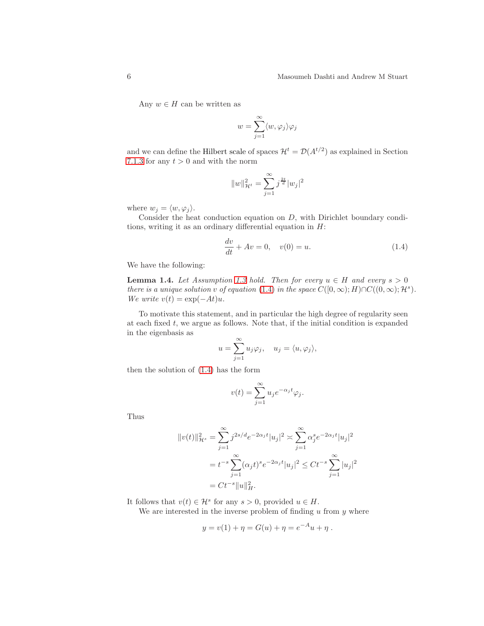Any  $w \in H$  can be written as

$$
w=\sum_{j=1}^\infty \langle w,\varphi_j\rangle\varphi_j
$$

and we can define the Hilbert scale of spaces  $\mathcal{H}^t = \mathcal{D}(A^{t/2})$  as explained in Section [7.1.3](#page-76-0) for any  $t > 0$  and with the norm

$$
||w||_{\mathcal{H}^t}^2 = \sum_{j=1}^{\infty} j^{\frac{2t}{d}} |w_j|^2
$$

where  $w_j = \langle w, \varphi_j \rangle$ .

Consider the heat conduction equation on D, with Dirichlet boundary conditions, writing it as an ordinary differential equation in  $H$ :

<span id="page-5-0"></span>
$$
\frac{dv}{dt} + Av = 0, \quad v(0) = u.
$$
\n(1.4)

<span id="page-5-1"></span>We have the following:

**Lemma 1.4.** Let Assumption [1.3](#page-4-0) hold. Then for every  $u \in H$  and every  $s > 0$ there is a unique solution v of equation [\(1.4\)](#page-5-0) in the space  $C([0,\infty);H)\cap C((0,\infty);{\mathcal H}^s)$ . We write  $v(t) = \exp(-At)u$ .

To motivate this statement, and in particular the high degree of regularity seen at each fixed  $t$ , we argue as follows. Note that, if the initial condition is expanded in the eigenbasis as

$$
u = \sum_{j=1}^{\infty} u_j \varphi_j
$$
,  $u_j = \langle u, \varphi_j \rangle$ ,

then the solution of [\(1.4\)](#page-5-0) has the form

$$
v(t) = \sum_{j=1}^{\infty} u_j e^{-\alpha_j t} \varphi_j.
$$

Thus

$$
||v(t)||_{\mathcal{H}^{s}}^{2} = \sum_{j=1}^{\infty} j^{2s/d} e^{-2\alpha_{j}t} |u_{j}|^{2} \times \sum_{j=1}^{\infty} \alpha_{j}^{s} e^{-2\alpha_{j}t} |u_{j}|^{2}
$$
  
=  $t^{-s} \sum_{j=1}^{\infty} (\alpha_{j}t)^{s} e^{-2\alpha_{j}t} |u_{j}|^{2} \le Ct^{-s} \sum_{j=1}^{\infty} |u_{j}|^{2}$   
=  $Ct^{-s} ||u||_{H}^{2}$ .

It follows that  $v(t) \in \mathcal{H}^s$  for any  $s > 0$ , provided  $u \in H$ .

We are interested in the inverse problem of finding  $u$  from  $y$  where

$$
y = v(1) + \eta = G(u) + \eta = e^{-A}u + \eta.
$$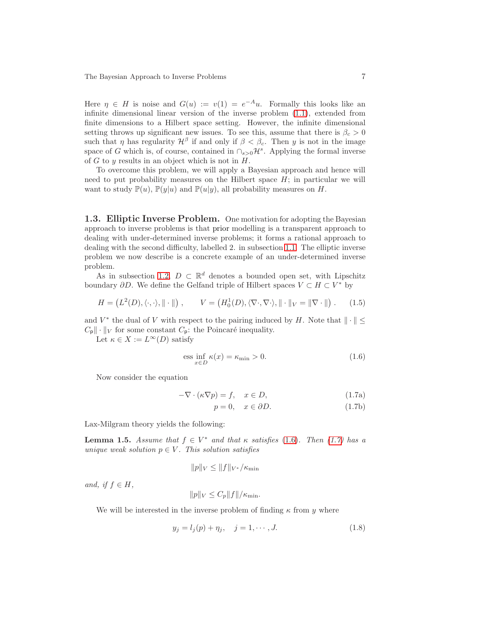Here  $\eta \in H$  is noise and  $G(u) := v(1) = e^{-Au}$ . Formally this looks like an infinite dimensional linear version of the inverse problem [\(1.1\)](#page-2-0), extended from finite dimensions to a Hilbert space setting. However, the infinite dimensional setting throws up significant new issues. To see this, assume that there is  $\beta_c > 0$ such that  $\eta$  has regularity  $\mathcal{H}^{\beta}$  if and only if  $\beta < \beta_c$ . Then y is not in the image space of G which is, of course, contained in  $\cap_{s>0} \mathcal{H}^s$ . Applying the formal inverse of  $G$  to  $y$  results in an object which is not in  $H$ .

To overcome this problem, we will apply a Bayesian approach and hence will need to put probability measures on the Hilbert space  $H$ ; in particular we will want to study  $\mathbb{P}(u)$ ,  $\mathbb{P}(y|u)$  and  $\mathbb{P}(u|y)$ , all probability measures on H.

<span id="page-6-3"></span>1.3. Elliptic Inverse Problem. One motivation for adopting the Bayesian approach to inverse problems is that prior modelling is a transparent approach to dealing with under-determined inverse problems; it forms a rational approach to dealing with the second difficulty, labelled 2. in subsection [1.1.](#page-2-1) The elliptic inverse problem we now describe is a concrete example of an under-determined inverse problem.

As in subsection [1.2,](#page-4-1)  $D \subset \mathbb{R}^d$  denotes a bounded open set, with Lipschitz boundary  $\partial D$ . We define the Gelfand triple of Hilbert spaces  $V \subset H \subset V^*$  by

$$
H = (L^2(D), \langle \cdot, \cdot \rangle, \|\cdot\|), \qquad V = (H_0^1(D), \langle \nabla \cdot, \nabla \cdot \rangle, \|\cdot\|_V = \|\nabla \cdot\|). \tag{1.5}
$$

and  $V^*$  the dual of V with respect to the pairing induced by H. Note that  $\|\cdot\| \le$  $C_{\mathbf{p}}$   $\|\cdot\|_V$  for some constant  $C_{\mathbf{p}}$ : the Poincaré inequality.

Let  $\kappa \in X := L^{\infty}(D)$  satisfy

<span id="page-6-1"></span><span id="page-6-0"></span>
$$
\text{ess } \inf_{x \in D} \kappa(x) = \kappa_{\min} > 0. \tag{1.6}
$$

Now consider the equation

$$
-\nabla \cdot (\kappa \nabla p) = f, \quad x \in D,
$$
\n(1.7a)

$$
p = 0, \quad x \in \partial D. \tag{1.7b}
$$

<span id="page-6-4"></span>Lax-Milgram theory yields the following:

**Lemma 1.5.** Assume that  $f \in V^*$  and that  $\kappa$  satisfies [\(1.6\)](#page-6-0). Then [\(1.7\)](#page-6-1) has a unique weak solution  $p \in V$ . This solution satisfies

$$
||p||_V \leq ||f||_{V^*}/\kappa_{\min}
$$

and, if  $f \in H$ ,

$$
||p||_V \leq C_p ||f|| / \kappa_{\min}.
$$

We will be interested in the inverse problem of finding  $\kappa$  from y where

<span id="page-6-2"></span>
$$
y_j = l_j(p) + \eta_j, \quad j = 1, \cdots, J.
$$
 (1.8)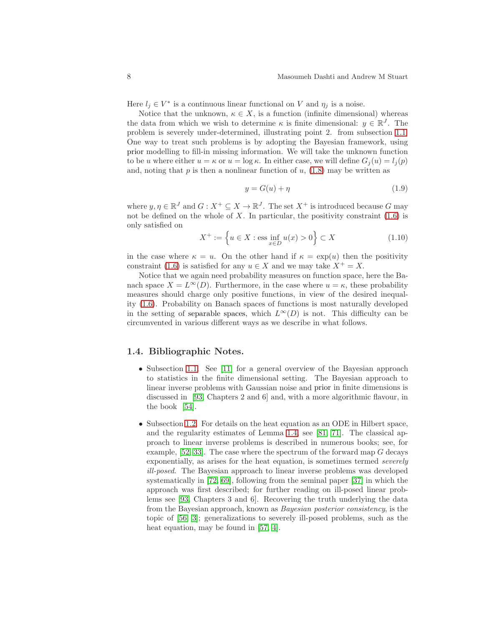Here  $l_j \in V^*$  is a continuous linear functional on V and  $\eta_j$  is a noise.

Notice that the unknown,  $\kappa \in X$ , is a function (infinite dimensional) whereas the data from which we wish to determine  $\kappa$  is finite dimensional:  $y \in \mathbb{R}^J$ . The problem is severely under-determined, illustrating point 2. from subsection [1.1.](#page-2-1) One way to treat such problems is by adopting the Bayesian framework, using prior modelling to fill-in missing information. We will take the unknown function to be u where either  $u = \kappa$  or  $u = \log \kappa$ . In either case, we will define  $G_i(u) = l_i(p)$ and, noting that  $p$  is then a nonlinear function of  $u$ , [\(1.8\)](#page-6-2) may be written as

$$
y = G(u) + \eta \tag{1.9}
$$

where  $y, \eta \in \mathbb{R}^J$  and  $G: X^+ \subseteq X \to \mathbb{R}^J$ . The set  $X^+$  is introduced because G may not be defined on the whole of  $X$ . In particular, the positivity constraint  $(1.6)$  is only satisfied on

<span id="page-7-0"></span>
$$
X^{+} := \left\{ u \in X : \text{ess} \inf_{x \in D} u(x) > 0 \right\} \subset X
$$
 (1.10)

in the case where  $\kappa = u$ . On the other hand if  $\kappa = \exp(u)$  then the positivity constraint [\(1.6\)](#page-6-0) is satisfied for any  $u \in X$  and we may take  $X^+ = X$ .

Notice that we again need probability measures on function space, here the Banach space  $X = L^{\infty}(D)$ . Furthermore, in the case where  $u = \kappa$ , these probability measures should charge only positive functions, in view of the desired inequality [\(1.6\)](#page-6-0). Probability on Banach spaces of functions is most naturally developed in the setting of separable spaces, which  $L^{\infty}(D)$  is not. This difficulty can be circumvented in various different ways as we describe in what follows.

#### 1.4. Bibliographic Notes.

- Subsection [1.1.](#page-2-1) See [\[11\]](#page-101-0) for a general overview of the Bayesian approach to statistics in the finite dimensional setting. The Bayesian approach to linear inverse problems with Gaussian noise and prior in finite dimensions is discussed in [\[93,](#page-105-0) Chapters 2 and 6] and, with a more algorithmic flavour, in the book [\[54\]](#page-103-0).
- Subsection [1.2.](#page-4-1) For details on the heat equation as an ODE in Hilbert space, and the regularity estimates of Lemma [1.4,](#page-5-1) see [\[81,](#page-105-2) [71\]](#page-104-0). The classical approach to linear inverse problems is described in numerous books; see, for example,  $[52, 33]$  $[52, 33]$ . The case where the spectrum of the forward map G decays exponentially, as arises for the heat equation, is sometimes termed severely ill-posed. The Bayesian approach to linear inverse problems was developed systematically in [\[72,](#page-104-1) [69\]](#page-104-2), following from the seminal paper [\[37\]](#page-102-1) in which the approach was first described; for further reading on ill-posed linear problems see [\[93,](#page-105-0) Chapters 3 and 6]. Recovering the truth underlying the data from the Bayesian approach, known as Bayesian posterior consistency, is the topic of [\[56,](#page-103-2) [3\]](#page-101-1); generalizations to severely ill-posed problems, such as the heat equation, may be found in [\[57,](#page-103-3) [4\]](#page-101-2).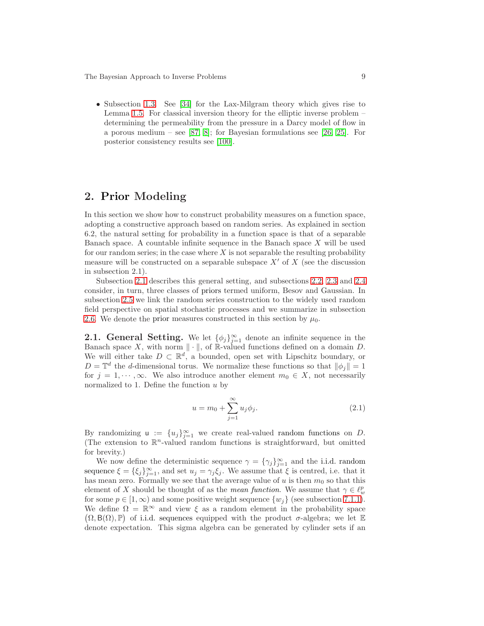• Subsection [1.3.](#page-6-3) See [\[34\]](#page-102-2) for the Lax-Milgram theory which gives rise to Lemma [1.5.](#page-6-4) For classical inversion theory for the elliptic inverse problem – determining the permeability from the pressure in a Darcy model of flow in a porous medium – see [\[87,](#page-105-3) [8\]](#page-101-3); for Bayesian formulations see [\[26,](#page-102-3) [25\]](#page-102-4). For posterior consistency results see [\[100\]](#page-106-0).

## <span id="page-8-0"></span>2. Prior Modeling

In this section we show how to construct probability measures on a function space, adopting a constructive approach based on random series. As explained in section 6.2, the natural setting for probability in a function space is that of a separable Banach space. A countable infinite sequence in the Banach space  $X$  will be used for our random series; in the case where  $X$  is not separable the resulting probability measure will be constructed on a separable subspace  $X'$  of  $X$  (see the discussion in subsection 2.1).

Subsection [2.1](#page-8-1) describes this general setting, and subsections [2.2,](#page-9-0) [2.3](#page-11-0) and [2.4](#page-17-0) consider, in turn, three classes of priors termed uniform, Besov and Gaussian. In subsection [2.5](#page-21-0) we link the random series construction to the widely used random field perspective on spatial stochastic processes and we summarize in subsection [2.6.](#page-24-0) We denote the prior measures constructed in this section by  $\mu_0$ .

<span id="page-8-1"></span>**2.1. General Setting.** We let  $\{\phi_j\}_{j=1}^{\infty}$  denote an infinite sequence in the Banach space X, with norm  $\|\cdot\|$ , of R-valued functions defined on a domain D. We will either take  $D \subset \mathbb{R}^d$ , a bounded, open set with Lipschitz boundary, or  $D = \mathbb{T}^d$  the d-dimensional torus. We normalize these functions so that  $\|\phi_j\| = 1$ for  $j = 1, \dots, \infty$ . We also introduce another element  $m_0 \in X$ , not necessarily normalized to 1. Define the function  $u$  by

<span id="page-8-2"></span>
$$
u = m_0 + \sum_{j=1}^{\infty} u_j \phi_j.
$$
 (2.1)

By randomizing  $u := \{u_j\}_{j=1}^{\infty}$  we create real-valued random functions on D. (The extension to  $\mathbb{R}^n$ -valued random functions is straightforward, but omitted for brevity.)

We now define the deterministic sequence  $\gamma = {\gamma_j}_{j=1}^{\infty}$  and the i.i.d. random sequence  $\xi = {\xi_j}_{j=1}^{\infty}$ , and set  $u_j = \gamma_j \xi_j$ . We assume that  $\xi$  is centred, i.e. that it has mean zero. Formally we see that the average value of u is then  $m_0$  so that this element of X should be thought of as the *mean function*. We assume that  $\gamma \in \ell_w^p$ for some  $p \in [1, \infty)$  and some positive weight sequence  $\{w_i\}$  (see subsection [7.1.1\)](#page-74-0). We define  $\Omega = \mathbb{R}^{\infty}$  and view  $\xi$  as a random element in the probability space  $(\Omega, \mathsf{B}(\Omega), \mathbb{P})$  of i.i.d. sequences equipped with the product  $\sigma$ -algebra; we let  $\mathbb E$ denote expectation. This sigma algebra can be generated by cylinder sets if an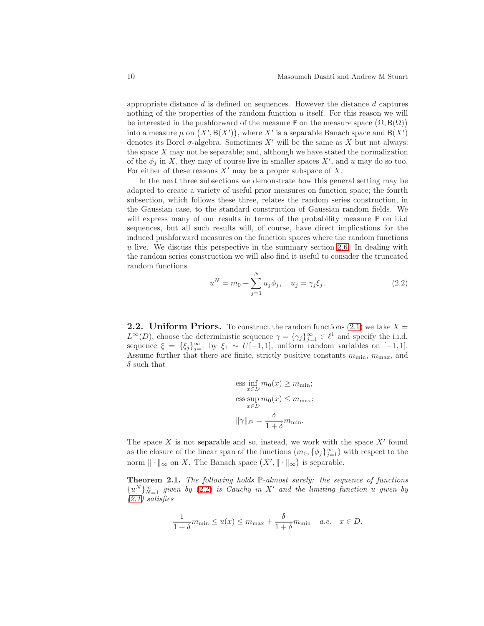appropriate distance  $d$  is defined on sequences. However the distance  $d$  captures nothing of the properties of the random function  $u$  itself. For this reason we will be interested in the pushforward of the measure  $\mathbb P$  on the measure space  $(\Omega, \mathsf B(\Omega))$ into a measure  $\mu$  on  $(X', B(X'))$ , where X' is a separable Banach space and  $B(X')$ denotes its Borel  $\sigma$ -algebra. Sometimes X' will be the same as X but not always: the space  $X$  may not be separable; and, although we have stated the normalization of the  $\phi_j$  in X, they may of course live in smaller spaces X', and u may do so too. For either of these reasons  $X'$  may be a proper subspace of X.

In the next three subsections we demonstrate how this general setting may be adapted to create a variety of useful prior measures on function space; the fourth subsection, which follows these three, relates the random series construction, in the Gaussian case, to the standard construction of Gaussian random fields. We will express many of our results in terms of the probability measure  $\mathbb P$  on i.i.d sequences, but all such results will, of course, have direct implications for the induced pushforward measures on the function spaces where the random functions  $u$  live. We discuss this perspective in the summary section [2.6.](#page-24-0) In dealing with the random series construction we will also find it useful to consider the truncated random functions

<span id="page-9-1"></span>
$$
u^{N} = m_{0} + \sum_{j=1}^{N} u_{j} \phi_{j}, \quad u_{j} = \gamma_{j} \xi_{j}.
$$
 (2.2)

<span id="page-9-0"></span>**2.2.** Uniform Priors. To construct the random functions [\(2.1\)](#page-8-2) we take  $X =$  $L^{\infty}(D)$ , choose the deterministic sequence  $\gamma = {\gamma_j}_{j=1}^{\infty} \in {\ell}^1$  and specify the i.i.d. sequence  $\xi = {\xi_j}_{j=1}^{\infty}$  by  $\xi_1 \sim U[-1,1]$ , uniform random variables on [-1,1]. Assume further that there are finite, strictly positive constants  $m_{\text{min}}$ ,  $m_{\text{max}}$ , and  $\delta$  such that

$$
\begin{aligned}\n\text{ess} & \inf_{x \in D} m_0(x) \ge m_{\text{min}}; \\
\text{ess} & \sup_{x \in D} m_0(x) \le m_{\text{max}}; \\
\|\gamma\|_{\ell^1} &= \frac{\delta}{1 + \delta} m_{\text{min}}.\n\end{aligned}
$$

The space  $X$  is not separable and so, instead, we work with the space  $X'$  found as the closure of the linear span of the functions  $(m_0, \{\phi_j\}_{j=1}^\infty)$  with respect to the norm  $\|\cdot\|_{\infty}$  on X. The Banach space  $(X', \|\cdot\|_{\infty})$  is separable.

<span id="page-9-2"></span>Theorem 2.1. The following holds  $\mathbb{P}\text{-almost surely:}$  the sequence of functions  ${u<sup>N</sup>}_{N=1}^{\infty}$  given by [\(2.2\)](#page-9-1) is Cauchy in X' and the limiting function u given by  $(2.1)$  satisfies

$$
\frac{1}{1+\delta}m_{\min} \le u(x) \le m_{\max} + \frac{\delta}{1+\delta}m_{\min} \quad a.e. \quad x \in D.
$$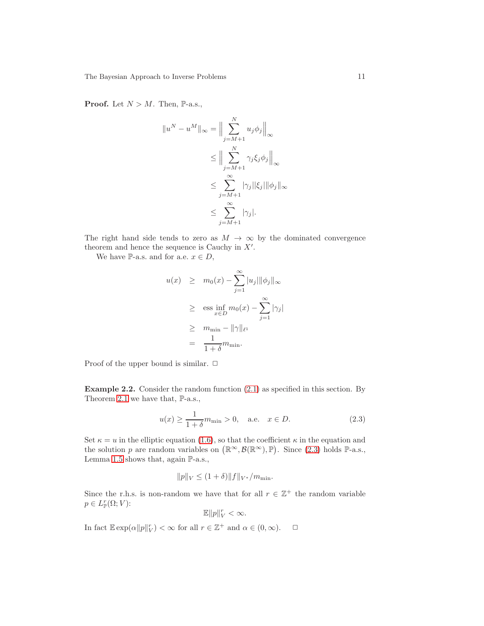**Proof.** Let  $N > M$ . Then, P-a.s.,

$$
||u^N - u^M||_{\infty} = \Big\|\sum_{j=M+1}^N u_j \phi_j \Big\|_{\infty}
$$
  
\n
$$
\leq \Big\|\sum_{j=M+1}^N \gamma_j \xi_j \phi_j \Big\|_{\infty}
$$
  
\n
$$
\leq \sum_{j=M+1}^\infty |\gamma_j| |\xi_j| \|\phi_j\|_{\infty}
$$
  
\n
$$
\leq \sum_{j=M+1}^\infty |\gamma_j|.
$$

The right hand side tends to zero as  $M \to \infty$  by the dominated convergence theorem and hence the sequence is Cauchy in  $X'$ .

We have P-a.s. and for a.e.  $x \in D$ ,

$$
u(x) \geq m_0(x) - \sum_{j=1}^{\infty} |u_j| \|\phi_j\|_{\infty}
$$
  
\n
$$
\geq \operatorname{ess} \inf_{x \in D} m_0(x) - \sum_{j=1}^{\infty} |\gamma_j|
$$
  
\n
$$
\geq m_{\min} - \|\gamma\|_{\ell^1}
$$
  
\n
$$
= \frac{1}{1+\delta} m_{\min}.
$$

Proof of the upper bound is similar.  $\Box$ 

Example 2.2. Consider the random function [\(2.1\)](#page-8-2) as specified in this section. By Theorem [2.1](#page-9-2) we have that,  $\mathbb{P}\text{-a.s.}$ ,

<span id="page-10-0"></span>
$$
u(x) \ge \frac{1}{1+\delta}m_{\min} > 0
$$
, a.e.  $x \in D$ . (2.3)

Set  $\kappa = u$  in the elliptic equation [\(1.6\)](#page-6-0), so that the coefficient  $\kappa$  in the equation and the solution p are random variables on  $(\mathbb{R}^{\infty}, \mathcal{B}(\mathbb{R}^{\infty}), \mathbb{P})$ . Since [\(2.3\)](#page-10-0) holds  $\mathbb{P}\text{-a.s.}$ , Lemma [1.5](#page-6-4) shows that, again P-a.s.,

$$
||p||_V \le (1+\delta) ||f||_{V^*}/m_{\min}.
$$

Since the r.h.s. is non-random we have that for all  $r \in \mathbb{Z}^+$  the random variable  $p \in L_{\mathbb{P}}^r(\Omega; V)$ :

$$
\mathbb{E} \|p\|_V^r < \infty.
$$

In fact  $\mathbb{E} \exp(\alpha ||p||_V^r) < \infty$  for all  $r \in \mathbb{Z}^+$  and  $\alpha \in (0, \infty)$ .  $\Box$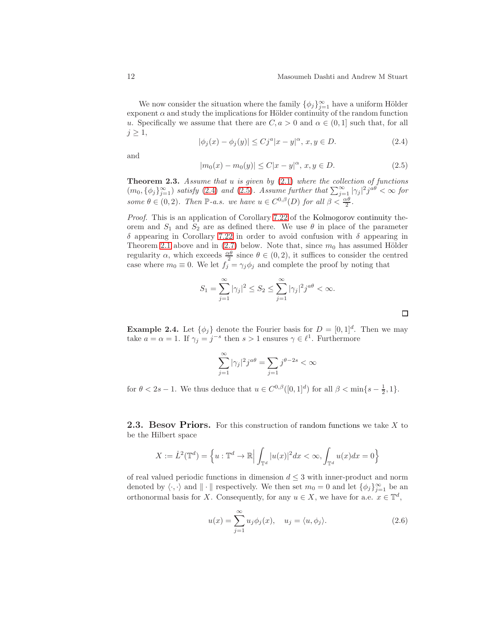$\Box$ 

We now consider the situation where the family  $\{\phi_j\}_{j=1}^{\infty}$  have a uniform Hölder exponent  $\alpha$  and study the implications for Hölder continuity of the random function u. Specifically we assume that there are  $C, a > 0$  and  $\alpha \in (0, 1]$  such that, for all  $j \geq 1$ ,

<span id="page-11-1"></span>
$$
|\phi_j(x) - \phi_j(y)| \le C j^a |x - y|^\alpha, \, x, y \in D. \tag{2.4}
$$

and

<span id="page-11-2"></span>
$$
|m_0(x) - m_0(y)| \le C|x - y|^{\alpha}, \ x, y \in D. \tag{2.5}
$$

**Theorem 2.3.** Assume that  $u$  is given by  $(2.1)$  where the collection of functions  $(m_0, {\phi_j}_{j=1}^{\infty})$  satisfy [\(2.4\)](#page-11-1) and [\(2.5\)](#page-11-2). Assume further that  $\sum_{j=1}^{\infty} |\gamma_j|^2 j^{a\theta} < \infty$  for some  $\theta \in (0, 2)$ . Then P-a.s. we have  $u \in C^{0,\beta}(D)$  for all  $\beta < \frac{\alpha\theta}{2}$ .

Proof. This is an application of Corollary [7.22](#page-90-0) of the Kolmogorov continuity theorem and  $S_1$  and  $S_2$  are as defined there. We use  $\theta$  in place of the parameter δ appearing in Corollary [7.22](#page-90-0) in order to avoid confusion with δ appearing in Theorem [2.1](#page-9-2) above and in  $(2.7)$  below. Note that, since  $m_0$  has assumed Hölder regularity  $\alpha$ , which exceeds  $\frac{\alpha\theta}{2}$  since  $\theta \in (0, 2)$ , it suffices to consider the centred case where  $m_0 \equiv 0$ . We let  $f_j = \gamma_j \phi_j$  and complete the proof by noting that

$$
S_1 = \sum_{j=1}^{\infty} |\gamma_j|^2 \le S_2 \le \sum_{j=1}^{\infty} |\gamma_j|^2 j^{a\theta} < \infty.
$$

**Example 2.4.** Let  $\{\phi_j\}$  denote the Fourier basis for  $D = [0, 1]^d$ . Then we may take  $a = \alpha = 1$ . If  $\gamma_j = j^{-s}$  then  $s > 1$  ensures  $\gamma \in \ell^1$ . Furthermore

$$
\sum_{j=1}^{\infty} |\gamma_j|^2 j^{a\theta} = \sum_{j=1}^{\infty} j^{\theta - 2s} < \infty
$$

for  $\theta < 2s - 1$ . We thus deduce that  $u \in C^{0,\beta}([0,1]^d)$  for all  $\beta < \min\{s - \frac{1}{2}, 1\}$ .

<span id="page-11-0"></span>**2.3. Besov Priors.** For this construction of random functions we take  $X$  to be the Hilbert space

$$
X:=\dot{L}^2({\mathbb T}^d)=\left\{u:{\mathbb T}^d\to {\mathbb R}\Big|\int_{{\mathbb T}^d}|u(x)|^2dx<\infty, \int_{{\mathbb T}^d}u(x)dx=0\right\}
$$

of real valued periodic functions in dimension  $d \leq 3$  with inner-product and norm denoted by  $\langle \cdot, \cdot \rangle$  and  $\| \cdot \|$  respectively. We then set  $m_0 = 0$  and let  $\{\phi_j\}_{j=1}^{\infty}$  be an orthonormal basis for X. Consequently, for any  $u \in X$ , we have for a.e.  $x \in \mathbb{T}^d$ ,

<span id="page-11-3"></span>
$$
u(x) = \sum_{j=1}^{\infty} u_j \phi_j(x), \quad u_j = \langle u, \phi_j \rangle.
$$
 (2.6)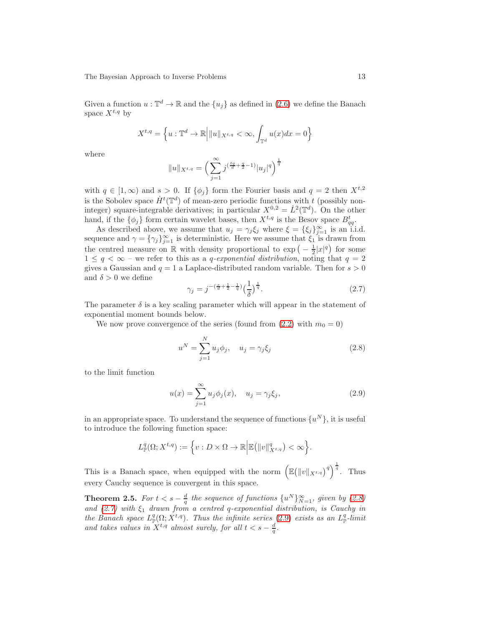Given a function  $u : \mathbb{T}^d \to \mathbb{R}$  and the  $\{u_j\}$  as defined in  $(2.6)$  we define the Banach space  $X^{t,q}$  by

$$
X^{t,q} = \left\{ u : \mathbb{T}^d \to \mathbb{R} \middle| \|u\|_{X^{t,q}} < \infty, \int_{\mathbb{T}^d} u(x)dx = 0 \right\}
$$

where

$$
||u||_{X^{t,q}} = \left(\sum_{j=1}^{\infty} j^{(\frac{tq}{d} + \frac{q}{2} - 1)} |u_j|^q\right)^{\frac{1}{q}}
$$

with  $q \in [1,\infty)$  and  $s > 0$ . If  $\{\phi_j\}$  form the Fourier basis and  $q = 2$  then  $X^{t,2}$ is the Sobolev space  $\dot{H}^t(\mathbb{T}^d)$  of mean-zero periodic functions with t (possibly noninteger) square-integrable derivatives; in particular  $X^{0,2} = L^2(\mathbb{T}^d)$ . On the other hand, if the  $\{\phi_j\}$  form certain wavelet bases, then  $X^{t,q}$  is the Besov space  $B_{qq}^t$ .

As described above, we assume that  $u_j = \gamma_j \xi_j$  where  $\xi = {\xi_j}_{j=1}^{\infty}$  is an i.i.d. sequence and  $\gamma = {\gamma_j}_{j=1}^{\infty}$  is deterministic. Here we assume that  $\xi_1$  is drawn from the centred measure on R with density proportional to  $\exp(-\frac{1}{2}|x|^q)$  for some  $1 \leq q \leq \infty$  – we refer to this as a *q-exponential distribution*, noting that  $q = 2$ gives a Gaussian and  $q = 1$  a Laplace-distributed random variable. Then for  $s > 0$ and  $\delta > 0$  we define

<span id="page-12-0"></span>
$$
\gamma_j = j^{-(\frac{s}{d} + \frac{1}{2} - \frac{1}{q})} \left(\frac{1}{\delta}\right)^{\frac{1}{q}}.
$$
\n(2.7)

The parameter  $\delta$  is a key scaling parameter which will appear in the statement of exponential moment bounds below.

We now prove convergence of the series (found from  $(2.2)$  with  $m_0 = 0$ )

<span id="page-12-1"></span>
$$
u^N = \sum_{j=1}^N u_j \phi_j, \quad u_j = \gamma_j \xi_j \tag{2.8}
$$

to the limit function

<span id="page-12-2"></span>
$$
u(x) = \sum_{j=1}^{\infty} u_j \phi_j(x), \quad u_j = \gamma_j \xi_j,
$$
\n(2.9)

in an appropriate space. To understand the sequence of functions  $\{u^N\}$ , it is useful to introduce the following function space:

$$
L^q_{\mathbb{P}}(\Omega; X^{t,q}):=\Big\{v: D\times \Omega \to \mathbb{R}\Big| \mathbb{E}\big(\|v\|_{X^{t,q}}^q\big)<\infty\Big\}.
$$

This is a Banach space, when equipped with the norm  $\left(\mathbb{E}(\|v\|_{X^{t,q}})^q\right)^{\frac{1}{q}}$ . Thus every Cauchy sequence is convergent in this space.

**Theorem 2.5.** For  $t < s - \frac{d}{q}$  the sequence of functions  $\{u^N\}_{N=1}^{\infty}$ , given by [\(2.8\)](#page-12-1) and  $(2.7)$  with  $\xi_1$  drawn from a centred q-exponential distribution, is Cauchy in the Banach space  $L^q_{\mathbb{P}}(\Omega; X^{t,q})$ . Thus the infinite series [\(2.9\)](#page-12-2) exists as an  $L^q_{\mathbb{P}}$ -limit and takes values in  $X^{t,q}$  almost surely, for all  $t < s - \frac{d}{q}$ .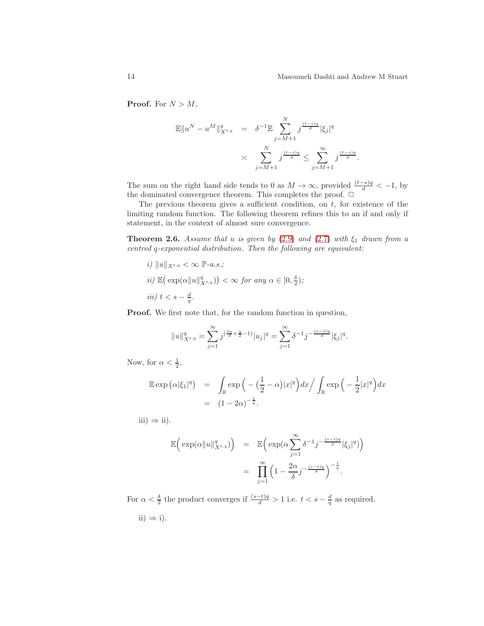**Proof.** For  $N > M$ ,

$$
\mathbb{E} \|u^N - u^M\|_{X^{t,q}}^q = \delta^{-1} \mathbb{E} \sum_{j=M+1}^N j^{\frac{(t-s)q}{d}} |\xi_j|^q
$$
  
 
$$
\asymp \sum_{j=M+1}^N j^{\frac{(t-s)q}{d}} \le \sum_{j=M+1}^\infty j^{\frac{(t-s)q}{d}}.
$$

The sum on the right hand side tends to 0 as  $M \to \infty$ , provided  $\frac{(t-s)q}{d} < -1$ , by the dominated convergence theorem. This completes the proof.  $\Box$ 

The previous theorem gives a sufficient condition, on  $t$ , for existence of the limiting random function. The following theorem refines this to an if and only if statement, in the context of almost sure convergence.

<span id="page-13-0"></span>**Theorem 2.6.** Assume that u is given by [\(2.9\)](#page-12-2) and [\(2.7\)](#page-12-0) with  $\xi_1$  drawn from a centred q-exponential distribution. Then the following are equivalent:

i)  $||u||_{X^{t,q}} < \infty \ \mathbb{P}\text{-}a.s.;$  $ii) \mathbb{E}(\exp(\alpha \|u\|_{X^{t,q}}^q)) < \infty$  for any  $\alpha \in [0, \frac{\delta}{2});$ iii)  $t < s - \frac{d}{q}$ .

Proof. We first note that, for the random function in question,

$$
||u||_{X^{t,q}}^q = \sum_{j=1}^{\infty} j^{(\frac{tq}{d} + \frac{q}{2} - 1)} |u_j|^q = \sum_{j=1}^{\infty} \delta^{-1} j^{-\frac{(s-t)q}{d}} |\xi_j|^q.
$$

Now, for  $\alpha < \frac{1}{2}$ ,

$$
\mathbb{E} \exp \left( \alpha |\xi_1|^q \right) = \int_{\mathbb{R}} \exp \left( -\left( \frac{1}{2} - \alpha \right) |x|^q \right) dx \Big/ \int_{\mathbb{R}} \exp \left( -\frac{1}{2} |x|^q \right) dx
$$

$$
= (1 - 2\alpha)^{-\frac{1}{q}}.
$$

iii)  $\Rightarrow$  ii).

$$
\mathbb{E}\left(\exp(\alpha||u||_{X^{t,q}}^q)\right) = \mathbb{E}\left(\exp(\alpha\sum_{j=1}^{\infty}\delta^{-1}j^{-\frac{(s-t)q}{d}}|\xi_j|^q)\right)
$$

$$
= \prod_{j=1}^{\infty}\left(1-\frac{2\alpha}{\delta}j^{-\frac{(s-t)q}{d}}\right)^{-\frac{1}{q}}.
$$

For  $\alpha < \frac{\delta}{2}$  the product converges if  $\frac{(s-t)q}{d} > 1$  i.e.  $t < s - \frac{d}{q}$  as required. ii)  $\Rightarrow$  i).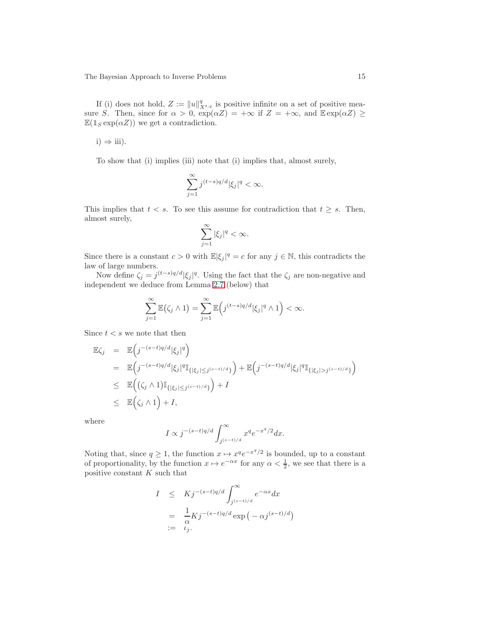If (i) does not hold,  $Z := ||u||_{X^{t,q}}^q$  is positive infinite on a set of positive measure S. Then, since for  $\alpha > 0$ ,  $\exp(\alpha Z) = +\infty$  if  $Z = +\infty$ , and  $\mathbb{E} \exp(\alpha Z) \ge$  $\mathbb{E}(1_S \exp(\alpha Z))$  we get a contradiction.

 $i) \Rightarrow iii).$ 

To show that (i) implies (iii) note that (i) implies that, almost surely,

$$
\sum_{j=1}^{\infty} j^{(t-s)q/d} |\xi_j|^q < \infty.
$$

This implies that  $t < s$ . To see this assume for contradiction that  $t \geq s$ . Then, almost surely,

$$
\sum_{j=1}^{\infty} |\xi_j|^q < \infty.
$$

Since there is a constant  $c > 0$  with  $\mathbb{E}|\xi_j|^q = c$  for any  $j \in \mathbb{N}$ , this contradicts the law of large numbers.

Now define  $\zeta_j = j^{(t-s)q/d} |\xi_j|^q$ . Using the fact that the  $\zeta_j$  are non-negative and independent we deduce from Lemma [2.7](#page-15-0) (below) that

$$
\sum_{j=1}^{\infty} \mathbb{E}(\zeta_j \wedge 1) = \sum_{j=1}^{\infty} \mathbb{E}\Big(j^{(t-s)q/d} |\xi_j|^q \wedge 1\Big) < \infty.
$$

Since  $t < s$  we note that then

$$
\mathbb{E}\zeta_j = \mathbb{E}\Big(j^{-(s-t)q/d}|\xi_j|^q\Big)
$$
\n
$$
= \mathbb{E}\Big(j^{-(s-t)q/d}|\xi_j|^q\mathbb{I}_{\{|\xi_j| \leq j^{(s-t)/d}\}}\Big) + \mathbb{E}\Big(j^{-(s-t)q/d}|\xi_j|^q\mathbb{I}_{\{|\xi_j| > j^{(s-t)/d}\}}\Big)
$$
\n
$$
\leq \mathbb{E}\Big(\big(\zeta_j \wedge 1\big)\mathbb{I}_{\{|\xi_j| \leq j^{(s-t)/d}\}}\Big) + I
$$
\n
$$
\leq \mathbb{E}\Big(\zeta_j \wedge 1\Big) + I,
$$

where

$$
I \propto j^{-(s-t)q/d} \int_{j^{(s-t)/d}}^{\infty} x^q e^{-x^q/2} dx.
$$

Noting that, since  $q \geq 1$ , the function  $x \mapsto x^q e^{-x^q/2}$  is bounded, up to a constant of proportionality, by the function  $x \mapsto e^{-\alpha x}$  for any  $\alpha < \frac{1}{2}$ , we see that there is a positive constant  $K$  such that

$$
I \leq K j^{-(s-t)q/d} \int_{j^{(s-t)/d}}^{\infty} e^{-\alpha x} dx
$$
  
=  $\frac{1}{\alpha} K j^{-(s-t)q/d} \exp(-\alpha j^{(s-t)/d})$   
:=  $\iota_j$ .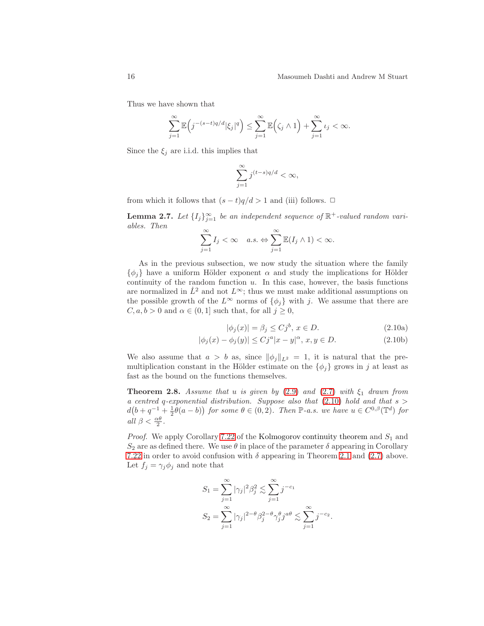Thus we have shown that

$$
\sum_{j=1}^{\infty} \mathbb{E}\Big(j^{-(s-t)q/d}|\xi_j|^q\Big) \leq \sum_{j=1}^{\infty} \mathbb{E}\Big(\zeta_j \wedge 1\Big) + \sum_{j=1}^{\infty} \iota_j < \infty.
$$

Since the  $\xi_i$  are i.i.d. this implies that

$$
\sum_{j=1}^{\infty} j^{(t-s)q/d} < \infty,
$$

<span id="page-15-0"></span>from which it follows that  $(s-t)q/d > 1$  and (iii) follows.  $\Box$ 

**Lemma 2.7.** Let  $\{I_j\}_{j=1}^{\infty}$  be an independent sequence of  $\mathbb{R}^+$ -valued random variables. Then

$$
\sum_{j=1}^{\infty} I_j < \infty \quad a.s. \Leftrightarrow \sum_{j=1}^{\infty} \mathbb{E}(I_j \wedge 1) < \infty.
$$

As in the previous subsection, we now study the situation where the family  $\{\phi_i\}$  have a uniform Hölder exponent  $\alpha$  and study the implications for Hölder continuity of the random function  $u$ . In this case, however, the basis functions are normalized in  $\dot{L}^2$  and not  $L^{\infty}$ ; thus we must make additional assumptions on the possible growth of the  $L^{\infty}$  norms of  $\{\phi_i\}$  with j. We assume that there are  $C, a, b > 0$  and  $\alpha \in (0, 1]$  such that, for all  $j \geq 0$ ,

<span id="page-15-1"></span>
$$
|\phi_j(x)| = \beta_j \le C j^b, \ x \in D. \tag{2.10a}
$$

.

$$
|\phi_j(x) - \phi_j(y)| \le C j^a |x - y|^\alpha, \, x, y \in D. \tag{2.10b}
$$

We also assume that  $a > b$  as, since  $\|\phi_j\|_{L^2} = 1$ , it is natural that the premultiplication constant in the Hölder estimate on the  $\{\phi_i\}$  grows in j at least as fast as the bound on the functions themselves.

<span id="page-15-2"></span>**Theorem 2.8.** Assume that u is given by [\(2.9\)](#page-12-2) and [\(2.7\)](#page-12-0) with  $\xi_1$  drawn from a centred q-exponential distribution. Suppose also that  $(2.10)$  hold and that  $s >$  $d(b+q^{-1}+\frac{1}{2}\theta(a-b))$  for some  $\theta \in (0,2)$ . Then  $\mathbb{P}\text{-}a.s.$  we have  $u \in C^{0,\beta}(\mathbb{T}^d)$  for all  $\beta < \frac{\alpha \theta}{2}$ .

*Proof.* We apply Corollary [7.22](#page-90-0) of the Kolmogorov continuity theorem and  $S_1$  and  $S_2$  are as defined there. We use  $\theta$  in place of the parameter  $\delta$  appearing in Corollary [7.22](#page-90-0) in order to avoid confusion with  $\delta$  appearing in Theorem [2.1](#page-9-2) and [\(2.7\)](#page-12-0) above. Let  $f_j = \gamma_j \phi_j$  and note that

$$
S_1 = \sum_{j=1}^{\infty} |\gamma_j|^2 \beta_j^2 \lesssim \sum_{j=1}^{\infty} j^{-c_1}
$$
  

$$
S_2 = \sum_{j=1}^{\infty} |\gamma_j|^{2-\theta} \beta_j^{2-\theta} \gamma_j^{\theta} j^{a\theta} \lesssim \sum_{j=1}^{\infty} j^{-c_2}
$$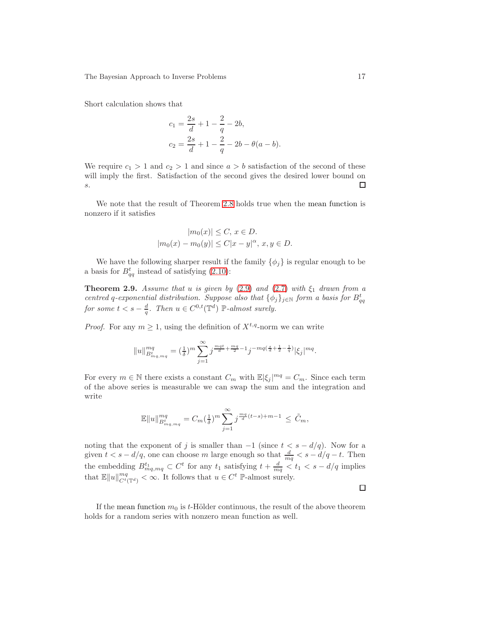Short calculation shows that

$$
c_1 = \frac{2s}{d} + 1 - \frac{2}{q} - 2b,
$$
  
\n
$$
c_2 = \frac{2s}{d} + 1 - \frac{2}{q} - 2b - \theta(a - b).
$$

We require  $c_1 > 1$  and  $c_2 > 1$  and since  $a > b$  satisfaction of the second of these will imply the first. Satisfaction of the second gives the desired lower bound on s. □

We note that the result of Theorem [2.8](#page-15-2) holds true when the mean function is nonzero if it satisfies

$$
|m_0(x)| \le C, x \in D.
$$
  

$$
|m_0(x) - m_0(y)| \le C|x - y|^{\alpha}, x, y \in D.
$$

We have the following sharper result if the family  $\{\phi_i\}$  is regular enough to be a basis for  $B_{qq}^t$  instead of satisfying [\(2.10\)](#page-15-1):

**Theorem 2.9.** Assume that u is given by [\(2.9\)](#page-12-2) and [\(2.7\)](#page-12-0) with  $\xi_1$  drawn from a centred q-exponential distribution. Suppose also that  $\{\phi_j\}_{j\in\mathbb{N}}$  form a basis for  $B_{qq}^t$ for some  $t < s - \frac{d}{q}$ . Then  $u \in C^{0,t}(\mathbb{T}^d)$   $\mathbb{P}\text{-almost surely.}$ 

*Proof.* For any  $m \geq 1$ , using the definition of  $X^{t,q}$ -norm we can write

$$
||u||_{B_{mq, mq}^t}^{mq} = \left(\frac{1}{\delta}\right)^m \sum_{j=1}^{\infty} j^{\frac{mqt}{d} + \frac{mq}{2} - 1} j^{-mq(\frac{s}{d} + \frac{1}{2} - \frac{1}{q})} |\xi_j|^{mq}.
$$

For every  $m \in \mathbb{N}$  there exists a constant  $C_m$  with  $\mathbb{E}|\xi_j|^{mq} = C_m$ . Since each term of the above series is measurable we can swap the sum and the integration and write

$$
\mathbb{E} \|u\|_{B^{t}_{m_q, m_q}}^{mq} = C_m(\frac{1}{\delta})^m \sum_{j=1}^{\infty} j^{\frac{mq}{d}(t-s)+m-1} \leq \tilde{C}_m,
$$

noting that the exponent of j is smaller than  $-1$  (since  $t < s - d/q$ ). Now for a given  $t < s - d/q$ , one can choose m large enough so that  $\frac{d}{mq} < s - d/q - t$ . Then the embedding  $B_{mq, mq}^{t_1} \subset C^t$  for any  $t_1$  satisfying  $t + \frac{d}{mq} < t_1 < s - d/q$  implies that  $\mathbb{E} \|u\|_{C^t(\mathbb{T}^d)}^{mq} < \infty$ . It follows that  $u \in C^t$  P-almost surely.

 $\Box$ 

If the mean function  $m_0$  is t-Hölder continuous, the result of the above theorem holds for a random series with nonzero mean function as well.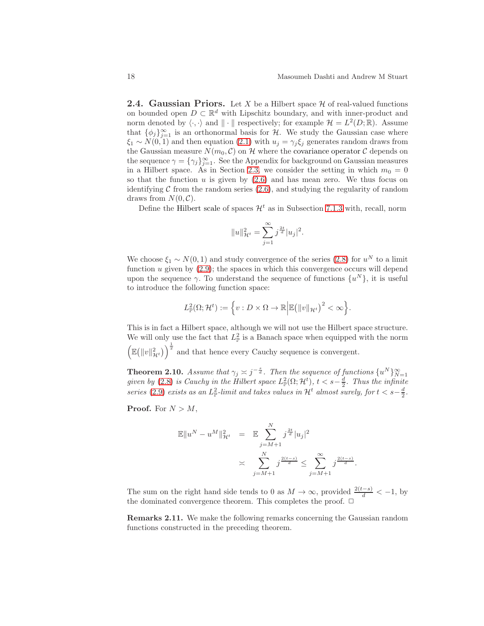<span id="page-17-0"></span>**2.4. Gaussian Priors.** Let X be a Hilbert space  $\mathcal{H}$  of real-valued functions on bounded open  $D \subset \mathbb{R}^d$  with Lipschitz boundary, and with inner-product and norm denoted by  $\langle \cdot, \cdot \rangle$  and  $\| \cdot \|$  respectively; for example  $\mathcal{H} = L^2(D; \mathbb{R})$ . Assume that  $\{\phi_j\}_{j=1}^{\infty}$  is an orthonormal basis for H. We study the Gaussian case where  $\xi_1 \sim N(0, 1)$  and then equation [\(2.1\)](#page-8-2) with  $u_j = \gamma_j \xi_j$  generates random draws from the Gaussian measure  $N(m_0, \mathcal{C})$  on H where the covariance operator C depends on the sequence  $\gamma = {\gamma_j}_{j=1}^{\infty}$ . See the Appendix for background on Gaussian measures in a Hilbert space. As in Section [2.3,](#page-11-0) we consider the setting in which  $m_0 = 0$ so that the function  $u$  is given by  $(2.6)$  and has mean zero. We thus focus on identifying  $\mathcal C$  from the random series  $(2.6)$ , and studying the regularity of random draws from  $N(0, \mathcal{C})$ .

Define the Hilbert scale of spaces  $\mathcal{H}^t$  as in Subsection [7.1.3](#page-76-0) with, recall, norm

.

$$
||u||_{\mathcal{H}^t}^2 = \sum_{j=1}^{\infty} j^{\frac{2t}{d}} |u_j|^2
$$

We choose  $\xi_1 \sim N(0, 1)$  and study convergence of the series [\(2.8\)](#page-12-1) for  $u^N$  to a limit function  $u$  given by  $(2.9)$ ; the spaces in which this convergence occurs will depend upon the sequence  $\gamma$ . To understand the sequence of functions  $\{u^N\}$ , it is useful to introduce the following function space:

$$
L^2_{\mathbb{P}}(\Omega; \mathcal{H}^t) := \left\{ v : D \times \Omega \to \mathbb{R} \Big| \mathbb{E} \big( ||v||_{\mathcal{H}^t} \big)^2 < \infty \right\}.
$$

This is in fact a Hilbert space, although we will not use the Hilbert space structure. We will only use the fact that  $L^2_{\mathbb{P}}$  is a Banach space when equipped with the norm  $\left(\mathbb{E}\left(\|v\|_{\mathcal{H}^t}^2\right)\right)^{\frac{1}{2}}$  and that hence every Cauchy sequence is convergent.

<span id="page-17-2"></span>**Theorem 2.10.** Assume that  $\gamma_j \approx j^{-\frac{s}{d}}$ . Then the sequence of functions  $\{u^N\}_{N=1}^{\infty}$  given by [\(2.8\)](#page-12-1) is Cauchy in the Hilbert space  $L^2_{\mathbb{P}}(\Omega; \mathcal{H}^t)$ ,  $t < s - \frac{d}{2}$ . Thus the infinite series [\(2.9\)](#page-12-2) exists as an  $L^2_{\mathbb{P}}$ -limit and takes values in  $\mathcal{H}^t$  almost surely, for  $t < s - \frac{d}{2}$ .

**Proof.** For  $N > M$ ,

$$
\mathbb{E} \|u^N - u^M\|_{\mathcal{H}^t}^2 = \mathbb{E} \sum_{j=M+1}^N j^{\frac{2t}{d}} |u_j|^2
$$
  
 
$$
\asymp \sum_{j=M+1}^N j^{\frac{2(t-s)}{d}} \le \sum_{j=M+1}^\infty j^{\frac{2(t-s)}{d}}.
$$

<span id="page-17-1"></span>The sum on the right hand side tends to 0 as  $M \to \infty$ , provided  $\frac{2(t-s)}{d} < -1$ , by the dominated convergence theorem. This completes the proof.  $\Box$ 

Remarks 2.11. We make the following remarks concerning the Gaussian random functions constructed in the preceding theorem.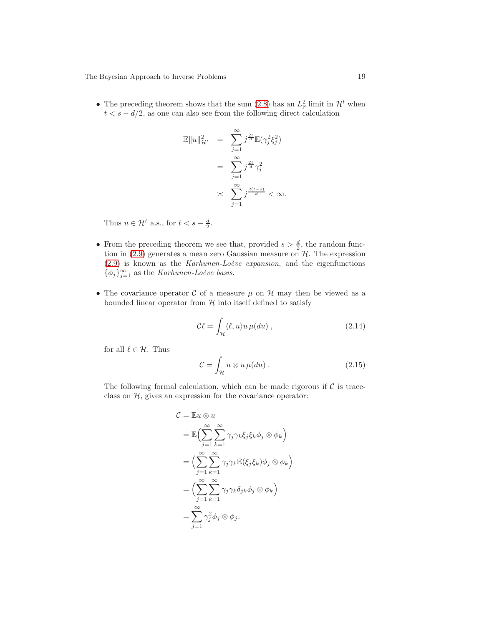• The preceding theorem shows that the sum [\(2.8\)](#page-12-1) has an  $L^2_{\mathbb{P}}$  limit in  $\mathcal{H}^t$  when  $t < s - d/2$ , as one can also see from the following direct calculation

$$
\mathbb{E}||u||_{\mathcal{H}^{t}}^{2} = \sum_{j=1}^{\infty} j^{\frac{2t}{d}} \mathbb{E}(\gamma_{j}^{2} \xi_{j}^{2})
$$

$$
= \sum_{j=1}^{\infty} j^{\frac{2t}{d}} \gamma_{j}^{2}
$$

$$
\times \sum_{j=1}^{\infty} j^{\frac{2(t-s)}{d}} < \infty.
$$

Thus  $u \in \mathcal{H}^t$  a.s., for  $t < s - \frac{d}{2}$ .

- From the preceding theorem we see that, provided  $s > \frac{d}{2}$ , the random function in  $(2.9)$  generates a mean zero Gaussian measure on  $\mathcal{H}$ . The expression  $(2.9)$  is known as the *Karhunen-Loève expansion*, and the eigenfunctions  $\{\phi_j\}_{j=1}^{\infty}$  as the *Karhunen-Loève basis*.
- The covariance operator  $\mathcal C$  of a measure  $\mu$  on  $\mathcal H$  may then be viewed as a bounded linear operator from  $H$  into itself defined to satisfy

<span id="page-18-0"></span>
$$
\mathcal{C}\ell = \int_{\mathcal{H}} \langle \ell, u \rangle u \,\mu(du) \,, \tag{2.14}
$$

for all  $\ell \in \mathcal{H}$ . Thus

$$
\mathcal{C} = \int_{\mathcal{H}} u \otimes u \,\mu(du) \,. \tag{2.15}
$$

The following formal calculation, which can be made rigorous if  $\mathcal C$  is traceclass on  $H$ , gives an expression for the covariance operator:

$$
C = \mathbb{E}u \otimes u
$$
  
=  $\mathbb{E}\Big(\sum_{j=1}^{\infty}\sum_{k=1}^{\infty}\gamma_j\gamma_k\xi_j\xi_k\phi_j \otimes \phi_k\Big)$   
=  $\Big(\sum_{j=1}^{\infty}\sum_{k=1}^{\infty}\gamma_j\gamma_k\mathbb{E}(\xi_j\xi_k)\phi_j \otimes \phi_k\Big)$   
=  $\Big(\sum_{j=1}^{\infty}\sum_{k=1}^{\infty}\gamma_j\gamma_k\delta_{jk}\phi_j \otimes \phi_k\Big)$   
=  $\sum_{j=1}^{\infty}\gamma_j^2\phi_j \otimes \phi_j.$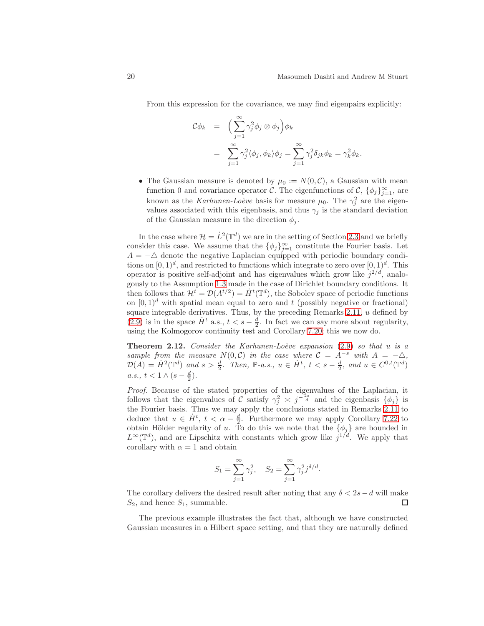From this expression for the covariance, we may find eigenpairs explicitly:

$$
\mathcal{C}\phi_k = \left(\sum_{j=1}^{\infty} \gamma_j^2 \phi_j \otimes \phi_j\right) \phi_k
$$
  
= 
$$
\sum_{j=1}^{\infty} \gamma_j^2 \langle \phi_j, \phi_k \rangle \phi_j = \sum_{j=1}^{\infty} \gamma_j^2 \delta_{jk} \phi_k = \gamma_k^2 \phi_k.
$$

• The Gaussian measure is denoted by  $\mu_0 := N(0, \mathcal{C})$ , a Gaussian with mean function 0 and covariance operator C. The eigenfunctions of  $\mathcal{C}, \{\phi_j\}_{j=1}^{\infty}$ , are known as the *Karhunen-Loève* basis for measure  $\mu_0$ . The  $\gamma_j^2$  are the eigenvalues associated with this eigenbasis, and thus  $\gamma_j$  is the standard deviation of the Gaussian measure in the direction  $\phi_i$ .

In the case where  $\mathcal{H} = \dot{L}^2(\mathbb{T}^d)$  we are in the setting of Section [2.3](#page-11-0) and we briefly consider this case. We assume that the  $\{\phi_j\}_{j=1}^{\infty}$  constitute the Fourier basis. Let  $A = -\Delta$  denote the negative Laplacian equipped with periodic boundary conditions on  $[0,1)^d$ , and restricted to functions which integrate to zero over  $[0,1)^d$ . This operator is positive self-adjoint and has eigenvalues which grow like  $j^{2/d}$ , analogously to the Assumption [1.3](#page-4-0) made in the case of Dirichlet boundary conditions. It then follows that  $\mathcal{H}^t = \mathcal{D}(A^{t/2}) = \dot{H}^t(\mathbb{T}^d)$ , the Sobolev space of periodic functions on  $[0, 1]^d$  with spatial mean equal to zero and t (possibly negative or fractional) square integrable derivatives. Thus, by the preceding Remarks  $2.11$ ,  $u$  defined by [\(2.9\)](#page-12-2) is in the space  $\dot{H}^t$  a.s.,  $t < s - \frac{d}{2}$ . In fact we can say more about regularity, using the Kolmogorov continuity test and Corollary [7.20;](#page-90-1) this we now do.

<span id="page-19-0"></span>**Theorem 2.12.** Consider the Karhunen-Loève expansion  $(2.9)$  so that u is a sample from the measure  $N(0,\mathcal{C})$  in the case where  $\mathcal{C} = A^{-s}$  with  $A = -\Delta$ ,  $\mathcal{D}(A) = \dot{H}^2(\mathbb{T}^d)$  and  $s > \frac{d}{2}$ . Then,  $\mathbb{P}\text{-}a.s., u \in \dot{H}^t, t < s - \frac{d}{2}$ , and  $u \in C^{0,t}(\mathbb{T}^d)$  $a.s., t < 1 \wedge (s - \frac{d}{2}).$ 

Proof. Because of the stated properties of the eigenvalues of the Laplacian, it follows that the eigenvalues of C satisfy  $\gamma_j^2 \approx j^{-\frac{2s}{d}}$  and the eigenbasis  $\{\phi_j\}$  is the Fourier basis. Thus we may apply the conclusions stated in Remarks [2.11](#page-17-1) to deduce that  $u \in \dot{H}^t$ ,  $t < \alpha - \frac{d}{2}$ . Furthermore we may apply Corollary [7.22](#page-90-0) to obtain Hölder regularity of u. To do this we note that the  $\{\phi_j\}$  are bounded in  $L^{\infty}(\mathbb{T}^d)$ , and are Lipschitz with constants which grow like  $j^{1/d}$ . We apply that corollary with  $\alpha = 1$  and obtain

$$
S_1 = \sum_{j=1}^{\infty} \gamma_j^2
$$
,  $S_2 = \sum_{j=1}^{\infty} \gamma_j^2 j^{\delta/d}$ .

The corollary delivers the desired result after noting that any  $\delta < 2s - d$  will make  $S_2$ , and hence  $S_1$ , summable.  $S_2$ , and hence  $S_1$ , summable.

The previous example illustrates the fact that, although we have constructed Gaussian measures in a Hilbert space setting, and that they are naturally defined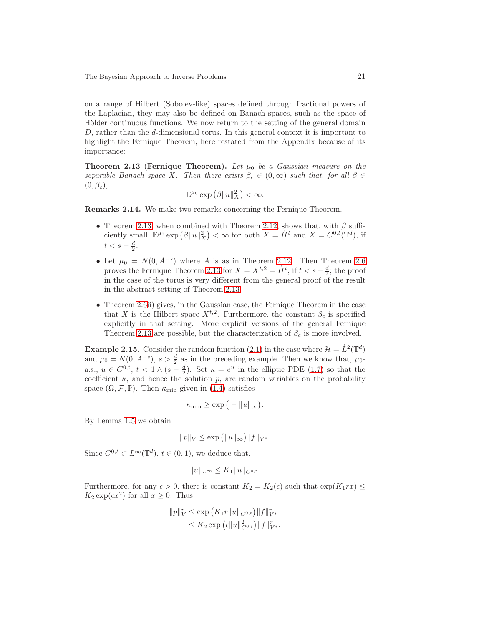on a range of Hilbert (Sobolev-like) spaces defined through fractional powers of the Laplacian, they may also be defined on Banach spaces, such as the space of Hölder continuous functions. We now return to the setting of the general domain D, rather than the d-dimensional torus. In this general context it is important to highlight the Fernique Theorem, here restated from the Appendix because of its importance:

<span id="page-20-0"></span>**Theorem 2.13 (Fernique Theorem).** Let  $\mu_0$  be a Gaussian measure on the separable Banach space X. Then there exists  $\beta_c \in (0,\infty)$  such that, for all  $\beta \in$  $(0, \beta_c),$ 

$$
\mathbb{E}^{\mu_0} \exp \left( \beta \|u\|_X^2 \right) < \infty.
$$

Remarks 2.14. We make two remarks concerning the Fernique Theorem.

- Theorem [2.13,](#page-20-0) when combined with Theorem [2.12,](#page-19-0) shows that, with  $\beta$  sufficiently small,  $\mathbb{E}^{\mu_0} \exp \left( \beta ||u||_X^2 \right) < \infty$  for both  $X = \dot{H}^t$  and  $X = C^{0,t}(\mathbb{T}^d)$ , if  $t < s - \frac{d}{2}$ .
- Let  $\mu_0 = N(0, A^{-s})$  where A is as in Theorem [2.12.](#page-19-0) Then Theorem [2.6](#page-13-0) proves the Fernique Theorem [2.13](#page-20-0) for  $X = X^{t,2} = \dot{H}^t$ , if  $t < s - \frac{d}{2}$ ; the proof in the case of the torus is very different from the general proof of the result in the abstract setting of Theorem [2.13.](#page-20-0)
- Theorem [2.6i](#page-13-0)i) gives, in the Gaussian case, the Fernique Theorem in the case that X is the Hilbert space  $X^{t,2}$ . Furthermore, the constant  $\beta_c$  is specified explicitly in that setting. More explicit versions of the general Fernique Theorem [2.13](#page-20-0) are possible, but the characterization of  $\beta_c$  is more involved.

**Example 2.15.** Consider the random function [\(2.1\)](#page-8-2) in the case where  $\mathcal{H} = L^2(\mathbb{T}^d)$ and  $\mu_0 = N(0, A^{-s}), s > \frac{d}{2}$  as in the preceding example. Then we know that,  $\mu_0$ a.s.,  $u \in C^{0,t}$ ,  $t < 1 \wedge (s - \frac{d}{2})$ . Set  $\kappa = e^u$  in the elliptic PDE [\(1.7\)](#page-6-1) so that the coefficient  $\kappa$ , and hence the solution p, are random variables on the probability space  $(\Omega, \mathcal{F}, \mathbb{P})$ . Then  $\kappa_{\min}$  given in [\(1.4\)](#page-5-0) satisfies

$$
\kappa_{\min} \geq \exp\big(-\|u\|_{\infty}\big).
$$

By Lemma [1.5](#page-6-4) we obtain

$$
||p||_V \le \exp (||u||_{\infty}) ||f||_{V^*}.
$$

Since  $C^{0,t} \subset L^{\infty}(\mathbb{T}^d)$ ,  $t \in (0,1)$ , we deduce that,

$$
||u||_{L^{\infty}} \leq K_1 ||u||_{C^{0,t}}.
$$

Furthermore, for any  $\epsilon > 0$ , there is constant  $K_2 = K_2(\epsilon)$  such that  $\exp(K_1 rx) \le$  $K_2 \exp(\epsilon x^2)$  for all  $x \ge 0$ . Thus

$$
||p||_{V}^{r} \le \exp (K_{1}r||u||_{C^{0,t}})||f||_{V^{*}}^{r}
$$
  

$$
\le K_{2} \exp (\epsilon ||u||_{C^{0,t}}^{2})||f||_{V^{*}}^{r}.
$$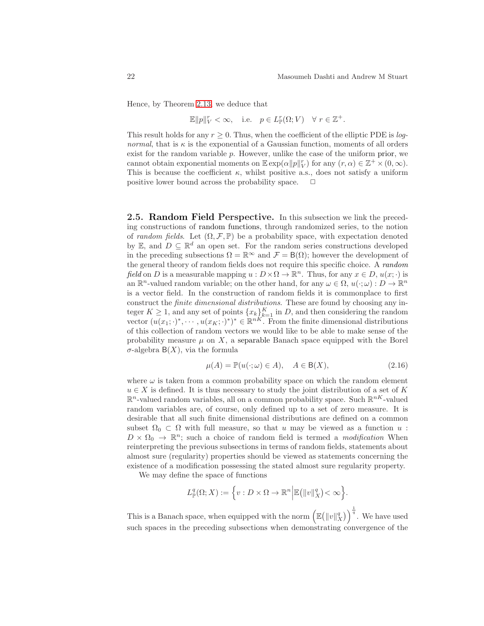Hence, by Theorem [2.13,](#page-20-0) we deduce that

$$
\mathbb{E} \|p\|_V^r < \infty, \quad \text{i.e.} \quad p \in L_{\mathbb{P}}^r(\Omega; V) \quad \forall \ r \in \mathbb{Z}^+.
$$

This result holds for any  $r \geq 0$ . Thus, when the coefficient of the elliptic PDE is *lognormal*, that is  $\kappa$  is the exponential of a Gaussian function, moments of all orders exist for the random variable  $p$ . However, unlike the case of the uniform prior, we cannot obtain exponential moments on  $\mathbb{E} \exp(\alpha ||p||_V^r)$  for any  $(r, \alpha) \in \mathbb{Z}^+ \times (0, \infty)$ . This is because the coefficient  $\kappa$ , whilst positive a.s., does not satisfy a uniform positive lower bound across the probability space.  $\Box$ 

<span id="page-21-0"></span>2.5. Random Field Perspective. In this subsection we link the preceding constructions of random functions, through randomized series, to the notion of random fields. Let  $(\Omega, \mathcal{F}, \mathbb{P})$  be a probability space, with expectation denoted by E, and  $D \subseteq \mathbb{R}^d$  an open set. For the random series constructions developed in the preceding subsections  $\Omega = \mathbb{R}^{\infty}$  and  $\mathcal{F} = B(\Omega)$ ; however the development of the general theory of random fields does not require this specific choice. A random field on D is a measurable mapping  $u : D \times \Omega \to \mathbb{R}^n$ . Thus, for any  $x \in D$ ,  $u(x; \cdot)$  is an  $\mathbb{R}^n$ -valued random variable; on the other hand, for any  $\omega \in \Omega$ ,  $u(\cdot; \omega) : D \to \mathbb{R}^n$ is a vector field. In the construction of random fields it is commonplace to first construct the finite dimensional distributions. These are found by choosing any integer  $K \geq 1$ , and any set of points  $\{x_k\}_{k=1}^K$  in D, and then considering the random vector  $(u(x_1; \cdot)^*, \dots, u(x_K; \cdot)^*)^* \in \mathbb{R}^{nK}$ . From the finite dimensional distributions of this collection of random vectors we would like to be able to make sense of the probability measure  $\mu$  on  $X$ , a separable Banach space equipped with the Borel σ-algebra B(X), via the formula

$$
\mu(A) = \mathbb{P}(u(\cdot; \omega) \in A), \quad A \in \mathsf{B}(X), \tag{2.16}
$$

where  $\omega$  is taken from a common probability space on which the random element  $u \in X$  is defined. It is thus necessary to study the joint distribution of a set of K  $\mathbb{R}^n$ -valued random variables, all on a common probability space. Such  $\mathbb{R}^{nK}$ -valued random variables are, of course, only defined up to a set of zero measure. It is desirable that all such finite dimensional distributions are defined on a common subset  $\Omega_0 \subset \Omega$  with full measure, so that u may be viewed as a function u:  $D \times \Omega_0 \to \mathbb{R}^n$ ; such a choice of random field is termed a *modification* When reinterpreting the previous subsections in terms of random fields, statements about almost sure (regularity) properties should be viewed as statements concerning the existence of a modification possessing the stated almost sure regularity property.

We may define the space of functions

$$
L^q_{\mathbb{P}}(\Omega; X) := \left\{ v : D \times \Omega \to \mathbb{R}^n \Big| \mathbb{E} \big( ||v||_X^q \big) < \infty \right\}.
$$

This is a Banach space, when equipped with the norm  $\left(\mathbb{E}(\|v\|_X^q)\right)^{\frac{1}{q}}$ . We have used such spaces in the preceding subsections when demonstrating convergence of the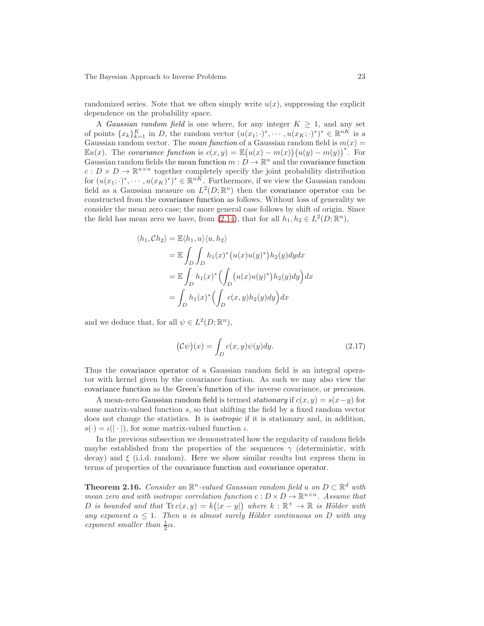randomized series. Note that we often simply write  $u(x)$ , suppressing the explicit dependence on the probability space.

A Gaussian random field is one where, for any integer  $K \geq 1$ , and any set of points  $\{x_k\}_{k=1}^K$  in D, the random vector  $(u(x_1; \cdot)^*, \cdots, u(x_K; \cdot)^*)^* \in \mathbb{R}^{nK}$  is a Gaussian random vector. The mean function of a Gaussian random field is  $m(x) =$  $\mathbb{E}u(x)$ . The covariance function is  $c(x, y) = \mathbb{E}(u(x) - m(x))(u(y) - m(y))$ <sup>\*</sup>. For Gaussian random fields the mean function  $m: D \to \mathbb{R}^n$  and the covariance function  $c: D \times D \to \mathbb{R}^{n \times n}$  together completely specify the joint probability distribution for  $(u(x_1; \cdot)^*, \dots, u(x_K)^*)^* \in \mathbb{R}^{nK}$ . Furthermore, if we view the Gaussian random field as a Gaussian measure on  $L^2(D;\mathbb{R}^n)$  then the covariance operator can be constructed from the covariance function as follows. Without loss of generality we consider the mean zero case; the more general case follows by shift of origin. Since the field has mean zero we have, from [\(2.14\)](#page-18-0), that for all  $h_1, h_2 \in L^2(D; \mathbb{R}^n)$ ,

$$
\langle h_1, Ch_2 \rangle = \mathbb{E} \langle h_1, u \rangle \langle u, h_2 \rangle
$$
  
=  $\mathbb{E} \int_D \int_D h_1(x)^* (u(x)u(y)^*) h_2(y) dy dx$   
=  $\mathbb{E} \int_D h_1(x)^* \Big( \int_D (u(x)u(y)^*) h_2(y) dy \Big) dx$   
=  $\int_D h_1(x)^* \Big( \int_D c(x, y) h_2(y) dy \Big) dx$ 

and we deduce that, for all  $\psi \in L^2(D; \mathbb{R}^n)$ ,

$$
(\mathcal{C}\psi)(x) = \int_D c(x,y)\psi(y)dy.
$$
 (2.17)

Thus the covariance operator of a Gaussian random field is an integral operator with kernel given by the covariance function. As such we may also view the covariance function as the Green's function of the inverse covariance, or precision.

A mean-zero Gaussian random field is termed *stationary* if  $c(x, y) = s(x - y)$  for some matrix-valued function s, so that shifting the field by a fixed random vector does not change the statistics. It is isotropic if it is stationary and, in addition,  $s(\cdot) = \iota(|\cdot|)$ , for some matrix-valued function  $\iota$ .

In the previous subsection we demonstrated how the regularity of random fields maybe established from the properties of the sequences  $\gamma$  (deterministic, with decay) and  $\xi$  (i.i.d. random). Here we show similar results but express them in terms of properties of the covariance function and covariance operator.

**Theorem 2.16.** Consider an  $\mathbb{R}^n$ -valued Gaussian random field u on  $D \subset \mathbb{R}^d$  with mean zero and with isotropic correlation function  $c: D \times D \to \mathbb{R}^{n \times n}$ . Assume that D is bounded and that  $\text{Tr } c(x, y) = k(|x - y|)$  where  $k : \mathbb{R}^+ \to \mathbb{R}$  is Hölder with any exponent  $\alpha \leq 1$ . Then u is almost surely Hölder continuous on D with any exponent smaller than  $\frac{1}{2}\alpha$ .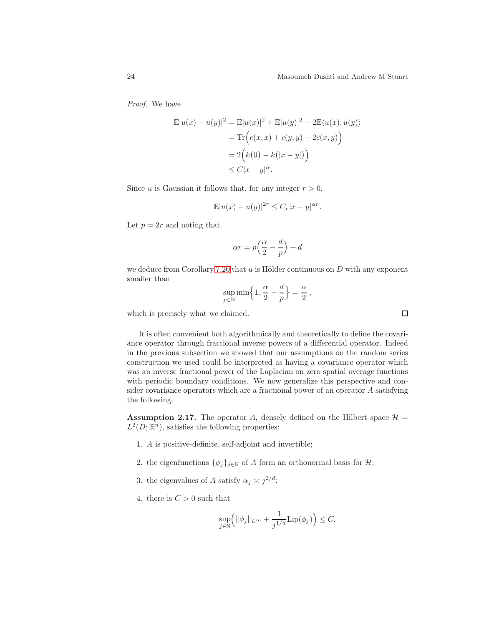Proof. We have

$$
\mathbb{E}|u(x) - u(y)|^2 = \mathbb{E}|u(x)|^2 + \mathbb{E}|u(y)|^2 - 2\mathbb{E}\langle u(x), u(y) \rangle
$$
  
= Tr\Big(c(x, x) + c(y, y) - 2c(x, y)\Big)  
= 2\Big(k(0) - k(|x - y|)\Big)  

$$
\leq C|x - y|^{\alpha}.
$$

Since u is Gaussian it follows that, for any integer  $r > 0$ ,

$$
\mathbb{E}|u(x) - u(y)|^{2r} \leq C_r |x - y|^{\alpha r}.
$$

Let  $p = 2r$  and noting that

$$
\alpha r = p\left(\frac{\alpha}{2} - \frac{d}{p}\right) + d
$$

we deduce from Corollary [7.20](#page-90-1) that  $u$  is Hölder continuous on  $D$  with any exponent smaller than

$$
\sup_{p\in\mathbb{N}}\min\Bigl\{1,\frac{\alpha}{2}-\frac{d}{p}\Bigr\}=\frac{\alpha}{2}\;,
$$

which is precisely what we claimed.

It is often convenient both algorithmically and theoretically to define the covariance operator through fractional inverse powers of a differential operator. Indeed in the previous subsection we showed that our assumptions on the random series construction we used could be interpreted as having a covariance operator which was an inverse fractional power of the Laplacian on zero spatial average functions with periodic boundary conditions. We now generalize this perspective and consider covariance operators which are a fractional power of an operator A satisfying the following.

<span id="page-23-0"></span>**Assumption 2.17.** The operator A, densely defined on the Hilbert space  $\mathcal{H} =$  $L^2(D;\mathbb{R}^n)$ , satisfies the following properties:

- 1. A is positive-definite, self-adjoint and invertible;
- 2. the eigenfunctions  $\{\phi_i\}_{i\in\mathbb{N}}$  of A form an orthonormal basis for  $\mathcal{H}$ ;
- 3. the eigenvalues of A satisfy  $\alpha_j \approx j^{2/d}$ ;
- 4. there is  $C > 0$  such that

$$
\sup_{j\in\mathbb{N}}\Bigl(\|\phi_j\|_{L^\infty}+\frac{1}{j^{1/d}}\mathrm{Lip}(\phi_j)\Bigr)\leq C.
$$

 $\square$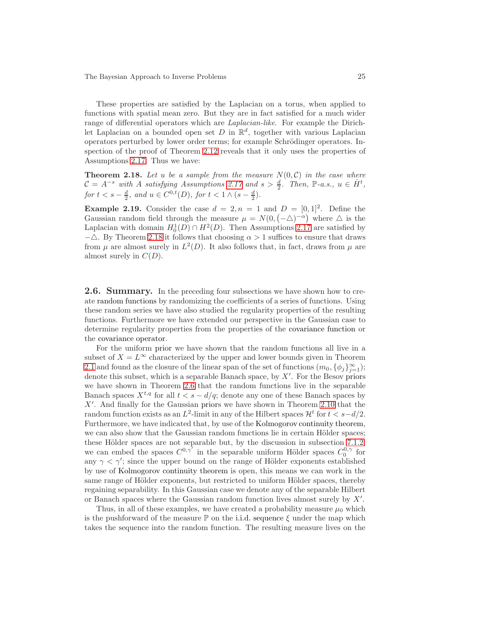These properties are satisfied by the Laplacian on a torus, when applied to functions with spatial mean zero. But they are in fact satisfied for a much wider range of differential operators which are Laplacian-like. For example the Dirichlet Laplacian on a bounded open set D in  $\mathbb{R}^d$ , together with various Laplacian operators perturbed by lower order terms; for example Schrödinger operators. In-spection of the proof of Theorem [2.12](#page-19-0) reveals that it only uses the properties of Assumptions [2.17.](#page-23-0) Thus we have:

<span id="page-24-1"></span>**Theorem 2.18.** Let u be a sample from the measure  $N(0,\mathcal{C})$  in the case where  $C = A^{-s}$  with A satisfying Assumptions [2.17](#page-23-0) and  $s > \frac{d}{2}$ . Then, P-a.s.,  $u \in H^t$ , for  $t < s - \frac{d}{2}$ , and  $u \in C^{0,t}(D)$ , for  $t < 1 \wedge (s - \frac{d}{2})$ .

**Example 2.19.** Consider the case  $d = 2, n = 1$  and  $D = [0, 1]^2$ . Define the Gaussian random field through the measure  $\mu = N(0, (-\Delta)^{-\alpha})$  where  $\Delta$  is the Laplacian with domain  $H_0^1(D) \cap H^2(D)$ . Then Assumptions [2.17](#page-23-0) are satisfied by  $-\triangle$ . By Theorem [2.18](#page-24-1) it follows that choosing  $\alpha > 1$  suffices to ensure that draws from  $\mu$  are almost surely in  $L^2(D)$ . It also follows that, in fact, draws from  $\mu$  are almost surely in  $C(D)$ .

<span id="page-24-0"></span>**2.6. Summary.** In the preceding four subsections we have shown how to create random functions by randomizing the coefficients of a series of functions. Using these random series we have also studied the regularity properties of the resulting functions. Furthermore we have extended our perspective in the Gaussian case to determine regularity properties from the properties of the covariance function or the covariance operator.

For the uniform prior we have shown that the random functions all live in a subset of  $X = L^{\infty}$  characterized by the upper and lower bounds given in Theorem [2.1](#page-9-2) and found as the closure of the linear span of the set of functions  $(m_0, \{\phi_j\}_{j=1}^{\infty})$ ; denote this subset, which is a separable Banach space, by  $X'$ . For the Besov priors we have shown in Theorem [2.6](#page-13-0) that the random functions live in the separable Banach spaces  $X^{t,q}$  for all  $t < s - d/q$ ; denote any one of these Banach spaces by X′ . And finally for the Gaussian priors we have shown in Theorem [2.10](#page-17-2) that the random function exists as an  $L^2$ -limit in any of the Hilbert spaces  $\mathcal{H}^t$  for  $t < s-d/2$ . Furthermore, we have indicated that, by use of the Kolmogorov continuity theorem, we can also show that the Gaussian random functions lie in certain Hölder spaces; these Hölder spaces are not separable but, by the discussion in subsection [7.1.2,](#page-75-0) we can embed the spaces  $C^{0,\gamma'}$  in the separable uniform Hölder spaces  $C_0^{0,\gamma}$  for any  $\gamma < \gamma'$ ; since the upper bound on the range of Hölder exponents established by use of Kolmogorov continuity theorem is open, this means we can work in the same range of Hölder exponents, but restricted to uniform Hölder spaces, thereby regaining separability. In this Gaussian case we denote any of the separable Hilbert or Banach spaces where the Gaussian random function lives almost surely by  $X'$ .

Thus, in all of these examples, we have created a probability measure  $\mu_0$  which is the pushforward of the measure  $\mathbb P$  on the i.i.d. sequence  $\xi$  under the map which takes the sequence into the random function. The resulting measure lives on the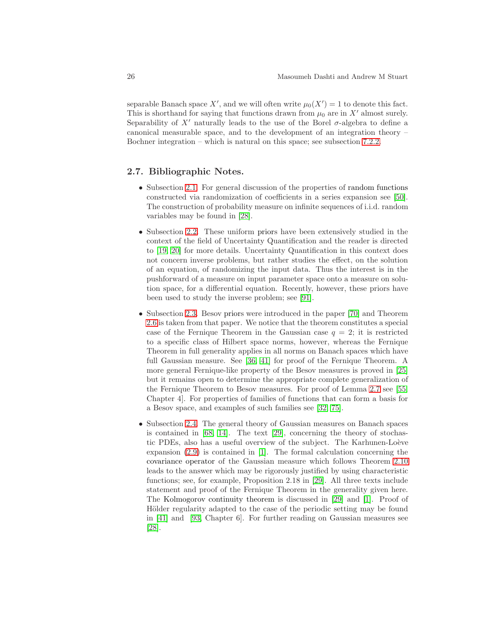separable Banach space X', and we will often write  $\mu_0(X') = 1$  to denote this fact. This is shorthand for saying that functions drawn from  $\mu_0$  are in X' almost surely. Separability of X' naturally leads to the use of the Borel  $\sigma$ -algebra to define a canonical measurable space, and to the development of an integration theory – Bochner integration – which is natural on this space; see subsection [7.2.2.](#page-82-0)

#### 2.7. Bibliographic Notes.

- Subsection [2.1.](#page-8-1) For general discussion of the properties of random functions constructed via randomization of coefficients in a series expansion see [\[50\]](#page-103-4). The construction of probability measure on infinite sequences of i.i.d. random variables may be found in [\[28\]](#page-102-5).
- Subsection [2.2.](#page-9-0) These uniform priors have been extensively studied in the context of the field of Uncertainty Quantification and the reader is directed to [\[19,](#page-101-4) [20\]](#page-101-5) for more details. Uncertainty Quantification in this context does not concern inverse problems, but rather studies the effect, on the solution of an equation, of randomizing the input data. Thus the interest is in the pushforward of a measure on input parameter space onto a measure on solution space, for a differential equation. Recently, however, these priors have been used to study the inverse problem; see [\[91\]](#page-105-4).
- Subsection [2.3.](#page-11-0) Besov priors were introduced in the paper [\[70\]](#page-104-3) and Theorem [2.6](#page-13-0) is taken from that paper. We notice that the theorem constitutes a special case of the Fernique Theorem in the Gaussian case  $q = 2$ ; it is restricted to a specific class of Hilbert space norms, however, whereas the Fernique Theorem in full generality applies in all norms on Banach spaces which have full Gaussian measure. See [\[36,](#page-102-6) [41\]](#page-103-5) for proof of the Fernique Theorem. A more general Fernique-like property of the Besov measures is proved in [\[25\]](#page-102-4) but it remains open to determine the appropriate complete generalization of the Fernique Theorem to Besov measures. For proof of Lemma [2.7](#page-15-0) see [\[55,](#page-103-6) Chapter 4]. For properties of families of functions that can form a basis for a Besov space, and examples of such families see [\[32,](#page-102-7) [75\]](#page-104-4).
- Subsection [2.4.](#page-17-0) The general theory of Gaussian measures on Banach spaces is contained in  $[68, 14]$  $[68, 14]$ . The text  $[29]$ , concerning the theory of stochastic PDEs, also has a useful overview of the subject. The Karhunen-Loève expansion [\(2.9\)](#page-12-2) is contained in [\[1\]](#page-100-0). The formal calculation concerning the covariance operator of the Gaussian measure which follows Theorem [2.10](#page-17-2) leads to the answer which may be rigorously justified by using characteristic functions; see, for example, Proposition 2.18 in [\[29\]](#page-102-8). All three texts include statement and proof of the Fernique Theorem in the generality given here. The Kolmogorov continuity theorem is discussed in [\[29\]](#page-102-8) and [\[1\]](#page-100-0). Proof of Hölder regularity adapted to the case of the periodic setting may be found in [\[41\]](#page-103-5) and [\[93,](#page-105-0) Chapter 6]. For further reading on Gaussian measures see [\[28\]](#page-102-5).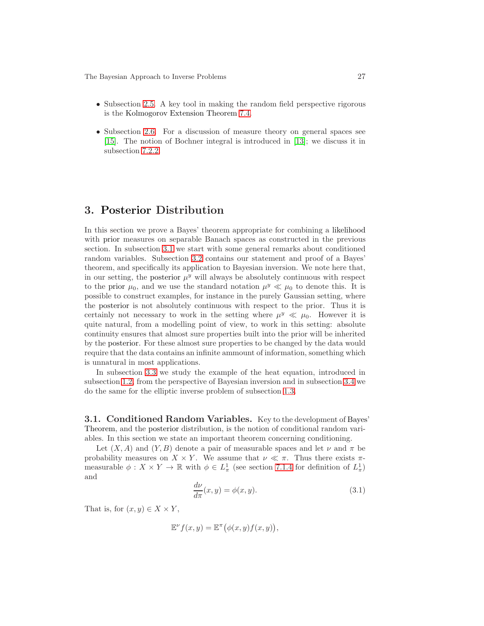- Subsection [2.5.](#page-21-0) A key tool in making the random field perspective rigorous is the Kolmogorov Extension Theorem [7.4.](#page-81-0)
- Subsection [2.6.](#page-24-0) For a discussion of measure theory on general spaces see [\[15\]](#page-101-7). The notion of Bochner integral is introduced in [\[13\]](#page-101-8); we discuss it in subsection [7.2.2.](#page-82-0)

## <span id="page-26-0"></span>3. Posterior Distribution

In this section we prove a Bayes' theorem appropriate for combining a likelihood with prior measures on separable Banach spaces as constructed in the previous section. In subsection [3.1](#page-26-1) we start with some general remarks about conditioned random variables. Subsection [3.2](#page-28-0) contains our statement and proof of a Bayes' theorem, and specifically its application to Bayesian inversion. We note here that, in our setting, the posterior  $\mu^y$  will always be absolutely continuous with respect to the prior  $\mu_0$ , and we use the standard notation  $\mu^y \ll \mu_0$  to denote this. It is possible to construct examples, for instance in the purely Gaussian setting, where the posterior is not absolutely continuous with respect to the prior. Thus it is certainly not necessary to work in the setting where  $\mu^y \ll \mu_0$ . However it is quite natural, from a modelling point of view, to work in this setting: absolute continuity ensures that almost sure properties built into the prior will be inherited by the posterior. For these almost sure properties to be changed by the data would require that the data contains an infinite ammount of information, something which is unnatural in most applications.

In subsection [3.3](#page-29-0) we study the example of the heat equation, introduced in subsection [1.2,](#page-4-1) from the perspective of Bayesian inversion and in subsection [3.4](#page-30-0) we do the same for the elliptic inverse problem of subsection [1.3.](#page-6-3)

<span id="page-26-1"></span>3.1. Conditioned Random Variables. Key to the development of Bayes' Theorem, and the posterior distribution, is the notion of conditional random variables. In this section we state an important theorem concerning conditioning.

Let  $(X, A)$  and  $(Y, B)$  denote a pair of measurable spaces and let  $\nu$  and  $\pi$  be probability measures on  $X \times Y$ . We assume that  $\nu \ll \pi$ . Thus there exists  $\pi$ measurable  $\phi: X \times Y \to \mathbb{R}$  with  $\phi \in L^1_\pi$  (see section [7.1.4](#page-78-0) for definition of  $L^1_\pi$ ) and

$$
\frac{d\nu}{d\pi}(x,y) = \phi(x,y). \tag{3.1}
$$

That is, for  $(x, y) \in X \times Y$ ,

$$
\mathbb{E}^{\nu}f(x,y) = \mathbb{E}^{\pi}(\phi(x,y)f(x,y)),
$$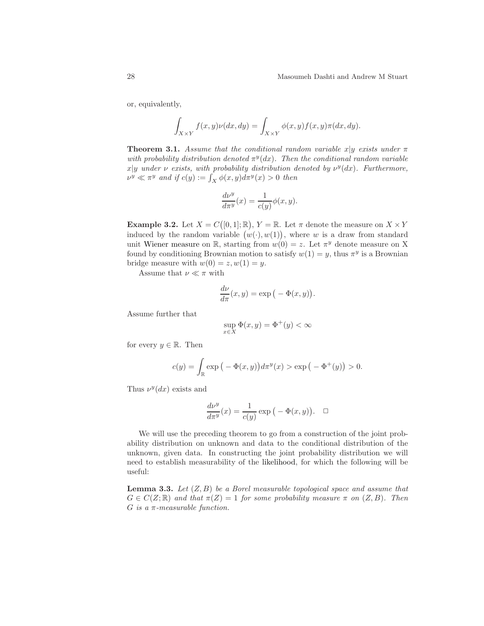or, equivalently,

$$
\int_{X \times Y} f(x, y)\nu(dx, dy) = \int_{X \times Y} \phi(x, y) f(x, y)\pi(dx, dy).
$$

<span id="page-27-0"></span>**Theorem 3.1.** Assume that the conditional random variable x|y exists under  $\pi$ with probability distribution denoted  $\pi^y(dx)$ . Then the conditional random variable  $x|y$  under  $\nu$  exists, with probability distribution denoted by  $\nu^y(dx)$ . Furthermore,  $\nu^y \ll \pi^y$  and if  $c(y) := \int_X \phi(x, y) d\pi^y(x) > 0$  then

$$
\frac{d\nu^y}{d\pi^y}(x) = \frac{1}{c(y)}\phi(x,y).
$$

<span id="page-27-2"></span>**Example 3.2.** Let  $X = C([0, 1]; \mathbb{R}), Y = \mathbb{R}$ . Let  $\pi$  denote the measure on  $X \times Y$ induced by the random variable  $(w(\cdot), w(1))$ , where w is a draw from standard unit Wiener measure on R, starting from  $w(0) = z$ . Let  $\pi^y$  denote measure on X found by conditioning Brownian motion to satisfy  $w(1) = y$ , thus  $\pi^y$  is a Brownian bridge measure with  $w(0) = z, w(1) = y$ .

Assume that  $\nu \ll \pi$  with

$$
\frac{d\nu}{d\pi}(x,y) = \exp\big(-\Phi(x,y)\big).
$$

Assume further that

$$
\sup_{x \in X} \Phi(x, y) = \Phi^+(y) < \infty
$$

for every  $y \in \mathbb{R}$ . Then

$$
c(y) = \int_{\mathbb{R}} \exp(-\Phi(x, y)) d\pi^{y}(x) > \exp(-\Phi^{+}(y)) > 0.
$$

Thus  $\nu^y(dx)$  exists and

$$
\frac{d\nu^y}{d\pi^y}(x) = \frac{1}{c(y)} \exp\left(-\Phi(x,y)\right). \quad \Box
$$

We will use the preceding theorem to go from a construction of the joint probability distribution on unknown and data to the conditional distribution of the unknown, given data. In constructing the joint probability distribution we will need to establish measurability of the likelihood, for which the following will be useful:

<span id="page-27-1"></span>**Lemma 3.3.** Let  $(Z, B)$  be a Borel measurable topological space and assume that  $G \in C(Z;\mathbb{R})$  and that  $\pi(Z) = 1$  for some probability measure  $\pi$  on  $(Z, B)$ . Then  $G$  is a  $\pi$ -measurable function.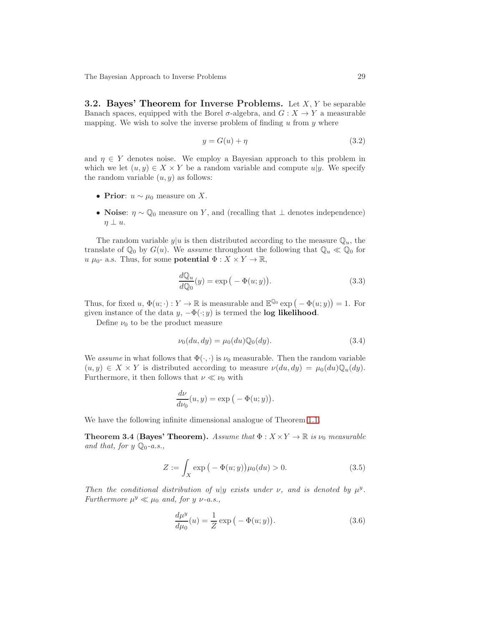<span id="page-28-0"></span>**3.2. Bayes' Theorem for Inverse Problems.** Let  $X, Y$  be separable Banach spaces, equipped with the Borel  $\sigma$ -algebra, and  $G: X \to Y$  a measurable mapping. We wish to solve the inverse problem of finding  $u$  from  $y$  where

$$
y = G(u) + \eta \tag{3.2}
$$

and  $\eta \in Y$  denotes noise. We employ a Bayesian approach to this problem in which we let  $(u, y) \in X \times Y$  be a random variable and compute  $u|y$ . We specify the random variable  $(u, y)$  as follows:

- Prior:  $u \sim \mu_0$  measure on X.
- Noise:  $\eta \sim \mathbb{Q}_0$  measure on Y, and (recalling that  $\bot$  denotes independence)  $\eta \perp u.$

The random variable  $y|u$  is then distributed according to the measure  $\mathbb{Q}_u$ , the translate of  $\mathbb{Q}_0$  by  $G(u)$ . We assume throughout the following that  $\mathbb{Q}_u \ll \mathbb{Q}_0$  for  $u \mu_0$ - a.s. Thus, for some **potential**  $\Phi : X \times Y \to \mathbb{R}$ ,

<span id="page-28-2"></span>
$$
\frac{dQ_u}{dQ_0}(y) = \exp(-\Phi(u; y)).
$$
\n(3.3)

Thus, for fixed  $u, \Phi(u; \cdot) : Y \to \mathbb{R}$  is measurable and  $\mathbb{E}^{\mathbb{Q}_0}$  exp  $(-\Phi(u; y)) = 1$ . For given instance of the data  $y, -\Phi(\cdot; y)$  is termed the **log likelihood**.

Define  $\nu_0$  to be the product measure

$$
\nu_0(du, dy) = \mu_0(du)\mathbb{Q}_0(dy). \tag{3.4}
$$

We assume in what follows that  $\Phi(\cdot, \cdot)$  is  $\nu_0$  measurable. Then the random variable  $(u, y) \in X \times Y$  is distributed according to measure  $\nu(du, dy) = \mu_0(du) \mathbb{Q}_u(dy)$ . Furthermore, it then follows that  $\nu \ll \nu_0$  with

$$
\frac{d\nu}{d\nu_0}(u,y) = \exp\big(-\Phi(u;y)\big).
$$

<span id="page-28-4"></span>We have the following infinite dimensional analogue of Theorem [1.1.](#page-3-0)

**Theorem 3.4 (Bayes' Theorem).** Assume that  $\Phi: X \times Y \to \mathbb{R}$  is  $\nu_0$  measurable and that, for  $y \mathbb{Q}_0$ -a.s.,

<span id="page-28-3"></span>
$$
Z := \int_{X} \exp\left(-\Phi(u; y)\right) \mu_0(du) > 0. \tag{3.5}
$$

Then the conditional distribution of  $u|y$  exists under  $\nu$ , and is denoted by  $\mu^y$ . Furthermore  $\mu^y \ll \mu_0$  and, for y  $\nu$ -a.s.,

<span id="page-28-1"></span>
$$
\frac{d\mu^y}{d\mu_0}(u) = \frac{1}{Z} \exp\left(-\Phi(u; y)\right). \tag{3.6}
$$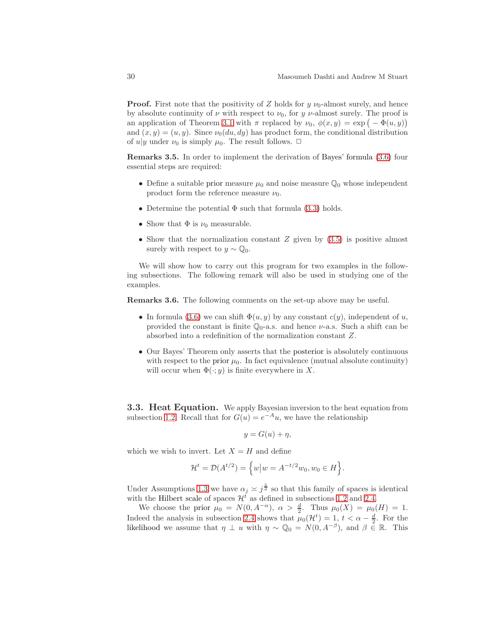**Proof.** First note that the positivity of Z holds for  $y \nu_0$ -almost surely, and hence by absolute continuity of  $\nu$  with respect to  $\nu_0$ , for y  $\nu$ -almost surely. The proof is an application of Theorem [3.1](#page-27-0) with  $\pi$  replaced by  $\nu_0$ ,  $\phi(x, y) = \exp(-\Phi(u, y))$ and  $(x, y) = (u, y)$ . Since  $\nu_0(du, dy)$  has product form, the conditional distribution of  $u|y$  under  $\nu_0$  is simply  $\mu_0$ . The result follows.  $\Box$ 

Remarks 3.5. In order to implement the derivation of Bayes' formula [\(3.6\)](#page-28-1) four essential steps are required:

- Define a suitable prior measure  $\mu_0$  and noise measure  $\mathbb{Q}_0$  whose independent product form the reference measure  $\nu_0$ .
- Determine the potential  $\Phi$  such that formula [\(3.3\)](#page-28-2) holds.
- Show that  $\Phi$  is  $\nu_0$  measurable.
- Show that the normalization constant  $Z$  given by  $(3.5)$  is positive almost surely with respect to  $y \sim \mathbb{Q}_0$ .

We will show how to carry out this program for two examples in the following subsections. The following remark will also be used in studying one of the examples.

<span id="page-29-1"></span>Remarks 3.6. The following comments on the set-up above may be useful.

- In formula [\(3.6\)](#page-28-1) we can shift  $\Phi(u, y)$  by any constant  $c(y)$ , independent of u, provided the constant is finite  $\mathbb{Q}_0$ -a.s. and hence  $\nu$ -a.s. Such a shift can be absorbed into a redefinition of the normalization constant Z.
- Our Bayes' Theorem only asserts that the posterior is absolutely continuous with respect to the prior  $\mu_0$ . In fact equivalence (mutual absolute continuity) will occur when  $\Phi(\cdot; y)$  is finite everywhere in X.

<span id="page-29-0"></span>**3.3. Heat Equation.** We apply Bayesian inversion to the heat equation from subsection [1.2.](#page-4-1) Recall that for  $G(u) = e^{-Au}$ , we have the relationship

$$
y = G(u) + \eta,
$$

which we wish to invert. Let  $X = H$  and define

$$
\mathcal{H}^{t} = \mathcal{D}(A^{t/2}) = \left\{ w \big| w = A^{-t/2} w_0, w_0 \in H \right\}.
$$

Under Assumptions [1.3](#page-4-0) we have  $\alpha_j \asymp j^{\frac{2}{d}}$  so that this family of spaces is identical with the Hilbert scale of spaces  $\mathcal{H}^t$  as defined in subsections [1.2](#page-4-1) and [2.4.](#page-17-0)

We choose the prior  $\mu_0 = N(0, A^{-\alpha})$ ,  $\alpha > \frac{d}{2}$ . Thus  $\mu_0(X) = \mu_0(H) = 1$ . Indeed the analysis in subsection [2.4](#page-17-0) shows that  $\mu_0(\mathcal{H}^t) = 1, t < \alpha - \frac{d}{2}$ . For the likelihood we assume that  $\eta \perp u$  with  $\eta \sim \mathbb{Q}_0 = N(0, A^{-\beta})$ , and  $\beta \in \mathbb{R}$ . This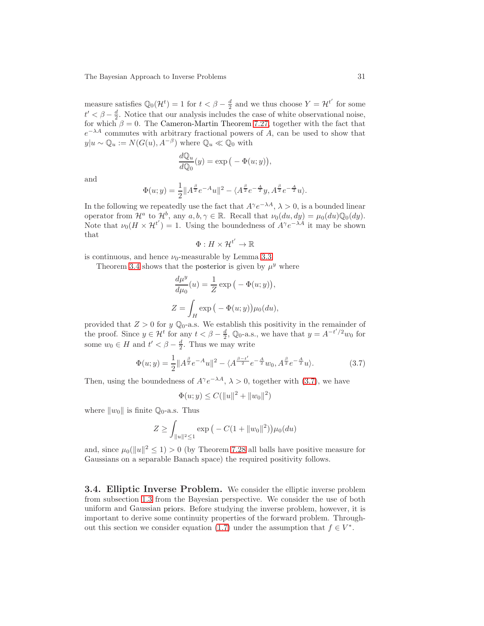measure satisfies  $\mathbb{Q}_0(\mathcal{H}^t) = 1$  for  $t < \beta - \frac{d}{2}$  and we thus choose  $Y = \mathcal{H}^{t'}$  for some  $t' < \beta - \frac{d}{2}$ . Notice that our analysis includes the case of white observational noise, for which  $\beta = 0$ . The Cameron-Martin Theorem [7.27,](#page-92-0) together with the fact that  $e^{-\lambda A}$  commutes with arbitrary fractional powers of A, can be used to show that  $y|u \sim \mathbb{Q}_u := N(G(u), A^{-\beta})$  where  $\mathbb{Q}_u \ll \mathbb{Q}_0$  with

$$
\frac{dQ_u}{dQ_0}(y) = \exp(-\Phi(u; y)),
$$

and

$$
\Phi(u; y) = \frac{1}{2} ||A^{\frac{\beta}{2}} e^{-A} u||^2 - \langle A^{\frac{\beta}{2}} e^{-\frac{A}{2}} y, A^{\frac{\beta}{2}} e^{-\frac{A}{2}} u \rangle.
$$

In the following we repeatedly use the fact that  $A^{\gamma}e^{-\lambda A}, \lambda > 0$ , is a bounded linear operator from  $\mathcal{H}^a$  to  $\mathcal{H}^b$ , any  $a, b, \gamma \in \mathbb{R}$ . Recall that  $\nu_0(du, dy) = \mu_0(du) \mathbb{Q}_0(dy)$ . Note that  $\nu_0(H \times H^{t'}) = 1$ . Using the boundedness of  $A^{\gamma}e^{-\lambda A}$  it may be shown that ′

$$
\Phi: H \times \mathcal{H}^{t'} \to \mathbb{R}
$$

is continuous, and hence  $\nu_0$ -measurable by Lemma [3.3.](#page-27-1)

Theorem [3.4](#page-28-4) shows that the posterior is given by  $\mu^y$  where

$$
\frac{d\mu^{y}}{d\mu_{0}}(u) = \frac{1}{Z} \exp(-\Phi(u; y)),
$$
  

$$
Z = \int_{H} \exp(-\Phi(u; y)) \mu_{0}(du),
$$

provided that  $Z > 0$  for y  $\mathbb{Q}_0$ -a.s. We establish this positivity in the remainder of the proof. Since  $y \in \mathcal{H}^t$  for any  $t < \beta - \frac{d}{2}$ ,  $\mathbb{Q}_0$ -a.s., we have that  $y = A^{-t'/2}w_0$  for some  $w_0 \in H$  and  $t' < \beta - \frac{d}{2}$ . Thus we may write

<span id="page-30-1"></span>
$$
\Phi(u; y) = \frac{1}{2} \|A^{\frac{\beta}{2}} e^{-A} u\|^2 - \langle A^{\frac{\beta - t'}{2}} e^{-\frac{A}{2}} w_0, A^{\frac{\beta}{2}} e^{-\frac{A}{2}} u \rangle.
$$
 (3.7)

Then, using the boundedness of  $A^{\gamma}e^{-\lambda A}$ ,  $\lambda > 0$ , together with [\(3.7\)](#page-30-1), we have

$$
\Phi(u; y) \le C(||u||^2 + ||w_0||^2)
$$

where  $||w_0||$  is finite  $\mathbb{Q}_0$ -a.s. Thus

$$
Z \ge \int_{\|u\|^2 \le 1} \exp\big(-C(1 + \|w_0\|^2)\big) \mu_0(du)
$$

and, since  $\mu_0(||u||^2 \le 1) > 0$  (by Theorem [7.28](#page-93-0) all balls have positive measure for Gaussians on a separable Banach space) the required positivity follows.

<span id="page-30-0"></span>3.4. Elliptic Inverse Problem. We consider the elliptic inverse problem from subsection [1.3](#page-6-3) from the Bayesian perspective. We consider the use of both uniform and Gaussian priors. Before studying the inverse problem, however, it is important to derive some continuity properties of the forward problem. Through-out this section we consider equation [\(1.7\)](#page-6-1) under the assumption that  $f \in V^*$ .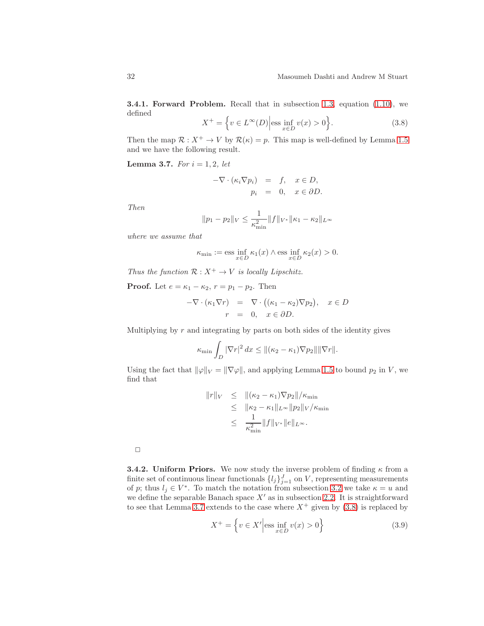3.4.1. Forward Problem. Recall that in subsection [1.3,](#page-6-3) equation [\(1.10\)](#page-7-0), we defined

<span id="page-31-1"></span>
$$
X^{+} = \left\{ v \in L^{\infty}(D) \Big| \text{ess} \inf_{x \in D} v(x) > 0 \right\}.
$$
 (3.8)

<span id="page-31-0"></span>Then the map  $\mathcal{R}: X^+ \to V$  by  $\mathcal{R}(\kappa) = p$ . This map is well-defined by Lemma [1.5](#page-6-4) and we have the following result.

**Lemma 3.7.** For  $i = 1, 2$ , let

$$
-\nabla \cdot (\kappa_i \nabla p_i) = f, \quad x \in D, \np_i = 0, \quad x \in \partial D.
$$

Then

$$
||p_1 - p_2||_V \le \frac{1}{\kappa_{\min}^2} ||f||_{V^*} ||\kappa_1 - \kappa_2||_{L^\infty}
$$

where we assume that

$$
\kappa_{\min} := \mathrm{ess} \inf_{x \in D} \kappa_1(x) \wedge \mathrm{ess} \inf_{x \in D} \kappa_2(x) > 0.
$$

Thus the function  $\mathcal{R}: X^+ \to V$  is locally Lipschitz.

**Proof.** Let  $e = \kappa_1 - \kappa_2$ ,  $r = p_1 - p_2$ . Then

$$
-\nabla \cdot (\kappa_1 \nabla r) = \nabla \cdot ((\kappa_1 - \kappa_2) \nabla p_2), \quad x \in D
$$
  

$$
r = 0, \quad x \in \partial D.
$$

Multiplying by  $r$  and integrating by parts on both sides of the identity gives

$$
\kappa_{\min} \int_D |\nabla r|^2 dx \le ||(\kappa_2 - \kappa_1)\nabla p_2|| \|\nabla r\|.
$$

Using the fact that  $\|\varphi\|_V = \|\nabla \varphi\|$ , and applying Lemma [1.5](#page-6-4) to bound  $p_2$  in V, we find that

$$
||r||_V \le ||(\kappa_2 - \kappa_1)\nabla p_2||/\kappa_{\min}
$$
  
\n
$$
\le ||\kappa_2 - \kappa_1||_{L^{\infty}}||p_2||_V/\kappa_{\min}
$$
  
\n
$$
\le \frac{1}{\kappa_{\min}^2} ||f||_{V^*}||e||_{L^{\infty}}.
$$

 $\Box$ 

**3.4.2. Uniform Priors.** We now study the inverse problem of finding  $\kappa$  from a finite set of continuous linear functionals  $\{l_j\}_{j=1}^J$  on V, representing measurements of p; thus  $l_j \in V^*$ . To match the notation from subsection [3.2](#page-28-0) we take  $\kappa = u$  and we define the separable Banach space  $X'$  as in subsection [2.2.](#page-9-0) It is straightforward to see that Lemma [3.7](#page-31-0) extends to the case where  $X^+$  given by [\(3.8\)](#page-31-1) is replaced by

$$
X^{+} = \left\{ v \in X' \Big| \text{ess} \inf_{x \in D} v(x) > 0 \right\}
$$
 (3.9)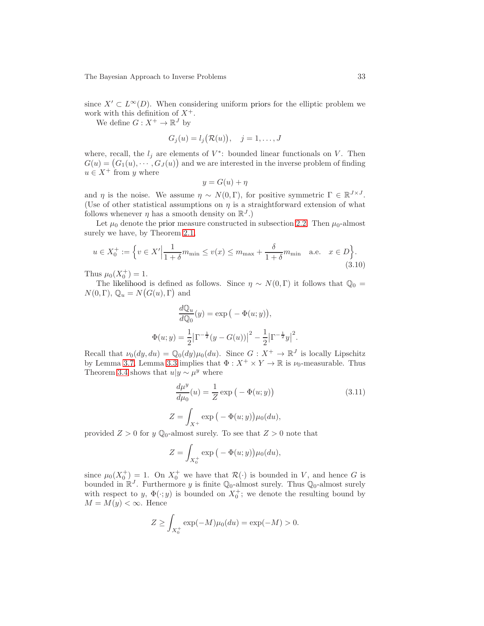since  $X' \subset L^{\infty}(D)$ . When considering uniform priors for the elliptic problem we work with this definition of  $X^+$ .

We define  $G: X^+ \to \mathbb{R}^J$  by

$$
G_j(u) = l_j(\mathcal{R}(u)), \quad j = 1, \dots, J
$$

where, recall, the  $l_j$  are elements of  $V^*$ : bounded linear functionals on V. Then  $G(u) = (G_1(u), \cdots, G_J(u))$  and we are interested in the inverse problem of finding  $u \in X^+$  from y where

$$
y = G(u) + \eta
$$

and  $\eta$  is the noise. We assume  $\eta \sim N(0, \Gamma)$ , for positive symmetric  $\Gamma \in \mathbb{R}^{J \times J}$ . (Use of other statistical assumptions on  $\eta$  is a straightforward extension of what follows whenever  $\eta$  has a smooth density on  $\mathbb{R}^J$ .)

Let  $\mu_0$  denote the prior measure constructed in subsection [2.2.](#page-9-0) Then  $\mu_0$ -almost surely we have, by Theorem [2.1,](#page-9-2)

$$
u \in X_0^+ := \left\{ v \in X' \Big| \frac{1}{1+\delta} m_{\min} \le v(x) \le m_{\max} + \frac{\delta}{1+\delta} m_{\min} \quad \text{a.e.} \quad x \in D \right\}.
$$
\n(3.10)

Thus  $\mu_0(X_0^+) = 1$ .

The likelihood is defined as follows. Since  $\eta \sim N(0, \Gamma)$  it follows that  $\mathbb{Q}_0 =$  $N(0,\Gamma)$ ,  $\mathbb{Q}_u = N(G(u), \Gamma)$  and

$$
\frac{dQ_u}{dQ_0}(y) = \exp(-\Phi(u; y)),
$$
  

$$
\Phi(u; y) = \frac{1}{2} |\Gamma^{-\frac{1}{2}}(y - G(u))|^2 - \frac{1}{2} |\Gamma^{-\frac{1}{2}}y|^2.
$$

Recall that  $\nu_0(dy, du) = \mathbb{Q}_0(dy)\mu_0(du)$ . Since  $G: X^+ \to \mathbb{R}^J$  is locally Lipschitz by Lemma [3.7,](#page-31-0) Lemma [3.3](#page-27-1) implies that  $\Phi: X^+ \times Y \to \mathbb{R}$  is  $\nu_0$ -measurable. Thus Theorem [3.4](#page-28-4) shows that  $u|y \sim \mu^y$  where

<span id="page-32-0"></span>
$$
\frac{d\mu^y}{d\mu_0}(u) = \frac{1}{Z} \exp\left(-\Phi(u; y)\right)
$$
\n
$$
Z = \int_{X^+} \exp\left(-\Phi(u; y)\right) \mu_0(du),
$$
\n(3.11)

provided  $Z > 0$  for y  $\mathbb{Q}_0$ -almost surely. To see that  $Z > 0$  note that

$$
Z = \int_{X_0^+} \exp\big(-\Phi(u; y)\big)\mu_0(du),
$$

since  $\mu_0(X_0^+) = 1$ . On  $X_0^+$  we have that  $\mathcal{R}(\cdot)$  is bounded in V, and hence G is bounded in  $\mathbb{R}^J$ . Furthermore y is finite  $\mathbb{Q}_0$ -almost surely. Thus  $\mathbb{Q}_0$ -almost surely with respect to  $y, \Phi(\cdot; y)$  is bounded on  $X_0^+$ ; we denote the resulting bound by  $M = M(y) < \infty$ . Hence

$$
Z \ge \int_{X_0^+} \exp(-M)\mu_0(du) = \exp(-M) > 0.
$$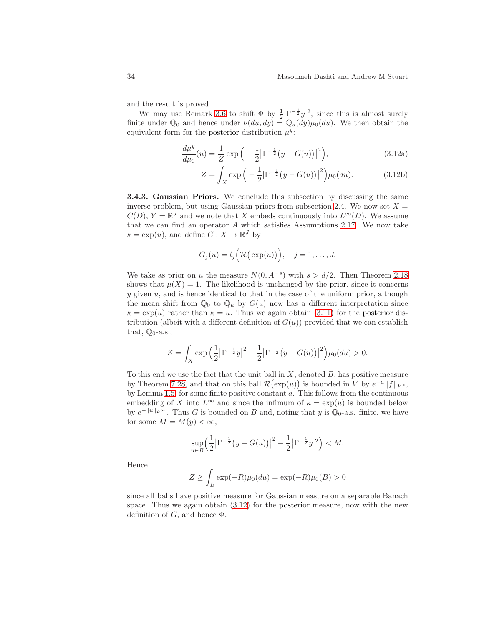and the result is proved.

We may use Remark [3.6](#page-29-1) to shift  $\Phi$  by  $\frac{1}{2}|\Gamma^{-\frac{1}{2}}y|^2$ , since this is almost surely finite under  $\mathbb{Q}_0$  and hence under  $\nu(du, dy) = \mathbb{Q}_u(dy)\mu_0(du)$ . We then obtain the equivalent form for the posterior distribution  $\mu^y$ :

$$
\frac{d\mu^y}{d\mu_0}(u) = \frac{1}{Z} \exp\left(-\frac{1}{2} \left|\Gamma^{-\frac{1}{2}}(y - G(u))\right|^2\right),\tag{3.12a}
$$

<span id="page-33-0"></span>
$$
Z = \int_X \exp\left(-\frac{1}{2}|\Gamma^{-\frac{1}{2}}(y - G(u))|^2\right) \mu_0(du). \tag{3.12b}
$$

3.4.3. Gaussian Priors. We conclude this subsection by discussing the same inverse problem, but using Gaussian priors from subsection [2.4.](#page-17-0) We now set  $X =$  $C(\overline{D}), Y = \mathbb{R}^{J}$  and we note that X embeds continuously into  $L^{\infty}(D)$ . We assume that we can find an operator  $A$  which satisfies Assumptions [2.17.](#page-23-0) We now take  $\kappa = \exp(u)$ , and define  $G: X \to \mathbb{R}^J$  by

$$
G_j(u) = l_j\Big(\mathcal{R}(\exp(u))\Big), \quad j = 1, \ldots, J.
$$

We take as prior on u the measure  $N(0, A^{-s})$  with  $s > d/2$ . Then Theorem [2.18](#page-24-1) shows that  $\mu(X) = 1$ . The likelihood is unchanged by the prior, since it concerns  $y$  given  $u$ , and is hence identical to that in the case of the uniform prior, although the mean shift from  $\mathbb{Q}_0$  to  $\mathbb{Q}_u$  by  $G(u)$  now has a different interpretation since  $\kappa = \exp(u)$  rather than  $\kappa = u$ . Thus we again obtain [\(3.11\)](#page-32-0) for the posterior distribution (albeit with a different definition of  $G(u)$ ) provided that we can establish that,  $\mathbb{Q}_0$ -a.s.,

$$
Z = \int_X \exp\left(\frac{1}{2}\left|\Gamma^{-\frac{1}{2}}y\right|^2 - \frac{1}{2}\left|\Gamma^{-\frac{1}{2}}(y - G(u))\right|^2\right) \mu_0(du) > 0.
$$

To this end we use the fact that the unit ball in  $X$ , denoted  $B$ , has positive measure by Theorem [7.28,](#page-93-0) and that on this ball  $\mathcal{R}(\exp(u))$  is bounded in V by  $e^{-a}||f||_{V^*}$ , by Lemma [1.5,](#page-6-4) for some finite positive constant  $a$ . This follows from the continuous embedding of X into  $L^{\infty}$  and since the infimum of  $\kappa = \exp(u)$  is bounded below by  $e^{-\|u\|_{L^{\infty}}}$ . Thus G is bounded on B and, noting that y is  $\mathbb{Q}_0$ -a.s. finite, we have for some  $M = M(y) < \infty$ ,

$$
\sup_{u \in B} \left( \frac{1}{2} \left| \Gamma^{-\frac{1}{2}} \left( y - G(u) \right) \right|^2 - \frac{1}{2} \left| \Gamma^{-\frac{1}{2}} y \right|^2 \right) < M.
$$

Hence

$$
Z \ge \int_B \exp(-R)\mu_0(du) = \exp(-R)\mu_0(B) > 0
$$

since all balls have positive measure for Gaussian measure on a separable Banach space. Thus we again obtain [\(3.12\)](#page-33-0) for the posterior measure, now with the new definition of  $G$ , and hence  $\Phi$ .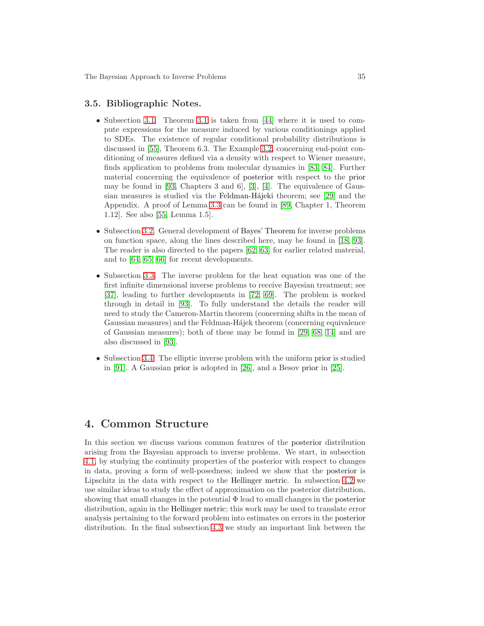#### 3.5. Bibliographic Notes.

- Subsection [3.1.](#page-26-1) Theorem [3.1](#page-27-0) is taken from [\[44\]](#page-103-7) where it is used to compute expressions for the measure induced by various conditionings applied to SDEs. The existence of regular conditional probability distributions is discussed in [\[55\]](#page-103-6), Theorem 6.3. The Example [3.2,](#page-27-2) concerning end-point conditioning of measures defined via a density with respect to Wiener measure, finds application to problems from molecular dynamics in [\[83,](#page-105-5) [84\]](#page-105-6). Further material concerning the equivalence of posterior with respect to the prior may be found in [\[93,](#page-105-0) Chapters 3 and 6], [\[3\]](#page-101-1), [\[4\]](#page-101-2). The equivalence of Gaus-sian measures is studied via the Feldman-Hájeki theorem; see [\[29\]](#page-102-8) and the Appendix. A proof of Lemma [3.3](#page-27-1) can be found in [\[89,](#page-105-7) Chapter 1, Theorem 1.12]. See also [\[55,](#page-103-6) Lemma 1.5].
- Subsection [3.2.](#page-28-0) General development of Bayes' Theorem for inverse problems on function space, along the lines described here, may be found in [\[18,](#page-101-9) [93\]](#page-105-0). The reader is also directed to the papers [\[62,](#page-104-6) [63\]](#page-104-7) for earlier related material, and to [\[64,](#page-104-8) [65,](#page-104-9) [66\]](#page-104-10) for recent developments.
- Subsection [3.3.](#page-29-0) The inverse problem for the heat equation was one of the first infinite dimensional inverse problems to receive Bayesian treatment; see [\[37\]](#page-102-1), leading to further developments in [\[72,](#page-104-1) [69\]](#page-104-2). The problem is worked through in detail in [\[93\]](#page-105-0). To fully understand the details the reader will need to study the Cameron-Martin theorem (concerning shifts in the mean of Gaussian measures) and the Feldman-Hajek theorem (concerning equivalence of Gaussian measures); both of these may be found in [\[29,](#page-102-8) [68,](#page-104-5) [14\]](#page-101-6) and are also discussed in [\[93\]](#page-105-0).
- Subsection [3.4.](#page-30-0) The elliptic inverse problem with the uniform prior is studied in [\[91\]](#page-105-4). A Gaussian prior is adopted in [\[26\]](#page-102-3), and a Besov prior in [\[25\]](#page-102-4).

## <span id="page-34-0"></span>4. Common Structure

In this section we discuss various common features of the posterior distribution arising from the Bayesian approach to inverse problems. We start, in subsection [4.1,](#page-35-0) by studying the continuity properties of the posterior with respect to changes in data, proving a form of well-posedness; indeed we show that the posterior is Lipschitz in the data with respect to the Hellinger metric. In subsection [4.2](#page-38-0) we use similar ideas to study the effect of approximation on the posterior distribution, showing that small changes in the potential Φ lead to small changes in the posterior distribution, again in the Hellinger metric; this work may be used to translate error analysis pertaining to the forward problem into estimates on errors in the posterior distribution. In the final subsection [4.3](#page-42-0) we study an important link between the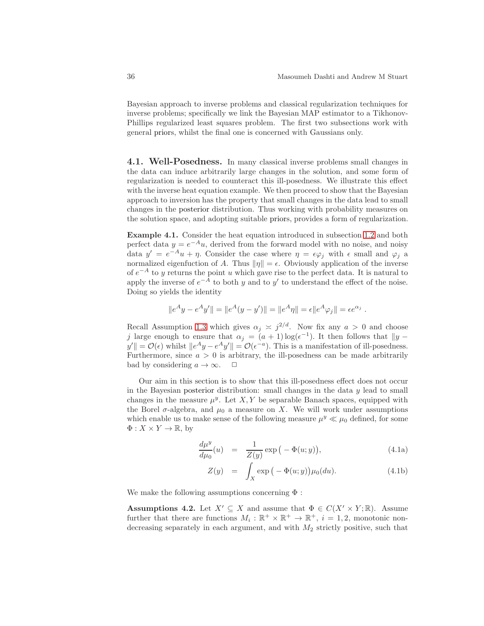Bayesian approach to inverse problems and classical regularization techniques for inverse problems; specifically we link the Bayesian MAP estimator to a Tikhonov-Phillips regularized least squares problem. The first two subsections work with general priors, whilst the final one is concerned with Gaussians only.

<span id="page-35-0"></span>4.1. Well-Posedness. In many classical inverse problems small changes in the data can induce arbitrarily large changes in the solution, and some form of regularization is needed to counteract this ill-posedness. We illustrate this effect with the inverse heat equation example. We then proceed to show that the Bayesian approach to inversion has the property that small changes in the data lead to small changes in the posterior distribution. Thus working with probability measures on the solution space, and adopting suitable priors, provides a form of regularization.

Example 4.1. Consider the heat equation introduced in subsection [1.2](#page-4-1) and both perfect data  $y = e^{-A}u$ , derived from the forward model with no noise, and noisy data  $y' = e^{-A}u + \eta$ . Consider the case where  $\eta = \epsilon \varphi_j$  with  $\epsilon$  small and  $\varphi_j$  a normalized eigenfuction of A. Thus  $\|\eta\| = \epsilon$ . Obviously application of the inverse of  $e^{-A}$  to y returns the point u which gave rise to the perfect data. It is natural to apply the inverse of  $e^{-A}$  to both y and to y' to understand the effect of the noise. Doing so yields the identity

$$
||e^A y - e^A y'|| = ||e^A (y - y')|| = ||e^A \eta|| = \epsilon ||e^A \varphi_j|| = \epsilon e^{\alpha_j}.
$$

Recall Assumption [1.3](#page-4-0) which gives  $\alpha_j \approx j^{2/d}$ . Now fix any  $a > 0$  and choose j large enough to ensure that  $\alpha_j = (a+1) \log(\epsilon^{-1})$ . It then follows that  $||y - \epsilon||$  $y'$  =  $\mathcal{O}(\epsilon)$  whilst  $||e^A y - e^A y'|| = \mathcal{O}(\epsilon^{-a})$ . This is a manifestation of ill-posedness. Furthermore, since  $a > 0$  is arbitrary, the ill-posedness can be made arbitrarily bad by considering  $a \to \infty$ .  $\Box$ 

Our aim in this section is to show that this ill-posedness effect does not occur in the Bayesian posterior distribution: small changes in the data  $y$  lead to small changes in the measure  $\mu^y$ . Let X, Y be separable Banach spaces, equipped with the Borel  $\sigma$ -algebra, and  $\mu_0$  a measure on X. We will work under assumptions which enable us to make sense of the following measure  $\mu^y \ll \mu_0$  defined, for some  $\Phi: X \times Y \to \mathbb{R}$ , by

$$
\frac{d\mu^y}{d\mu_0}(u) = \frac{1}{Z(y)} \exp\left(-\Phi(u; y)\right),\tag{4.1a}
$$

$$
Z(y) = \int_X \exp\left(-\Phi(u; y)\right) \mu_0(du). \tag{4.1b}
$$

We make the following assumptions concerning  $\Phi$ :

**Assumptions 4.2.** Let  $X' \subseteq X$  and assume that  $\Phi \in C(X' \times Y; \mathbb{R})$ . Assume further that there are functions  $M_i : \mathbb{R}^+ \times \mathbb{R}^+ \to \mathbb{R}^+, i = 1, 2$ , monotonic nondecreasing separately in each argument, and with  $M_2$  strictly positive, such that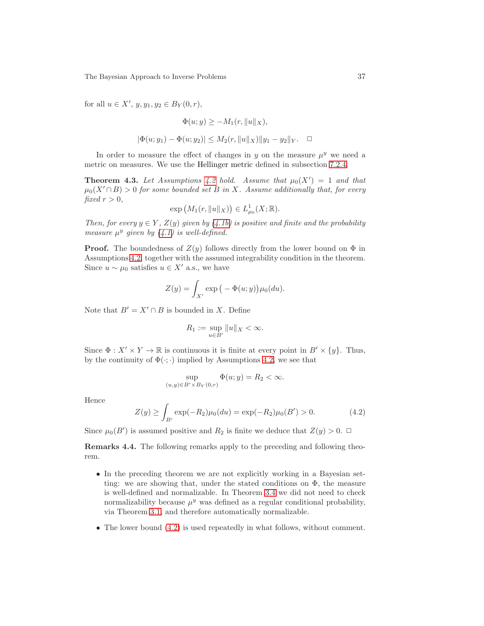for all  $u \in X'$ ,  $y, y_1, y_2 \in B_Y(0, r)$ ,

$$
\Phi(u; y) \ge -M_1(r, \|u\|_X),
$$
  

$$
|\Phi(u; y_1) - \Phi(u; y_2)| \le M_2(r, \|u\|_X) \|y_1 - y_2\|_Y. \quad \Box
$$

<span id="page-36-1"></span>In order to measure the effect of changes in y on the measure  $\mu^y$  we need a metric on measures. We use the Hellinger metric defined in subsection [7.2.4.](#page-84-0)

**Theorem 4.3.** Let Assumptions [4.2](#page-35-0) hold. Assume that  $\mu_0(X') = 1$  and that  $\mu_0(X' \cap B) > 0$  for some bounded set B in X. Assume additionally that, for every fixed  $r > 0$ ,

$$
\exp\big(M_1(r,\|u\|_X)\big)\in L^1_{\mu_0}(X; \mathbb{R}).
$$

Then, for every  $y \in Y$ ,  $Z(y)$  given by  $(4.1b)$  is positive and finite and the probability measure  $\mu^y$  given by [\(4.1\)](#page-35-2) is well-defined.

**Proof.** The boundedness of  $Z(y)$  follows directly from the lower bound on  $\Phi$  in Assumptions [4.2,](#page-35-0) together with the assumed integrability condition in the theorem. Since  $u \sim \mu_0$  satisfies  $u \in X'$  a.s., we have

$$
Z(y) = \int_{X'} \exp\big(-\Phi(u; y)\big)\mu_0(du).
$$

Note that  $B' = X' \cap B$  is bounded in X. Define

$$
R_1 := \sup_{u \in B'} \|u\|_X < \infty.
$$

Since  $\Phi: X' \times Y \to \mathbb{R}$  is continuous it is finite at every point in  $B' \times \{y\}$ . Thus, by the continuity of  $\Phi(\cdot;\cdot)$  implied by Assumptions [4.2,](#page-35-0) we see that

$$
\sup_{(u,y)\in B'\times B_Y(0,r)} \Phi(u;y) = R_2 < \infty.
$$

Hence

<span id="page-36-0"></span>
$$
Z(y) \ge \int_{B'} \exp(-R_2)\mu_0(du) = \exp(-R_2)\mu_0(B') > 0.
$$
 (4.2)

Since  $\mu_0(B')$  is assumed positive and  $R_2$  is finite we deduce that  $Z(y) > 0$ .

Remarks 4.4. The following remarks apply to the preceding and following theorem.

- In the preceding theorem we are not explicitly working in a Bayesian setting: we are showing that, under the stated conditions on  $\Phi$ , the measure is well-defined and normalizable. In Theorem [3.4](#page-28-0) we did not need to check normalizability because  $\mu^y$  was defined as a regular conditional probability, via Theorem [3.1,](#page-27-0) and therefore automatically normalizable.
- The lower bound  $(4.2)$  is used repeatedly in what follows, without comment.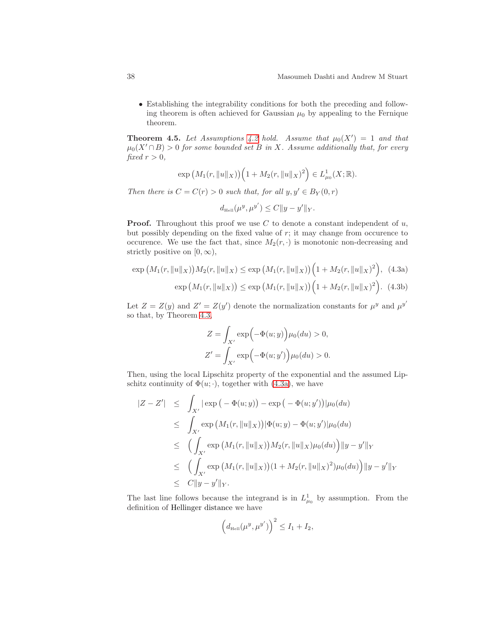• Establishing the integrability conditions for both the preceding and following theorem is often achieved for Gaussian  $\mu_0$  by appealing to the Fernique theorem.

<span id="page-37-2"></span>**Theorem 4.5.** Let Assumptions [4.2](#page-35-0) hold. Assume that  $\mu_0(X') = 1$  and that  $\mu_0(X' \cap B) > 0$  for some bounded set B in X. Assume additionally that, for every fixed  $r > 0$ ,

$$
\exp\left(M_1(r, \|u\|_X)\right)\left(1 + M_2(r, \|u\|_X)^2\right) \in L^1_{\mu_0}(X; \mathbb{R}).
$$

Then there is  $C = C(r) > 0$  such that, for all  $y, y' \in B_Y(0, r)$ 

<span id="page-37-1"></span><span id="page-37-0"></span>
$$
d_{\rm HeII}(\mu^y, \mu^{y'}) \leq C \|y - y'\|_Y.
$$

**Proof.** Throughout this proof we use C to denote a constant independent of  $u$ , but possibly depending on the fixed value of  $r$ ; it may change from occurence to occurence. We use the fact that, since  $M_2(r, \cdot)$  is monotonic non-decreasing and strictly positive on  $[0, \infty)$ ,

$$
\exp\left(M_1(r, \|u\|_X)\right)M_2(r, \|u\|_X) \le \exp\left(M_1(r, \|u\|_X)\right)\left(1 + M_2(r, \|u\|_X)^2\right), \tag{4.3a}
$$

$$
\exp\left(M_1(r, \|u\|_X)\right) \le \exp\left(M_1(r, \|u\|_X)\right)\left(1 + M_2(r, \|u\|_X)^2\right). \tag{4.3b}
$$

Let  $Z = Z(y)$  and  $Z' = Z(y')$  denote the normalization constants for  $\mu^y$  and  $\mu^{y'}$ so that, by Theorem [4.3,](#page-36-1)

$$
Z = \int_{X'} \exp(-\Phi(u; y)) \mu_0(du) > 0,
$$
  

$$
Z' = \int_{X'} \exp(-\Phi(u; y')) \mu_0(du) > 0.
$$

Then, using the local Lipschitz property of the exponential and the assumed Lipschitz continuity of  $\Phi(u; \cdot)$ , together with [\(4.3a\)](#page-37-0), we have

$$
|Z - Z'| \leq \int_{X'} |\exp(-\Phi(u; y)) - \exp(-\Phi(u; y'))| \mu_0(du)
$$
  
\n
$$
\leq \int_{X'} \exp(M_1(r, \|u\|_X)) |\Phi(u; y) - \Phi(u; y')| \mu_0(du)
$$
  
\n
$$
\leq \left( \int_{X'} \exp(M_1(r, \|u\|_X)) M_2(r, \|u\|_X) \mu_0(du) \right) \|y - y'\|_Y
$$
  
\n
$$
\leq \left( \int_{X'} \exp(M_1(r, \|u\|_X)) (1 + M_2(r, \|u\|_X)^2) \mu_0(du) \right) \|y - y'\|_Y
$$
  
\n
$$
\leq C \|y - y'\|_Y.
$$

The last line follows because the integrand is in  $L_{\mu_0}^1$  by assumption. From the definition of Hellinger distance we have

$$
\left(d_{\text{Hell}}(\mu^y, \mu^{y'})\right)^2 \leq I_1 + I_2,
$$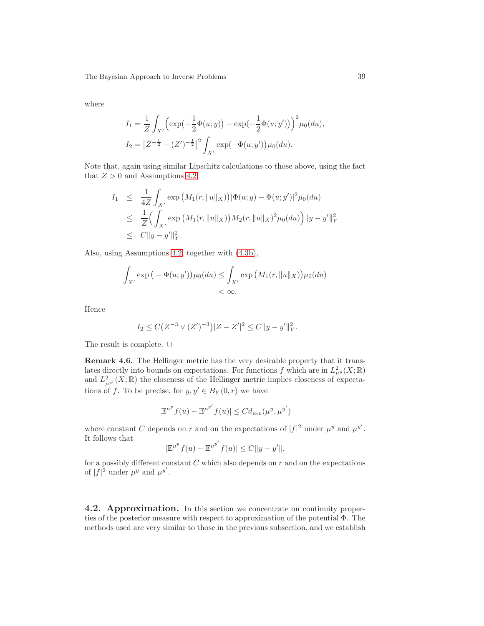where

$$
I_1 = \frac{1}{Z} \int_{X'} \left( \exp\left(-\frac{1}{2}\Phi(u;y)\right) - \exp\left(-\frac{1}{2}\Phi(u;y')\right) \right)^2 \mu_0(du),
$$
  
\n
$$
I_2 = |Z^{-\frac{1}{2}} - (Z')^{-\frac{1}{2}}|^2 \int_{X'} \exp(-\Phi(u;y')) \mu_0(du).
$$

Note that, again using similar Lipschitz calculations to those above, using the fact that  $Z > 0$  and Assumptions [4.2,](#page-35-0)

$$
I_1 \leq \frac{1}{4Z} \int_{X'} \exp(M_1(r, \|u\|_X)) |\Phi(u; y) - \Phi(u; y')|^2 \mu_0(du)
$$
  
\n
$$
\leq \frac{1}{Z} \Big( \int_{X'} \exp(M_1(r, \|u\|_X)) M_2(r, \|u\|_X)^2 \mu_0(du) \Big) \|y - y'\|_Y^2
$$
  
\n
$$
\leq C \|y - y'\|_Y^2.
$$

Also, using Assumptions [4.2,](#page-35-0) together with [\(4.3b\)](#page-37-1),

$$
\int_{X'} \exp\left(-\Phi(u; y')\right) \mu_0(du) \le \int_{X'} \exp\left(M_1(r, \|u\|_X)\right) \mu_0(du)
$$
  
<  $\infty.$ 

Hence

$$
I_2 \leq C \big( Z^{-3} \vee (Z')^{-3} \big) |Z - Z'|^2 \leq C ||y - y'||_Y^2.
$$

<span id="page-38-0"></span>The result is complete.  $\Box$ 

Remark 4.6. The Hellinger metric has the very desirable property that it translates directly into bounds on expectations. For functions f which are in  $L^2_{\mu^y}(X;\mathbb{R})$ and  $L^2_{\mu^{y'}}(X;\mathbb{R})$  the closeness of the Hellinger metric implies closeness of expectations of f. To be precise, for  $y, y' \in B_Y(0, r)$  we have

$$
|\mathbb{E}^{\mu^y} f(u) - \mathbb{E}^{\mu^{y'}} f(u)| \leq C d_{\text{Heil}}(\mu^y, \mu^{y'})
$$

where constant C depends on r and on the expectations of  $|f|^2$  under  $\mu^y$  and  $\mu^{y'}$ . It follows that ′

$$
|\mathbb{E}^{\mu^y} f(u) - \mathbb{E}^{\mu^{y'}} f(u)| \le C \|y - y'\|,
$$

for a possibly different constant  $C$  which also depends on  $r$  and on the expectations of  $|f|^2$  under  $\mu^y$  and  $\mu^{y'}$ .

<span id="page-38-1"></span>4.2. Approximation. In this section we concentrate on continuity properties of the posterior measure with respect to approximation of the potential Φ. The methods used are very similar to those in the previous subsection, and we establish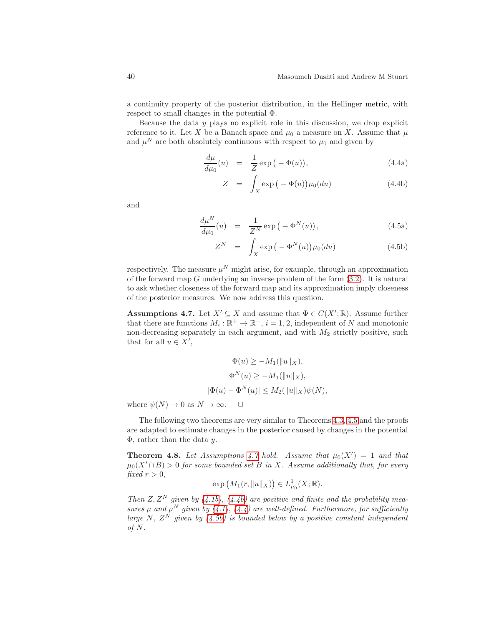a continuity property of the posterior distribution, in the Hellinger metric, with respect to small changes in the potential Φ.

Because the data  $y$  plays no explicit role in this discussion, we drop explicit reference to it. Let X be a Banach space and  $\mu_0$  a measure on X. Assume that  $\mu$ and  $\mu^N$  are both absolutely continuous with respect to  $\mu_0$  and given by

<span id="page-39-1"></span>
$$
\frac{d\mu}{d\mu_0}(u) = \frac{1}{Z} \exp\left(-\Phi(u)\right),\tag{4.4a}
$$

<span id="page-39-2"></span>
$$
Z = \int_X \exp\left(-\Phi(u)\right) \mu_0(du) \tag{4.4b}
$$

<span id="page-39-5"></span>and

<span id="page-39-3"></span>
$$
\frac{d\mu^N}{d\mu_0}(u) = \frac{1}{Z^N} \exp\left(-\Phi^N(u)\right),\tag{4.5a}
$$

$$
Z^N = \int_X \exp\left(-\Phi^N(u)\right) \mu_0(du) \tag{4.5b}
$$

respectively. The measure  $\mu^N$  might arise, for example, through an approximation of the forward map  $G$  underlying an inverse problem of the form  $(3.2)$ . It is natural to ask whether closeness of the forward map and its approximation imply closeness of the posterior measures. We now address this question.

<span id="page-39-0"></span>**Assumptions 4.7.** Let  $X' \subseteq X$  and assume that  $\Phi \in C(X'; \mathbb{R})$ . Assume further that there are functions  $M_i : \mathbb{R}^+ \to \mathbb{R}^+, i = 1, 2$ , independent of N and monotonic non-decreasing separately in each argument, and with  $M_2$  strictly positive, such that for all  $u \in X'$ ,

$$
\Phi(u) \ge -M_1(||u||_X),
$$
  
\n
$$
\Phi^N(u) \ge -M_1(||u||_X),
$$
  
\n
$$
|\Phi(u) - \Phi^N(u)| \le M_2(||u||_X)\psi(N),
$$

where  $\psi(N) \to 0$  as  $N \to \infty$ .  $\Box$ 

The following two theorems are very similar to Theorems [4.3,](#page-36-1) [4.5](#page-37-2) and the proofs are adapted to estimate changes in the posterior caused by changes in the potential  $\Phi$ , rather than the data y.

<span id="page-39-4"></span>**Theorem 4.8.** Let Assumptions [4.7](#page-39-0) hold. Assume that  $\mu_0(X') = 1$  and that  $\mu_0(X' \cap B) > 0$  for some bounded set B in X. Assume additionally that, for every fixed  $r > 0$ ,

$$
\exp\big(M_1(r,\|u\|_X)\big)\in L^1_{\mu_0}(X;\mathbb{R}).
$$

Then  $Z, Z^N$  given by [\(4.1b\)](#page-35-1), [\(4.4b\)](#page-39-1) are positive and finite and the probability measures  $\mu$  and  $\mu^N$  given by [\(4.1\)](#page-35-2), [\(4.4\)](#page-39-2) are well-defined. Furthermore, for sufficiently large N,  $Z^N$  given by  $(4.5b)$  is bounded below by a positive constant independent of N.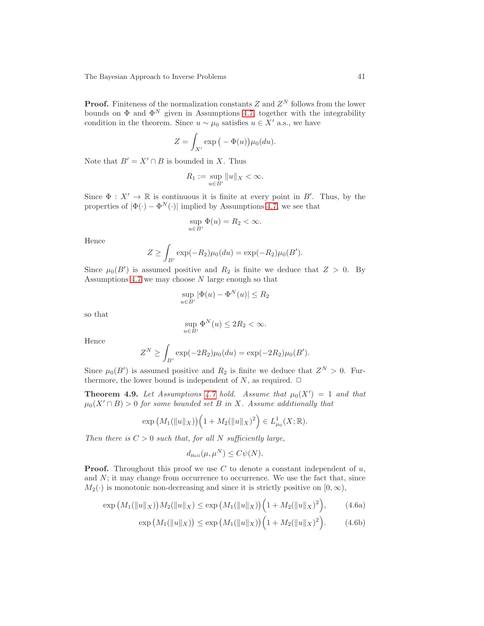**Proof.** Finiteness of the normalization constants Z and  $Z<sup>N</sup>$  follows from the lower bounds on  $\Phi$  and  $\Phi^N$  given in Assumptions [4.7,](#page-39-0) together with the integrability condition in the theorem. Since  $u \sim \mu_0$  satisfies  $u \in X'$  a.s., we have

$$
Z = \int_{X'} \exp\big(-\Phi(u)\big)\mu_0(du).
$$

Note that  $B' = X' \cap B$  is bounded in X. Thus

$$
R_1 := \sup_{u \in B'} \|u\|_X < \infty.
$$

Since  $\Phi: X' \to \mathbb{R}$  is continuous it is finite at every point in B'. Thus, by the properties of  $|\Phi(\cdot) - \Phi^N(\cdot)|$  implied by Assumptions [4.7,](#page-39-0) we see that

$$
\sup_{u \in B'} \Phi(u) = R_2 < \infty.
$$

Hence

$$
Z \ge \int_{B'} \exp(-R_2)\mu_0(du) = \exp(-R_2)\mu_0(B').
$$

Since  $\mu_0(B')$  is assumed positive and  $R_2$  is finite we deduce that  $Z > 0$ . By Assumptions [4.7](#page-39-0) we may choose  $N$  large enough so that

$$
\sup_{u \in B'} |\Phi(u) - \Phi^N(u)| \le R_2
$$

so that

$$
\sup_{u \in B'} \Phi^N(u) \le 2R_2 < \infty.
$$

Hence

$$
Z^{N} \ge \int_{B'} \exp(-2R_2)\mu_0(du) = \exp(-2R_2)\mu_0(B').
$$

<span id="page-40-2"></span>Since  $\mu_0(B')$  is assumed positive and  $R_2$  is finite we deduce that  $Z^N > 0$ . Furthermore, the lower bound is independent of N, as required.  $\Box$ 

**Theorem 4.9.** Let Assumptions [4.7](#page-39-0) hold. Assume that  $\mu_0(X') = 1$  and that  $\mu_0(X' \cap B) > 0$  for some bounded set B in X. Assume additionally that

$$
\exp\left(M_1(\|u\|_X)\right)\left(1+M_2(\|u\|_X)^2\right)\in L^1_{\mu_0}(X;\mathbb{R}).
$$

Then there is  $C > 0$  such that, for all N sufficiently large,

<span id="page-40-1"></span><span id="page-40-0"></span>
$$
d_{\text{Hell}}(\mu, \mu^N) \le C\psi(N).
$$

**Proof.** Throughout this proof we use  $C$  to denote a constant independent of  $u$ , and  $N$ ; it may change from occurrence to occurrence. We use the fact that, since  $M_2(\cdot)$  is monotonic non-decreasing and since it is strictly positive on  $[0, \infty)$ ,

$$
\exp\big(M_1(\|u\|_X)\big)M_2(\|u\|_X)\leq \exp\big(M_1(\|u\|_X)\big)\Big(1+M_2(\|u\|_X)^2\Big),\tag{4.6a}
$$

$$
\exp\big(M_1(\|u\|_X)\big) \le \exp\big(M_1(\|u\|_X)\big)\Big(1 + M_2(\|u\|_X)^2\Big). \tag{4.6b}
$$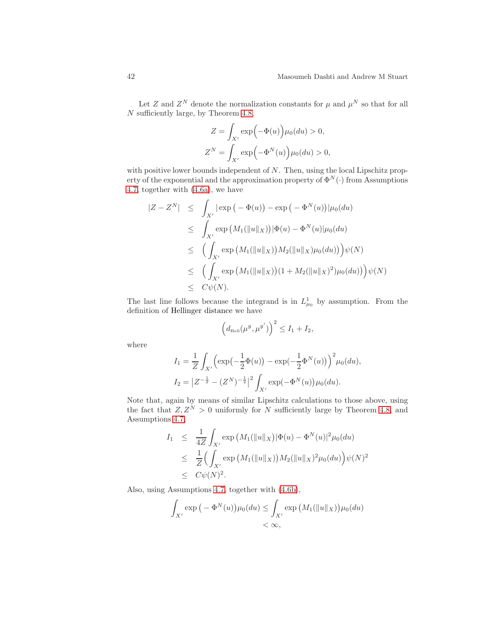Let Z and  $Z^N$  denote the normalization constants for  $\mu$  and  $\mu^N$  so that for all N sufficiently large, by Theorem [4.8,](#page-39-4)

$$
Z = \int_{X'} \exp(-\Phi(u)) \mu_0(du) > 0,
$$
  

$$
Z^N = \int_{X'} \exp(-\Phi^N(u)) \mu_0(du) > 0,
$$

with positive lower bounds independent of  $N$ . Then, using the local Lipschitz property of the exponential and the approximation property of  $\Phi^N(\cdot)$  from Assumptions [4.7,](#page-39-0) together with [\(4.6a\)](#page-40-0), we have

$$
|Z - Z^N| \leq \int_{X'} |\exp(-\Phi(u)) - \exp(-\Phi^N(u))| \mu_0(du)
$$
  
\n
$$
\leq \int_{X'} \exp(M_1(||u||_X)) |\Phi(u) - \Phi^N(u)| \mu_0(du)
$$
  
\n
$$
\leq \left( \int_{X'} \exp(M_1(||u||_X)) M_2(||u||_X) \mu_0(du)) \right) \psi(N)
$$
  
\n
$$
\leq \left( \int_{X'} \exp(M_1(||u||_X)) (1 + M_2(||u||_X)^2) \mu_0(du)) \right) \psi(N)
$$
  
\n
$$
\leq C\psi(N).
$$

The last line follows because the integrand is in  $L_{\mu_0}^1$  by assumption. From the definition of Hellinger distance we have

$$
\left(d_{\text{Heil}}(\mu^y, \mu^{y'})\right)^2 \le I_1 + I_2,
$$

where

$$
I_1 = \frac{1}{Z} \int_{X'} \left( \exp\left(-\frac{1}{2}\Phi(u)\right) - \exp\left(-\frac{1}{2}\Phi^N(u)\right) \right)^2 \mu_0(du),
$$
  
\n
$$
I_2 = |Z^{-\frac{1}{2}} - (Z^N)^{-\frac{1}{2}}|^2 \int_{X'} \exp(-\Phi^N(u)) \mu_0(du).
$$

Note that, again by means of similar Lipschitz calculations to those above, using the fact that  $Z, Z^N > 0$  uniformly for N sufficiently large by Theorem [4.8,](#page-39-4) and Assumptions [4.7,](#page-39-0)

$$
I_1 \leq \frac{1}{4Z} \int_{X'} \exp(M_1(\|u\|_X) |\Phi(u) - \Phi^N(u)|^2 \mu_0(du)
$$
  
\n
$$
\leq \frac{1}{Z} \Big( \int_{X'} \exp(M_1(\|u\|_X)) M_2(\|u\|_X)^2 \mu_0(du) \Big) \psi(N)^2
$$
  
\n
$$
\leq C \psi(N)^2.
$$

Also, using Assumptions [4.7,](#page-39-0) together with [\(4.6b\)](#page-40-1),

$$
\int_{X'} \exp\left(-\Phi^N(u)\right) \mu_0(du) \le \int_{X'} \exp\left(M_1(\|u\|_X)\right) \mu_0(du)
$$
  
<  $\infty$ ,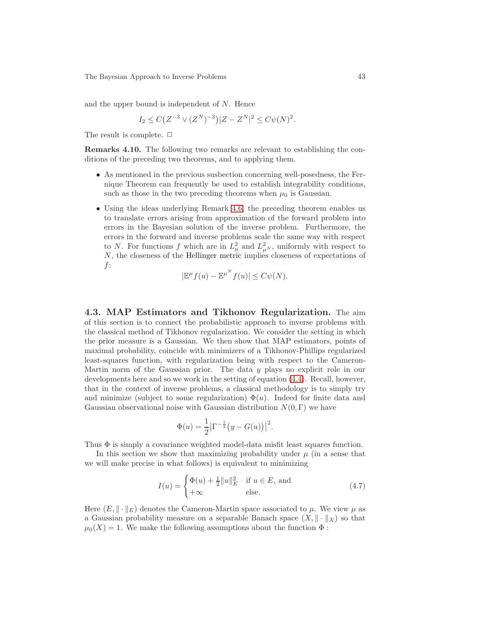and the upper bound is independent of N. Hence

$$
I_2 \le C(Z^{-3} \vee (Z^N)^{-3}) |Z - Z^N|^2 \le C\psi(N)^2.
$$

<span id="page-42-2"></span>The result is complete.  $\Box$ 

Remarks 4.10. The following two remarks are relevant to establishing the conditions of the preceding two theorems, and to applying them.

- As mentioned in the previous susbection concerning well-posedness, the Fernique Theorem can frequently be used to establish integrability conditions, such as those in the two preceding theorems when  $\mu_0$  is Gaussian.
- Using the ideas underlying Remark [4.6,](#page-38-0) the preceding theorem enables us to translate errors arising from approximation of the forward problem into errors in the Bayesian solution of the inverse problem. Furthermore, the errors in the forward and inverse problems scale the same way with respect to N. For functions f which are in  $L^2_{\mu}$  and  $L^2_{\mu}$ , uniformly with respect to N, the closeness of the Hellinger metric implies closeness of expectations of f:

$$
|\mathbb{E}^{\mu}f(u)-\mathbb{E}^{\mu^N}f(u)|\leq C\psi(N).
$$

<span id="page-42-3"></span>4.3. MAP Estimators and Tikhonov Regularization. The aim of this section is to connect the probabilistic approach to inverse problems with the classical method of Tikhonov regularization. We consider the setting in which the prior measure is a Gaussian. We then show that MAP estimators, points of maximal probability, coincide with minimizers of a Tikhonov-Phillips regularized least-squares function, with regularization being with respect to the Cameron-Martin norm of the Gaussian prior. The data y plays no explicit role in our developments here and so we work in the setting of equation [\(4.4\)](#page-39-2). Recall, however, that in the context of inverse problems, a classical methodology is to simply try and minimize (subject to some regularization)  $\Phi(u)$ . Indeed for finite data and Gaussian observational noise with Gaussian distribution  $N(0, \Gamma)$  we have

$$
\Phi(u) = \frac{1}{2} |\Gamma^{-\frac{1}{2}}(y - G(u))|^2.
$$

Thus  $\Phi$  is simply a covariance weighted model-data misfit least squares function.

In this section we show that maximizing probability under  $\mu$  (in a sense that we will make precise in what follows) is equivalent to minimizing

<span id="page-42-1"></span>
$$
I(u) = \begin{cases} \Phi(u) + \frac{1}{2} ||u||_E^2 & \text{if } u \in E, \text{ and} \\ +\infty & \text{else.} \end{cases}
$$
(4.7)

<span id="page-42-0"></span>Here  $(E, \|\cdot\|_E)$  denotes the Cameron-Martin space associated to  $\mu$ . We view  $\mu$  as a Gaussian probability measure on a separable Banach space  $(X, \|\cdot\|_X)$  so that  $\mu_0(X) = 1$ . We make the following assumptions about the function  $\Phi$ :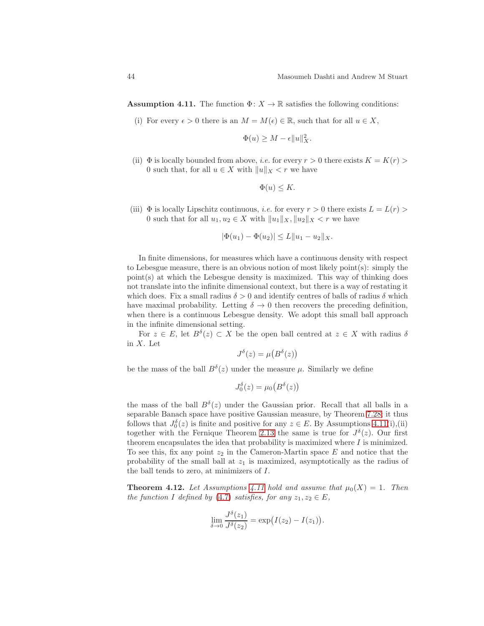**Assumption 4.11.** The function  $\Phi: X \to \mathbb{R}$  satisfies the following conditions:

(i) For every  $\epsilon > 0$  there is an  $M = M(\epsilon) \in \mathbb{R}$ , such that for all  $u \in X$ ,

$$
\Phi(u) \ge M - \epsilon \|u\|_X^2.
$$

(ii)  $\Phi$  is locally bounded from above, *i.e.* for every  $r > 0$  there exists  $K = K(r) >$ 0 such that, for all  $u \in X$  with  $||u||_X < r$  we have

$$
\Phi(u) \leq K.
$$

(iii)  $\Phi$  is locally Lipschitz continuous, *i.e.* for every  $r > 0$  there exists  $L = L(r) >$ 0 such that for all  $u_1, u_2 \in X$  with  $||u_1||_X, ||u_2||_X < r$  we have

$$
|\Phi(u_1) - \Phi(u_2)| \le L \|u_1 - u_2\|_X.
$$

In finite dimensions, for measures which have a continuous density with respect to Lebesgue measure, there is an obvious notion of most likely point $(s)$ : simply the point(s) at which the Lebesgue density is maximized. This way of thinking does not translate into the infinite dimensional context, but there is a way of restating it which does. Fix a small radius  $\delta > 0$  and identify centres of balls of radius  $\delta$  which have maximal probability. Letting  $\delta \to 0$  then recovers the preceding definition, when there is a continuous Lebesgue density. We adopt this small ball approach in the infinite dimensional setting.

For  $z \in E$ , let  $B^{\delta}(z) \subset X$  be the open ball centred at  $z \in X$  with radius  $\delta$ in X. Let

$$
J^{\delta}(z) = \mu(B^{\delta}(z))
$$

be the mass of the ball  $B^{\delta}(z)$  under the measure  $\mu$ . Similarly we define

$$
J_0^{\delta}(z) = \mu_0\big(B^{\delta}(z)\big)
$$

the mass of the ball  $B^{\delta}(z)$  under the Gaussian prior. Recall that all balls in a separable Banach space have positive Gaussian measure, by Theorem [7.28;](#page-93-0) it thus follows that  $J_0^{\delta}(z)$  is finite and positive for any  $z \in E$ . By Assumptions [4.11\(](#page-42-0)i),(ii) together with the Fernique Theorem [2.13](#page-20-0) the same is true for  $J^{\delta}(z)$ . Our first theorem encapsulates the idea that probability is maximized where  $I$  is minimized. To see this, fix any point  $z_2$  in the Cameron-Martin space E and notice that the probability of the small ball at  $z_1$  is maximized, asymptotically as the radius of the ball tends to zero, at minimizers of I.

**Theorem 4.12.** Let Assumptions [4.11](#page-42-0) hold and assume that  $\mu_0(X) = 1$ . Then the function I defined by [\(4.7\)](#page-42-1) satisfies, for any  $z_1, z_2 \in E$ ,

$$
\lim_{\delta \to 0} \frac{J^{\delta}(z_1)}{J^{\delta}(z_2)} = \exp(I(z_2) - I(z_1)).
$$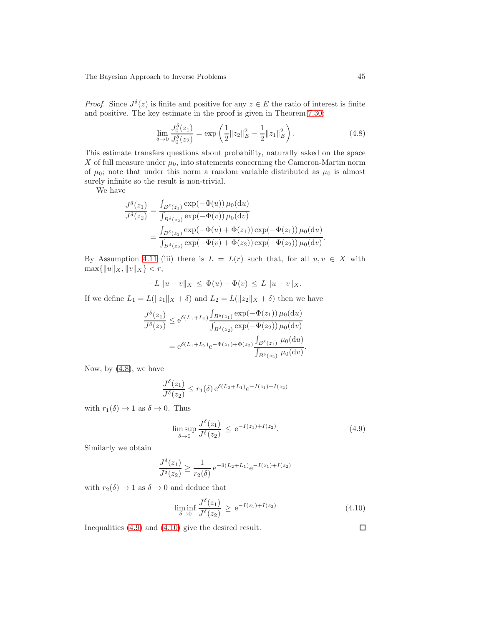*Proof.* Since  $J^{\delta}(z)$  is finite and positive for any  $z \in E$  the ratio of interest is finite and positive. The key estimate in the proof is given in Theorem [7.30:](#page-93-1)

<span id="page-44-0"></span>
$$
\lim_{\delta \to 0} \frac{J_0^{\delta}(z_1)}{J_0^{\delta}(z_2)} = \exp\left(\frac{1}{2} \|z_2\|_E^2 - \frac{1}{2} \|z_1\|_E^2\right). \tag{4.8}
$$

This estimate transfers questions about probability, naturally asked on the space X of full measure under  $\mu_0$ , into statements concerning the Cameron-Martin norm of  $\mu_0$ ; note that under this norm a random variable distributed as  $\mu_0$  is almost surely infinite so the result is non-trivial.

We have

$$
\frac{J^{\delta}(z_1)}{J^{\delta}(z_2)} = \frac{\int_{B^{\delta}(z_1)} \exp(-\Phi(u)) \mu_0(\mathrm{d}u)}{\int_{B^{\delta}(z_2)} \exp(-\Phi(v)) \mu_0(\mathrm{d}v)} \n= \frac{\int_{B^{\delta}(z_1)} \exp(-\Phi(u) + \Phi(z_1)) \exp(-\Phi(z_1)) \mu_0(\mathrm{d}u)}{\int_{B^{\delta}(z_2)} \exp(-\Phi(v) + \Phi(z_2)) \exp(-\Phi(z_2)) \mu_0(\mathrm{d}v)}.
$$

By Assumption [4.11](#page-42-0) (iii) there is  $L = L(r)$  such that, for all  $u, v \in X$  with  $\max\{\|u\|_X, \|v\|_X\} < r,$ 

$$
-L \|u - v\|_X \le \Phi(u) - \Phi(v) \le L \|u - v\|_X.
$$

If we define  $L_1 = L(||z_1||_X + \delta)$  and  $L_2 = L(||z_2||_X + \delta)$  then we have

$$
\frac{J^{\delta}(z_1)}{J^{\delta}(z_2)} \le e^{\delta(L_1 + L_2)} \frac{\int_{B^{\delta}(z_1)} \exp(-\Phi(z_1)) \mu_0(\mathrm{d}u)}{\int_{B^{\delta}(z_2)} \exp(-\Phi(z_2)) \mu_0(\mathrm{d}v)}
$$

$$
= e^{\delta(L_1 + L_2)} e^{-\Phi(z_1) + \Phi(z_2)} \frac{\int_{B^{\delta}(z_1)} \mu_0(\mathrm{d}u)}{\int_{B^{\delta}(z_2)} \mu_0(\mathrm{d}v)}.
$$

Now, by [\(4.8\)](#page-44-0), we have

$$
\frac{J^{\delta}(z_1)}{J^{\delta}(z_2)} \le r_1(\delta) e^{\delta(L_2 + L_1)} e^{-I(z_1) + I(z_2)}
$$

with  $r_1(\delta) \to 1$  as  $\delta \to 0$ . Thus

<span id="page-44-1"></span>
$$
\limsup_{\delta \to 0} \frac{J^{\delta}(z_1)}{J^{\delta}(z_2)} \le e^{-I(z_1) + I(z_2)}.
$$
\n(4.9)

Similarly we obtain

$$
\frac{J^{\delta}(z_1)}{J^{\delta}(z_2)} \ge \frac{1}{r_2(\delta)} e^{-\delta(L_2 + L_1)} e^{-I(z_1) + I(z_2)}
$$

with  $r_2(\delta) \rightarrow 1$  as  $\delta \rightarrow 0$  and deduce that

<span id="page-44-2"></span>
$$
\liminf_{\delta \to 0} \frac{J^{\delta}(z_1)}{J^{\delta}(z_2)} \ge e^{-I(z_1) + I(z_2)} \tag{4.10}
$$

Inequalities [\(4.9\)](#page-44-1) and [\(4.10\)](#page-44-2) give the desired result.

□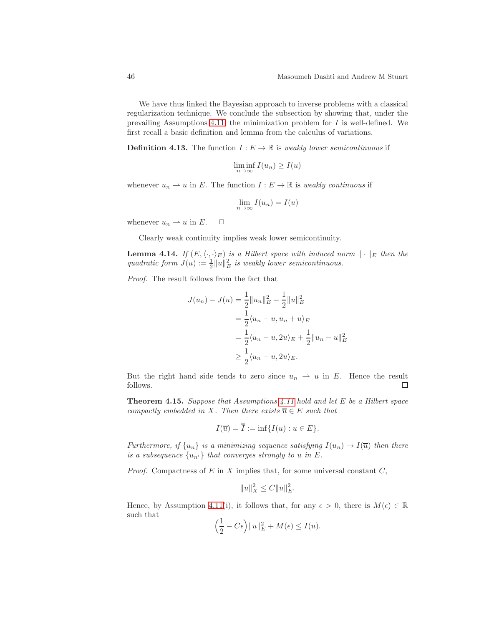We have thus linked the Bayesian approach to inverse problems with a classical regularization technique. We conclude the subsection by showing that, under the prevailing Assumptions [4.11,](#page-42-0) the minimization problem for  $I$  is well-defined. We first recall a basic definition and lemma from the calculus of variations.

**Definition 4.13.** The function  $I: E \to \mathbb{R}$  is weakly lower semicontinuous if

$$
\liminf_{n \to \infty} I(u_n) \ge I(u)
$$

whenever  $u_n \rightharpoonup u$  in E. The function  $I : E \to \mathbb{R}$  is weakly continuous if

$$
\lim_{n \to \infty} I(u_n) = I(u)
$$

whenever  $u_n \rightharpoonup u$  in E.  $\Box$ 

<span id="page-45-0"></span>Clearly weak continuity implies weak lower semicontinuity.

**Lemma 4.14.** If  $(E, \langle \cdot, \cdot \rangle_E)$  is a Hilbert space with induced norm  $\|\cdot\|_E$  then the quadratic form  $J(u) := \frac{1}{2} ||u||_E^2$  is weakly lower semicontinuous.

Proof. The result follows from the fact that

$$
J(u_n) - J(u) = \frac{1}{2} ||u_n||_E^2 - \frac{1}{2} ||u||_E^2
$$
  
=  $\frac{1}{2} \langle u_n - u, u_n + u \rangle_E$   
=  $\frac{1}{2} \langle u_n - u, 2u \rangle_E + \frac{1}{2} ||u_n - u||_E^2$   
 $\geq \frac{1}{2} \langle u_n - u, 2u \rangle_E.$ 

But the right hand side tends to zero since  $u_n \rightharpoonup u$  in E. Hence the result follows.  $\Box$ 

<span id="page-45-1"></span>**Theorem 4.15.** Suppose that Assumptions [4.11](#page-42-0) hold and let  $E$  be a Hilbert space compactly embedded in X. Then there exists  $\overline{u} \in E$  such that

$$
I(\overline{u}) = I := \inf\{I(u) : u \in E\}.
$$

Furthermore, if  $\{u_n\}$  is a minimizing sequence satisfying  $I(u_n) \to I(\overline{u})$  then there is a subsequence  $\{u_{n'}\}$  that converges strongly to  $\overline{u}$  in E.

*Proof.* Compactness of  $E$  in  $X$  implies that, for some universal constant  $C$ ,

$$
||u||_X^2 \le C||u||_E^2.
$$

Hence, by Assumption [4.11\(](#page-42-0)i), it follows that, for any  $\epsilon > 0$ , there is  $M(\epsilon) \in \mathbb{R}$ such that

$$
\left(\frac{1}{2} - C\epsilon\right) \|u\|_E^2 + M(\epsilon) \le I(u).
$$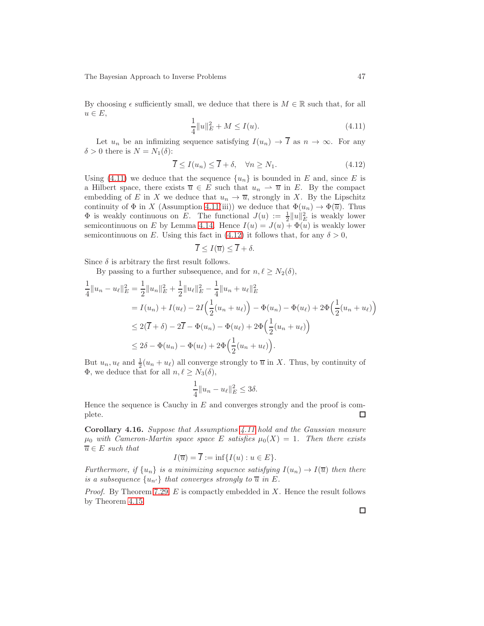By choosing  $\epsilon$  sufficiently small, we deduce that there is  $M \in \mathbb{R}$  such that, for all  $u \in E$ ,

<span id="page-46-0"></span>
$$
\frac{1}{4}||u||_E^2 + M \le I(u). \tag{4.11}
$$

Let  $u_n$  be an infimizing sequence satisfying  $I(u_n) \to \overline{I}$  as  $n \to \infty$ . For any  $\delta > 0$  there is  $N = N_1(\delta)$ :

<span id="page-46-1"></span>
$$
\overline{I} \le I(u_n) \le \overline{I} + \delta, \quad \forall n \ge N_1. \tag{4.12}
$$

Using [\(4.11\)](#page-46-0) we deduce that the sequence  $\{u_n\}$  is bounded in E and, since E is a Hilbert space, there exists  $\overline{u} \in E$  such that  $u_n \rightharpoonup \overline{u}$  in E. By the compact embedding of E in X we deduce that  $u_n \to \overline{u}$ , strongly in X. By the Lipschitz continuity of  $\Phi$  in X (Assumption [4.11\(](#page-42-0)iii)) we deduce that  $\Phi(u_n) \to \Phi(\overline{u})$ . Thus  $\Phi$  is weakly continuous on E. The functional  $J(u) := \frac{1}{2} ||u||_E^2$  is weakly lower semicontinuous on E by Lemma [4.14.](#page-45-0) Hence  $I(u) = J(u) + \Phi(u)$  is weakly lower semicontinuous on E. Using this fact in [\(4.12\)](#page-46-1) it follows that, for any  $\delta > 0$ ,

$$
\overline{I} \leq I(\overline{u}) \leq \overline{I} + \delta.
$$

Since  $\delta$  is arbitrary the first result follows.

By passing to a further subsequence, and for  $n, \ell \geq N_2(\delta)$ ,

$$
\frac{1}{4}||u_n - u_{\ell}||_E^2 = \frac{1}{2}||u_n||_E^2 + \frac{1}{2}||u_{\ell}||_E^2 - \frac{1}{4}||u_n + u_{\ell}||_E^2
$$
\n
$$
= I(u_n) + I(u_{\ell}) - 2I\left(\frac{1}{2}(u_n + u_{\ell})\right) - \Phi(u_n) - \Phi(u_{\ell}) + 2\Phi\left(\frac{1}{2}(u_n + u_{\ell})\right)
$$
\n
$$
\leq 2(\overline{I} + \delta) - 2\overline{I} - \Phi(u_n) - \Phi(u_{\ell}) + 2\Phi\left(\frac{1}{2}(u_n + u_{\ell})\right)
$$
\n
$$
\leq 2\delta - \Phi(u_n) - \Phi(u_{\ell}) + 2\Phi\left(\frac{1}{2}(u_n + u_{\ell})\right).
$$

But  $u_n, u_\ell$  and  $\frac{1}{2}(u_n + u_\ell)$  all converge strongly to  $\overline{u}$  in X. Thus, by continuity of  $Φ$ , we deduce that for all  $n, l \geq N_3(δ)$ ,

$$
\frac{1}{4}||u_n - u_\ell||_E^2 \le 3\delta.
$$

Hence the sequence is Cauchy in  $E$  and converges strongly and the proof is complete. □

Corollary 4.16. Suppose that Assumptions [4.11](#page-42-0) hold and the Gaussian measure  $\mu_0$  with Cameron-Martin space space E satisfies  $\mu_0(X) = 1$ . Then there exists  $\overline{u} \in E$  such that

$$
I(\overline{u}) = \overline{I} := \inf\{I(u) : u \in E\}.
$$

Furthermore, if  $\{u_n\}$  is a minimizing sequence satisfying  $I(u_n) \to I(\overline{u})$  then there is a subsequence  $\{u_{n'}\}$  that converges strongly to  $\overline{u}$  in E.

*Proof.* By Theorem [7.29,](#page-93-2)  $E$  is compactly embedded in  $X$ . Hence the result follows by Theorem [4.15.](#page-45-1)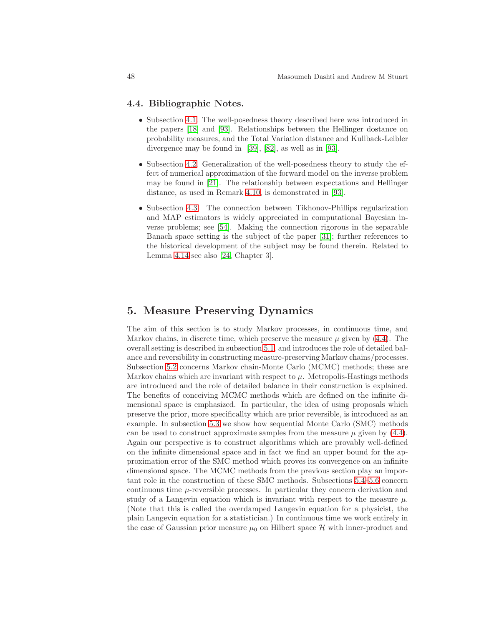## 4.4. Bibliographic Notes.

- Subsection [4.1.](#page-35-3) The well-posedness theory described here was introduced in the papers [\[18\]](#page-101-0) and [\[93\]](#page-105-0). Relationships between the Hellinger dostance on probability measures, and the Total Variation distance and Kullback-Leibler divergence may be found in [\[39\]](#page-102-0), [\[82\]](#page-105-1), as well as in [\[93\]](#page-105-0).
- Subsection [4.2.](#page-38-1) Generalization of the well-posedness theory to study the effect of numerical approximation of the forward model on the inverse problem may be found in [\[21\]](#page-102-1). The relationship between expectations and Hellinger distance, as used in Remark [4.10,](#page-42-2) is demonstrated in [\[93\]](#page-105-0).
- Subsection [4.3.](#page-42-3) The connection between Tikhonov-Phillips regularization and MAP estimators is widely appreciated in computational Bayesian inverse problems; see [\[54\]](#page-103-0). Making the connection rigorous in the separable Banach space setting is the subject of the paper [\[31\]](#page-102-2); further references to the historical development of the subject may be found therein. Related to Lemma [4.14](#page-45-0) see also [\[24,](#page-102-3) Chapter 3].

## 5. Measure Preserving Dynamics

The aim of this section is to study Markov processes, in continuous time, and Markov chains, in discrete time, which preserve the measure  $\mu$  given by [\(4.4\)](#page-39-2). The overall setting is described in subsection [5.1,](#page-48-0) and introduces the role of detailed balance and reversibility in constructing measure-preserving Markov chains/processes. Subsection [5.2](#page-50-0) concerns Markov chain-Monte Carlo (MCMC) methods; these are Markov chains which are invariant with respect to  $\mu$ . Metropolis-Hastings methods are introduced and the role of detailed balance in their construction is explained. The benefits of conceiving MCMC methods which are defined on the infinite dimensional space is emphasized. In particular, the idea of using proposals which preserve the prior, more specificallty which are prior reversible, is introduced as an example. In subsection [5.3](#page-54-0) we show how sequential Monte Carlo (SMC) methods can be used to construct approximate samples from the measure  $\mu$  given by [\(4.4\)](#page-39-2). Again our perspective is to construct algorithms which are provably well-defined on the infinite dimensional space and in fact we find an upper bound for the approximation error of the SMC method which proves its convergence on an infinite dimensional space. The MCMC methods from the previous section play an important role in the construction of these SMC methods. Subsections [5.4–](#page-61-0)[5.6](#page-65-0) concern continuous time  $\mu$ -reversible processes. In particular they concern derivation and study of a Langevin equation which is invariant with respect to the measure  $\mu$ . (Note that this is called the overdamped Langevin equation for a physicist, the plain Langevin equation for a statistician.) In continuous time we work entirely in the case of Gaussian prior measure  $\mu_0$  on Hilbert space H with inner-product and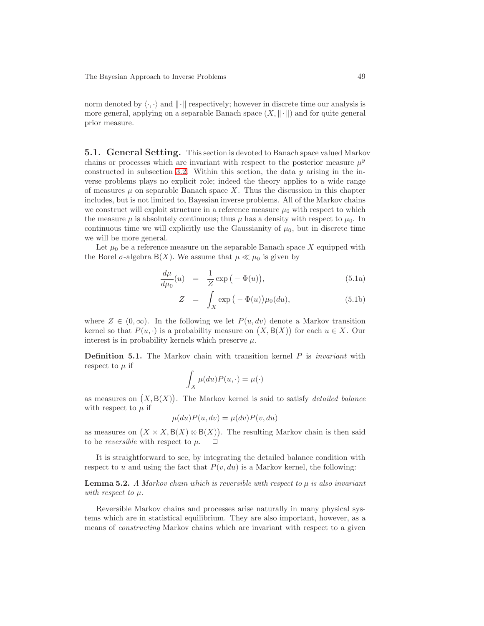norm denoted by  $\langle \cdot, \cdot \rangle$  and  $\| \cdot \|$  respectively; however in discrete time our analysis is more general, applying on a separable Banach space  $(X, \|\cdot\|)$  and for quite general prior measure.

<span id="page-48-0"></span>5.1. General Setting. This section is devoted to Banach space valued Markov chains or processes which are invariant with respect to the posterior measure  $\mu^y$ constructed in subsection [3.2.](#page-28-2) Within this section, the data  $y$  arising in the inverse problems plays no explicit role; indeed the theory applies to a wide range of measures  $\mu$  on separable Banach space X. Thus the discussion in this chapter includes, but is not limited to, Bayesian inverse problems. All of the Markov chains we construct will exploit structure in a reference measure  $\mu_0$  with respect to which the measure  $\mu$  is absolutely continuous; thus  $\mu$  has a density with respect to  $\mu_0$ . In continuous time we will explicitly use the Gaussianity of  $\mu_0$ , but in discrete time we will be more general.

Let  $\mu_0$  be a reference measure on the separable Banach space X equipped with the Borel  $\sigma$ -algebra B(X). We assume that  $\mu \ll \mu_0$  is given by

$$
\frac{d\mu}{d\mu_0}(u) = \frac{1}{Z} \exp\left(-\Phi(u)\right),\tag{5.1a}
$$

<span id="page-48-1"></span>
$$
Z = \int_X \exp(-\Phi(u)) \mu_0(du), \qquad (5.1b)
$$

where  $Z \in (0,\infty)$ . In the following we let  $P(u, dv)$  denote a Markov transition kernel so that  $P(u, \cdot)$  is a probability measure on  $(X, \mathsf{B}(X))$  for each  $u \in X$ . Our interest is in probability kernels which preserve  $\mu$ .

<span id="page-48-2"></span>**Definition 5.1.** The Markov chain with transition kernel  $P$  is *invariant* with respect to  $\mu$  if

$$
\int_X \mu(du) P(u, \cdot) = \mu(\cdot)
$$

as measures on  $(X, B(X))$ . The Markov kernel is said to satisfy *detailed balance* with respect to  $\mu$  if

$$
\mu(du)P(u, dv) = \mu(dv)P(v, du)
$$

as measures on  $(X \times X, \mathsf{B}(X) \otimes \mathsf{B}(X))$ . The resulting Markov chain is then said to be *reversible* with respect to  $\mu$ .  $\Box$ 

It is straightforward to see, by integrating the detailed balance condition with respect to u and using the fact that  $P(v, du)$  is a Markov kernel, the following:

**Lemma 5.2.** A Markov chain which is reversible with respect to  $\mu$  is also invariant with respect to  $\mu$ .

Reversible Markov chains and processes arise naturally in many physical systems which are in statistical equilibrium. They are also important, however, as a means of constructing Markov chains which are invariant with respect to a given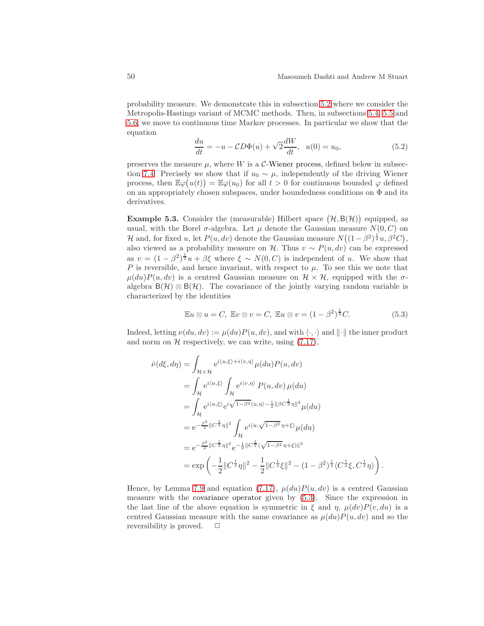probability measure. We demonstrate this in subsection [5.2](#page-50-0) where we consider the Metropolis-Hastings variant of MCMC methods. Then, in subsections [5.4,](#page-61-0) [5.5](#page-62-0) and [5.6,](#page-65-0) we move to continuous time Markov processes. In particular we show that the equation

<span id="page-49-3"></span>
$$
\frac{du}{dt} = -u - CD\Phi(u) + \sqrt{2}\frac{dW}{dt}, \ \ u(0) = u_0,\tag{5.2}
$$

preserves the measure  $\mu$ , where W is a C-Wiener process, defined below in subsec-tion [7.4.](#page-96-0) Precisely we show that if  $u_0 \sim \mu$ , independently of the driving Wiener process, then  $\mathbb{E}\varphi(u(t)) = \mathbb{E}\varphi(u_0)$  for all  $t > 0$  for continuous bounded  $\varphi$  defined on an appropriately chosen subspaces, under boundedness conditions on  $\Phi$  and its derivatives.

<span id="page-49-1"></span>**Example 5.3.** Consider the (measurable) Hilbert space  $(\mathcal{H}, \mathsf{B}(\mathcal{H}))$  equipped, as usual, with the Borel  $\sigma$ -algebra. Let  $\mu$  denote the Gaussian measure  $N(0, C)$  on H and, for fixed u, let  $P(u, dv)$  denote the Gaussian measure  $N((1 - \beta^2)^{\frac{1}{2}}u, \beta^2 C)$ , also viewed as a probability measure on H. Thus  $v \sim P(u, dv)$  can be expressed as  $v = (1 - \beta^2)^{\frac{1}{2}}u + \beta \xi$  where  $\xi \sim N(0, C)$  is independent of u. We show that P is reversible, and hence invariant, with respect to  $\mu$ . To see this we note that  $\mu(du)P(u, dv)$  is a centred Gaussian measure on  $\mathcal{H} \times \mathcal{H}$ , equipped with the  $\sigma$ algebra  $B(\mathcal{H}) \otimes B(\mathcal{H})$ . The covariance of the jointly varying random variable is characterized by the identities

<span id="page-49-0"></span>
$$
\mathbb{E}u \otimes u = C, \ \mathbb{E}v \otimes v = C, \ \mathbb{E}u \otimes v = (1 - \beta^2)^{\frac{1}{2}}C. \tag{5.3}
$$

Indeed, letting  $\nu(du, dv) := \mu(du)P(u, dv)$ , and with  $\langle \cdot, \cdot \rangle$  and  $\|\cdot\|$  the inner product and norm on  $H$  respectively, we can write, using  $(7.17)$ ,

$$
\hat{\nu}(d\xi, d\eta) = \int_{\mathcal{H}\times\mathcal{H}} e^{i\langle u,\xi\rangle + i\langle v,\eta\rangle} \mu(du) P(u, dv)
$$
\n
$$
= \int_{\mathcal{H}} e^{i\langle u,\xi\rangle} \int_{\mathcal{H}} e^{i\langle v,\eta\rangle} P(u, dv) \mu(du)
$$
\n
$$
= \int_{\mathcal{H}} e^{i\langle u,\xi\rangle} e^{i\sqrt{1-\beta^2}\langle u,\eta\rangle - \frac{1}{2}||\beta C^{\frac{1}{2}}\eta||^2} \mu(du)
$$
\n
$$
= e^{-\frac{\beta^2}{2}||C^{\frac{1}{2}}\eta||^2} \int_{\mathcal{H}} e^{i\langle u,\sqrt{1-\beta^2}\eta+\xi\rangle} \mu(du)
$$
\n
$$
= e^{-\frac{\beta^2}{2}||C^{\frac{1}{2}}\eta||^2} e^{-\frac{1}{2}||C^{\frac{1}{2}}(\sqrt{1-\beta^2}\eta+\xi)||^2}
$$
\n
$$
= \exp\left(-\frac{1}{2}||C^{\frac{1}{2}}\eta||^2 - \frac{1}{2}||C^{\frac{1}{2}}\xi||^2 - (1-\beta^2)^{\frac{1}{2}}\langle C^{\frac{1}{2}}\xi, C^{\frac{1}{2}}\eta\rangle\right).
$$

<span id="page-49-2"></span>Hence, by Lemma [7.9](#page-84-2) and equation [\(7.17\)](#page-84-1),  $\mu(du)P(u, dv)$  is a centred Gaussian measure with the covariance operator given by [\(5.3\)](#page-49-0). Since the expression in the last line of the above equation is symmetric in  $\xi$  and  $\eta$ ,  $\mu(dv)P(v, du)$  is a centred Gaussian measure with the same covariance as  $\mu(du)P(u, dv)$  and so the reversibility is proved.  $\Box$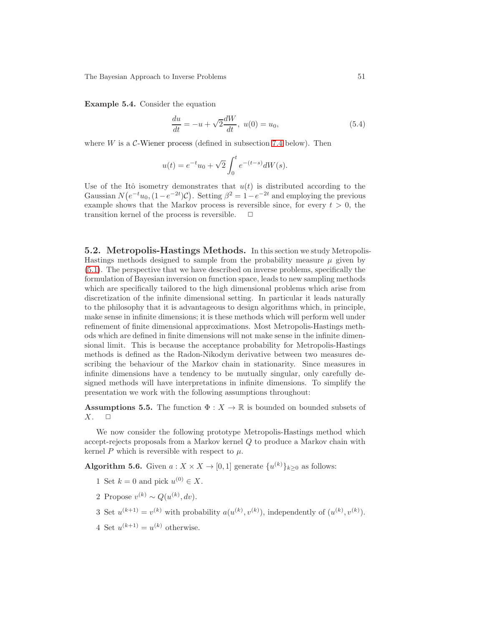Example 5.4. Consider the equation

<span id="page-50-3"></span>
$$
\frac{du}{dt} = -u + \sqrt{2}\frac{dW}{dt}, \ u(0) = u_0,
$$
\n(5.4)

where  $W$  is a  $C$ -Wiener process (defined in subsection [7.4](#page-96-0) below). Then

$$
u(t) = e^{-t}u_0 + \sqrt{2} \int_0^t e^{-(t-s)} dW(s).
$$

Use of the Itô isometry demonstrates that  $u(t)$  is distributed according to the Gaussian  $N(e^{-t}u_0, (1-e^{-2t})\mathcal{C})$ . Setting  $\beta^2 = 1 - e^{-2t}$  and employing the previous example shows that the Markov process is reversible since, for every  $t > 0$ , the transition kernel of the process is reversible.  $\Box$ 

<span id="page-50-0"></span>5.2. Metropolis-Hastings Methods. In this section we study Metropolis-Hastings methods designed to sample from the probability measure  $\mu$  given by [\(5.1\)](#page-48-1). The perspective that we have described on inverse problems, specifically the formulation of Bayesian inversion on function space, leads to new sampling methods which are specifically tailored to the high dimensional problems which arise from discretization of the infinite dimensional setting. In particular it leads naturally to the philosophy that it is advantageous to design algorithms which, in principle, make sense in infinite dimensions; it is these methods which will perform well under refinement of finite dimensional approximations. Most Metropolis-Hastings methods which are defined in finite dimensions will not make sense in the infinite dimensional limit. This is because the acceptance probability for Metropolis-Hastings methods is defined as the Radon-Nikodym derivative between two measures describing the behaviour of the Markov chain in stationarity. Since measures in infinite dimensions have a tendency to be mutually singular, only carefully designed methods will have interpretations in infinite dimensions. To simplify the presentation we work with the following assumptions throughout:

<span id="page-50-1"></span>**Assumptions 5.5.** The function  $\Phi: X \to \mathbb{R}$  is bounded on bounded subsets of  $X \subset \Box$  $X$ .

We now consider the following prototype Metropolis-Hastings method which accept-rejects proposals from a Markov kernel Q to produce a Markov chain with kernel P which is reversible with respect to  $\mu$ .

<span id="page-50-2"></span>**Algorithm 5.6.** Given  $a: X \times X \rightarrow [0,1]$  generate  $\{u^{(k)}\}_{k \geq 0}$  as follows:

- 1 Set  $k = 0$  and pick  $u^{(0)} \in X$ .
- 2 Propose  $v^{(k)} \sim Q(u^{(k)}, dv)$ .
- 3 Set  $u^{(k+1)} = v^{(k)}$  with probability  $a(u^{(k)}, v^{(k)})$ , independently of  $(u^{(k)}, v^{(k)})$ .
- 4 Set  $u^{(k+1)} = u^{(k)}$  otherwise.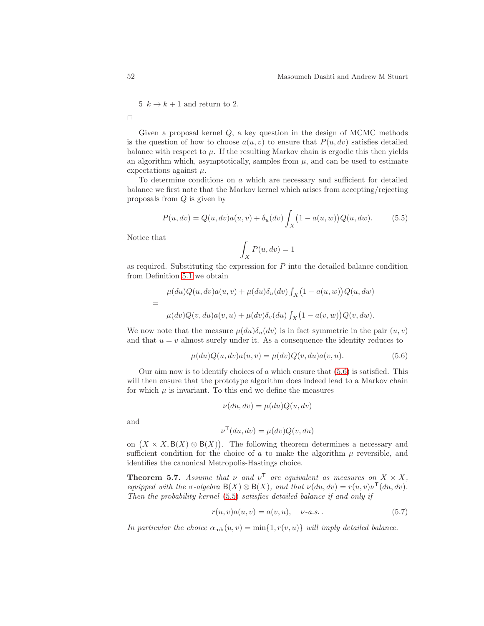5  $k \to k+1$  and return to 2.

 $\Box$ 

Given a proposal kernel  $Q$ , a key question in the design of MCMC methods is the question of how to choose  $a(u, v)$  to ensure that  $P(u, dv)$  satisfies detailed balance with respect to  $\mu$ . If the resulting Markov chain is ergodic this then yields an algorithm which, asymptotically, samples from  $\mu$ , and can be used to estimate expectations against  $\mu$ .

To determine conditions on  $a$  which are necessary and sufficient for detailed balance we first note that the Markov kernel which arises from accepting/rejecting proposals from Q is given by

<span id="page-51-1"></span>
$$
P(u, dv) = Q(u, dv)a(u, v) + \delta_u(dv) \int_X (1 - a(u, w))Q(u, dw).
$$
 (5.5)

Notice that

$$
\int_X P(u,dv)=1
$$

as required. Substituting the expression for  $P$  into the detailed balance condition from Definition [5.1](#page-48-2) we obtain

$$
\mu(du)Q(u, dv)a(u, v) + \mu(du)\delta_u(dv)\int_X (1 - a(u, w))Q(u, dw)
$$
  
= 
$$
\mu(dv)Q(v, du)a(v, u) + \mu(dv)\delta_v(du)\int_X (1 - a(v, w))Q(v, dw).
$$

We now note that the measure  $\mu(du)\delta_u(dv)$  is in fact symmetric in the pair  $(u, v)$ and that  $u = v$  almost surely under it. As a consequence the identity reduces to

<span id="page-51-0"></span>
$$
\mu(du)Q(u, dv)a(u, v) = \mu(dv)Q(v, du)a(v, u).
$$
\n(5.6)

Our aim now is to identify choices of  $\alpha$  which ensure that  $(5.6)$  is satisfied. This will then ensure that the prototype algorithm does indeed lead to a Markov chain for which  $\mu$  is invariant. To this end we define the measures

$$
\nu(du, dv) = \mu(du)Q(u, dv)
$$

and

$$
\nu^{\mathsf{T}}(du, dv) = \mu(dv)Q(v, du)
$$

on  $(X \times X, \mathsf{B}(X) \otimes \mathsf{B}(X))$ . The following theorem determines a necessary and sufficient condition for the choice of a to make the algorithm  $\mu$  reversible, and identifies the canonical Metropolis-Hastings choice.

<span id="page-51-3"></span>**Theorem 5.7.** Assume that  $\nu$  and  $\nu^T$  are equivalent as measures on  $X \times X$ , equipped with the  $\sigma$ -algebra  $B(X) \otimes B(X)$ , and that  $\nu(du, dv) = r(u, v)\nu^{\mathsf{T}}(du, dv)$ . Then the probability kernel [\(5.5\)](#page-51-1) satisfies detailed balance if and only if

<span id="page-51-2"></span>
$$
r(u, v)a(u, v) = a(v, u), \quad \nu-a.s.
$$
\n(5.7)

In particular the choice  $\alpha_{\rm mh}(u, v) = \min\{1, r(v, u)\}\$  will imply detailed balance.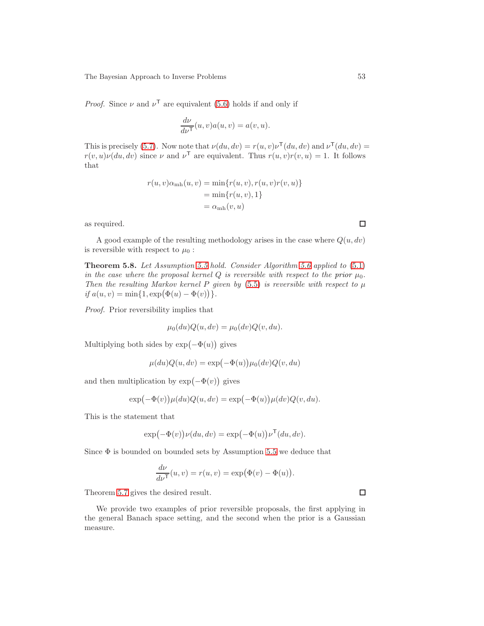*Proof.* Since  $\nu$  and  $\nu^{\mathsf{T}}$  are equivalent [\(5.6\)](#page-51-0) holds if and only if

$$
\frac{d\nu}{d\nu^{\mathsf{T}}}(u,v)a(u,v) = a(v,u).
$$

This is precisely [\(5.7\)](#page-51-2). Now note that  $\nu(du, dv) = r(u, v)\nu^{\mathsf{T}}(du, dv)$  and  $\nu^{\mathsf{T}}(du, dv) =$  $r(v, u)\nu(du, dv)$  since  $\nu$  and  $\nu^{\mathsf{T}}$  are equivalent. Thus  $r(u, v)r(v, u) = 1$ . It follows that

$$
r(u, v)\alpha_{\rm mh}(u, v) = \min\{r(u, v), r(u, v)r(v, u)\}
$$
  
=  $\min\{r(u, v), 1\}$   
=  $\alpha_{\rm mh}(v, u)$ 

as required.

A good example of the resulting methodology arises in the case where  $Q(u, dv)$ is reversible with respect to  $\mu_0$ :

Theorem 5.8. Let Assumption [5.5](#page-50-1) hold. Consider Algorithm [5.6](#page-50-2) applied to [\(5.1\)](#page-48-1) in the case where the proposal kernel Q is reversible with respect to the prior  $\mu_0$ . Then the resulting Markov kernel P given by  $(5.5)$  is reversible with respect to  $\mu$ if  $a(u, v) = \min\{1, \exp(\Phi(u) - \Phi(v))\}.$ 

Proof. Prior reversibility implies that

$$
\mu_0(du)Q(u, dv) = \mu_0(dv)Q(v, du).
$$

Multiplying both sides by  $\exp(-\Phi(u))$  gives

$$
\mu(du)Q(u,dv)=\exp\bigl(-\Phi(u)\bigr)\mu_0(dv)Q(v,du)
$$

and then multiplication by  $\exp(-\Phi(v))$  gives

$$
\exp(-\Phi(v))\mu(du)Q(u,dv) = \exp(-\Phi(u))\mu(dv)Q(v,du).
$$

This is the statement that

$$
\exp(-\Phi(v))\nu(du, dv) = \exp(-\Phi(u))\nu^{\mathsf{T}}(du, dv).
$$

Since  $\Phi$  is bounded on bounded sets by Assumption [5.5](#page-50-1) we deduce that

$$
\frac{d\nu}{d\nu^{\mathsf{T}}}(u,v) = r(u,v) = \exp(\Phi(v) - \Phi(u)).
$$

Theorem [5.7](#page-51-3) gives the desired result.

We provide two examples of prior reversible proposals, the first applying in the general Banach space setting, and the second when the prior is a Gaussian measure.

 $\Box$ 

 $\Box$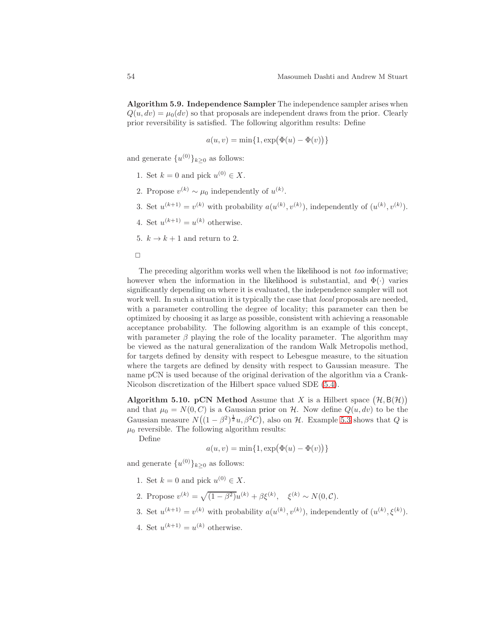Algorithm 5.9. Independence Sampler The independence sampler arises when  $Q(u, dv) = \mu_0(dv)$  so that proposals are independent draws from the prior. Clearly prior reversibility is satisfied. The following algorithm results: Define

$$
a(u,v)=\min\{1,\exp\bigl(\Phi(u)-\Phi(v)\bigr)\}
$$

and generate  $\{u^{(0)}\}_{k\geq 0}$  as follows:

- 1. Set  $k = 0$  and pick  $u^{(0)} \in X$ .
- 2. Propose  $v^{(k)} \sim \mu_0$  independently of  $u^{(k)}$ .
- 3. Set  $u^{(k+1)} = v^{(k)}$  with probability  $a(u^{(k)}, v^{(k)})$ , independently of  $(u^{(k)}, v^{(k)})$ .
- 4. Set  $u^{(k+1)} = u^{(k)}$  otherwise.
- 5.  $k \to k+1$  and return to 2.

 $\Box$ 

The preceding algorithm works well when the likelihood is not *too* informative; however when the information in the likelihood is substantial, and  $\Phi(\cdot)$  varies significantly depending on where it is evaluated, the independence sampler will not work well. In such a situation it is typically the case that *local* proposals are needed, with a parameter controlling the degree of locality; this parameter can then be optimized by choosing it as large as possible, consistent with achieving a reasonable acceptance probability. The following algorithm is an example of this concept, with parameter  $\beta$  playing the role of the locality parameter. The algorithm may be viewed as the natural generalization of the random Walk Metropolis method, for targets defined by density with respect to Lebesgue measure, to the situation where the targets are defined by density with respect to Gaussian measure. The name pCN is used because of the original derivation of the algorithm via a Crank-Nicolson discretization of the Hilbert space valued SDE [\(5.4\)](#page-50-3).

Algorithm 5.10. pCN Method Assume that X is a Hilbert space  $(\mathcal{H}, \mathsf{B}(\mathcal{H}))$ and that  $\mu_0 = N(0, C)$  is a Gaussian prior on H. Now define  $Q(u, dv)$  to be the Gaussian measure  $N((1 - \beta^2)^{\frac{1}{2}}u, \beta^2C)$ , also on H. Example [5.3](#page-49-1) shows that Q is  $\mu_0$  reversible. The following algorithm results:

Define

$$
a(u,v)=\min\{1,\exp\bigl(\Phi(u)-\Phi(v)\bigr)\}
$$

and generate  $\{u^{(0)}\}_{k\geq 0}$  as follows:

- 1. Set  $k = 0$  and pick  $u^{(0)} \in X$ .
- 2. Propose  $v^{(k)} = \sqrt{(1 \beta^2)} u^{(k)} + \beta \xi^{(k)}, \xi^{(k)} \sim N(0, C).$
- 3. Set  $u^{(k+1)} = v^{(k)}$  with probability  $a(u^{(k)}, v^{(k)})$ , independently of  $(u^{(k)}, \xi^{(k)})$ .
- 4. Set  $u^{(k+1)} = u^{(k)}$  otherwise.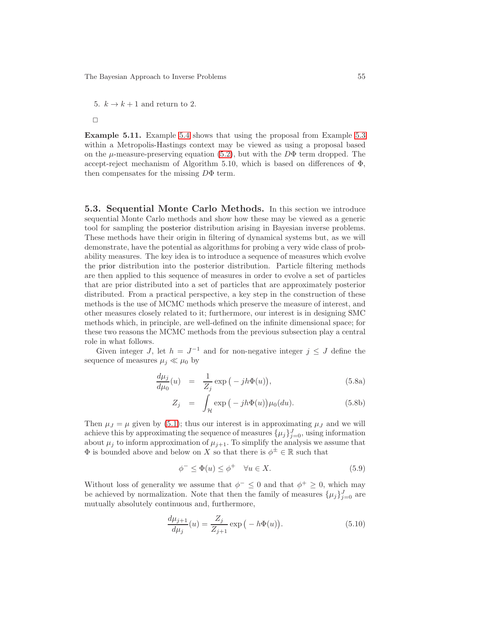5.  $k \to k+1$  and return to 2.

 $\Box$ 

Example 5.11. Example [5.4](#page-49-2) shows that using the proposal from Example [5.3](#page-49-1) within a Metropolis-Hastings context may be viewed as using a proposal based on the  $\mu$ -measure-preserving equation [\(5.2\)](#page-49-3), but with the  $D\Phi$  term dropped. The accept-reject mechanism of Algorithm 5.10, which is based on differences of  $\Phi$ , then compensates for the missing DΦ term.

<span id="page-54-0"></span>5.3. Sequential Monte Carlo Methods. In this section we introduce sequential Monte Carlo methods and show how these may be viewed as a generic tool for sampling the posterior distribution arising in Bayesian inverse problems. These methods have their origin in filtering of dynamical systems but, as we will demonstrate, have the potential as algorithms for probing a very wide class of probability measures. The key idea is to introduce a sequence of measures which evolve the prior distribution into the posterior distribution. Particle filtering methods are then applied to this sequence of measures in order to evolve a set of particles that are prior distributed into a set of particles that are approximately posterior distributed. From a practical perspective, a key step in the construction of these methods is the use of MCMC methods which preserve the measure of interest, and other measures closely related to it; furthermore, our interest is in designing SMC methods which, in principle, are well-defined on the infinite dimensional space; for these two reasons the MCMC methods from the previous subsection play a central role in what follows.

Given integer J, let  $h = J^{-1}$  and for non-negative integer  $j \leq J$  define the sequence of measures  $\mu_j \ll \mu_0$  by

$$
\frac{d\mu_j}{d\mu_0}(u) = \frac{1}{Z_j} \exp\left(-jh\Phi(u)\right),\tag{5.8a}
$$

$$
Z_j = \int_{\mathcal{H}} \exp\left(-jh\Phi(u)\right) \mu_0(du). \tag{5.8b}
$$

Then  $\mu_J = \mu$  given by [\(5.1\)](#page-48-1); thus our interest is in approximating  $\mu_J$  and we will achieve this by approximating the sequence of measures  $\{\mu_j\}_{j=0}^J$ , using information about  $\mu_j$  to inform approximation of  $\mu_{j+1}$ . To simplify the analysis we assume that  $\Phi$  is bounded above and below on X so that there is  $\phi^{\pm} \in \mathbb{R}$  such that

<span id="page-54-1"></span>
$$
\phi^- \le \Phi(u) \le \phi^+ \quad \forall u \in X. \tag{5.9}
$$

Without loss of generality we assume that  $\phi^- \leq 0$  and that  $\phi^+ \geq 0$ , which may be achieved by normalization. Note that then the family of measures  $\{\mu_j\}_{j=0}^J$  are mutually absolutely continuous and, furthermore,

$$
\frac{d\mu_{j+1}}{d\mu_j}(u) = \frac{Z_j}{Z_{j+1}} \exp(-h\Phi(u)).
$$
\n(5.10)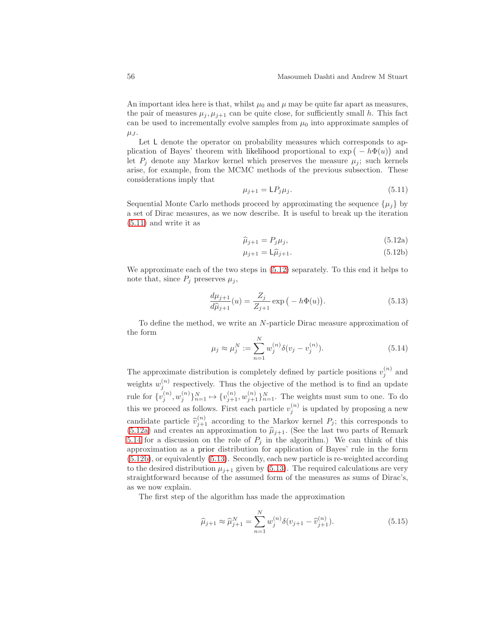An important idea here is that, whilst  $\mu_0$  and  $\mu$  may be quite far apart as measures, the pair of measures  $\mu_i, \mu_{i+1}$  can be quite close, for sufficiently small h. This fact can be used to incrementally evolve samples from  $\mu_0$  into approximate samples of  $\mu_J$ .

Let L denote the operator on probability measures which corresponds to application of Bayes' theorem with likelihood proportional to  $\exp(-h\Phi(u))$  and let  $P_i$  denote any Markov kernel which preserves the measure  $\mu_i$ ; such kernels arise, for example, from the MCMC methods of the previous subsection. These considerations imply that

<span id="page-55-0"></span>
$$
\mu_{j+1} = \mathsf{L}P_j \mu_j. \tag{5.11}
$$

Sequential Monte Carlo methods proceed by approximating the sequence  $\{\mu_i\}$  by a set of Dirac measures, as we now describe. It is useful to break up the iteration [\(5.11\)](#page-55-0) and write it as

<span id="page-55-3"></span><span id="page-55-2"></span><span id="page-55-1"></span>
$$
\widehat{\mu}_{j+1} = P_j \mu_j,\tag{5.12a}
$$

$$
\mu_{j+1} = \mathsf{L}\widehat{\mu}_{j+1}.\tag{5.12b}
$$

We approximate each of the two steps in [\(5.12\)](#page-55-1) separately. To this end it helps to note that, since  $P_j$  preserves  $\mu_j$ ,

<span id="page-55-4"></span>
$$
\frac{d\mu_{j+1}}{d\hat{\mu}_{j+1}}(u) = \frac{Z_j}{Z_{j+1}} \exp\left(-h\Phi(u)\right).
$$
 (5.13)

To define the method, we write an N-particle Dirac measure approximation of the form

<span id="page-55-6"></span>
$$
\mu_j \approx \mu_j^N := \sum_{n=1}^N w_j^{(n)} \delta(v_j - v_j^{(n)}).
$$
\n(5.14)

The approximate distribution is completely defined by particle positions  $v_j^{(n)}$  and weights  $w_j^{(n)}$  respectively. Thus the objective of the method is to find an update rule for  $\{v_j^{(n)}, w_j^{(n)}\}_{n=1}^N \mapsto \{v_{j+1}^{(n)}, w_{j+1}^{(n)}\}_{n=1}^N$ . The weights must sum to one. To do this we proceed as follows. First each particle  $v_j^{(n)}$  is updated by proposing a new candidate particle  $\hat{v}_{j+1}^{(n)}$  according to the Markov kernel  $P_j$ ; this corresponds to [\(5.12a\)](#page-55-2) and creates an approximation to  $\hat{\mu}_{j+1}$ . (See the last two parts of Remark [5.14](#page-58-0) for a discussion on the role of  $P_j$  in the algorithm.) We can think of this approximation as a prior distribution for application of Bayes' rule in the form [\(5.12b\)](#page-55-3), or equivalently [\(5.13\)](#page-55-4). Secondly, each new particle is re-weighted according to the desired distribution  $\mu_{i+1}$  given by [\(5.13\)](#page-55-4). The required calculations are very straightforward because of the assumed form of the measures as sums of Dirac's, as we now explain.

The first step of the algorithm has made the approximation

<span id="page-55-5"></span>
$$
\widehat{\mu}_{j+1} \approx \widehat{\mu}_{j+1}^N = \sum_{n=1}^N w_j^{(n)} \delta(v_{j+1} - \widehat{v}_{j+1}^{(n)}).
$$
\n(5.15)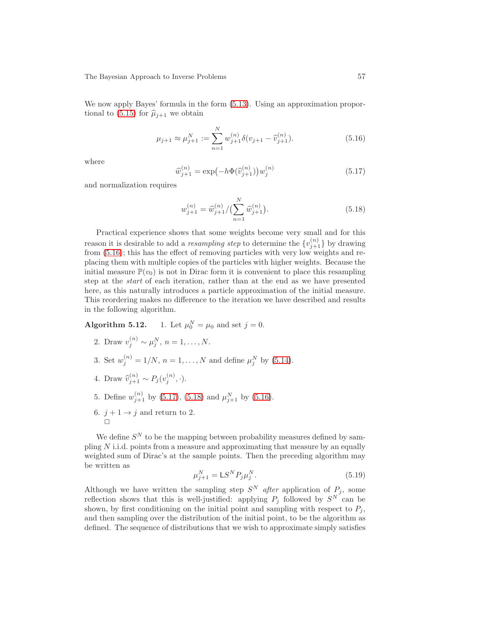We now apply Bayes' formula in the form [\(5.13\)](#page-55-4). Using an approximation propor-tional to [\(5.15\)](#page-55-5) for  $\hat{\mu}_{i+1}$  we obtain

<span id="page-56-0"></span>
$$
\mu_{j+1} \approx \mu_{j+1}^N := \sum_{n=1}^N w_{j+1}^{(n)} \delta(v_{j+1} - \widehat{v}_{j+1}^{(n)}).
$$
\n(5.16)

where

<span id="page-56-1"></span>
$$
\widehat{w}_{j+1}^{(n)} = \exp(-h\Phi(\widehat{v}_{j+1}^{(n)}))w_j^{(n)}
$$
\n(5.17)

and normalization requires

<span id="page-56-2"></span>
$$
w_{j+1}^{(n)} = \widehat{w}_{j+1}^{(n)}/\left(\sum_{n=1}^{N} \widehat{w}_{j+1}^{(n)}\right). \tag{5.18}
$$

Practical experience shows that some weights become very small and for this reason it is desirable to add a *resampling step* to determine the  $\{v_{j+1}^{(n)}\}$  by drawing from [\(5.16\)](#page-56-0); this has the effect of removing particles with very low weights and replacing them with multiple copies of the particles with higher weights. Because the initial measure  $\mathbb{P}(v_0)$  is not in Dirac form it is convenient to place this resampling step at the start of each iteration, rather than at the end as we have presented here, as this naturally introduces a particle approximation of the initial measure. This reordering makes no difference to the iteration we have described and results in the following algorithm.

**Algorithm 5.12.** 1. Let  $\mu_0^N = \mu_0$  and set  $j = 0$ .

- 2. Draw  $v_j^{(n)} \sim \mu_j^N$ ,  $n = 1, ..., N$ .
- 3. Set  $w_j^{(n)} = 1/N$ ,  $n = 1, ..., N$  and define  $\mu_j^N$  by [\(5.14\)](#page-55-6).
- 4. Draw  $\hat{v}_{j+1}^{(n)} \sim P_j(v_j^{(n)})$  $j^{(n)}, \cdot$ ).
- 5. Define  $w_{j+1}^{(n)}$  by [\(5.17\)](#page-56-1), [\(5.18\)](#page-56-2) and  $\mu_{j+1}^{N}$  by [\(5.16\)](#page-56-0).
- 6.  $j + 1 \rightarrow j$  and return to 2.

We define  $S<sup>N</sup>$  to be the mapping between probability measures defined by sampling  $N$  i.i.d. points from a measure and approximating that measure by an equally weighted sum of Dirac's at the sample points. Then the preceding algorithm may be written as

$$
\mu_{j+1}^N = \mathsf{L}S^N P_j \mu_j^N. \tag{5.19}
$$

Although we have written the sampling step  $S<sup>N</sup>$  after application of  $P_j$ , some reflection shows that this is well-justified: applying  $P_j$  followed by  $S^N$  can be shown, by first conditioning on the initial point and sampling with respect to  $P_i$ , and then sampling over the distribution of the initial point, to be the algorithm as defined. The sequence of distributions that we wish to approximate simply satisfies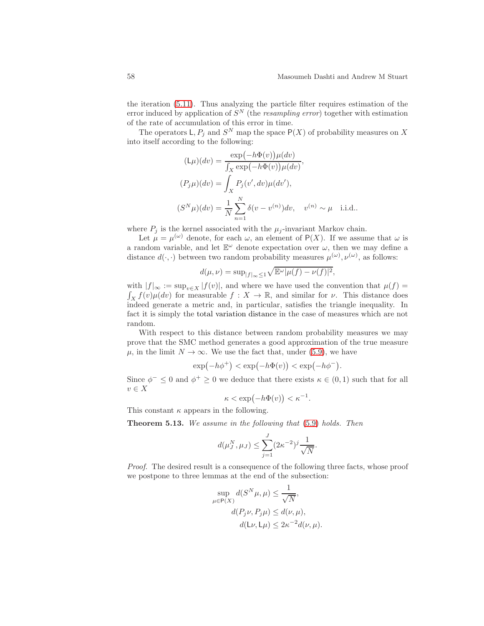the iteration [\(5.11\)](#page-55-0). Thus analyzing the particle filter requires estimation of the error induced by application of  $S<sup>N</sup>$  (the resampling error) together with estimation of the rate of accumulation of this error in time.

The operators  $\mathsf{L}, P_j$  and  $S^N$  map the space  $\mathsf{P}(X)$  of probability measures on X into itself according to the following:

$$
(\mathsf{L}\mu)(dv) = \frac{\exp(-h\Phi(v))\mu(dv)}{\int_X \exp(-h\Phi(v))\mu(dv)},
$$
  
\n
$$
(P_j\mu)(dv) = \int_X P_j(v', dv)\mu(dv'),
$$
  
\n
$$
(S^N\mu)(dv) = \frac{1}{N}\sum_{n=1}^N \delta(v - v^{(n)})dv, \quad v^{(n)} \sim \mu \quad \text{i.i.d.}.
$$

where  $P_i$  is the kernel associated with the  $\mu_i$ -invariant Markov chain.

Let  $\mu = \mu^{(\omega)}$  denote, for each  $\omega$ , an element of P(X). If we assume that  $\omega$  is a random variable, and let  $\mathbb{E}^{\omega}$  denote expectation over  $\omega$ , then we may define a distance  $d(\cdot, \cdot)$  between two random probability measures  $\mu^{(\omega)}, \nu^{(\omega)}$ , as follows:

$$
d(\mu, \nu) = \sup_{|f|_{\infty} \le 1} \sqrt{\mathbb{E}^{\omega} |\mu(f) - \nu(f)|^2},
$$

with  $|f|_{\infty} := \sup_{v \in X} |f(v)|$ , and where we have used the convention that  $\mu(f) =$  $\int_X f(v) \mu(dv)$  for measurable  $f: X \to \mathbb{R}$ , and similar for  $\nu$ . This distance does indeed generate a metric and, in particular, satisfies the triangle inequality. In fact it is simply the total variation distance in the case of measures which are not random.

With respect to this distance between random probability measures we may prove that the SMC method generates a good approximation of the true measure  $\mu$ , in the limit  $N \to \infty$ . We use the fact that, under [\(5.9\)](#page-54-1), we have

$$
\exp(-h\phi^+) < \exp(-h\Phi(v)) < \exp(-h\phi^-).
$$

Since  $\phi^- \leq 0$  and  $\phi^+ \geq 0$  we deduce that there exists  $\kappa \in (0,1)$  such that for all  $v \in X$ 

$$
\kappa < \exp(-h\Phi(v)) < \kappa^{-1}.
$$

<span id="page-57-0"></span>This constant  $\kappa$  appears in the following.

Theorem 5.13. We assume in the following that [\(5.9\)](#page-54-1) holds. Then

$$
d(\mu^N_J, \mu_J) \le \sum_{j=1}^J (2\kappa^{-2})^j \frac{1}{\sqrt{N}}.
$$

Proof. The desired result is a consequence of the following three facts, whose proof we postpone to three lemmas at the end of the subsection:

$$
\sup_{\mu \in \mathcal{P}(X)} d(S^N \mu, \mu) \le \frac{1}{\sqrt{N}},
$$
  
\n
$$
d(P_j \nu, P_j \mu) \le d(\nu, \mu),
$$
  
\n
$$
d(\mathsf{L}\nu, \mathsf{L}\mu) \le 2\kappa^{-2}d(\nu, \mu).
$$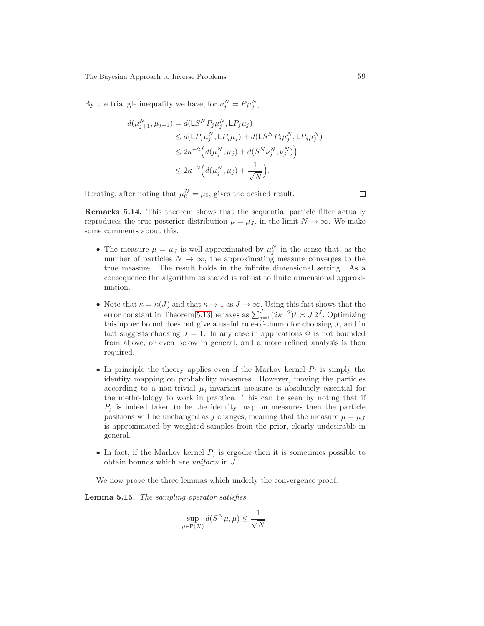By the triangle inequality we have, for  $\nu_j^N = P \mu_j^N$ ,

$$
d(\mu_{j+1}^N, \mu_{j+1}) = d(\mathsf{L}S^N P_j \mu_j^N, \mathsf{L}P_j \mu_j)
$$
  
\n
$$
\leq d(\mathsf{L}P_j \mu_j^N, \mathsf{L}P_j \mu_j) + d(\mathsf{L}S^N P_j \mu_j^N, \mathsf{L}P_j \mu_j^N)
$$
  
\n
$$
\leq 2\kappa^{-2} \Big( d(\mu_j^N, \mu_j) + d(S^N \nu_j^N, \nu_j^N) \Big)
$$
  
\n
$$
\leq 2\kappa^{-2} \Big( d(\mu_j^N, \mu_j) + \frac{1}{\sqrt{N}} \Big).
$$

<span id="page-58-0"></span>Iterating, after noting that  $\mu_0^N = \mu_0$ , gives the desired result.

Remarks 5.14. This theorem shows that the sequential particle filter actually reproduces the true posterior distribution  $\mu = \mu_J$ , in the limit  $N \to \infty$ . We make some comments about this.

- The measure  $\mu = \mu_J$  is well-approximated by  $\mu_j^N$  in the sense that, as the number of particles  $N \to \infty$ , the approximating measure converges to the true measure. The result holds in the infinite dimensional setting. As a consequence the algorithm as stated is robust to finite dimensional approximation.
- Note that  $\kappa = \kappa(J)$  and that  $\kappa \to 1$  as  $J \to \infty$ . Using this fact shows that the error constant in Theorem [5.13](#page-57-0) behaves as  $\sum_{j=1}^{J} (2\kappa^{-2})^j \asymp J 2^J$ . Optimizing this upper bound does not give a useful rule-of-thumb for choosing  $J$ , and in fact suggests choosing  $J = 1$ . In any case in applications  $\Phi$  is not bounded from above, or even below in general, and a more refined analysis is then required.
- In principle the theory applies even if the Markov kernel  $P_j$  is simply the identity mapping on probability measures. However, moving the particles according to a non-trivial  $\mu_i$ -invariant measure is absolutely essential for the methodology to work in practice. This can be seen by noting that if  $P_i$  is indeed taken to be the identity map on measures then the particle positions will be unchanged as j changes, meaning that the measure  $\mu = \mu_J$ is approximated by weighted samples from the prior, clearly undesirable in general.
- In fact, if the Markov kernel  $P_j$  is ergodic then it is sometimes possible to obtain bounds which are uniform in J.

We now prove the three lemmas which underly the convergence proof.

Lemma 5.15. The sampling operator satisfies

$$
\sup_{\mu \in \mathsf{P}(X)} d(S^N \mu, \mu) \le \frac{1}{\sqrt{N}}.
$$

□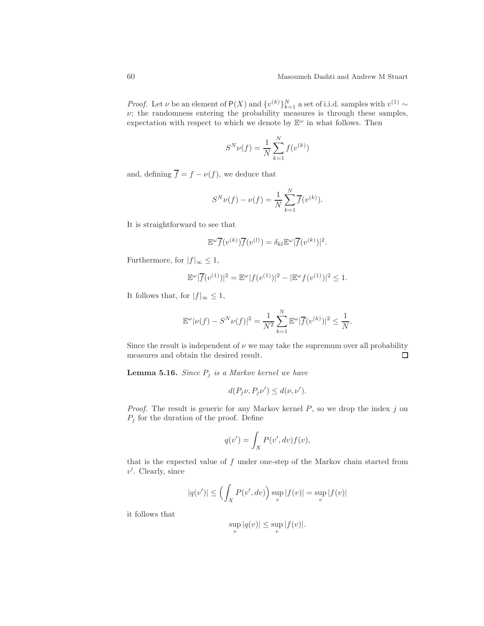*Proof.* Let  $\nu$  be an element of P(X) and  $\{v^{(k)}\}_{k=1}^N$  a set of i.i.d. samples with  $v^{(1)} \sim$  $\nu$ ; the randomness entering the probability measures is through these samples, expectation with respect to which we denote by  $\mathbb{E}^{\omega}$  in what follows. Then

$$
S^{N} \nu(f) = \frac{1}{N} \sum_{k=1}^{N} f(v^{(k)})
$$

and, defining  $\overline{f} = f - \nu(f)$ , we deduce that

$$
S^{N} \nu(f) - \nu(f) = \frac{1}{N} \sum_{k=1}^{N} \overline{f}(v^{(k)}).
$$

It is straightforward to see that

$$
\mathbb{E}^{\omega}\overline{f}(v^{(k)})\overline{f}(v^{(l)}) = \delta_{kl}\mathbb{E}^{\omega}|\overline{f}(v^{(k)})|^2.
$$

Furthermore, for  $|f|_{\infty} \leq 1$ ,

$$
\mathbb{E}^{\omega} |\overline{f}(v^{(1)})|^2 = \mathbb{E}^{\omega} |f(v^{(1)})|^2 - |\mathbb{E}^{\omega} f(v^{(1)})|^2 \le 1.
$$

It follows that, for  $|f|_{\infty} \leq 1$ ,

$$
\mathbb{E}^{\omega}|\nu(f) - S^{N}\nu(f)|^{2} = \frac{1}{N^{2}}\sum_{k=1}^{N}\mathbb{E}^{\omega}|\overline{f}(v^{(k)})|^{2} \le \frac{1}{N}.
$$

Since the result is independent of  $\nu$  we may take the supremum over all probability measures and obtain the desired result.  $\Box$ 

**Lemma 5.16.** Since  $P_j$  is a Markov kernel we have

$$
d(P_j \nu, P_j \nu') \leq d(\nu, \nu').
$$

*Proof.* The result is generic for any Markov kernel  $P$ , so we drop the index  $j$  on  $P_j$  for the duration of the proof. Define

$$
q(v') = \int_X P(v', dv) f(v),
$$

that is the expected value of  $f$  under one-step of the Markov chain started from  $v'$ . Clearly, since

$$
|q(v')| \le \left(\int_X P(v', dv)\right) \sup_v |f(v)| = \sup_v |f(v)|
$$

it follows that

$$
\sup_v |q(v)| \le \sup_v |f(v)|.
$$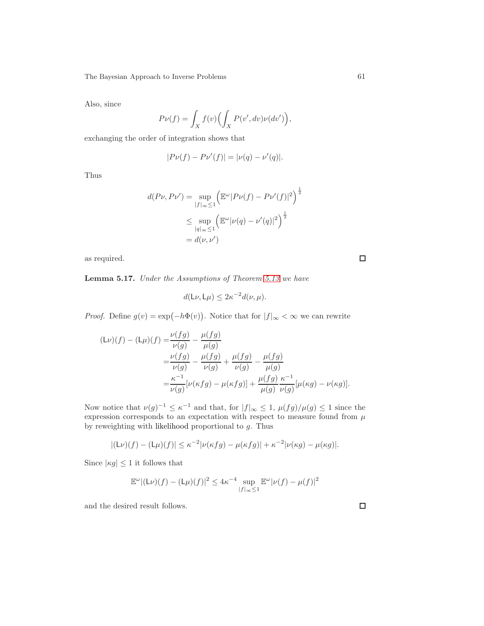Also, since

$$
P\nu(f) = \int_X f(v) \Bigl( \int_X P(v', dv) \nu(dv') \Bigr),
$$

exchanging the order of integration shows that

$$
|P\nu(f) - P\nu'(f)| = |\nu(q) - \nu'(q)|.
$$

Thus

$$
d(P\nu, P\nu') = \sup_{|f|_{\infty} \le 1} \left( \mathbb{E}^{\omega} |P\nu(f) - P\nu'(f)|^2 \right)^{\frac{1}{2}}
$$
  

$$
\le \sup_{|q|_{\infty} \le 1} \left( \mathbb{E}^{\omega} |\nu(q) - \nu'(q)|^2 \right)^{\frac{1}{2}}
$$
  

$$
= d(\nu, \nu')
$$

as required.

Lemma 5.17. Under the Assumptions of Theorem [5.13](#page-57-0) we have

$$
d(\mathsf{L}\nu,\mathsf{L}\mu) \leq 2\kappa^{-2}d(\nu,\mu).
$$

*Proof.* Define  $g(v) = \exp(-h\Phi(v))$ . Notice that for  $|f|_{\infty} < \infty$  we can rewrite

$$
(\mathsf{L}\nu)(f) - (\mathsf{L}\mu)(f) = \frac{\nu(fg)}{\nu(g)} - \frac{\mu(fg)}{\mu(g)} \n= \frac{\nu(fg)}{\nu(g)} - \frac{\mu(fg)}{\nu(g)} + \frac{\mu(fg)}{\nu(g)} - \frac{\mu(fg)}{\mu(g)} \n= \frac{\kappa^{-1}}{\nu(g)} [\nu(\kappa fg) - \mu(\kappa fg)] + \frac{\mu(fg)}{\mu(g)} \frac{\kappa^{-1}}{\nu(g)} [\mu(\kappa g) - \nu(\kappa g)].
$$

Now notice that  $\nu(g)^{-1} \leq \kappa^{-1}$  and that, for  $|f|_{\infty} \leq 1$ ,  $\mu(fg)/\mu(g) \leq 1$  since the expression corresponds to an expectation with respect to measure found from  $\mu$ by reweighting with likelihood proportional to  $g$ . Thus

$$
|(L\nu)(f) - (L\mu)(f)| \le \kappa^{-2} |\nu(\kappa fg) - \mu(\kappa fg)| + \kappa^{-2} |\nu(\kappa g) - \mu(\kappa g)|.
$$

Since  $|\kappa g| \leq 1$  it follows that

$$
\mathbb{E}^{\omega} |(\mathsf{L}\nu)(f) - (\mathsf{L}\mu)(f)|^2 \le 4\kappa^{-4} \sup_{|f|_{\infty} \le 1} \mathbb{E}^{\omega} |\nu(f) - \mu(f)|^2
$$

and the desired result follows.

 $\Box$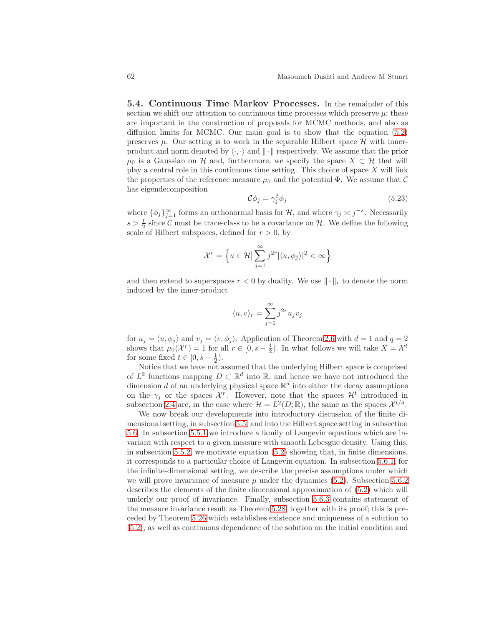<span id="page-61-0"></span>5.4. Continuous Time Markov Processes. In the remainder of this section we shift our attention to continuous time processes which preserve  $\mu$ ; these are important in the construction of proposals for MCMC methods, and also as diffusion limits for MCMC. Our main goal is to show that the equation [\(5.2\)](#page-49-3) preserves  $\mu$ . Our setting is to work in the separable Hilbert space  $\mathcal{H}$  with innerproduct and norm denoted by  $\langle \cdot, \cdot \rangle$  and  $\| \cdot \|$  respectively. We assume that the prior  $\mu_0$  is a Gaussian on H and, furthermore, we specify the space  $X \subset \mathcal{H}$  that will play a central role in this continuous time setting. This choice of space  $X$  will link the properties of the reference measure  $\mu_0$  and the potential  $\Phi$ . We assume that C has eigendecomposition

$$
\mathcal{C}\phi_j = \gamma_j^2 \phi_j \tag{5.23}
$$

where  $\{\phi_j\}_{j=1}^{\infty}$  forms an orthonormal basis for  $\mathcal{H}$ , and where  $\gamma_j \asymp j^{-s}$ . Necessarily  $s > \frac{1}{2}$  since C must be trace-class to be a covariance on H. We define the following scale of Hilbert subspaces, defined for  $r > 0$ , by

$$
\mathcal{X}^r = \left\{ u \in \mathcal{H} \, \Big| \, \sum_{j=1}^{\infty} j^{2r} |\langle u, \phi_j \rangle|^2 < \infty \right\}
$$

and then extend to superspaces  $r < 0$  by duality. We use  $\|\cdot\|_r$  to denote the norm induced by the inner-product

$$
\langle u, v \rangle_r = \sum_{j=1}^\infty j^{2r} u_j v_j
$$

for  $u_j = \langle u, \phi_j \rangle$  and  $v_j = \langle v, \phi_j \rangle$ . Application of Theorem [2.6](#page-13-0) with  $d = 1$  and  $q = 2$ shows that  $\mu_0(\mathcal{X}^r) = 1$  for all  $r \in [0, s - \frac{1}{2})$ . In what follows we will take  $X = \mathcal{X}^t$ for some fixed  $t \in [0, s - \frac{1}{2})$ .

Notice that we have not assumed that the underlying Hilbert space is comprised of  $L^2$  functions mapping  $D \subset \mathbb{R}^d$  into  $\mathbb{R}$ , and hence we have not introduced the dimension d of an underlying physical space  $\mathbb{R}^d$  into either the decay assumptions on the  $\gamma_j$  or the spaces  $\mathcal{X}^r$ . However, note that the spaces  $\mathcal{H}^t$  introduced in subsection [2.4](#page-17-0) are, in the case where  $\mathcal{H} = L^2(D;\mathbb{R})$ , the same as the spaces  $\mathcal{X}^{t/d}$ .

We now break our developments into introductory discussion of the finite dimensional setting, in subsection [5.5,](#page-62-0) and into the Hilbert space setting in subsection [5.6.](#page-65-0) In subsection [5.5.1](#page-62-1) we introduce a family of Langevin equations which are invariant with respect to a given measure with smooth Lebesgue density. Using this, in subsection [5.5.2,](#page-64-0) we motivate equation [\(5.2\)](#page-49-3) showing that, in finite dimensions, it corresponds to a particular choice of Langevin equation. In subsection [5.6.1,](#page-65-1) for the infinite-dimensional setting, we describe the precise assumptions under which we will prove invariance of measure  $\mu$  under the dynamics [\(5.2\)](#page-49-3). Subsection [5.6.2](#page-66-0) describes the elements of the finite dimensional approximation of [\(5.2\)](#page-49-3) which will underly our proof of invariance. Finally, subsection [5.6.3](#page-68-0) contains statement of the measure invariance result as Theorem [5.28,](#page-70-0) together with its proof; this is preceded by Theorem [5.26](#page-68-1) which establishes existence and uniqueness of a solution to [\(5.2\)](#page-49-3), as well as continuous dependence of the solution on the initial condition and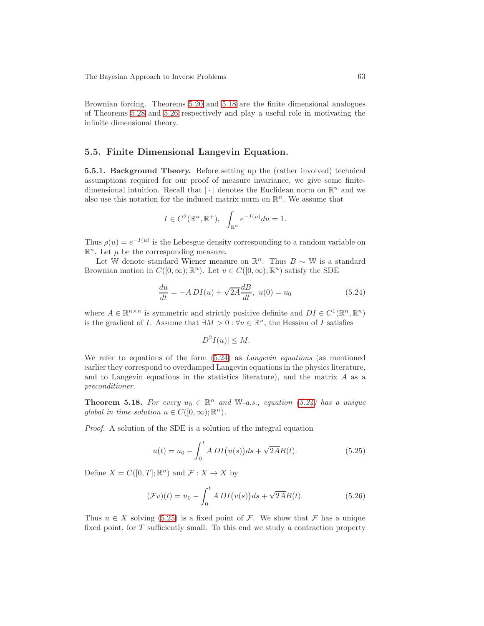Brownian forcing. Theorems [5.20](#page-63-0) and [5.18](#page-62-2) are the finite dimensional analogues of Theorems [5.28](#page-70-0) and [5.26](#page-68-1) respectively and play a useful role in motivating the infinite dimensional theory.

## <span id="page-62-1"></span><span id="page-62-0"></span>5.5. Finite Dimensional Langevin Equation.

5.5.1. Background Theory. Before setting up the (rather involved) technical assumptions required for our proof of measure invariance, we give some finitedimensional intuition. Recall that  $|\cdot|$  denotes the Euclidean norm on  $\mathbb{R}^n$  and we also use this notation for the induced matrix norm on  $\mathbb{R}^n$ . We assume that

$$
I \in C^2(\mathbb{R}^n, \mathbb{R}^+), \quad \int_{\mathbb{R}^n} e^{-I(u)} du = 1.
$$

Thus  $\rho(u) = e^{-I(u)}$  is the Lebesgue density corresponding to a random variable on  $\mathbb{R}^n$ . Let  $\mu$  be the corresponding measure.

Let W denote standard Wiener measure on  $\mathbb{R}^n$ . Thus  $B \sim \mathbb{W}$  is a standard Brownian motion in  $C([0,\infty);\mathbb{R}^n)$ . Let  $u \in C([0,\infty);\mathbb{R}^n)$  satisfy the SDE

<span id="page-62-3"></span>
$$
\frac{du}{dt} = -A DI(u) + \sqrt{2A} \frac{dB}{dt}, \ u(0) = u_0 \tag{5.24}
$$

where  $A \in \mathbb{R}^{n \times n}$  is symmetric and strictly positive definite and  $DI \in C^1(\mathbb{R}^n, \mathbb{R}^n)$ is the gradient of *I*. Assume that  $\exists M > 0 : \forall u \in \mathbb{R}^n$ , the Hessian of *I* satisfies

$$
|D^2I(u)| \le M.
$$

We refer to equations of the form  $(5.24)$  as *Langevin equations* (as mentioned earlier they correspond to overdamped Langevin equations in the physics literature, and to Langevin equations in the statistics literature), and the matrix  $A$  as a preconditioner.

<span id="page-62-2"></span>**Theorem 5.18.** For every  $u_0 \in \mathbb{R}^n$  and W-a.s., equation [\(5.24\)](#page-62-3) has a unique global in time solution  $u \in C([0,\infty);\mathbb{R}^n)$ .

Proof. A solution of the SDE is a solution of the integral equation

<span id="page-62-4"></span>
$$
u(t) = u_0 - \int_0^t ADI(u(s))ds + \sqrt{2AB}(t).
$$
 (5.25)

Define  $X = C([0, T]; \mathbb{R}^n)$  and  $\mathcal{F}: X \to X$  by

$$
(\mathcal{F}v)(t) = u_0 - \int_0^t A \, DI(v(s)) \, ds + \sqrt{2A} B(t). \tag{5.26}
$$

Thus  $u \in X$  solving [\(5.25\)](#page-62-4) is a fixed point of F. We show that F has a unique fixed point, for T sufficiently small. To this end we study a contraction property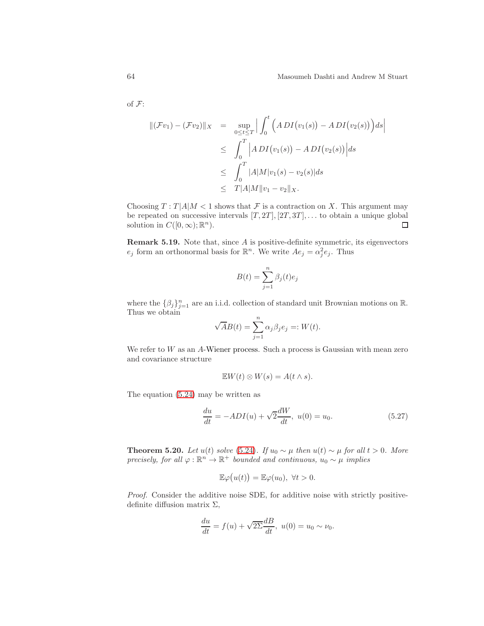of F:

$$
\begin{array}{rcl} ||(\mathcal{F}v_1) - (\mathcal{F}v_2)||_X & = & \sup_{0 \le t \le T} \Big| \int_0^t \Big( A \, DI\big(v_1(s)\big) - A \, DI\big(v_2(s)\big) \Big) ds \Big| \\ & \le \int_0^T \Big| A \, DI\big(v_1(s)\big) - A \, DI\big(v_2(s)\big) \Big| ds \\ & \le \int_0^T |A| M |v_1(s) - v_2(s)| ds \\ & \le T |A| M \|v_1 - v_2\|_X. \end{array}
$$

Choosing  $T: T |A|M < 1$  shows that  $\mathcal F$  is a contraction on X. This argument may be repeated on successive intervals  $[T, 2T]$ ,  $[2T, 3T]$ , ... to obtain a unique global solution in  $C([0,\infty);\mathbb{R}^n)$ .  $\Box$ 

**Remark 5.19.** Note that, since  $A$  is positive-definite symmetric, its eigenvectors  $e_j$  form an orthonormal basis for  $\mathbb{R}^n$ . We write  $Ae_j = \alpha_j^2 e_j$ . Thus

$$
B(t) = \sum_{j=1}^{n} \beta_j(t)e_j
$$

where the  $\{\beta_j\}_{j=1}^n$  are an i.i.d. collection of standard unit Brownian motions on R. Thus we obtain

$$
\sqrt{A}B(t) = \sum_{j=1}^{n} \alpha_j \beta_j e_j =: W(t).
$$

We refer to W as an A-Wiener process. Such a process is Gaussian with mean zero and covariance structure

$$
\mathbb{E}W(t)\otimes W(s)=A(t\wedge s).
$$

The equation [\(5.24\)](#page-62-3) may be written as

$$
\frac{du}{dt} = -ADI(u) + \sqrt{2}\frac{dW}{dt}, \ u(0) = u_0.
$$
\n(5.27)

<span id="page-63-0"></span>**Theorem 5.20.** Let  $u(t)$  solve [\(5.24\)](#page-62-3). If  $u_0 \sim \mu$  then  $u(t) \sim \mu$  for all  $t > 0$ . More precisely, for all  $\varphi : \mathbb{R}^n \to \mathbb{R}^+$  bounded and continuous,  $u_0 \sim \mu$  implies

$$
\mathbb{E}\varphi(u(t))=\mathbb{E}\varphi(u_0),\ \forall t>0.
$$

Proof. Consider the additive noise SDE, for additive noise with strictly positivedefinite diffusion matrix  $\Sigma$ ,

$$
\frac{du}{dt} = f(u) + \sqrt{2\Sigma} \frac{dB}{dt}, \ u(0) = u_0 \sim \nu_0.
$$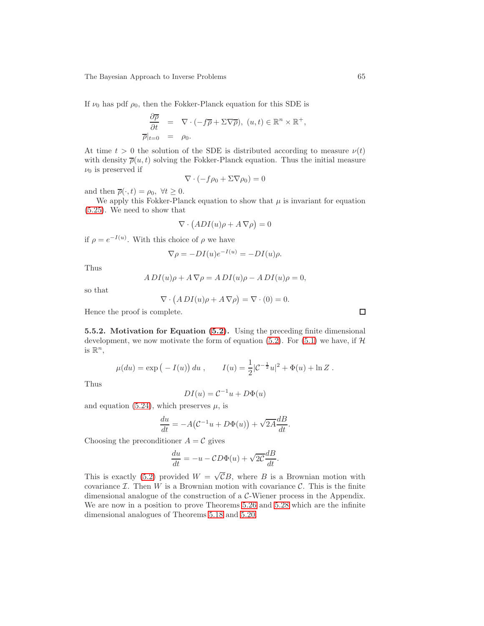If  $\nu_0$  has pdf  $\rho_0$ , then the Fokker-Planck equation for this SDE is

$$
\frac{\partial \overline{\rho}}{\partial t} = \nabla \cdot (-f\overline{\rho} + \Sigma \nabla \overline{\rho}), (u, t) \in \mathbb{R}^n \times \mathbb{R}^+,
$$
  
\n
$$
\overline{\rho}|_{t=0} = \rho_0.
$$

At time  $t > 0$  the solution of the SDE is distributed according to measure  $\nu(t)$ with density  $\overline{\rho}(u, t)$  solving the Fokker-Planck equation. Thus the initial measure  $\nu_0$  is preserved if

$$
\nabla \cdot (-f\rho_0 + \Sigma \nabla \rho_0) = 0
$$

and then  $\overline{\rho}(\cdot,t) = \rho_0, \forall t \geq 0.$ 

We apply this Fokker-Planck equation to show that  $\mu$  is invariant for equation [\(5.25\)](#page-62-4). We need to show that

$$
\nabla \cdot \big( ADI(u)\rho + A \,\nabla \rho \big) = 0
$$

if  $\rho = e^{-I(u)}$ . With this choice of  $\rho$  we have

$$
\nabla \rho = -DI(u)e^{-I(u)} = -DI(u)\rho.
$$

Thus

$$
A DI(u)\rho + A \nabla \rho = ADI(u)\rho - ADI(u)\rho = 0,
$$

so that

$$
\nabla \cdot (ADI(u)\rho + A \nabla \rho) = \nabla \cdot (0) = 0.
$$

Hence the proof is complete.

<span id="page-64-0"></span>5.5.2. Motivation for Equation [\(5.2\)](#page-49-3). Using the preceding finite dimensional development, we now motivate the form of equation [\(5.2\)](#page-49-3). For [\(5.1\)](#page-48-1) we have, if  $\mathcal H$ is  $\mathbb{R}^n$ ,

$$
\mu(du) = \exp(-I(u)) du
$$
,  $I(u) = \frac{1}{2}|\mathcal{C}^{-\frac{1}{2}}u|^2 + \Phi(u) + \ln Z$ .

Thus

$$
DI(u) = \mathcal{C}^{-1}u + D\Phi(u)
$$

and equation [\(5.24\)](#page-62-3), which preserves  $\mu$ , is

$$
\frac{du}{dt} = -A(C^{-1}u + D\Phi(u)) + \sqrt{2A}\frac{dB}{dt}.
$$

Choosing the preconditioner  $A = C$  gives

$$
\frac{du}{dt} = -u - CD\Phi(u) + \sqrt{2C} \frac{dB}{dt}.
$$

This is exactly [\(5.2\)](#page-49-3) provided  $W = \sqrt{C}B$ , where B is a Brownian motion with covariance  $\mathcal I$ . Then  $W$  is a Brownian motion with covariance  $\mathcal C$ . This is the finite dimensional analogue of the construction of a C-Wiener process in the Appendix. We are now in a position to prove Theorems [5.26](#page-68-1) and [5.28](#page-70-0) which are the infinite dimensional analogues of Theorems [5.18](#page-62-2) and [5.20.](#page-63-0)

 $\Box$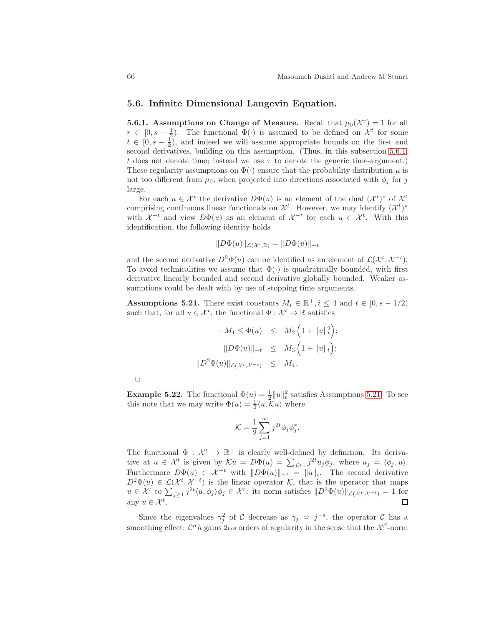## <span id="page-65-0"></span>5.6. Infinite Dimensional Langevin Equation.

<span id="page-65-1"></span>**5.6.1.** Assumptions on Change of Measure. Recall that  $\mu_0(\mathcal{X}^r) = 1$  for all  $r \in [0, s - \frac{1}{2})$ . The functional  $\Phi(\cdot)$  is assumed to be defined on  $\mathcal{X}^t$  for some  $t \in [0, s - \frac{1}{2})$ , and indeed we will assume appropriate bounds on the first and second derivatives, building on this assumption. (Thus, in this subsection [5.6.1,](#page-65-1) t does not denote time; instead we use  $\tau$  to denote the generic time-argument.) These regularity assumptions on  $\Phi(\cdot)$  ensure that the probability distribution  $\mu$  is not too different from  $\mu_0$ , when projected into directions associated with  $\phi_i$  for j large.

For each  $u \in \mathcal{X}^t$  the derivative  $D\Phi(u)$  is an element of the dual  $(\mathcal{X}^t)^*$  of  $\mathcal{X}^t$ comprising continuous linear functionals on  $\mathcal{X}^t$ . However, we may identify  $(\mathcal{X}^t)^*$ with  $\mathcal{X}^{-t}$  and view  $D\Phi(u)$  as an element of  $\mathcal{X}^{-t}$  for each  $u \in \mathcal{X}^{t}$ . With this identification, the following identity holds

$$
||D\Phi(u)||_{\mathcal{L}(\mathcal{X}^t,\mathbb{R})} = ||D\Phi(u)||_{-t}
$$

and the second derivative  $D^2\Phi(u)$  can be identified as an element of  $\mathcal{L}(\mathcal{X}^t, \mathcal{X}^{-t})$ . To avoid technicalities we assume that  $\Phi(\cdot)$  is quadratically bounded, with first derivative linearly bounded and second derivative globally bounded. Weaker assumptions could be dealt with by use of stopping time arguments.

<span id="page-65-2"></span>Assumptions 5.21. There exist constants  $M_i \in \mathbb{R}^+, i \leq 4$  and  $t \in [0, s - 1/2)$ such that, for all  $u \in \mathcal{X}^t$ , the functional  $\Phi: \mathcal{X}^t \to \mathbb{R}$  satisfies

$$
-M_1 \leq \Phi(u) \leq M_2 \left(1 + \|u\|_t^2\right);
$$
  

$$
\|D\Phi(u)\|_{-t} \leq M_3 \left(1 + \|u\|_t\right);
$$
  

$$
\|D^2\Phi(u)\|_{\mathcal{L}(\mathcal{X}^t, \mathcal{X}^{-t})} \leq M_4.
$$

 $\Box$ 

**Example 5.22.** The functional  $\Phi(u) = \frac{1}{2} ||u||_t^2$  satisfies Assumptions [5.21.](#page-65-2) To see this note that we may write  $\Phi(u) = \frac{1}{2} \langle u, \overline{k}u \rangle$  where

$$
\mathcal{K} = \frac{1}{2} \sum_{j=1}^{\infty} j^{2t} \phi_j \phi_j^*.
$$

The functional  $\Phi : \mathcal{X}^t \to \mathbb{R}^+$  is clearly well-defined by definition. Its derivative at  $u \in \mathcal{X}^t$  is given by  $\mathcal{K}u = D\Phi(u) = \sum_{j\geq 1} j^{2t} u_j \phi_j$ , where  $u_j = \langle \phi_j, u \rangle$ . Furthermore  $D\Phi(u) \in \mathcal{X}^{-t}$  with  $||D\Phi(u)||_{-t} = ||u||_{t}$ . The second derivative  $D^2\Phi(u) \in \mathcal{L}(\mathcal{X}^t, \mathcal{X}^{-t})$  is the linear operator K, that is the operator that maps  $u \in \mathcal{X}^t$  to  $\sum_{j\geq 1} j^{2t} \langle u, \phi_j \rangle \phi_j \in \mathcal{X}^t$ : its norm satisfies  $||D^2 \Phi(u)||_{\mathcal{L}(\mathcal{X}^t, \mathcal{X}^{-t})} = 1$  for any  $u \in \mathcal{X}^t$ .  $\Box$ 

Since the eigenvalues  $\gamma_j^2$  of C decrease as  $\gamma_j \approx j^{-s}$ , the operator C has a smoothing effect:  $C^{\alpha}h$  gains  $2\alpha s$  orders of regularity in the sense that the  $\mathcal{X}^{\beta}$ -norm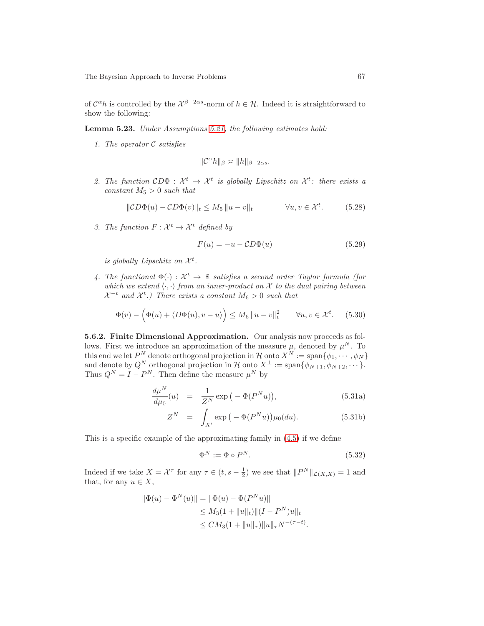<span id="page-66-2"></span>of  $C^{\alpha}h$  is controlled by the  $\mathcal{X}^{\beta-2\alpha s}$ -norm of  $h \in \mathcal{H}$ . Indeed it is straightforward to show the following:

Lemma 5.23. Under Assumptions [5.21,](#page-65-2) the following estimates hold:

1. The operator  $\mathcal C$  satisfies

$$
\|\mathcal{C}^\alpha h\|_\beta\asymp \|h\|_{\beta-2\alpha s}.
$$

2. The function  $CD\Phi : \mathcal{X}^t \to \mathcal{X}^t$  is globally Lipschitz on  $\mathcal{X}^t$ : there exists a  $constant M_5 > 0$  such that

$$
\|\mathcal{C}D\Phi(u) - \mathcal{C}D\Phi(v)\|_{t} \le M_5 \|u - v\|_{t} \qquad \forall u, v \in \mathcal{X}^t. \tag{5.28}
$$

3. The function  $F: \mathcal{X}^t \to \mathcal{X}^t$  defined by

<span id="page-66-1"></span>
$$
F(u) = -u - CD\Phi(u)
$$
\n(5.29)

is globally Lipschitz on  $\mathcal{X}^t$ .

4. The functional  $\Phi(\cdot): \mathcal{X}^t \to \mathbb{R}$  satisfies a second order Taylor formula (for which we extend  $\langle \cdot, \cdot \rangle$  from an inner-product on X to the dual pairing between  $\mathcal{X}^{-t}$  and  $\mathcal{X}^{t}$ .) There exists a constant  $M_6 > 0$  such that

$$
\Phi(v) - \left(\Phi(u) + \langle D\Phi(u), v - u \rangle\right) \le M_6 \|u - v\|_t^2 \quad \forall u, v \in \mathcal{X}^t. \tag{5.30}
$$

<span id="page-66-0"></span>5.6.2. Finite Dimensional Approximation. Our analysis now proceeds as follows. First we introduce an approximation of the measure  $\mu$ , denoted by  $\mu^N$ . To this end we let  $P^N$  denote orthogonal projection in  $\mathcal{H}$  onto  $X^N := \text{span}\{\phi_1, \cdots, \phi_N\}$ and denote by  $Q^N$  orthogonal projection in  $\mathcal H$  onto  $X^{\perp} := \text{span}\{\phi_{N+1}, \phi_{N+2}, \cdots\}.$ Thus  $Q^N = I - P^N$ . Then define the measure  $\mu^N$  by

$$
\frac{d\mu^N}{d\mu_0}(u) = \frac{1}{Z^N} \exp\left(-\Phi(P^N u)\right),\tag{5.31a}
$$

$$
Z^N = \int_{X'} \exp\left(-\Phi(P^N u)\right) \mu_0(du). \tag{5.31b}
$$

This is a specific example of the approximating family in [\(4.5\)](#page-39-5) if we define

<span id="page-66-3"></span>
$$
\Phi^N := \Phi \circ P^N. \tag{5.32}
$$

Indeed if we take  $X = \mathcal{X}^{\tau}$  for any  $\tau \in (t, s - \frac{1}{2})$  we see that  $||P^N||_{\mathcal{L}(X,X)} = 1$  and that, for any  $u \in X$ ,

$$
\|\Phi(u) - \Phi^N(u)\| = \|\Phi(u) - \Phi(P^N u)\|
$$
  
\n
$$
\leq M_3(1 + \|u\|_t) \|(I - P^N)u\|_t
$$
  
\n
$$
\leq CM_3(1 + \|u\|_\tau) \|u\|_\tau N^{-(\tau - t)}.
$$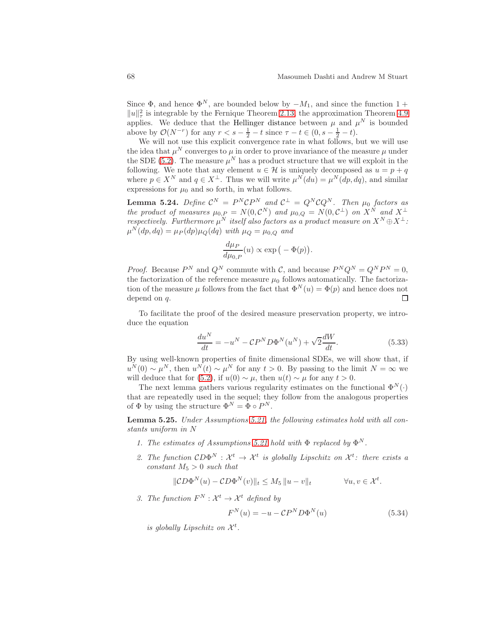Since  $\Phi$ , and hence  $\Phi^N$ , are bounded below by  $-M_1$ , and since the function 1 +  $||u||_{\tau}^2$  is integrable by the Fernique Theorem [2.13,](#page-20-0) the approximation Theorem [4.9](#page-40-2) applies. We deduce that the Hellinger distance between  $\mu$  and  $\mu^N$  is bounded above by  $\mathcal{O}(N^{-r})$  for any  $r < s - \frac{1}{2} - t$  since  $\tau - t \in (0, s - \frac{1}{2} - t)$ .

We will not use this explicit convergence rate in what follows, but we will use the idea that  $\mu^N$  converges to  $\mu$  in order to prove invariance of the measure  $\mu$  under the SDE [\(5.2\)](#page-49-3). The measure  $\mu^N$  has a product structure that we will exploit in the following. We note that any element  $u \in \mathcal{H}$  is uniquely decomposed as  $u = p + q$ where  $p \in X^N$  and  $q \in X^{\perp}$ . Thus we will write  $\mu^N(du) = \mu^N(dp, dq)$ , and similar expressions for  $\mu_0$  and so forth, in what follows.

<span id="page-67-2"></span>**Lemma 5.24.** Define  $C^N = P^N CP^N$  and  $C^{\perp} = Q^N C Q^N$ . Then  $\mu_0$  factors as the product of measures  $\mu_{0,P} = N(0, \mathcal{C}^N)$  and  $\mu_{0,Q} = N(0, \mathcal{C}^{\perp})$  on  $X^N$  and  $X^{\perp}$ respectively. Furthermore  $\mu^N$  itself also factors as a product measure on  $X^N \oplus X^{\perp}$ :  $\mu^N(dp,dq) = \mu_P(dp)\mu_Q(dq)$  with  $\mu_Q = \mu_{0,Q}$  and

$$
\frac{d\mu_P}{d\mu_{0,P}}(u) \propto \exp\big(-\Phi(p)\big).
$$

*Proof.* Because  $P^N$  and  $Q^N$  commute with C, and because  $P^N Q^N = Q^N P^N = 0$ , the factorization of the reference measure  $\mu_0$  follows automatically. The factorization of the measure  $\mu$  follows from the fact that  $\Phi^{N}(u) = \Phi(p)$  and hence does not depend on q.  $\Box$ 

To facilitate the proof of the desired measure preservation property, we introduce the equation

<span id="page-67-0"></span>
$$
\frac{du^N}{dt} = -u^N - \mathcal{C}P^N D\Phi^N(u^N) + \sqrt{2}\frac{dW}{dt}.\tag{5.33}
$$

By using well-known properties of finite dimensional SDEs, we will show that, if  $u^N(0) \sim \mu^N$ , then  $u^N(t) \sim \mu^N$  for any  $t > 0$ . By passing to the limit  $N = \infty$  we will deduce that for [\(5.2\)](#page-49-3), if  $u(0) \sim \mu$ , then  $u(t) \sim \mu$  for any  $t > 0$ .

The next lemma gathers various regularity estimates on the functional  $\Phi^N(\cdot)$ that are repeatedly used in the sequel; they follow from the analogous properties of  $\Phi$  by using the structure  $\Phi^N = \Phi \circ P^N$ .

<span id="page-67-1"></span>Lemma 5.25. Under Assumptions [5.21,](#page-65-2) the following estimates hold with all constants uniform in N

- 1. The estimates of Assumptions [5.21](#page-65-2) hold with  $\Phi$  replaced by  $\Phi^N$ .
- 2. The function  $CD\Phi^N: \mathcal{X}^t \to \mathcal{X}^t$  is globally Lipschitz on  $\mathcal{X}^t$ : there exists a  $constant M_5 > 0$  such that

$$
\|\mathcal{C}D\Phi^N(u) - \mathcal{C}D\Phi^N(v)\|_t \le M_5 \|u - v\|_t \qquad \forall u, v \in \mathcal{X}^t.
$$

3. The function  $F^N: \mathcal{X}^t \to \mathcal{X}^t$  defined by

$$
F^{N}(u) = -u - \mathcal{C}P^{N}D\Phi^{N}(u)
$$
\n(5.34)

is globally Lipschitz on  $\mathcal{X}^t$ .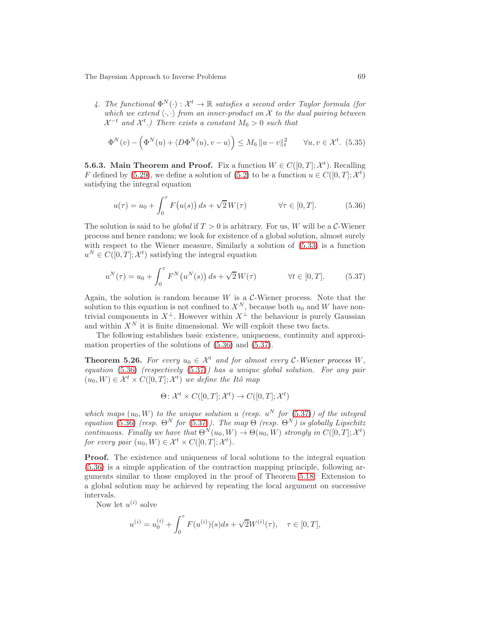4. The functional  $\Phi^N(\cdot): \mathcal{X}^t \to \mathbb{R}$  satisfies a second order Taylor formula (for which we extend  $\langle \cdot, \cdot \rangle$  from an inner-product on X to the dual pairing between  $\mathcal{X}^{-t}$  and  $\mathcal{X}^{t}$ .) There exists a constant  $M_6 > 0$  such that

$$
\Phi^N(v) - \left(\Phi^N(u) + \langle D\Phi^N(u), v - u \rangle\right) \le M_6 \|u - v\|_t^2 \quad \forall u, v \in \mathcal{X}^t. \tag{5.35}
$$

<span id="page-68-0"></span>**5.6.3.** Main Theorem and Proof. Fix a function  $W \in C([0, T]; \mathcal{X}^t)$ . Recalling F defined by [\(5.29\)](#page-66-1), we define a solution of [\(5.2\)](#page-49-3) to be a function  $u \in C([0, T]; \mathcal{X}^t)$ satisfying the integral equation

<span id="page-68-2"></span>
$$
u(\tau) = u_0 + \int_0^{\tau} F(u(s)) ds + \sqrt{2} W(\tau) \qquad \forall \tau \in [0, T].
$$
 (5.36)

The solution is said to be global if  $T > 0$  is arbitrary. For us, W will be a C-Wiener process and hence random; we look for existence of a global solution, almost surely with respect to the Wiener measure, Similarly a solution of [\(5.33\)](#page-67-0) is a function  $u^N \in C([0,T]; \mathcal{X}^t)$  satisfying the integral equation

<span id="page-68-3"></span>
$$
u^{N}(\tau) = u_{0} + \int_{0}^{\tau} F^{N}(u^{N}(s)) ds + \sqrt{2} W(\tau) \qquad \forall t \in [0, T]. \qquad (5.37)
$$

Again, the solution is random because  $W$  is a  $\mathcal{C}\text{-}\mathsf{Wiener}$  process. Note that the solution to this equation is not confined to  $X^N$ , because both  $u_0$  and W have nontrivial components in  $X^{\perp}$ . However within  $X^{\perp}$  the behaviour is purely Gaussian and within  $X^N$  it is finite dimensional. We will exploit these two facts.

<span id="page-68-1"></span>The following establishes basic existence, uniqueness, continuity and approximation properties of the solutions of [\(5.36\)](#page-68-2) and [\(5.37\)](#page-68-3).

**Theorem 5.26.** For every  $u_0 \in \mathcal{X}^t$  and for almost every C-Wiener process W, equation  $(5.36)$  (respectively  $(5.37)$ ) has a unique global solution. For any pair  $(u_0, W) \in \mathcal{X}^t \times C([0, T]; \mathcal{X}^t)$  we define the Itô map

$$
\Theta \colon \mathcal{X}^t \times C([0,T]; \mathcal{X}^t) \to C([0,T]; \mathcal{X}^t)
$$

which maps  $(u_0, W)$  to the unique solution u (resp.  $u^N$  for  $(5.37)$ ) of the integral equation [\(5.36\)](#page-68-2) (resp.  $\Theta^N$  for [\(5.37\)](#page-68-3)). The map  $\Theta$  (resp.  $\Theta^N$ ) is globally Lipschitz continuous. Finally we have that  $\Theta^N(u_0, W) \to \Theta(u_0, W)$  strongly in  $C([0, T]; \mathcal{X}^t)$ for every pair  $(u_0, W) \in \mathcal{X}^t \times C([0, T]; \mathcal{X}^t)$ .

Proof. The existence and uniqueness of local solutions to the integral equation [\(5.36\)](#page-68-2) is a simple application of the contraction mapping principle, following arguments similar to those employed in the proof of Theorem [5.18.](#page-62-2) Extension to a global solution may be achieved by repeating the local argument on successive intervals.

Now let  $u^{(i)}$  solve

$$
u^{(i)} = u_0^{(i)} + \int_0^{\tau} F(u^{(i)})(s)ds + \sqrt{2}W^{(i)}(\tau), \quad \tau \in [0, T],
$$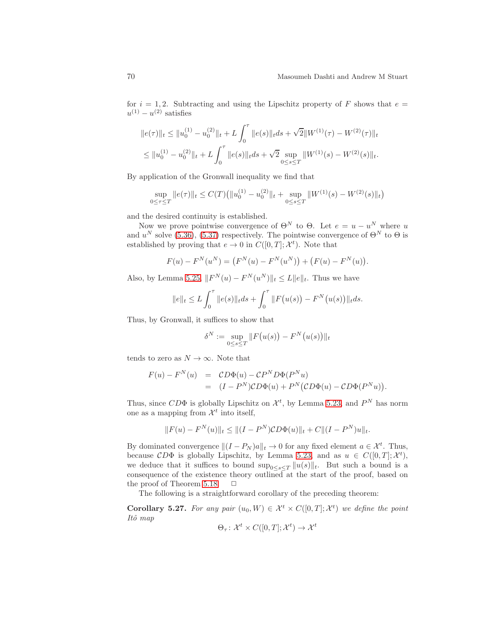for  $i = 1, 2$ . Subtracting and using the Lipschitz property of F shows that  $e =$  $u^{(1)} - u^{(2)}$  satisfies

$$
||e(\tau)||_t \le ||u_0^{(1)} - u_0^{(2)}||_t + L \int_0^{\tau} ||e(s)||_t ds + \sqrt{2}||W^{(1)}(\tau) - W^{(2)}(\tau)||_t
$$
  

$$
\le ||u_0^{(1)} - u_0^{(2)}||_t + L \int_0^{\tau} ||e(s)||_t ds + \sqrt{2} \sup_{0 \le s \le T} ||W^{(1)}(s) - W^{(2)}(s)||_t.
$$

By application of the Gronwall inequality we find that

$$
\sup_{0 \le \tau \le T} \|e(\tau)\|_{t} \le C(T) \left( \|u_0^{(1)} - u_0^{(2)}\|_{t} + \sup_{0 \le s \le T} \|W^{(1)}(s) - W^{(2)}(s)\|_{t} \right)
$$

and the desired continuity is established.

Now we prove pointwise convergence of  $\Theta^N$  to  $\Theta$ . Let  $e = u - u^N$  where u and  $u^N$  solve [\(5.36\)](#page-68-2), [\(5.37\)](#page-68-3) respectively. The pointwise convergence of  $\Theta^N$  to  $\Theta$  is established by proving that  $e \to 0$  in  $C([0, T]; \mathcal{X}^t)$ . Note that

$$
F(u) - FN(uN) = (FN(u) - FN(uN)) + (F(u) - FN(u)).
$$

Also, by Lemma [5.25,](#page-67-1)  $||F^N(u) - F^N(u^N)||_t \leq L||e||_t$ . Thus we have

$$
||e||_t \le L \int_0^{\tau} ||e(s)||_t ds + \int_0^{\tau} ||F(u(s)) - F^N(u(s))||_t ds.
$$

Thus, by Gronwall, it suffices to show that

δ

$$
S^N := \sup_{0 \le s \le T} ||F(u(s)) - F^N(u(s))||_t
$$

tends to zero as  $N \to \infty$ . Note that

$$
F(u) - FN(u) = CD\Phi(u) - CPND\Phi(PNu)
$$
  
= 
$$
(I - PN)CD\Phi(u) + PN(CD\Phi(u) - CD\Phi(PNu)).
$$

Thus, since  $CD\Phi$  is globally Lipschitz on  $\mathcal{X}^t$ , by Lemma [5.23,](#page-66-2) and  $P^N$  has norm one as a mapping from  $\mathcal{X}^t$  into itself,

$$
||F(u) - F^{N}(u)||_{t} \le ||(I - P^{N})CD\Phi(u)||_{t} + C||(I - P^{N})u||_{t}.
$$

By dominated convergence  $||(I - P_N)a||_t \to 0$  for any fixed element  $a \in \mathcal{X}^t$ . Thus, because  $CD\Phi$  is globally Lipschitz, by Lemma [5.23,](#page-66-2) and as  $u \in C([0, T]; \mathcal{X}^t)$ , we deduce that it suffices to bound  $\sup_{0\leq s\leq T} ||u(s)||_t$ . But such a bound is a consequence of the existence theory outlined at the start of the proof, based on the proof of Theorem [5.18.](#page-62-2)  $\Box$ 

<span id="page-69-0"></span>The following is a straightforward corollary of the preceding theorem:

**Corollary 5.27.** For any pair  $(u_0, W) \in \mathcal{X}^t \times C([0,T]; \mathcal{X}^t)$  we define the point Itô map

$$
\Theta_{\tau} \colon \mathcal{X}^{t} \times C([0, T]; \mathcal{X}^{t}) \to \mathcal{X}^{t}
$$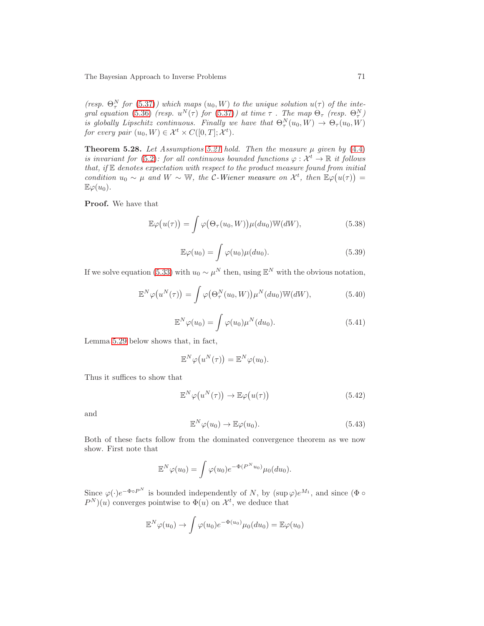(resp.  $\Theta_{\tau}^{N}$  for [\(5.37\)](#page-68-3)) which maps  $(u_0, W)$  to the unique solution  $u(\tau)$  of the inte-gral equation [\(5.36\)](#page-68-2) (resp.  $u^N(\tau)$  for [\(5.37\)](#page-68-3)) at time  $\tau$  . The map  $\Theta_{\tau}$  (resp.  $\Theta_{\tau}^N$ ) is globally Lipschitz continuous. Finally we have that  $\Theta_{\tau}^{N}(u_0, W) \to \Theta_{\tau}(u_0, W)$ for every pair  $(u_0, W) \in \mathcal{X}^t \times C([0, T]; \mathcal{X}^t)$ .

<span id="page-70-0"></span>**Theorem 5.28.** Let Assumptions [5.21](#page-65-2) hold. Then the measure  $\mu$  given by [\(4.4\)](#page-39-2) is invariant for [\(5.2\)](#page-49-3): for all continuous bounded functions  $\varphi : \mathcal{X}^t \to \mathbb{R}$  it follows that, if  $E$  denotes expectation with respect to the product measure found from initial condition  $u_0 \sim \mu$  and  $W \sim \mathbb{W}$ , the C-Wiener measure on  $\mathcal{X}^t$ , then  $\mathbb{E}\varphi(u(\tau)) =$  $\mathbb{E}\varphi(u_0)$ .

Proof. We have that

$$
\mathbb{E}\varphi(u(\tau)) = \int \varphi(\Theta_{\tau}(u_0, W)) \mu(du_0) \mathbb{W}(dW), \tag{5.38}
$$

$$
\mathbb{E}\varphi(u_0) = \int \varphi(u_0)\mu(du_0). \tag{5.39}
$$

If we solve equation [\(5.33\)](#page-67-0) with  $u_0 \sim \mu^N$  then, using  $\mathbb{E}^N$  with the obvious notation,

<span id="page-70-3"></span>
$$
\mathbb{E}^N \varphi(u^N(\tau)) = \int \varphi(\Theta^N_\tau(u_0, W)) \mu^N(du_0) \mathbb{W}(dW), \tag{5.40}
$$

$$
\mathbb{E}^N \varphi(u_0) = \int \varphi(u_0) \mu^N(du_0).
$$
 (5.41)

Lemma [5.29](#page-71-0) below shows that, in fact,

$$
\mathbb{E}^N \varphi\big(u^N(\tau)\big) = \mathbb{E}^N \varphi(u_0).
$$

Thus it suffices to show that

<span id="page-70-2"></span>
$$
\mathbb{E}^N \varphi(u^N(\tau)) \to \mathbb{E} \varphi(u(\tau))
$$
\n(5.42)

and

<span id="page-70-1"></span>
$$
\mathbb{E}^N \varphi(u_0) \to \mathbb{E}\varphi(u_0). \tag{5.43}
$$

Both of these facts follow from the dominated convergence theorem as we now show. First note that

$$
\mathbb{E}^N \varphi(u_0) = \int \varphi(u_0) e^{-\Phi(P^N u_0)} \mu_0(du_0).
$$

Since  $\varphi(\cdot)e^{-\Phi \circ P^N}$  is bounded independently of N, by  $(\sup \varphi)e^{M_1}$ , and since  $(\Phi \circ$  $P^{N}(u)$  converges pointwise to  $\Phi(u)$  on  $\mathcal{X}^{t}$ , we deduce that

$$
\mathbb{E}^N \varphi(u_0) \to \int \varphi(u_0) e^{-\Phi(u_0)} \mu_0(du_0) = \mathbb{E} \varphi(u_0)
$$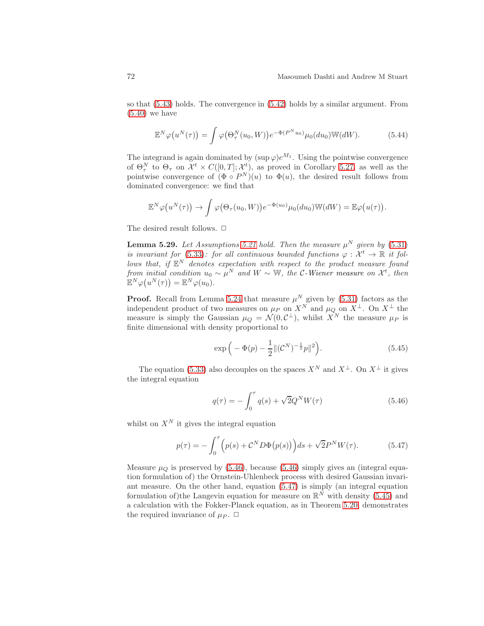so that [\(5.43\)](#page-70-1) holds. The convergence in [\(5.42\)](#page-70-2) holds by a similar argument. From  $(5.40)$  we have

$$
\mathbb{E}^N \varphi(u^N(\tau)) = \int \varphi(\Theta^N_\tau(u_0, W)) e^{-\Phi(P^N u_0)} \mu_0(du_0) \mathbb{W}(dW).
$$
 (5.44)

The integrand is again dominated by  $(\sup \varphi) e^{M_1}$ . Using the pointwise convergence of  $\Theta_{\tau}^{N}$  to  $\Theta_{\tau}$  on  $\mathcal{X}^{t} \times C([0,T]; \mathcal{X}^{t})$ , as proved in Corollary [5.27,](#page-69-0) as well as the pointwise convergence of  $(\Phi \circ P^N)(u)$  to  $\Phi(u)$ , the desired result follows from dominated convergence: we find that

$$
\mathbb{E}^N \varphi(u^N(\tau)) \to \int \varphi(\Theta_\tau(u_0, W)) e^{-\Phi(u_0)} \mu_0(du_0) \mathbb{W}(dW) = \mathbb{E} \varphi(u(\tau)).
$$

<span id="page-71-0"></span>The desired result follows.  $\Box$ 

**Lemma 5.29.** Let Assumptions [5.21](#page-65-2) hold. Then the measure  $\mu^N$  given by [\(5.31\)](#page-66-3) is invariant for [\(5.33\)](#page-67-0): for all continuous bounded functions  $\varphi : \mathcal{X}^t \to \mathbb{R}$  it follows that, if  $\mathbb{E}^N$  denotes expectation with respect to the product measure found from initial condition  $u_0 \sim \mu^N$  and  $W \sim \mathbb{W}$ , the C-Wiener measure on  $\mathcal{X}^t$ , then  $\mathbb{E}^N \varphi(u^N(\tau)) = \mathbb{E}^N \varphi(u_0).$ 

**Proof.** Recall from Lemma [5.24](#page-67-2) that measure  $\mu^N$  given by [\(5.31\)](#page-66-3) factors as the independent product of two measures on  $\mu_P$  on  $X^N$  and  $\mu_Q$  on  $X^{\perp}$ . On  $X^{\perp}$  the measure is simply the Gaussian  $\mu_Q = \mathcal{N}(0, C^{\perp})$ , whilst  $X^N$  the measure  $\mu_P$  is finite dimensional with density proportional to

<span id="page-71-3"></span>
$$
\exp\left(-\Phi(p) - \frac{1}{2} \| (C^N)^{-\frac{1}{2}} p \|^2\right). \tag{5.45}
$$

The equation [\(5.33\)](#page-67-0) also decouples on the spaces  $X^N$  and  $X^{\perp}$ . On  $X^{\perp}$  it gives the integral equation

<span id="page-71-1"></span>
$$
q(\tau) = -\int_0^{\tau} q(s) + \sqrt{2}Q^N W(\tau)
$$
\n(5.46)

whilst on  $X^N$  it gives the integral equation

<span id="page-71-2"></span>
$$
p(\tau) = -\int_0^{\tau} \left( p(s) + C^N D\Phi(p(s)) \right) ds + \sqrt{2} P^N W(\tau). \tag{5.47}
$$

Measure  $\mu_Q$  is preserved by [\(5.46\)](#page-71-1), because (5.46) simply gives an (integral equation formulation of) the Ornstein-Uhlenbeck process with desired Gaussian invariant measure. On the other hand, equation [\(5.47\)](#page-71-2) is simply (an integral equation formulation of) the Langevin equation for measure on  $\mathbb{R}^N$  with density [\(5.45\)](#page-71-3) and a calculation with the Fokker-Planck equation, as in Theorem [5.20,](#page-63-0) demonstrates the required invariance of  $\mu_P$ .  $\Box$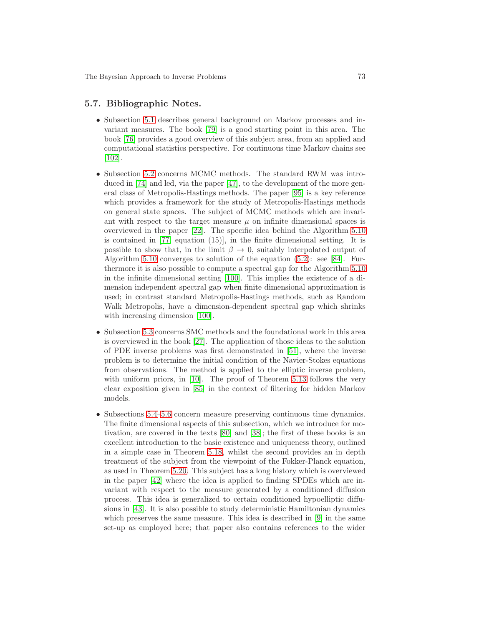#### 5.7. Bibliographic Notes.

- Subsection [5.1](#page-48-0) describes general background on Markov processes and invariant measures. The book [\[79\]](#page-105-0) is a good starting point in this area. The book [\[76\]](#page-104-0) provides a good overview of this subject area, from an applied and computational statistics perspective. For continuous time Markov chains see [\[102\]](#page-106-0).
- Subsection [5.2](#page-50-0) concerns MCMC methods. The standard RWM was introduced in [\[74\]](#page-104-1) and led, via the paper [\[47\]](#page-103-0), to the development of the more general class of Metropolis-Hastings methods. The paper [\[95\]](#page-105-1) is a key reference which provides a framework for the study of Metropolis-Hastings methods on general state spaces. The subject of MCMC methods which are invariant with respect to the target measure  $\mu$  on infinite dimensional spaces is overviewed in the paper [\[22\]](#page-102-0). The specific idea behind the Algorithm [5.10](#page-53-0) is contained in [\[77,](#page-104-2) equation (15)], in the finite dimensional setting. It is possible to show that, in the limit  $\beta \to 0$ , suitably interpolated output of Algorithm [5.10](#page-53-0) converges to solution of the equation [\(5.2\)](#page-49-0): see [\[84\]](#page-105-2). Furthermore it is also possible to compute a spectral gap for the Algorithm [5.10](#page-53-0) in the infinite dimensional setting [\[100\]](#page-106-1). This implies the existence of a dimension independent spectral gap when finite dimensional approximation is used; in contrast standard Metropolis-Hastings methods, such as Random Walk Metropolis, have a dimension-dependent spectral gap which shrinks with increasing dimension  $[100]$ .
- Subsection [5.3](#page-54-0) concerns SMC methods and the foundational work in this area is overviewed in the book [\[27\]](#page-102-1). The application of those ideas to the solution of PDE inverse problems was first demonstrated in [\[51\]](#page-103-1), where the inverse problem is to determine the initial condition of the Navier-Stokes equations from observations. The method is applied to the elliptic inverse problem, with uniform priors, in [\[10\]](#page-101-0). The proof of Theorem [5.13](#page-57-0) follows the very clear exposition given in [\[85\]](#page-105-3) in the context of filtering for hidden Markov models.
- Subsections [5.4–](#page-61-0)[5.6](#page-65-0) concern measure preserving continuous time dynamics. The finite dimensional aspects of this subsection, which we introduce for motivation, are covered in the texts [\[80\]](#page-105-4) and [\[38\]](#page-102-2); the first of these books is an excellent introduction to the basic existence and uniqueness theory, outlined in a simple case in Theorem [5.18,](#page-62-0) whilst the second provides an in depth treatment of the subject from the viewpoint of the Fokker-Planck equation, as used in Theorem [5.20.](#page-63-0) This subject has a long history which is overviewed in the paper [\[42\]](#page-103-2) where the idea is applied to finding SPDEs which are invariant with respect to the measure generated by a conditioned diffusion process. This idea is generalized to certain conditioned hypoelliptic diffusions in [\[43\]](#page-103-3). It is also possible to study deterministic Hamiltonian dynamics which preserves the same measure. This idea is described in [\[9\]](#page-101-1) in the same set-up as employed here; that paper also contains references to the wider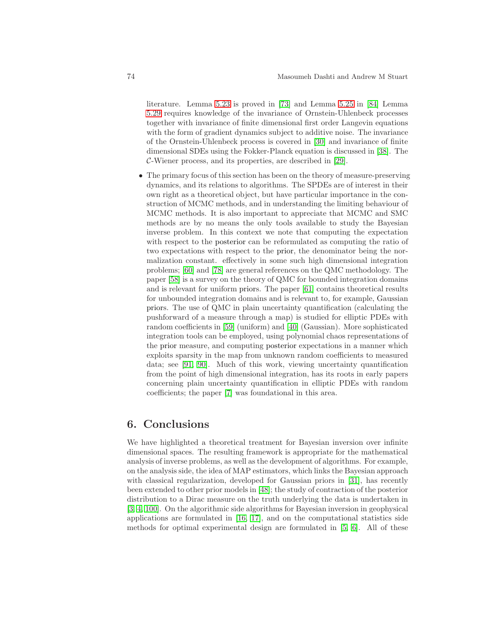literature. Lemma [5.23](#page-66-0) is proved in [\[73\]](#page-104-3) and Lemma [5.25](#page-67-0) in [\[84\]](#page-105-2) Lemma [5.29](#page-71-0) requires knowledge of the invariance of Ornstein-Uhlenbeck processes together with invariance of finite dimensional first order Langevin equations with the form of gradient dynamics subject to additive noise. The invariance of the Ornstein-Uhlenbeck process is covered in [\[30\]](#page-102-3) and invariance of finite dimensional SDEs using the Fokker-Planck equation is discussed in [\[38\]](#page-102-2). The C-Wiener process, and its properties, are described in [\[29\]](#page-102-4).

• The primary focus of this section has been on the theory of measure-preserving dynamics, and its relations to algorithms. The SPDEs are of interest in their own right as a theoretical object, but have particular importance in the construction of MCMC methods, and in understanding the limiting behaviour of MCMC methods. It is also important to appreciate that MCMC and SMC methods are by no means the only tools available to study the Bayesian inverse problem. In this context we note that computing the expectation with respect to the posterior can be reformulated as computing the ratio of two expectations with respect to the prior, the denominator being the normalization constant. effectively in some such high dimensional integration problems; [\[60\]](#page-104-4) and [\[78\]](#page-105-5) are general references on the QMC methodology. The paper [\[58\]](#page-103-4) is a survey on the theory of QMC for bounded integration domains and is relevant for uniform priors. The paper [\[61\]](#page-104-5) contains theoretical results for unbounded integration domains and is relevant to, for example, Gaussian priors. The use of QMC in plain uncertainty quantification (calculating the pushforward of a measure through a map) is studied for elliptic PDEs with random coefficients in [\[59\]](#page-103-5) (uniform) and [\[40\]](#page-102-5) (Gaussian). More sophisticated integration tools can be employed, using polynomial chaos representations of the prior measure, and computing posterior expectations in a manner which exploits sparsity in the map from unknown random coefficients to measured data; see [\[91,](#page-105-6) [90\]](#page-105-7). Much of this work, viewing uncertainty quantification from the point of high dimensional integration, has its roots in early papers concerning plain uncertainty quantification in elliptic PDEs with random coefficients; the paper [\[7\]](#page-101-2) was foundational in this area.

### 6. Conclusions

We have highlighted a theoretical treatment for Bayesian inversion over infinite dimensional spaces. The resulting framework is appropriate for the mathematical analysis of inverse problems, as well as the development of algorithms. For example, on the analysis side, the idea of MAP estimators, which links the Bayesian approach with classical regularization, developed for Gaussian priors in [\[31\]](#page-102-6), has recently been extended to other prior models in [\[48\]](#page-103-6); the study of contraction of the posterior distribution to a Dirac measure on the truth underlying the data is undertaken in [\[3,](#page-101-3) [4,](#page-101-4) [100\]](#page-106-1). On the algorithmic side algorithms for Bayesian inversion in geophysical applications are formulated in [\[16,](#page-101-5) [17\]](#page-101-6), and on the computational statistics side methods for optimal experimental design are formulated in [\[5,](#page-101-7) [6\]](#page-101-8). All of these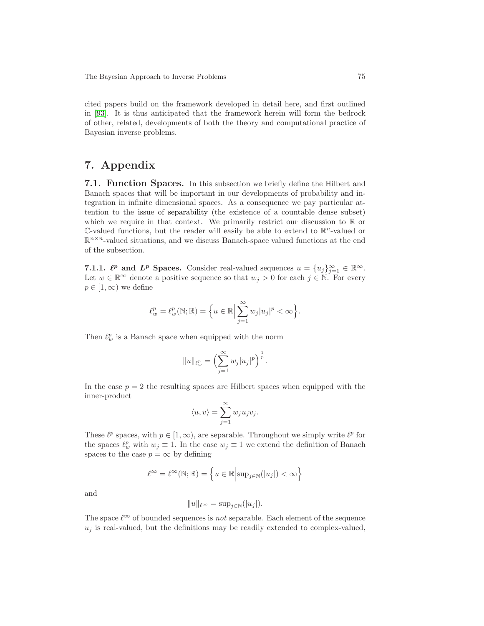cited papers build on the framework developed in detail here, and first outlined in [\[93\]](#page-105-8). It is thus anticipated that the framework herein will form the bedrock of other, related, developments of both the theory and computational practice of Bayesian inverse problems.

# 7. Appendix

<span id="page-74-0"></span>7.1. Function Spaces. In this subsection we briefly define the Hilbert and Banach spaces that will be important in our developments of probability and integration in infinite dimensional spaces. As a consequence we pay particular attention to the issue of separability (the existence of a countable dense subset) which we require in that context. We primarily restrict our discussion to  $\mathbb R$  or  $\mathbb{C}\text{-valued}$  functions, but the reader will easily be able to extend to  $\mathbb{R}^n$ -valued or  $\mathbb{R}^{n \times n}$ -valued situations, and we discuss Banach-space valued functions at the end of the subsection.

<span id="page-74-1"></span>7.1.1.  $\ell^p$  and  $L^p$  Spaces. Consider real-valued sequences  $u = \{u_j\}_{j=1}^{\infty} \in \mathbb{R}^{\infty}$ . Let  $w \in \mathbb{R}^{\infty}$  denote a positive sequence so that  $w_j > 0$  for each  $j \in \mathbb{N}$ . For every  $p \in [1,\infty)$  we define

$$
\ell^p_w=\ell^p_w(\mathbb{N};\mathbb{R})=\Big\{u\in\mathbb{R}\Big|\sum_{j=1}^\infty w_j|u_j|^p<\infty\Big\}.
$$

Then  $\ell^p_w$  is a Banach space when equipped with the norm

$$
||u||_{\ell^p_w}=\Bigl(\sum_{j=1}^\infty w_j|u_j|^p\Bigr)^{\frac{1}{p}}.
$$

In the case  $p = 2$  the resulting spaces are Hilbert spaces when equipped with the inner-product

$$
\langle u, v \rangle = \sum_{j=1}^{\infty} w_j u_j v_j.
$$

These  $\ell^p$  spaces, with  $p \in [1,\infty)$ , are separable. Throughout we simply write  $\ell^p$  for the spaces  $\ell_w^p$  with  $w_j \equiv 1$ . In the case  $w_j \equiv 1$  we extend the definition of Banach spaces to the case  $p = \infty$  by defining

$$
\ell^\infty=\ell^\infty(\mathbb{N};\mathbb{R})=\left\{u\in\mathbb{R}\Big|\text{sup}_{j\in\mathbb{N}}(|u_j|)<\infty\right\}
$$

and

$$
||u||_{\ell^{\infty}} = \sup_{j \in \mathbb{N}} (|u_j|).
$$

The space  $\ell^{\infty}$  of bounded sequences is not separable. Each element of the sequence  $u_i$  is real-valued, but the definitions may be readily extended to complex-valued,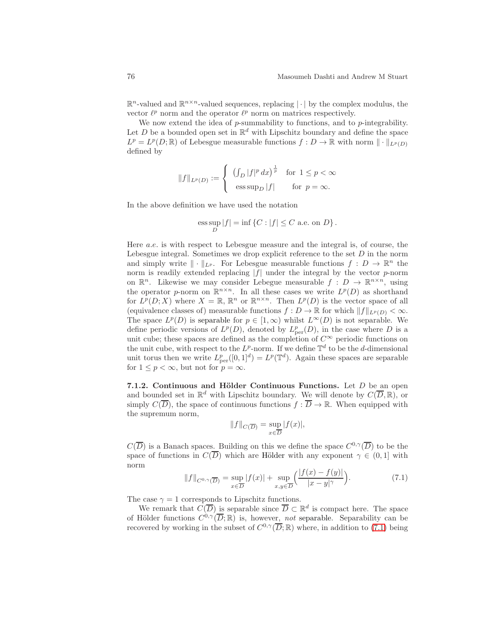$\mathbb{R}^n$ -valued and  $\mathbb{R}^{n \times n}$ -valued sequences, replacing  $|\cdot|$  by the complex modulus, the vector  $\ell^p$  norm and the operator  $\ell^p$  norm on matrices respectively.

We now extend the idea of  $p$ -summability to functions, and to  $p$ -integrability. Let D be a bounded open set in  $\mathbb{R}^d$  with Lipschitz boundary and define the space  $L^p = L^p(D; \mathbb{R})$  of Lebesgue measurable functions  $f: D \to \mathbb{R}$  with norm  $\|\cdot\|_{L^p(D)}$ defined by

$$
\|f\|_{L^p(D)}:=\left\{\begin{array}{cc} \left(\int_D|f|^p\,dx\right)^{\frac{1}{p}}&\text{for}\ 1\leq p<\infty\\ \text{ess\,sup}_D|f|&\text{for}\ p=\infty.\end{array}\right.
$$

In the above definition we have used the notation

$$
\operatorname*{ess\,sup}_D|f|=\inf\left\{C:|f|\leq C\text{ a.e. on }D\right\}.
$$

Here a.e. is with respect to Lebesgue measure and the integral is, of course, the Lebesgue integral. Sometimes we drop explicit reference to the set  $D$  in the norm and simply write  $\|\cdot\|_{L^p}$ . For Lebesgue measurable functions  $f: D \to \mathbb{R}^n$  the norm is readily extended replacing  $|f|$  under the integral by the vector p-norm on  $\mathbb{R}^n$ . Likewise we may consider Lebegue measurable  $f: D \to \mathbb{R}^{n \times n}$ , using the operator p-norm on  $\mathbb{R}^{n \times n}$ . In all these cases we write  $L^p(D)$  as shorthand for  $L^p(D;X)$  where  $X = \mathbb{R}, \mathbb{R}^n$  or  $\mathbb{R}^{n \times n}$ . Then  $L^p(D)$  is the vector space of all (equivalence classes of) measurable functions  $f: D \to \mathbb{R}$  for which  $||f||_{L^p(D)} < \infty$ . The space  $L^p(D)$  is separable for  $p \in [1,\infty)$  whilst  $L^{\infty}(D)$  is not separable. We define periodic versions of  $L^p(D)$ , denoted by  $L^p_{\text{per}}(D)$ , in the case where D is a unit cube; these spaces are defined as the completion of  $C^{\infty}$  periodic functions on the unit cube, with respect to the  $L^p$ -norm. If we define  $\mathbb{T}^d$  to be the *d*-dimensional unit torus then we write  $L_{\text{per}}^p([0,1]^d) = L^p(\mathbb{T}^d)$ . Again these spaces are separable for  $1 \leq p < \infty$ , but not for  $p = \infty$ .

<span id="page-75-1"></span>7.1.2. Continuous and Hölder Continuous Functions. Let  $D$  be an open and bounded set in  $\mathbb{R}^d$  with Lipschitz boundary. We will denote by  $C(\overline{D}, \mathbb{R})$ , or simply  $C(\overline{D})$ , the space of continuous functions  $f : \overline{D} \to \mathbb{R}$ . When equipped with the supremum norm,

$$
||f||_{C(\overline{D})} = \sup_{x \in \overline{D}} |f(x)|,
$$

 $C(\overline{D})$  is a Banach spaces. Building on this we define the space  $C^{0,\gamma}(\overline{D})$  to be the space of functions in  $C(\overline{D})$  which are Hölder with any exponent  $\gamma \in (0,1]$  with norm

<span id="page-75-0"></span>
$$
||f||_{C^{0,\gamma}(\overline{D})} = \sup_{x \in \overline{D}} |f(x)| + \sup_{x,y \in \overline{D}} \left( \frac{|f(x) - f(y)|}{|x - y|^{\gamma}} \right).
$$
 (7.1)

The case  $\gamma = 1$  corresponds to Lipschitz functions.

We remark that  $C(\overline{D})$  is separable since  $\overline{D} \subset \mathbb{R}^d$  is compact here. The space of Hölder functions  $C^{0,\gamma}(\overline{D};\mathbb{R})$  is, however, not separable. Separability can be recovered by working in the subset of  $C^{0,\gamma}(\overline{D};\mathbb{R})$  where, in addition to [\(7.1\)](#page-75-0) being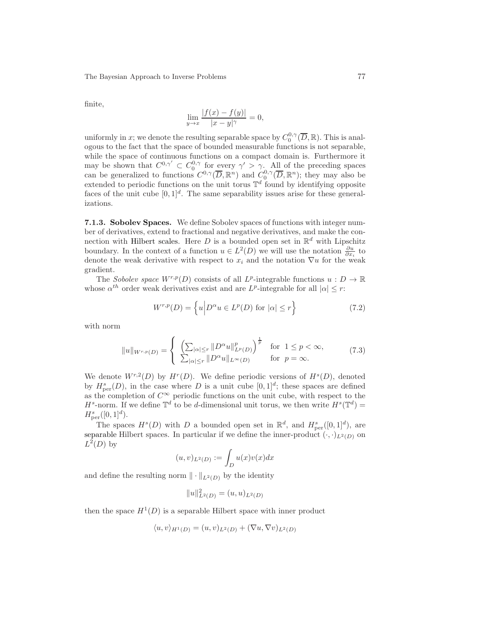finite,

$$
\lim_{y \to x} \frac{|f(x) - f(y)|}{|x - y|^{\gamma}} = 0,
$$

uniformly in x; we denote the resulting separable space by  $C_0^{0,\gamma}(\overline{D}, \mathbb{R})$ . This is analogous to the fact that the space of bounded measurable functions is not separable, while the space of continuous functions on a compact domain is. Furthermore it may be shown that  $C^{0,\gamma'} \subset C_0^{0,\gamma}$  for every  $\gamma' > \gamma$ . All of the preceding spaces can be generalized to functions  $C^{0,\gamma}(\overline{D}, \mathbb{R}^n)$  and  $C_0^{0,\gamma}(\overline{D}, \mathbb{R}^n)$ ; they may also be extended to periodic functions on the unit torus  $\mathbb{T}^d$  found by identifying opposite faces of the unit cube  $[0,1]^d$ . The same separability issues arise for these generalizations.

<span id="page-76-2"></span>7.1.3. Sobolev Spaces. We define Sobolev spaces of functions with integer number of derivatives, extend to fractional and negative derivatives, and make the connection with Hilbert scales. Here D is a bounded open set in  $\mathbb{R}^d$  with Lipschitz boundary. In the context of a function  $u \in L^2(D)$  we will use the notation  $\frac{\partial u}{\partial x_i}$  to denote the weak derivative with respect to  $x_i$  and the notation  $\nabla u$  for the weak gradient.

The Sobolev space  $W^{r,p}(D)$  consists of all  $L^p$ -integrable functions  $u: D \to \mathbb{R}$ whose  $\alpha^{th}$  order weak derivatives exist and are  $L^p$ -integrable for all  $|\alpha| \leq r$ :

<span id="page-76-1"></span>
$$
W^{r,p}(D) = \left\{ u \middle| D^{\alpha}u \in L^p(D) \text{ for } |\alpha| \le r \right\}
$$
 (7.2)

with norm

<span id="page-76-0"></span>
$$
||u||_{W^{r,p}(D)} = \begin{cases} \left(\sum_{|\alpha| \le r} ||D^{\alpha}u||_{L^p(D)}^p\right)^{\frac{1}{p}} & \text{for } 1 \le p < \infty, \\ \sum_{|\alpha| \le r} ||D^{\alpha}u||_{L^{\infty}(D)} & \text{for } p = \infty. \end{cases}
$$
(7.3)

We denote  $W^{r,2}(D)$  by  $H^r(D)$ . We define periodic versions of  $H^s(D)$ , denoted by  $H_{\text{per}}^{s}(D)$ , in the case where D is a unit cube  $[0,1]^{d}$ ; these spaces are defined as the completion of  $C^{\infty}$  periodic functions on the unit cube, with respect to the  $H^s$ -norm. If we define  $\mathbb{T}^d$  to be d-dimensional unit torus, we then write  $H^s(\mathbb{T}^d)$  =  $H_{\text{per}}^{s}([0,1]^{d}).$ 

The spaces  $H^s(D)$  with D a bounded open set in  $\mathbb{R}^d$ , and  $H^s_{\text{per}}([0,1]^d)$ , are separable Hilbert spaces. In particular if we define the inner-product  $(\cdot, \cdot)_{L^2(D)}$  on  $L^2(D)$  by

$$
(u,v)_{L^2(D)}:=\int_D u(x)v(x)dx
$$

and define the resulting norm  $\|\cdot\|_{L^2(D)}$  by the identity

$$
||u||_{L^2(D)}^2 = (u, u)_{L^2(D)}
$$

then the space  $H^1(D)$  is a separable Hilbert space with inner product

$$
\langle u, v \rangle_{H^1(D)} = (u, v)_{L^2(D)} + (\nabla u, \nabla v)_{L^2(D)}
$$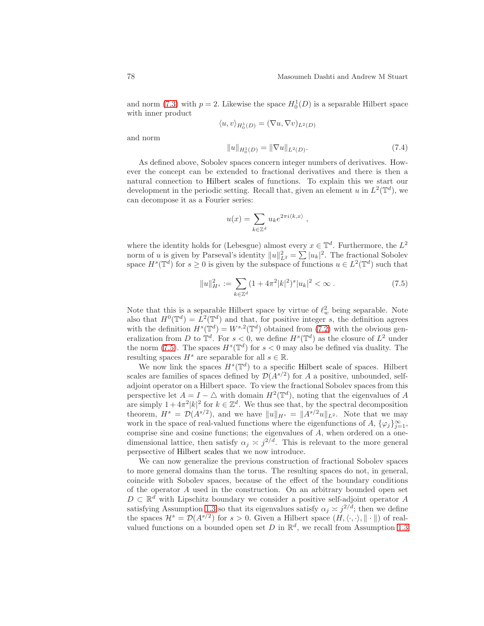and norm [\(7.3\)](#page-76-0) with  $p = 2$ . Likewise the space  $H_0^1(D)$  is a separable Hilbert space with inner product

$$
\langle u, v \rangle_{H_0^1(D)} = (\nabla u, \nabla v)_{L^2(D)}
$$

and norm

$$
||u||_{H_0^1(D)} = ||\nabla u||_{L^2(D)}.
$$
\n(7.4)

As defined above, Sobolev spaces concern integer numbers of derivatives. However the concept can be extended to fractional derivatives and there is then a natural connection to Hilbert scales of functions. To explain this we start our development in the periodic setting. Recall that, given an element u in  $L^2(\mathbb{T}^d)$ , we can decompose it as a Fourier series:

$$
u(x) = \sum_{k \in \mathbb{Z}^d} u_k e^{2\pi i \langle k, x \rangle}
$$

where the identity holds for (Lebesgue) almost every  $x \in \mathbb{T}^d$ . Furthermore, the  $L^2$ norm of u is given by Parseval's identity  $||u||_{L^2}^2 = \sum |u_k|^2$ . The fractional Sobolev space  $H^s(\mathbb{T}^d)$  for  $s \geq 0$  is given by the subspace of functions  $u \in L^2(\mathbb{T}^d)$  such that

<span id="page-77-0"></span>
$$
||u||_{H^s}^2 := \sum_{k \in \mathbb{Z}^d} (1 + 4\pi^2 |k|^2)^s |u_k|^2 < \infty \,. \tag{7.5}
$$

,

Note that this is a separable Hilbert space by virtue of  $\ell_w^2$  being separable. Note also that  $H^0(\mathbb{T}^d) = L^2(\mathbb{T}^d)$  and that, for positive integer s, the definition agrees with the definition  $H^s(\mathbb{T}^d) = W^{s,2}(\mathbb{T}^d)$  obtained from [\(7.2\)](#page-76-1) with the obvious generalization from D to  $\mathbb{T}^d$ . For  $s < 0$ , we define  $H^s(\mathbb{T}^d)$  as the closure of  $L^2$  under the norm [\(7.5\)](#page-77-0). The spaces  $H^s(\mathbb{T}^d)$  for  $s < 0$  may also be defined via duality. The resulting spaces  $H^s$  are separable for all  $s \in \mathbb{R}$ .

We now link the spaces  $H^s(\mathbb{T}^d)$  to a specific Hilbert scale of spaces. Hilbert scales are families of spaces defined by  $\mathcal{D}(A^{s/2})$  for A a positive, unbounded, selfadjoint operator on a Hilbert space. To view the fractional Sobolev spaces from this perspective let  $A = I - \Delta$  with domain  $H^2(\mathbb{T}^d)$ , noting that the eigenvalues of A are simply  $1 + 4\pi^2 |k|^2$  for  $k \in \mathbb{Z}^d$ . We thus see that, by the spectral decomposition theorem,  $H^s = \mathcal{D}(A^{s/2})$ , and we have  $||u||_{H^s} = ||A^{s/2}u||_{L^2}$ . Note that we may work in the space of real-valued functions where the eigenfunctions of A,  $\{\varphi_j\}_{j=1}^{\infty}$ , comprise sine and cosine functions; the eigenvalues of A, when ordered on a onedimensional lattice, then satisfy  $\alpha_j \approx j^{2/d}$ . This is relevant to the more general perpsective of Hilbert scales that we now introduce.

We can now generalize the previous construction of fractional Sobolev spaces to more general domains than the torus. The resulting spaces do not, in general, coincide with Sobolev spaces, because of the effect of the boundary conditions of the operator A used in the construction. On an arbitrary bounded open set  $D \subset \mathbb{R}^d$  with Lipschitz boundary we consider a positive self-adjoint operator A satisfying Assumption [1.3](#page-4-0) so that its eigenvalues satisfy  $\alpha_j \approx j^{2/d}$ ; then we define the spaces  $\mathcal{H}^s = \mathcal{D}(A^{s/2})$  for  $s > 0$ . Given a Hilbert space  $(H, \langle \cdot, \cdot \rangle, \|\cdot\|)$  of realvalued functions on a bounded open set D in  $\mathbb{R}^d$ , we recall from Assumption [1.3](#page-4-0)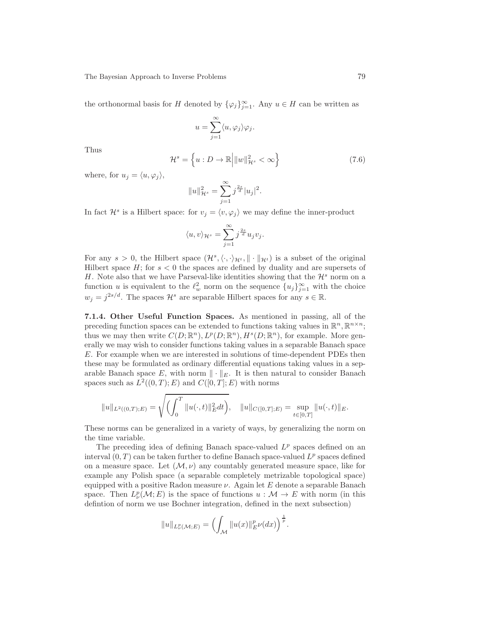the orthonormal basis for H denoted by  $\{\varphi_j\}_{j=1}^{\infty}$ . Any  $u \in H$  can be written as

$$
u = \sum_{j=1}^{\infty} \langle u, \varphi_j \rangle \varphi_j.
$$

Thus

<span id="page-78-0"></span>
$$
\mathcal{H}^s = \left\{ u : D \to \mathbb{R} \middle| \|w\|_{\mathcal{H}^s}^2 < \infty \right\} \tag{7.6}
$$

where, for  $u_i = \langle u, \varphi_i \rangle$ ,

$$
||u||_{\mathcal{H}^s}^2 = \sum_{j=1}^{\infty} j^{\frac{2s}{d}} |u_j|^2.
$$

In fact  $\mathcal{H}^s$  is a Hilbert space: for  $v_j = \langle v, \varphi_j \rangle$  we may define the inner-product

$$
\langle u, v \rangle_{\mathcal{H}^s} = \sum_{j=1}^{\infty} j^{\frac{2s}{d}} u_j v_j.
$$

For any  $s > 0$ , the Hilbert space  $(\mathcal{H}^s, \langle \cdot, \cdot \rangle_{\mathcal{H}^t}, \| \cdot \|_{\mathcal{H}^t})$  is a subset of the original Hilbert space  $H$ ; for  $s < 0$  the spaces are defined by duality and are supersets of H. Note also that we have Parseval-like identities showing that the  $\mathcal{H}^s$  norm on a function u is equivalent to the  $\ell_w^2$  norm on the sequence  $\{u_j\}_{j=1}^{\infty}$  with the choice  $w_j = j^{2s/d}$ . The spaces  $\mathcal{H}^s$  are separable Hilbert spaces for any  $s \in \mathbb{R}$ .

<span id="page-78-1"></span>7.1.4. Other Useful Function Spaces. As mentioned in passing, all of the preceding function spaces can be extended to functions taking values in  $\mathbb{R}^n, \mathbb{R}^{n \times n}$ ; thus we may then write  $C(D;\mathbb{R}^n)$ ,  $L^p(D;\mathbb{R}^n)$ ,  $H^s(D;\mathbb{R}^n)$ , for example. More generally we may wish to consider functions taking values in a separable Banach space E. For example when we are interested in solutions of time-dependent PDEs then these may be formulated as ordinary differential equations taking values in a separable Banach space E, with norm  $\|\cdot\|_E$ . It is then natural to consider Banach spaces such as  $L^2((0,T); E)$  and  $C([0,T]; E)$  with norms

$$
||u||_{L^{2}((0,T);E)} = \sqrt{\left(\int_{0}^{T} ||u(\cdot,t)||_{E}^{2} dt\right)}, \quad ||u||_{C([0,T];E)} = \sup_{t \in [0,T]} ||u(\cdot,t)||_{E}.
$$

These norms can be generalized in a variety of ways, by generalizing the norm on the time variable.

The preceding idea of defining Banach space-valued  $L^p$  spaces defined on an interval  $(0, T)$  can be taken further to define Banach space-valued  $L^p$  spaces defined on a measure space. Let  $(M, \nu)$  any countably generated measure space, like for example any Polish space (a separable completely metrizable topological space) equipped with a positive Radon measure  $\nu$ . Again let E denote a separable Banach space. Then  $L^p_\nu(\mathcal{M};E)$  is the space of functions  $u : \mathcal{M} \to E$  with norm (in this defintion of norm we use Bochner integration, defined in the next subsection)

$$
||u||_{L^p_\nu(\mathcal{M};E)} = \Bigl(\int_{\mathcal{M}} ||u(x)||_E^p \nu(dx)\Bigr)^{\frac{1}{p}}.
$$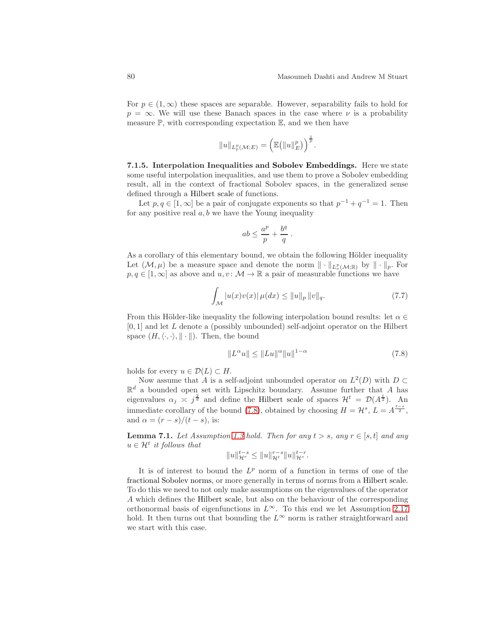For  $p \in (1,\infty)$  these spaces are separable. However, separability fails to hold for  $p = \infty$ . We will use these Banach spaces in the case where  $\nu$  is a probability measure  $\mathbb{P}$ , with corresponding expectation  $\mathbb{E}$ , and we then have

$$
||u||_{L^p_{\mathbb{P}}(\mathcal{M};E)} = \left(\mathbb{E}\big(||u||_E^p\big)\right)^{\frac{1}{p}}.
$$

<span id="page-79-2"></span>7.1.5. Interpolation Inequalities and Sobolev Embeddings. Here we state some useful interpolation inequalities, and use them to prove a Sobolev embedding result, all in the context of fractional Sobolev spaces, in the generalized sense defined through a Hilbert scale of functions.

Let  $p, q \in [1, \infty]$  be a pair of conjugate exponents so that  $p^{-1} + q^{-1} = 1$ . Then for any positive real  $a, b$  we have the Young inequality

$$
ab \leq \frac{a^p}{p} + \frac{b^q}{q}
$$

.

As a corollary of this elementary bound, we obtain the following Hölder inequality Let  $(M, \mu)$  be a measure space and denote the norm  $\|\cdot\|_{L^p_{\nu}(\mathcal{M};\mathbb{R})}$  by  $\|\cdot\|_p$ . For  $p,q\in[1,\infty]$  as above and  $u,v\colon \mathcal{M}\to \mathbb{R}$  a pair of measurable functions we have

$$
\int_{\mathcal{M}} |u(x)v(x)| \,\mu(dx) \le ||u||_p \, ||v||_q. \tag{7.7}
$$

From this Hölder-like inequality the following interpolation bound results: let  $\alpha \in$  $[0, 1]$  and let L denote a (possibly unbounded) self-adjoint operator on the Hilbert space  $(H, \langle \cdot, \cdot \rangle, \| \cdot \|)$ . Then, the bound

<span id="page-79-0"></span>
$$
||L^{\alpha}u|| \le ||Lu||^{\alpha}||u||^{1-\alpha} \tag{7.8}
$$

holds for every  $u \in \mathcal{D}(L) \subset H$ .

Now assume that A is a self-adjoint unbounded operator on  $L^2(D)$  with  $D \subset$  $\mathbb{R}^d$  a bounded open set with Lipschitz boundary. Assume further that A has eigenvalues  $\alpha_j \approx j^{\frac{2}{d}}$  and define the Hilbert scale of spaces  $\mathcal{H}^t = \mathcal{D}(A^{\frac{t}{2}})$ . An immediate corollary of the bound [\(7.8\)](#page-79-0), obtained by choosing  $H = \mathcal{H}^s$ ,  $L = A^{\frac{t-s}{2}}$ , and  $\alpha = (r - s)/(t - s)$ , is:

<span id="page-79-3"></span>**Lemma 7.1.** Let Assumption [1.3](#page-4-0) hold. Then for any  $t > s$ , any  $r \in [s, t]$  and any  $u \in \mathcal{H}^t$  it follows that

$$
||u||_{\mathcal{H}^r}^{t-s} \le ||u||_{\mathcal{H}^t}^{r-s} ||u||_{\mathcal{H}^s}^{t-r}.
$$

<span id="page-79-1"></span>It is of interest to bound the  $L^p$  norm of a function in terms of one of the fractional Sobolev norms, or more generally in terms of norms from a Hilbert scale. To do this we need to not only make assumptions on the eigenvalues of the operator A which defines the Hilbert scale, but also on the behaviour of the corresponding orthonormal basis of eigenfunctions in  $L^{\infty}$ . To this end we let Assumption [2.17](#page-23-0) hold. It then turns out that bounding the  $L^{\infty}$  norm is rather straightforward and we start with this case.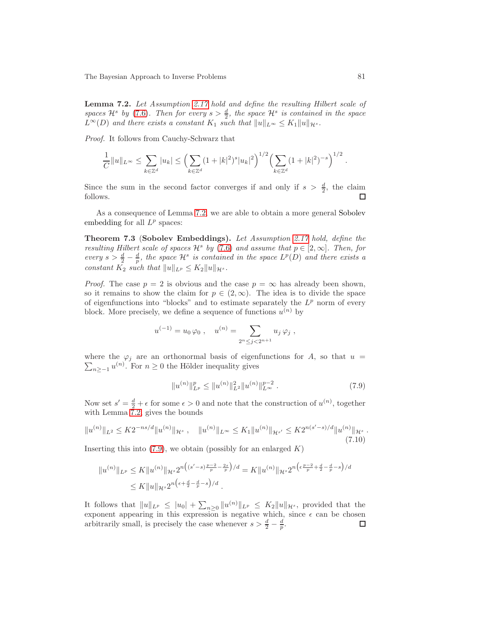Lemma 7.2. Let Assumption [2.17](#page-23-0) hold and define the resulting Hilbert scale of spaces  $\mathcal{H}^s$  by [\(7.6\)](#page-78-0). Then for every  $s > \frac{d}{2}$ , the space  $\mathcal{H}^s$  is contained in the space  $L^{\infty}(D)$  and there exists a constant  $K_1$  such that  $||u||_{L^{\infty}} \leq K_1 ||u||_{\mathcal{H}^s}$ .

Proof. It follows from Cauchy-Schwarz that

$$
\frac{1}{C}||u||_{L^{\infty}} \leq \sum_{k \in \mathbb{Z}^d} |u_k| \leq \left(\sum_{k \in \mathbb{Z}^d} (1+|k|^2)^s |u_k|^2\right)^{1/2} \left(\sum_{k \in \mathbb{Z}^d} (1+|k|^2)^{-s}\right)^{1/2}.
$$

Since the sum in the second factor converges if and only if  $s > \frac{d}{2}$ , the claim follows. П

<span id="page-80-1"></span>As a consequence of Lemma [7.2,](#page-79-1) we are able to obtain a more general Sobolev embedding for all  $L^p$  spaces:

Theorem 7.3 (Sobolev Embeddings). Let Assumption [2.17](#page-23-0) hold, define the resulting Hilbert scale of spaces  $\mathcal{H}^s$  by [\(7.6\)](#page-78-0) and assume that  $p \in [2,\infty]$ . Then, for every  $s > \frac{d}{2} - \frac{d}{p}$ , the space  $\mathcal{H}^s$  is contained in the space  $L^p(D)$  and there exists a constant  $K_2$  such that  $||u||_{L^p} \le K_2 ||u||_{\mathcal{H}^s}$ .

*Proof.* The case  $p = 2$  is obvious and the case  $p = \infty$  has already been shown, so it remains to show the claim for  $p \in (2,\infty)$ . The idea is to divide the space of eigenfunctions into "blocks" and to estimate separately the  $L^p$  norm of every block. More precisely, we define a sequence of functions  $u^{(n)}$  by

$$
u^{(-1)} = u_0 \varphi_0
$$
,  $u^{(n)} = \sum_{2^n \le j < 2^{n+1}} u_j \varphi_j$ ,

where the  $\varphi_j$  are an orthonormal basis of eigenfunctions for A, so that  $u =$  $\sum_{n\geq -1} u^{(n)}$ . For  $n \geq 0$  the Hölder inequality gives

<span id="page-80-0"></span>
$$
||u^{(n)}||_{L^p}^p \le ||u^{(n)}||_{L^2}^2 ||u^{(n)}||_{L^\infty}^{p-2} . \tag{7.9}
$$

Now set  $s' = \frac{d}{2} + \epsilon$  for some  $\epsilon > 0$  and note that the construction of  $u^{(n)}$ , together with Lemma  $\overline{7}$ .2, gives the bounds

$$
||u^{(n)}||_{L^{2}} \leq K2^{-ns/d}||u^{(n)}||_{\mathcal{H}^{s}} , \quad ||u^{(n)}||_{L^{\infty}} \leq K_{1}||u^{(n)}||_{\mathcal{H}^{s'}} \leq K2^{n(s'-s)/d}||u^{(n)}||_{\mathcal{H}^{s}} .
$$
\n(7.10)

Inserting this into  $(7.9)$ , we obtain (possibly for an enlarged K)

$$
||u^{(n)}||_{L^p} \le K||u^{(n)}||_{\mathcal{H}^s} 2^{n((s'-s)\frac{p-2}{p}-\frac{2s}{p})/d} = K||u^{(n)}||_{\mathcal{H}^s} 2^{n(\epsilon\frac{p-2}{p}+\frac{d}{2}-\frac{d}{p}-s)/d}
$$
  
\$\le K||u||\_{\mathcal{H}^s} 2^{n(\epsilon+\frac{d}{2}-\frac{d}{p}-s)/d} .

It follows that  $||u||_{L^p} \leq |u_0| + \sum_{n\geq 0} ||u^{(n)}||_{L^p} \leq K_2 ||u||_{\mathcal{H}^s}$ , provided that the exponent appearing in this expression is negative which, since  $\epsilon$  can be chosen arbitrarily small, is precisely the case whenever  $s > \frac{d}{2} - \frac{d}{p}$ . □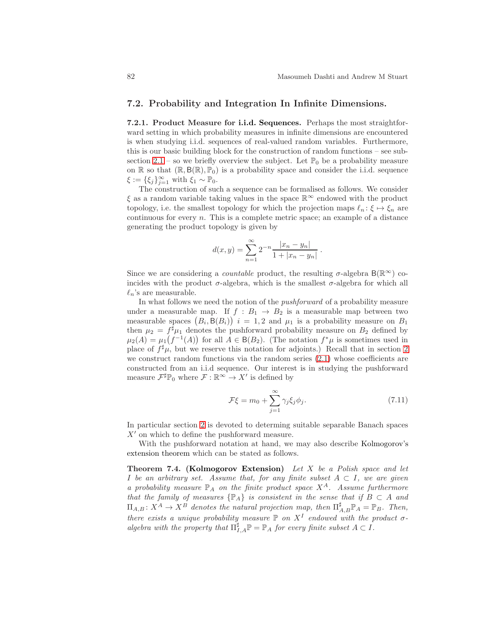#### <span id="page-81-2"></span><span id="page-81-1"></span>7.2. Probability and Integration In Infinite Dimensions.

7.2.1. Product Measure for i.i.d. Sequences. Perhaps the most straightforward setting in which probability measures in infinite dimensions are encountered is when studying i.i.d. sequences of real-valued random variables. Furthermore, this is our basic building block for the construction of random functions – see sub-section [2.1](#page-8-0) – so we briefly overview the subject. Let  $\mathbb{P}_0$  be a probability measure on R so that  $(\mathbb{R}, \mathsf{B}(\mathbb{R}), \mathbb{P}_0)$  is a probability space and consider the i.i.d. sequence  $\xi := {\xi_j}_{j=1}^{\infty}$  with  $\xi_1 \sim \mathbb{P}_0$ .

The construction of such a sequence can be formalised as follows. We consider  $\xi$  as a random variable taking values in the space<br>  $\mathbb{R}^\infty$  endowed with the product topology, i.e. the smallest topology for which the projection maps  $\ell_n : \xi \mapsto \xi_n$  are continuous for every  $n$ . This is a complete metric space; an example of a distance generating the product topology is given by

$$
d(x,y) = \sum_{n=1}^{\infty} 2^{-n} \frac{|x_n - y_n|}{1 + |x_n - y_n|}
$$

Since we are considering a *countable* product, the resulting  $\sigma$ -algebra  $B(\mathbb{R}^{\infty})$  coincides with the product  $\sigma$ -algebra, which is the smallest  $\sigma$ -algebra for which all  $\ell_n$ 's are measurable.

In what follows we need the notion of the pushforward of a probability measure under a measurable map. If  $f : B_1 \rightarrow B_2$  is a measurable map between two measurable spaces  $(B_i, \mathsf{B}(B_i))$   $i = 1, 2$  and  $\mu_1$  is a probability measure on  $B_1$ then  $\mu_2 = f^{\sharp} \mu_1$  denotes the pushforward probability measure on  $B_2$  defined by  $\mu_2(A) = \mu_1(f^{-1}(A))$  for all  $A \in B(B_2)$ . (The notation  $f^*\mu$  is sometimes used in place of  $f^{\sharp} \mu$ , but we reserve this notation for adjoints.) Recall that in section [2](#page-8-1) we construct random functions via the random series [\(2.1\)](#page-8-2) whose coefficients are constructed from an i.i.d sequence. Our interest is in studying the pushforward measure  $\mathcal{F}^{\sharp} \mathbb{P}_{0}$  where  $\mathcal{F} : \mathbb{R}^{\infty} \to X'$  is defined by

$$
\mathcal{F}\xi = m_0 + \sum_{j=1}^{\infty} \gamma_j \xi_j \phi_j.
$$
 (7.11)

.

In particular section [2](#page-8-1) is devoted to determing suitable separable Banach spaces  $X'$  on which to define the pushforward measure.

<span id="page-81-0"></span>With the pushforward notation at hand, we may also describe Kolmogorov's extension theorem which can be stated as follows.

**Theorem 7.4. (Kolmogorov Extension)** Let  $X$  be a Polish space and let I be an arbitrary set. Assume that, for any finite subset  $A \subset I$ , we are given a probability measure  $\mathbb{P}_A$  on the finite product space  $X^A$ . Assume furthermore that the family of measures  $\{ \mathbb{P}_A \}$  is consistent in the sense that if  $B \subset A$  and  $\Pi_{A,B} \colon X^A \to X^B$  denotes the natural projection map, then  $\Pi_{A,B}^{\sharp} \mathbb{P}_A = \mathbb{P}_B$ . Then, there exists a unique probability measure  $\mathbb P$  on  $X^I$  endowed with the product  $\sigma$ algebra with the property that  $\Pi_{I,A}^{\sharp} \mathbb{P} = \mathbb{P}_A$  for every finite subset  $A \subset I$ .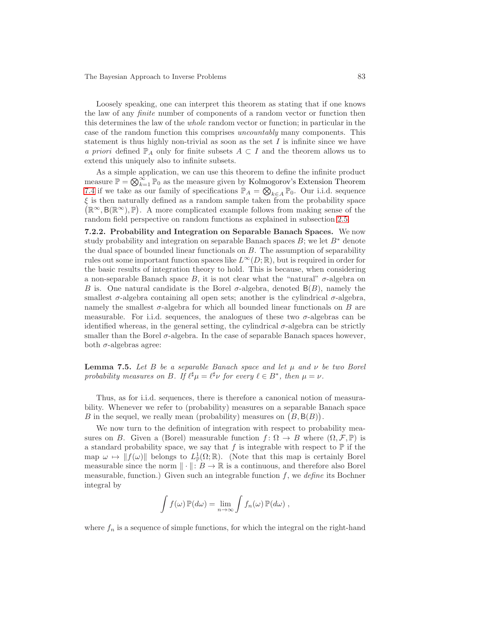Loosely speaking, one can interpret this theorem as stating that if one knows the law of any finite number of components of a random vector or function then this determines the law of the whole random vector or function; in particular in the case of the random function this comprises uncountably many components. This statement is thus highly non-trivial as soon as the set  $I$  is infinite since we have a priori defined  $\mathbb{P}_A$  only for finite subsets  $A \subset I$  and the theorem allows us to extend this uniquely also to infinite subsets.

As a simple application, we can use this theorem to define the infinite product measure  $\mathbb{P} = \bigotimes_{k=1}^{\infty} \mathbb{P}_0$  as the measure given by Kolmogorov's Extension Theorem [7.4](#page-81-0) if we take as our family of specifications  $\mathbb{P}_A = \bigotimes_{k \in A} \mathbb{P}_0$ . Our i.i.d. sequence  $\xi$  is then naturally defined as a random sample taken from the probability space  $(\mathbb{R}^{\infty}, \mathsf{B}(\mathbb{R}^{\infty}), \mathbb{P})$ . A more complicated example follows from making sense of the random field perspective on random functions as explained in subsection [2.5.](#page-21-0)

<span id="page-82-1"></span>7.2.2. Probability and Integration on Separable Banach Spaces. We now study probability and integration on separable Banach spaces  $B$ ; we let  $B^*$  denote the dual space of bounded linear functionals on  $B$ . The assumption of separability rules out some important function spaces like  $L^{\infty}(D;\mathbb{R})$ , but is required in order for the basic results of integration theory to hold. This is because, when considering a non-separable Banach space B, it is not clear what the "natural"  $\sigma$ -algebra on B is. One natural candidate is the Borel  $\sigma$ -algebra, denoted  $B(B)$ , namely the smallest  $\sigma$ -algebra containing all open sets; another is the cylindrical  $\sigma$ -algebra, namely the smallest  $\sigma$ -algebra for which all bounded linear functionals on B are measurable. For i.i.d. sequences, the analogues of these two  $\sigma$ -algebras can be identified whereas, in the general setting, the cylindrical  $\sigma$ -algebra can be strictly smaller than the Borel  $\sigma$ -algebra. In the case of separable Banach spaces however, both  $\sigma$ -algebras agree:

<span id="page-82-0"></span>**Lemma 7.5.** Let B be a separable Banach space and let  $\mu$  and  $\nu$  be two Borel probability measures on B. If  $\ell^{\sharp} \mu = \ell^{\sharp} \nu$  for every  $\ell \in B^*$ , then  $\mu = \nu$ .

Thus, as for i.i.d. sequences, there is therefore a canonical notion of measurability. Whenever we refer to (probability) measures on a separable Banach space B in the sequel, we really mean (probability) measures on  $(B, B(B))$ .

We now turn to the definition of integration with respect to probability measures on B. Given a (Borel) measurable function  $f: \Omega \to B$  where  $(\Omega, \mathcal{F}, \mathbb{P})$  is a standard probability space, we say that  $f$  is integrable with respect to  $\mathbb P$  if the map  $\omega \mapsto ||f(\omega)||$  belongs to  $L^1_{\mathbb{P}}(\Omega;\mathbb{R})$ . (Note that this map is certainly Borel measurable since the norm  $\|\cdot\|: B \to \mathbb{R}$  is a continuous, and therefore also Borel measurable, function.) Given such an integrable function  $f$ , we define its Bochner integral by

$$
\int f(\omega) \, \mathbb{P}(d\omega) = \lim_{n \to \infty} \int f_n(\omega) \, \mathbb{P}(d\omega) ,
$$

where  $f_n$  is a sequence of simple functions, for which the integral on the right-hand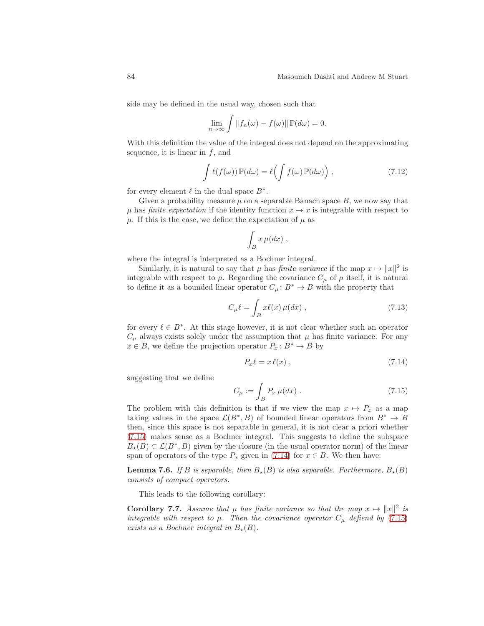side may be defined in the usual way, chosen such that

$$
\lim_{n \to \infty} \int ||f_n(\omega) - f(\omega)|| \, \mathbb{P}(d\omega) = 0.
$$

With this definition the value of the integral does not depend on the approximating sequence, it is linear in  $f$ , and

<span id="page-83-3"></span>
$$
\int \ell(f(\omega)) \mathbb{P}(d\omega) = \ell \bigg( \int f(\omega) \mathbb{P}(d\omega) \bigg) , \qquad (7.12)
$$

for every element  $\ell$  in the dual space  $B^*$ .

Given a probability measure  $\mu$  on a separable Banach space  $B$ , we now say that  $\mu$  has finite expectation if the identity function  $x \mapsto x$  is integrable with respect to  $\mu$ . If this is the case, we define the expectation of  $\mu$  as

$$
\int_B x \,\mu(dx) ,
$$

where the integral is interpreted as a Bochner integral.

Similarly, it is natural to say that  $\mu$  has *finite variance* if the map  $x \mapsto ||x||^2$  is integrable with respect to  $\mu$ . Regarding the covariance  $C_{\mu}$  of  $\mu$  itself, it is natural to define it as a bounded linear operator  $C_{\mu} : B^* \to B$  with the property that

<span id="page-83-2"></span>
$$
C_{\mu}\ell = \int_{B} x\ell(x)\,\mu(dx) , \qquad (7.13)
$$

for every  $\ell \in B^*$ . At this stage however, it is not clear whether such an operator  $C_{\mu}$  always exists solely under the assumption that  $\mu$  has finite variance. For any  $x \in B$ , we define the projection operator  $P_x : B^* \to B$  by

<span id="page-83-1"></span>
$$
P_x \ell = x \ell(x) \t{7.14}
$$

suggesting that we define

<span id="page-83-0"></span>
$$
C_{\mu} := \int_B P_x \,\mu(dx) \,. \tag{7.15}
$$

The problem with this definition is that if we view the map  $x \mapsto P_x$  as a map taking values in the space  $\mathcal{L}(B^*,B)$  of bounded linear operators from  $B^* \to B$ then, since this space is not separable in general, it is not clear a priori whether [\(7.15\)](#page-83-0) makes sense as a Bochner integral. This suggests to define the subspace  $B_{\star}(B) \subset \mathcal{L}(B^*,B)$  given by the closure (in the usual operator norm) of the linear span of operators of the type  $P_x$  given in [\(7.14\)](#page-83-1) for  $x \in B$ . We then have:

<span id="page-83-5"></span>**Lemma 7.6.** If B is separable, then  $B_{\star}(B)$  is also separable. Furthermore,  $B_{\star}(B)$ consists of compact operators.

<span id="page-83-4"></span>This leads to the following corollary:

**Corollary 7.7.** Assume that  $\mu$  has finite variance so that the map  $x \mapsto ||x||^2$  is integrable with respect to  $\mu$ . Then the covariance operator  $C_{\mu}$  defiend by [\(7.15\)](#page-83-0) exists as a Bochner integral in  $B_{\star}(B)$ .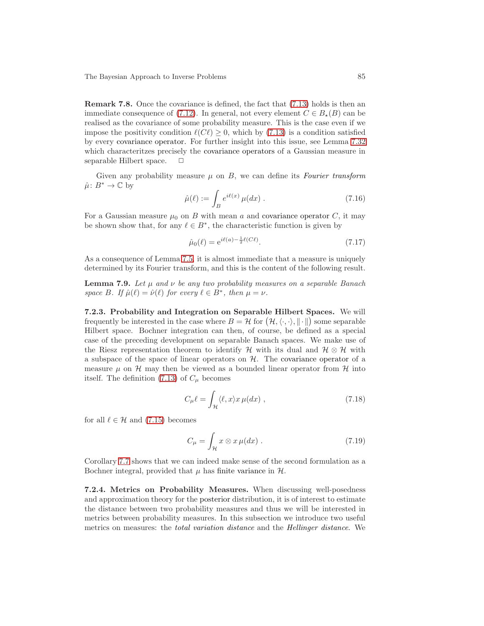Remark 7.8. Once the covariance is defined, the fact that [\(7.13\)](#page-83-2) holds is then an immediate consequence of [\(7.12\)](#page-83-3). In general, not every element  $C \in B_{\star}(B)$  can be realised as the covariance of some probability measure. This is the case even if we impose the positivity condition  $\ell(C\ell) \geq 0$ , which by [\(7.13\)](#page-83-2) is a condition satisfied by every covariance operator. For further insight into this issue, see Lemma [7.32](#page-94-0) which characteritzes precisely the covariance operators of a Gaussian measure in separable Hilbert space.  $\Box$ 

Given any probability measure  $\mu$  on B, we can define its Fourier transform  $\hat{\mu}: B^* \to \mathbb{C}$  by

$$
\hat{\mu}(\ell) := \int_B e^{i\ell(x)} \,\mu(dx) \,. \tag{7.16}
$$

For a Gaussian measure  $\mu_0$  on B with mean a and covariance operator C, it may be shown show that, for any  $\ell \in B^*$ , the characteristic function is given by

<span id="page-84-1"></span>
$$
\hat{\mu}_0(\ell) = e^{i\ell(a) - \frac{1}{2}\ell(C\ell)}.
$$
\n(7.17)

<span id="page-84-0"></span>As a consequence of Lemma [7.5,](#page-82-0) it is almost immediate that a measure is uniquely determined by its Fourier transform, and this is the content of the following result.

**Lemma 7.9.** Let  $\mu$  and  $\nu$  be any two probability measures on a separable Banach space B. If  $\hat{\mu}(\ell) = \hat{\nu}(\ell)$  for every  $\ell \in B^*$ , then  $\mu = \nu$ .

7.2.3. Probability and Integration on Separable Hilbert Spaces. We will frequently be interested in the case where  $B = H$  for  $(H, \langle \cdot, \cdot \rangle, \|\cdot\|)$  some separable Hilbert space. Bochner integration can then, of course, be defined as a special case of the preceding development on separable Banach spaces. We make use of the Riesz representation theorem to identify H with its dual and  $\mathcal{H} \otimes \mathcal{H}$  with a subspace of the space of linear operators on  $H$ . The covariance operator of a measure  $\mu$  on  $\mathcal H$  may then be viewed as a bounded linear operator from  $\mathcal H$  into itself. The definition [\(7.13\)](#page-83-2) of  $C_{\mu}$  becomes

$$
C_{\mu}\ell = \int_{\mathcal{H}} \langle \ell, x \rangle x \,\mu(dx) \;, \tag{7.18}
$$

for all  $\ell \in \mathcal{H}$  and [\(7.15\)](#page-83-0) becomes

$$
C_{\mu} = \int_{\mathcal{H}} x \otimes x \,\mu(dx) \,. \tag{7.19}
$$

Corollary [7.7](#page-83-4) shows that we can indeed make sense of the second formulation as a Bochner integral, provided that  $\mu$  has finite variance in  $\mathcal{H}$ .

<span id="page-84-2"></span>7.2.4. Metrics on Probability Measures. When discussing well-posedness and approximation theory for the posterior distribution, it is of interest to estimate the distance between two probability measures and thus we will be interested in metrics between probability measures. In this subsection we introduce two useful metrics on measures: the total variation distance and the Hellinger distance. We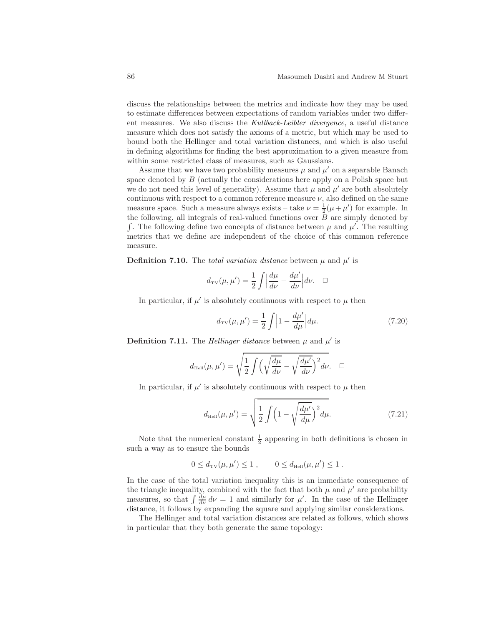discuss the relationships between the metrics and indicate how they may be used to estimate differences between expectations of random variables under two different measures. We also discuss the Kullback-Leibler divergence, a useful distance measure which does not satisfy the axioms of a metric, but which may be used to bound both the Hellinger and total variation distances, and which is also useful in defining algorithms for finding the best approximation to a given measure from within some restricted class of measures, such as Gaussians.

Assume that we have two probability measures  $\mu$  and  $\mu'$  on a separable Banach space denoted by B (actually the considerations here apply on a Polish space but we do not need this level of generality). Assume that  $\mu$  and  $\mu'$  are both absolutely continuous with respect to a common reference measure  $\nu$ , also defined on the same measure space. Such a measure always exists – take  $\nu = \frac{1}{2}(\mu + \mu')$  for example. In the following, all integrals of real-valued functions over  $\overline{B}$  are simply denoted by  $\int$ . The following define two concepts of distance between  $\mu$  and  $\mu'$ . The resulting metrics that we define are independent of the choice of this common reference measure.

**Definition 7.10.** The *total variation distance* between  $\mu$  and  $\mu'$  is

$$
d_{\text{TV}}(\mu, \mu') = \frac{1}{2} \int \left| \frac{d\mu}{d\nu} - \frac{d\mu'}{d\nu} \right| d\nu. \quad \Box
$$

In particular, if  $\mu'$  is absolutely continuous with respect to  $\mu$  then

$$
d_{\text{TV}}(\mu, \mu') = \frac{1}{2} \int \left| 1 - \frac{d\mu'}{d\mu} \right| d\mu. \tag{7.20}
$$

**Definition 7.11.** The *Hellinger distance* between  $\mu$  and  $\mu'$  is

$$
d_{\text{HeII}}(\mu, \mu') = \sqrt{\frac{1}{2} \int \left( \sqrt{\frac{d\mu}{d\nu}} - \sqrt{\frac{d\mu'}{d\nu}} \right)^2} d\nu. \quad \Box
$$

In particular, if  $\mu'$  is absolutely continuous with respect to  $\mu$  then

$$
d_{\text{HeII}}(\mu, \mu') = \sqrt{\frac{1}{2} \int \left(1 - \sqrt{\frac{d\mu'}{d\mu}}\right)^2 d\mu}.
$$
 (7.21)

Note that the numerical constant  $\frac{1}{2}$  appearing in both definitions is chosen in such a way as to ensure the bounds

$$
0 \le d_{\text{TV}}(\mu, \mu') \le 1
$$
,  $0 \le d_{\text{Heil}}(\mu, \mu') \le 1$ .

In the case of the total variation inequality this is an immediate consequence of the triangle inequality, combined with the fact that both  $\mu$  and  $\mu'$  are probability measures, so that  $\int \frac{d\mu}{d\nu} d\nu = 1$  and similarly for  $\mu'$ . In the case of the Hellinger distance, it follows by expanding the square and applying similar considerations.

<span id="page-85-0"></span>The Hellinger and total variation distances are related as follows, which shows in particular that they both generate the same topology: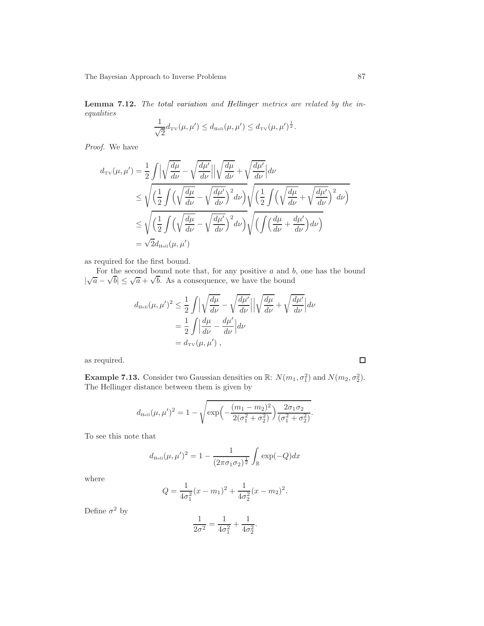Lemma 7.12. The total variation and Hellinger metrics are related by the inequalities

$$
\frac{1}{\sqrt{2}}d_{\text{TV}}(\mu, \mu') \leq d_{\text{Hel}}(\mu, \mu') \leq d_{\text{TV}}(\mu, \mu')^{\frac{1}{2}}.
$$

Proof. We have

$$
d_{\text{TV}}(\mu, \mu') = \frac{1}{2} \int \left| \sqrt{\frac{d\mu}{d\nu}} - \sqrt{\frac{d\mu'}{d\nu}} \right| \left| \sqrt{\frac{d\mu}{d\nu}} + \sqrt{\frac{d\mu'}{d\nu}} \right| d\nu
$$
  
\n
$$
\leq \sqrt{\left( \frac{1}{2} \int \left( \sqrt{\frac{d\mu}{d\nu}} - \sqrt{\frac{d\mu'}{d\nu}} \right)^2 d\nu \right)} \sqrt{\left( \frac{1}{2} \int \left( \sqrt{\frac{d\mu}{d\nu}} + \sqrt{\frac{d\mu'}{d\nu}} \right)^2 d\nu \right)}
$$
  
\n
$$
\leq \sqrt{\left( \frac{1}{2} \int \left( \sqrt{\frac{d\mu}{d\nu}} - \sqrt{\frac{d\mu'}{d\nu}} \right)^2 d\nu \right)} \sqrt{\left( \int \left( \frac{d\mu}{d\nu} + \frac{d\mu'}{d\nu} \right) d\nu \right)}
$$
  
\n
$$
= \sqrt{2} d_{\text{HeII}}(\mu, \mu')
$$

as required for the first bound.

For the second bound note that, for any positive  $a$  and  $b$ , one has the bound  $|\sqrt{a} - \sqrt{b}| \le \sqrt{a} + \sqrt{b}$ . As a consequence, we have the bound

$$
d_{\text{HeII}}(\mu, \mu')^2 \leq \frac{1}{2} \int \left| \sqrt{\frac{d\mu}{d\nu}} - \sqrt{\frac{d\mu'}{d\nu}} \right| \left| \sqrt{\frac{d\mu}{d\nu}} + \sqrt{\frac{d\mu'}{d\nu}} \right| d\nu
$$
  
=  $\frac{1}{2} \int \left| \frac{d\mu}{d\nu} - \frac{d\mu'}{d\nu} \right| d\nu$   
=  $d_{\text{TV}}(\mu, \mu')$ ,

as required.

**Example 7.13.** Consider two Gaussian densities on  $\mathbb{R}$ :  $N(m_1, \sigma_1^2)$  and  $N(m_2, \sigma_2^2)$ . The Hellinger distance between them is given by

$$
d_{\text{HeII}}(\mu, \mu')^2 = 1 - \sqrt{\exp\left(-\frac{(m_1 - m_2)^2}{2(\sigma_1^2 + \sigma_2^2)}\right) \frac{2\sigma_1 \sigma_2}{(\sigma_1^2 + \sigma_2^2)}}.
$$

To see this note that

$$
d_{\text{HeII}}(\mu, \mu')^2 = 1 - \frac{1}{(2\pi\sigma_1\sigma_2)^{\frac{1}{2}}} \int_{\mathbb{R}} \exp(-Q) dx
$$

where

$$
Q = \frac{1}{4\sigma_1^2}(x - m_1)^2 + \frac{1}{4\sigma_2^2}(x - m_2)^2.
$$

Define  $\sigma^2$  by

$$
\frac{1}{2\sigma^2} = \frac{1}{4\sigma_1^2} + \frac{1}{4\sigma_2^2}.
$$

 $\Box$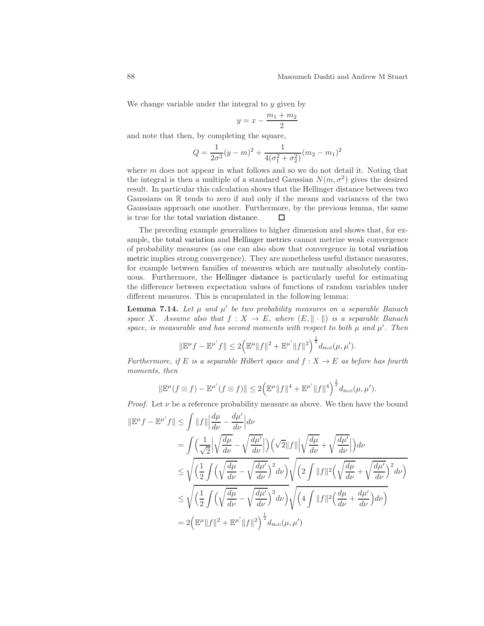We change variable under the integral to  $y$  given by

$$
y = x - \frac{m_1 + m_2}{2}
$$

and note that then, by completing the square,

$$
Q = \frac{1}{2\sigma^2}(y - m)^2 + \frac{1}{4(\sigma_1^2 + \sigma_2^2)}(m_2 - m_1)^2
$$

where  $m$  does not appear in what follows and so we do not detail it. Noting that the integral is then a multiple of a standard Gaussian  $N(m, \sigma^2)$  gives the desired result. In particular this calculation shows that the Hellinger distance between two Gaussians on R tends to zero if and only if the means and variances of the two Gaussians approach one another. Furthermore, by the previous lemma, the same is true for the total variation distance. □

The preceding example generalizes to higher dimension and shows that, for example, the total variation and Hellinger metrics cannot metrize weak convergence of probability measures (as one can also show that convergence in total variation metric implies strong convergence). They are nonetheless useful distance measures, for example between families of measures which are mutually absolutely continuous. Furthermore, the Hellinger distance is particularly useful for estimating the difference between expectation values of functions of random variables under different measures. This is encapsulated in the following lemma:

**Lemma 7.14.** Let  $\mu$  and  $\mu'$  be two probability measures on a separable Banach space X. Assume also that  $f: X \to E$ , where  $(E, \|\cdot\|)$  is a separable Banach space, is measurable and has second moments with respect to both  $\mu$  and  $\mu'$ . Then

$$
\|\mathbb{E}^{\mu} f - \mathbb{E}^{\mu'} f\| \le 2 \Big( \mathbb{E}^{\mu} \|f\|^{2} + \mathbb{E}^{\mu'} \|f\|^{2} \Big)^{\frac{1}{2}} d_{\text{Heil}}(\mu, \mu').
$$

Furthermore, if E is a separable Hilbert space and  $f: X \to E$  as before has fourth moments, then

$$
\|\mathbb{E}^{\mu}(f \otimes f) - \mathbb{E}^{\mu'}(f \otimes f)\| \leq 2 \Big(\mathbb{E}^{\mu} \|f\|^{4} + \mathbb{E}^{\mu'} \|f\|^{4}\Big)^{\frac{1}{2}} d_{\text{Heil}}(\mu, \mu').
$$

*Proof.* Let  $\nu$  be a reference probability measure as above. We then have the bound

$$
\|\mathbb{E}^{\mu} f - \mathbb{E}^{\mu'} f\| \leq \int \|f\| \left| \frac{d\mu}{d\nu} - \frac{d\mu'}{d\nu} \right| d\nu
$$
  
\n
$$
= \int \left( \frac{1}{\sqrt{2}} \left| \sqrt{\frac{d\mu}{d\nu}} - \sqrt{\frac{d\mu'}{d\nu}} \right| \right) \left( \sqrt{2} \|f\| \left| \sqrt{\frac{d\mu}{d\nu}} + \sqrt{\frac{d\mu'}{d\nu}} \right| \right) d\nu
$$
  
\n
$$
\leq \sqrt{\left( \frac{1}{2} \int \left( \sqrt{\frac{d\mu}{d\nu}} - \sqrt{\frac{d\mu'}{d\nu}} \right)^2 d\nu \right)} \sqrt{\left( 2 \int \|f\|^2 \left( \sqrt{\frac{d\mu}{d\nu}} + \sqrt{\frac{d\mu'}{d\nu}} \right)^2 d\nu \right)}
$$
  
\n
$$
\leq \sqrt{\left( \frac{1}{2} \int \left( \sqrt{\frac{d\mu}{d\nu}} - \sqrt{\frac{d\mu'}{d\nu}} \right)^2 d\nu \right)} \sqrt{\left( 4 \int \|f\|^2 \left( \frac{d\mu}{d\nu} + \frac{d\mu'}{d\nu} \right) d\nu \right)}
$$
  
\n
$$
= 2 \left( \mathbb{E}^{\mu} \|f\|^2 + \mathbb{E}^{\mu'} \|f\|^2 \right)^{\frac{1}{2}} d_{\text{Heil}}(\mu, \mu')
$$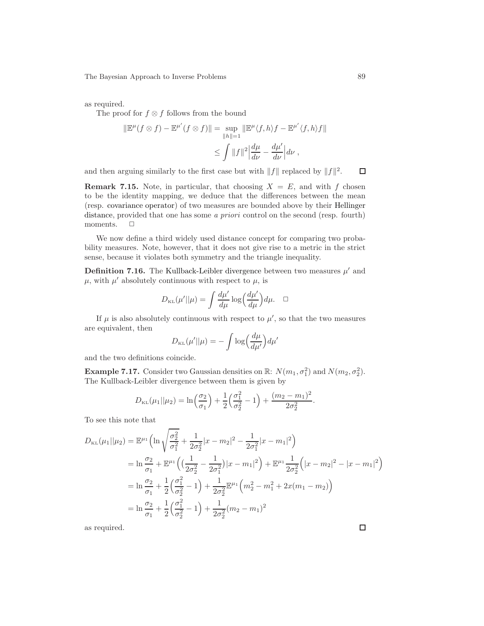as required.

The proof for  $f \otimes f$  follows from the bound

$$
\|\mathbb{E}^{\mu}(f \otimes f) - \mathbb{E}^{\mu'}(f \otimes f)\| = \sup_{\|h\|=1} \|\mathbb{E}^{\mu}\langle f, h \rangle f - \mathbb{E}^{\mu'}\langle f, h \rangle f\|
$$
  

$$
\leq \int \|f\|^{2} \left| \frac{d\mu}{d\nu} - \frac{d\mu'}{d\nu} \right| d\nu,
$$

and then arguing similarly to the first case but with  $||f||$  replaced by  $||f||^2$ .

**Remark 7.15.** Note, in particular, that choosing  $X = E$ , and with f chosen to be the identity mapping, we deduce that the differences between the mean (resp. covariance operator) of two measures are bounded above by their Hellinger distance, provided that one has some *a priori* control on the second (resp. fourth) moments.  $\Box$ 

We now define a third widely used distance concept for comparing two probability measures. Note, however, that it does not give rise to a metric in the strict sense, because it violates both symmetry and the triangle inequality.

**Definition 7.16.** The Kullback-Leibler divergence between two measures  $\mu'$  and  $\mu$ , with  $\mu'$  absolutely continuous with respect to  $\mu$ , is

$$
D_{\text{KL}}(\mu'||\mu) = \int \frac{d\mu'}{d\mu} \log \left(\frac{d\mu'}{d\mu}\right) d\mu. \quad \Box
$$

If  $\mu$  is also absolutely continuous with respect to  $\mu'$ , so that the two measures are equivalent, then

$$
D_{\text{KL}}(\mu'||\mu) = -\int \log \left(\frac{d\mu}{d\mu'}\right) d\mu'
$$

and the two definitions coincide.

**Example 7.17.** Consider two Gaussian densities on  $\mathbb{R}$ :  $N(m_1, \sigma_1^2)$  and  $N(m_2, \sigma_2^2)$ . The Kullback-Leibler divergence between them is given by

$$
D_{\text{KL}}(\mu_1||\mu_2) = \ln\left(\frac{\sigma_2}{\sigma_1}\right) + \frac{1}{2}\left(\frac{\sigma_1^2}{\sigma_2^2} - 1\right) + \frac{(m_2 - m_1)^2}{2\sigma_2^2}.
$$

To see this note that

$$
D_{\text{KL}}(\mu_1||\mu_2) = \mathbb{E}^{\mu_1} \Big( \ln \sqrt{\frac{\sigma_2^2}{\sigma_1^2}} + \frac{1}{2\sigma_2^2} |x - m_2|^2 - \frac{1}{2\sigma_1^2} |x - m_1|^2 \Big)
$$
  
\n
$$
= \ln \frac{\sigma_2}{\sigma_1} + \mathbb{E}^{\mu_1} \Big( \Big( \frac{1}{2\sigma_2^2} - \frac{1}{2\sigma_1^2} \Big) |x - m_1|^2 \Big) + \mathbb{E}^{\mu_1} \frac{1}{2\sigma_2^2} \Big( |x - m_2|^2 - |x - m_1|^2 \Big)
$$
  
\n
$$
= \ln \frac{\sigma_2}{\sigma_1} + \frac{1}{2} \Big( \frac{\sigma_1^2}{\sigma_2^2} - 1 \Big) + \frac{1}{2\sigma_2^2} \mathbb{E}^{\mu_1} \Big( m_2^2 - m_1^2 + 2x(m_1 - m_2) \Big)
$$
  
\n
$$
= \ln \frac{\sigma_2}{\sigma_1} + \frac{1}{2} \Big( \frac{\sigma_1^2}{\sigma_2^2} - 1 \Big) + \frac{1}{2\sigma_2^2} (m_2 - m_1)^2
$$

as required.

 $\Box$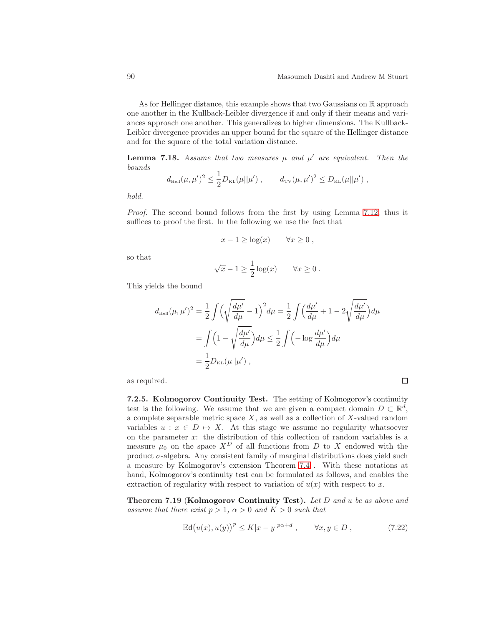$\Box$ 

As for Hellinger distance, this example shows that two Gaussians on R approach one another in the Kullback-Leibler divergence if and only if their means and variances approach one another. This generalizes to higher dimensions. The Kullback-Leibler divergence provides an upper bound for the square of the Hellinger distance and for the square of the total variation distance.

<span id="page-89-1"></span>**Lemma 7.18.** Assume that two measures  $\mu$  and  $\mu'$  are equivalent. Then the bounds

$$
d_{\text{HeII}}(\mu, \mu')^2 \leq \frac{1}{2} D_{\text{KL}}(\mu || \mu'), \qquad d_{\text{TV}}(\mu, \mu')^2 \leq D_{\text{KL}}(\mu || \mu'),
$$

hold.

Proof. The second bound follows from the first by using Lemma [7.12,](#page-85-0) thus it suffices to proof the first. In the following we use the fact that

$$
x - 1 \ge \log(x) \qquad \forall x \ge 0 ,
$$

so that

$$
\sqrt{x} - 1 \ge \frac{1}{2} \log(x) \qquad \forall x \ge 0.
$$

This yields the bound

$$
d_{\text{HeII}}(\mu, \mu')^2 = \frac{1}{2} \int \left( \sqrt{\frac{d\mu'}{d\mu}} - 1 \right)^2 d\mu = \frac{1}{2} \int \left( \frac{d\mu'}{d\mu} + 1 - 2\sqrt{\frac{d\mu'}{d\mu}} \right) d\mu
$$
  
= 
$$
\int \left( 1 - \sqrt{\frac{d\mu'}{d\mu}} \right) d\mu \le \frac{1}{2} \int \left( -\log \frac{d\mu'}{d\mu} \right) d\mu
$$
  
= 
$$
\frac{1}{2} D_{\text{KL}}(\mu || \mu'),
$$

as required.

7.2.5. Kolmogorov Continuity Test. The setting of Kolmogorov's continuity test is the following. We assume that we are given a compact domain  $D \subset \mathbb{R}^d$ , a complete separable metric space  $X$ , as well as a collection of  $X$ -valued random variables  $u : x \in D \mapsto X$ . At this stage we assume no regularity whatsoever on the parameter  $x$ : the distribution of this collection of random variables is a measure  $\mu_0$  on the space  $X^D$  of all functions from D to X endowed with the product  $\sigma$ -algebra. Any consistent family of marginal distributions does yield such a measure by Kolmogorov's extension Theorem [7.4](#page-81-0) . With these notations at hand, Kolmogorov's continuity test can be formulated as follows, and enables the extraction of regularity with respect to variation of  $u(x)$  with respect to x.

<span id="page-89-0"></span>Theorem 7.19 (Kolmogorov Continuity Test). Let D and u be as above and assume that there exist  $p > 1$ ,  $\alpha > 0$  and  $K > 0$  such that

$$
\mathbb{E}\mathsf{d}\big(u(x),u(y)\big)^p \le K|x-y|^{p\alpha+d} , \qquad \forall x,y \in D , \tag{7.22}
$$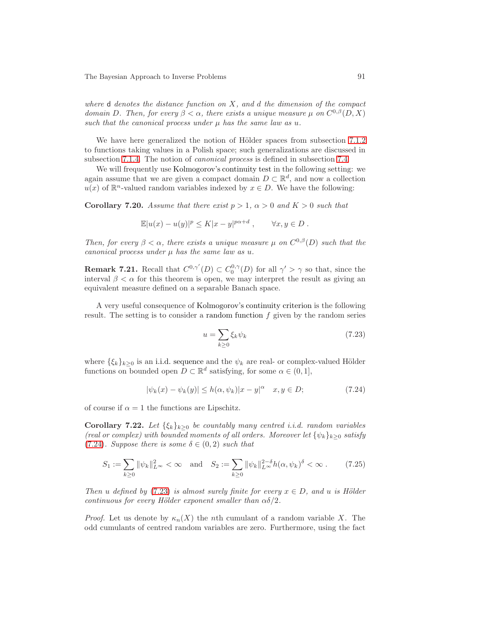where  $d$  denotes the distance function on  $X$ , and  $d$  the dimension of the compact domain D. Then, for every  $\beta < \alpha$ , there exists a unique measure  $\mu$  on  $C^{0,\beta}(D,X)$ such that the canonical process under  $\mu$  has the same law as  $u$ .

We have here generalized the notion of Hölder spaces from subsection [7.1.2](#page-75-1) to functions taking values in a Polish space; such generalizations are discussed in subsection [7.1.4.](#page-78-1) The notion of canonical process is defined in subsection [7.4.](#page-96-0)

We will frequently use Kolmogorov's continuity test in the following setting: we again assume that we are given a compact domain  $D \subset \mathbb{R}^d$ , and now a collection  $u(x)$  of  $\mathbb{R}^n$ -valued random variables indexed by  $x \in D$ . We have the following:

<span id="page-90-2"></span>**Corollary 7.20.** Assume that there exist  $p > 1$ ,  $\alpha > 0$  and  $K > 0$  such that

$$
\mathbb{E}|u(x) - u(y)|^p \le K|x - y|^{p\alpha + d}, \qquad \forall x, y \in D.
$$

Then, for every  $\beta < \alpha$ , there exists a unique measure  $\mu$  on  $C^{0,\beta}(D)$  such that the canonical process under  $\mu$  has the same law as  $u$ .

**Remark 7.21.** Recall that  $C^{0,\gamma'}(D) \subset C^{0,\gamma}_0(D)$  for all  $\gamma' > \gamma$  so that, since the interval  $\beta < \alpha$  for this theorem is open, we may interpret the result as giving an equivalent measure defined on a separable Banach space.

A very useful consequence of Kolmogorov's continuity criterion is the following result. The setting is to consider a random function  $f$  given by the random series

<span id="page-90-1"></span>
$$
u = \sum_{k \ge 0} \xi_k \psi_k \tag{7.23}
$$

where  $\{\xi_k\}_{k>0}$  is an i.i.d. sequence and the  $\psi_k$  are real- or complex-valued Hölder functions on bounded open  $D \subset \mathbb{R}^d$  satisfying, for some  $\alpha \in (0,1]$ ,

<span id="page-90-0"></span>
$$
|\psi_k(x) - \psi_k(y)| \le h(\alpha, \psi_k)|x - y|^{\alpha} \quad x, y \in D;
$$
\n(7.24)

<span id="page-90-3"></span>of course if  $\alpha = 1$  the functions are Lipschitz.

Corollary 7.22. Let  $\{\xi_k\}_{k\geq 0}$  be countably many centred i.i.d. random variables (real or complex) with bounded moments of all orders. Moreover let  $\{\psi_k\}_{k>0}$  satisfy [\(7.24\)](#page-90-0). Suppose there is some  $\delta \in (0, 2)$  such that

<span id="page-90-4"></span>
$$
S_1 := \sum_{k \ge 0} ||\psi_k||_{L^{\infty}}^2 < \infty \quad \text{and} \quad S_2 := \sum_{k \ge 0} ||\psi_k||_{L^{\infty}}^{2-\delta} h(\alpha, \psi_k)^{\delta} < \infty . \tag{7.25}
$$

Then u defined by [\(7.23\)](#page-90-1) is almost surely finite for every  $x \in D$ , and u is Hölder continuous for every Hölder exponent smaller than  $\alpha\delta/2$ .

*Proof.* Let us denote by  $\kappa_n(X)$  the *n*th cumulant of a random variable X. The odd cumulants of centred random variables are zero. Furthermore, using the fact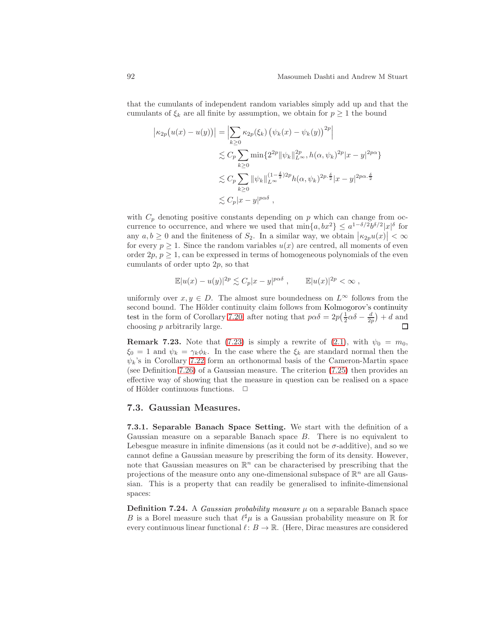that the cumulants of independent random variables simply add up and that the cumulants of  $\xi_k$  are all finite by assumption, we obtain for  $p \geq 1$  the bound

$$
\begin{aligned} \left| \kappa_{2p} \big( u(x) - u(y) \big) \right| &= \left| \sum_{k \ge 0} \kappa_{2p} (\xi_k) \left( \psi_k(x) - \psi_k(y) \right)^{2p} \right| \\ &\lesssim C_p \sum_{k \ge 0} \min \{ 2^{2p} \| \psi_k \|_{L^\infty}^{2p}, h(\alpha, \psi_k)^{2p} | x - y |^{2p\alpha} \} \\ &\lesssim C_p \sum_{k \ge 0} \| \psi_k \|_{L^\infty}^{(1 - \frac{\delta}{2})2p} h(\alpha, \psi_k)^{2p \cdot \frac{\delta}{2}} | x - y |^{2p\alpha \cdot \frac{\delta}{2}} \\ &\lesssim C_p | x - y |^{p\alpha \delta} \;, \end{aligned}
$$

with  $C_p$  denoting positive constants depending on p which can change from occurrence to occurrence, and where we used that  $\min\{a, bx^2\} \leq a^{1-\delta/2}b^{\delta/2}|x|^{\delta}$  for any  $a, b \geq 0$  and the finiteness of  $S_2$ . In a similar way, we obtain  $|\kappa_{2p}u(x)| < \infty$ for every  $p \geq 1$ . Since the random variables  $u(x)$  are centred, all moments of even order  $2p, p \geq 1$ , can be expressed in terms of homogeneous polynomials of the even cumulants of order upto 2p, so that

$$
\mathbb{E}|u(x) - u(y)|^{2p} \lesssim C_p |x - y|^{p\alpha\delta} , \qquad \mathbb{E}|u(x)|^{2p} < \infty ,
$$

uniformly over  $x, y \in D$ . The almost sure boundedness on  $L^{\infty}$  follows from the second bound. The Hölder continuity claim follows from Kolmogorov's continuity test in the form of Corollary [7.20,](#page-90-2) after noting that  $p\alpha\delta = 2p(\frac{1}{2}\alpha\delta - \frac{d}{2p}) + d$  and choosing p arbitrarily large.

**Remark 7.23.** Note that [\(7.23\)](#page-90-1) is simply a rewrite of [\(2.1\)](#page-8-2), with  $\psi_0 = m_0$ ,  $\xi_0 = 1$  and  $\psi_k = \gamma_k \phi_k$ . In the case where the  $\xi_k$  are standard normal then the  $\psi_k$ 's in Corollary [7.22](#page-90-3) form an orthonormal basis of the Cameron-Martin space (see Definition [7.26\)](#page-92-0) of a Gaussian measure. The criterion [\(7.25\)](#page-90-4) then provides an effective way of showing that the measure in question can be realised on a space of Hölder continuous functions.  $\Box$ 

#### <span id="page-91-0"></span>7.3. Gaussian Measures.

7.3.1. Separable Banach Space Setting. We start with the definition of a Gaussian measure on a separable Banach space  $B$ . There is no equivalent to Lebesgue measure in infinite dimensions (as it could not be  $\sigma$ -additive), and so we cannot define a Gaussian measure by prescribing the form of its density. However, note that Gaussian measures on  $\mathbb{R}^n$  can be characterised by prescribing that the projections of the measure onto any one-dimensional subspace of  $\mathbb{R}^n$  are all Gaussian. This is a property that can readily be generalised to infinite-dimensional spaces:

**Definition 7.24.** A *Gaussian probability measure*  $\mu$  on a separable Banach space B is a Borel measure such that  $\ell^{\sharp} \mu$  is a Gaussian probability measure on R for every continuous linear functional  $\ell: B \to \mathbb{R}$ . (Here, Dirac measures are considered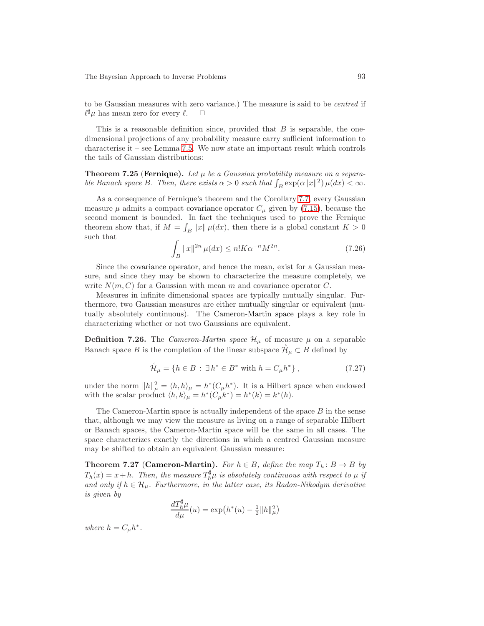to be Gaussian measures with zero variance.) The measure is said to be centred if  $\ell^{\sharp} \mu$  has mean zero for every  $\ell$ .  $\Box$ 

This is a reasonable definition since, provided that  $B$  is separable, the onedimensional projections of any probability measure carry sufficient information to characterise it – see Lemma [7.5.](#page-82-0) We now state an important result which controls the tails of Gaussian distributions:

<span id="page-92-2"></span>**Theorem 7.25 (Fernique).** Let  $\mu$  be a Gaussian probability measure on a separable Banach space B. Then, there exists  $\alpha > 0$  such that  $\int_B \exp(\alpha ||x||^2) \mu(dx) < \infty$ .

As a consequence of Fernique's theorem and the Corollary [7.7,](#page-83-4) every Gaussian measure  $\mu$  admits a compact covariance operator  $C_{\mu}$  given by [\(7.15\)](#page-83-0), because the second moment is bounded. In fact the techniques used to prove the Fernique theorem show that, if  $M = \int_B ||x|| \mu(dx)$ , then there is a global constant  $K > 0$ such that

<span id="page-92-1"></span>
$$
\int_{B} \|x\|^{2n} \,\mu(dx) \le n! K \alpha^{-n} M^{2n}.\tag{7.26}
$$

Since the covariance operator, and hence the mean, exist for a Gaussian measure, and since they may be shown to characterize the measure completely, we write  $N(m, C)$  for a Gaussian with mean m and covariance operator C.

Measures in infinite dimensional spaces are typically mutually singular. Furthermore, two Gaussian measures are either mutually singular or equivalent (mutually absolutely continuous). The Cameron-Martin space plays a key role in characterizing whether or not two Gaussians are equivalent.

<span id="page-92-0"></span>**Definition 7.26.** The *Cameron-Martin space*  $\mathcal{H}_{\mu}$  of measure  $\mu$  on a separable Banach space B is the completion of the linear subspace  $\mathcal{H}_{\mu} \subset B$  defined by

$$
\mathring{\mathcal{H}}_{\mu} = \{ h \in B : \exists h^* \in B^* \text{ with } h = C_{\mu} h^* \},\tag{7.27}
$$

under the norm  $||h||_{\mu}^2 = \langle h, h \rangle_{\mu} = h^*(C_{\mu}h^*)$ . It is a Hilbert space when endowed with the scalar product  $\langle h, k \rangle_{\mu} = h^*(C_{\mu}k^*) = h^*(k) = k^*(h)$ .

The Cameron-Martin space is actually independent of the space  $B$  in the sense that, although we may view the measure as living on a range of separable Hilbert or Banach spaces, the Cameron-Martin space will be the same in all cases. The space characterizes exactly the directions in which a centred Gaussian measure may be shifted to obtain an equivalent Gaussian measure:

<span id="page-92-3"></span>**Theorem 7.27 (Cameron-Martin).** For  $h \in B$ , define the map  $T_h: B \to B$  by  $T_h(x) = x + h$ . Then, the measure  $T_h^{\sharp} \mu$  is absolutely continuous with respect to  $\mu$  if and only if  $h \in \mathcal{H}_{\mu}$ . Furthermore, in the latter case, its Radon-Nikodym derivative is given by

$$
\frac{dT_h^{\sharp} \mu}{d \mu}(u) = \exp\left(h^*(u) - \frac{1}{2} ||h||^2_{\mu}\right)
$$

where  $h = C_{\mu}h^*$ .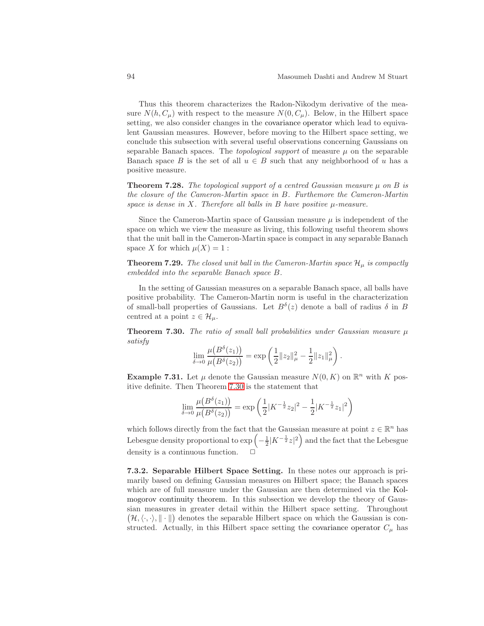Thus this theorem characterizes the Radon-Nikodym derivative of the measure  $N(h, C_\mu)$  with respect to the measure  $N(0, C_\mu)$ . Below, in the Hilbert space setting, we also consider changes in the covariance operator which lead to equivalent Gaussian measures. However, before moving to the Hilbert space setting, we conclude this subsection with several useful observations concerning Gaussians on separable Banach spaces. The *topological support* of measure  $\mu$  on the separable Banach space B is the set of all  $u \in B$  such that any neighborhood of u has a positive measure.

<span id="page-93-1"></span>**Theorem 7.28.** The topological support of a centred Gaussian measure  $\mu$  on B is the closure of the Cameron-Martin space in B. Furthemore the Cameron-Martin space is dense in  $X$ . Therefore all balls in  $B$  have positive  $\mu$ -measure.

Since the Cameron-Martin space of Gaussian measure  $\mu$  is independent of the space on which we view the measure as living, this following useful theorem shows that the unit ball in the Cameron-Martin space is compact in any separable Banach space X for which  $\mu(X) = 1$ :

**Theorem 7.29.** The closed unit ball in the Cameron-Martin space  $\mathcal{H}_{\mu}$  is compactly embedded into the separable Banach space B.

In the setting of Gaussian measures on a separable Banach space, all balls have positive probability. The Cameron-Martin norm is useful in the characterization of small-ball properties of Gaussians. Let  $B^{\delta}(z)$  denote a ball of radius  $\delta$  in B centred at a point  $z \in \mathcal{H}_{\mu}$ .

<span id="page-93-0"></span>**Theorem 7.30.** The ratio of small ball probabilities under Gaussian measure  $\mu$ satisfy

$$
\lim_{\delta \to 0} \frac{\mu(B^{\delta}(z_1))}{\mu(B^{\delta}(z_2))} = \exp \left( \frac{1}{2} ||z_2||_{\mu}^2 - \frac{1}{2} ||z_1||_{\mu}^2 \right).
$$

**Example 7.31.** Let  $\mu$  denote the Gaussian measure  $N(0, K)$  on  $\mathbb{R}^n$  with K positive definite. Then Theorem [7.30](#page-93-0) is the statement that

$$
\lim_{\delta \to 0} \frac{\mu(B^{\delta}(z_1))}{\mu(B^{\delta}(z_2))} = \exp \left( \frac{1}{2} |K^{-\frac{1}{2}} z_2|^2 - \frac{1}{2} |K^{-\frac{1}{2}} z_1|^2 \right)
$$

which follows directly from the fact that the Gaussian measure at point  $z \in \mathbb{R}^n$  has Lebesgue density proportional to  $\exp\left(-\frac{1}{2}|K^{-\frac{1}{2}}z|^2\right)$  and the fact that the Lebesgue density is a continuous function.

7.3.2. Separable Hilbert Space Setting. In these notes our approach is primarily based on defining Gaussian measures on Hilbert space; the Banach spaces which are of full measure under the Gaussian are then determined via the Kolmogorov continuity theorem. In this subsection we develop the theory of Gaussian measures in greater detail within the Hilbert space setting. Throughout  $\big(\mathcal{H},\langle\cdot,\cdot\rangle,\|\cdot\|\big)$  denotes the separable Hilbert space on which the Gaussian is constructed. Actually, in this Hilbert space setting the covariance operator  $C_{\mu}$  has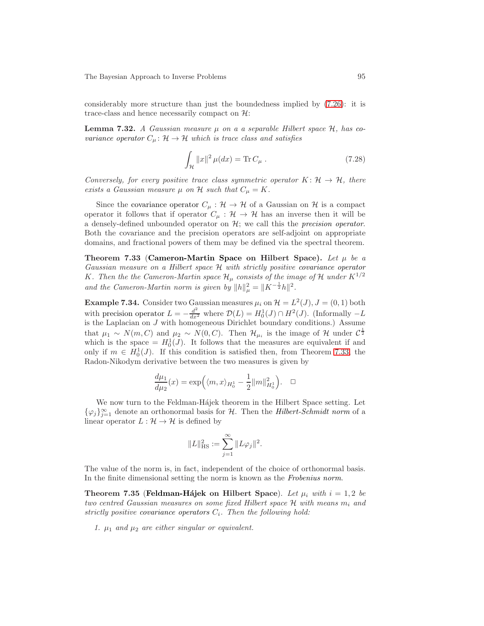<span id="page-94-0"></span>considerably more structure than just the boundedness implied by [\(7.26\)](#page-92-1): it is trace-class and hence necessarily compact on  $\mathcal{H}$ :

**Lemma 7.32.** A Gaussian measure  $\mu$  on a a separable Hilbert space  $\mathcal{H}$ , has covariance operator  $C_{\mu} : \mathcal{H} \to \mathcal{H}$  which is trace class and satisfies

$$
\int_{\mathcal{H}} \|x\|^2 \,\mu(dx) = \text{Tr}\, C_{\mu} \,. \tag{7.28}
$$

Conversely, for every positive trace class symmetric operator  $K: \mathcal{H} \to \mathcal{H}$ , there exists a Gaussian measure  $\mu$  on  $\mathcal H$  such that  $C_{\mu} = K$ .

Since the covariance operator  $C_{\mu}: \mathcal{H} \to \mathcal{H}$  of a Gaussian on  $\mathcal{H}$  is a compact operator it follows that if operator  $C_{\mu} : \mathcal{H} \to \mathcal{H}$  has an inverse then it will be a densely-defined unbounded operator on  $\mathcal{H}$ ; we call this the *precision operator*. Both the covariance and the precision operators are self-adjoint on appropriate domains, and fractional powers of them may be defined via the spectral theorem.

<span id="page-94-1"></span>Theorem 7.33 (Cameron-Martin Space on Hilbert Space). Let  $\mu$  be a Gaussian measure on a Hilbert space H with strictly positive covariance operator K. Then the the Cameron-Martin space  $\mathcal{H}_{\mu}$  consists of the image of H under  $K^{1/2}$ and the Cameron-Martin norm is given by  $||h||_{\mu}^2 = ||K^{-\frac{1}{2}}h||^2$ .

**Example 7.34.** Consider two Gaussian measures  $\mu_i$  on  $\mathcal{H} = L^2(J)$ ,  $J = (0, 1)$  both with precision operator  $L = -\frac{d^2}{dx^2}$  where  $\mathcal{D}(L) = H_0^1(J) \cap H^2(J)$ . (Informally  $-L$ is the Laplacian on J with homogeneous Dirichlet boundary conditions.) Assume that  $\mu_1 \sim N(m, C)$  and  $\mu_2 \sim N(0, C)$ . Then  $\mathcal{H}_{\mu_i}$  is the image of H under  $C^{\frac{1}{2}}$ which is the space  $= H_0^1(J)$ . It follows that the measures are equivalent if and only if  $m \in H_0^1(J)$ . If this condition is satisfied then, from Theorem [7.33,](#page-94-1) the Radon-Nikodym derivative between the two measures is given by

$$
\frac{d\mu_1}{d\mu_2}(x) = \exp((m, x)_{H_0^1} - \frac{1}{2} ||m||_{H_0^1}^2). \quad \Box
$$

We now turn to the Feldman-Hájek theorem in the Hilbert Space setting. Let  $\{\varphi_j\}_{j=1}^{\infty}$  denote an orthonormal basis for H. Then the *Hilbert-Schmidt norm* of a linear operator  $L : \mathcal{H} \to \mathcal{H}$  is defined by

$$
||L||_{\text{HS}}^2 := \sum_{j=1}^{\infty} ||L\varphi_j||^2.
$$

<span id="page-94-2"></span>The value of the norm is, in fact, independent of the choice of orthonormal basis. In the finite dimensional setting the norm is known as the Frobenius norm.

Theorem 7.35 (Feldman-Hájek on Hilbert Space). Let  $\mu_i$  with  $i = 1, 2$  be two centred Gaussian measures on some fixed Hilbert space  $\mathcal H$  with means  $m_i$  and strictly positive covariance operators  $C_i$ . Then the following hold:

1.  $\mu_1$  and  $\mu_2$  are either singular or equivalent.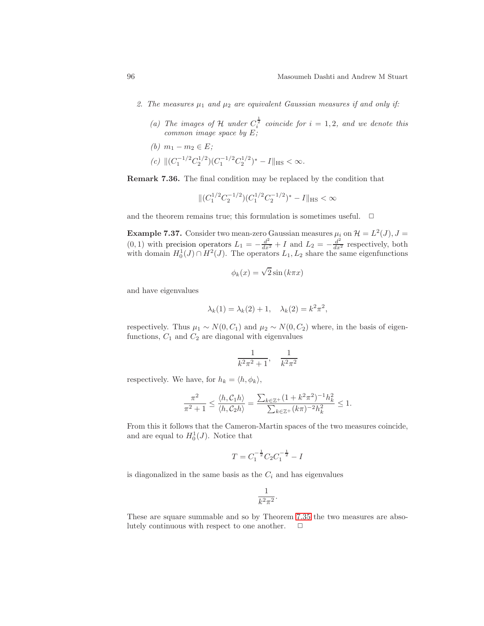- 2. The measures  $\mu_1$  and  $\mu_2$  are equivalent Gaussian measures if and only if:
	- (a) The images of H under  $C_i^{\frac{1}{2}}$  coincide for  $i = 1, 2$ , and we denote this common image space by E;
	- (b)  $m_1 m_2 \in E$ ; (c)  $\|(C_1^{-1/2}C_2^{1/2})(C_1^{-1/2}C_2^{1/2})^* - I\|_{\text{HS}} < \infty.$

<span id="page-95-0"></span>Remark 7.36. The final condition may be replaced by the condition that

$$
\|(C_1^{1/2}C_2^{-1/2})(C_1^{1/2}C_2^{-1/2})^* - I\|_{\text{HS}} < \infty
$$

and the theorem remains true; this formulation is sometimes useful.  $\Box$ 

**Example 7.37.** Consider two mean-zero Gaussian measures  $\mu_i$  on  $\mathcal{H} = L^2(J)$ ,  $J =$ (0, 1) with precision operators  $L_1 = -\frac{d^2}{dx^2} + I$  and  $L_2 = -\frac{d^2}{dx^2}$  respectively, both with domain  $H_0^1(J) \cap H^2(J)$ . The operators  $L_1, L_2$  share the same eigenfunctions

$$
\phi_k(x) = \sqrt{2}\sin\left(k\pi x\right)
$$

and have eigenvalues

$$
\lambda_k(1) = \lambda_k(2) + 1, \quad \lambda_k(2) = k^2 \pi^2,
$$

respectively. Thus  $\mu_1 \sim N(0, C_1)$  and  $\mu_2 \sim N(0, C_2)$  where, in the basis of eigenfunctions,  $C_1$  and  $C_2$  are diagonal with eigenvalues

$$
\frac{1}{k^2 \pi^2 + 1}, \quad \frac{1}{k^2 \pi^2}
$$

respectively. We have, for  $h_k = \langle h, \phi_k \rangle$ ,

$$
\frac{\pi^2}{\pi^2 + 1} \le \frac{\langle h, C_1 h \rangle}{\langle h, C_2 h \rangle} = \frac{\sum_{k \in \mathbb{Z}^+} (1 + k^2 \pi^2)^{-1} h_k^2}{\sum_{k \in \mathbb{Z}^+} (k \pi)^{-2} h_k^2} \le 1.
$$

From this it follows that the Cameron-Martin spaces of the two measures coincide, and are equal to  $H_0^1(J)$ . Notice that

$$
T = C_1^{-\frac{1}{2}} C_2 C_1^{-\frac{1}{2}} - I
$$

is diagonalized in the same basis as the  $C_i$  and has eigenvalues

$$
\frac{1}{k^2 \pi^2}
$$

.

These are square summable and so by Theorem [7.35](#page-94-2) the two measures are absolutely continuous with respect to one another.  $\Box$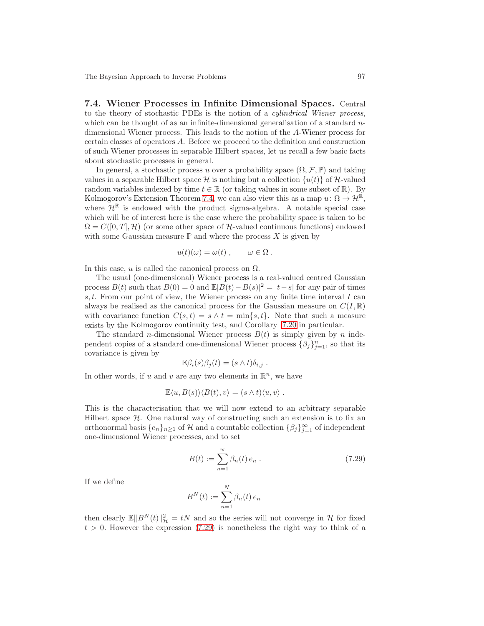<span id="page-96-0"></span>7.4. Wiener Processes in Infinite Dimensional Spaces. Central to the theory of stochastic PDEs is the notion of a cylindrical Wiener process, which can be thought of as an infinite-dimensional generalisation of a standard  $n$ dimensional Wiener process. This leads to the notion of the A-Wiener process for certain classes of operators A. Before we proceed to the definition and construction of such Wiener processes in separable Hilbert spaces, let us recall a few basic facts about stochastic processes in general.

In general, a stochastic process u over a probability space  $(\Omega, \mathcal{F}, \mathbb{P})$  and taking values in a separable Hilbert space H is nothing but a collection  $\{u(t)\}\$  of H-valued random variables indexed by time  $t \in \mathbb{R}$  (or taking values in some subset of  $\mathbb{R}$ ). By Kolmogorov's Extension Theorem [7.4,](#page-81-0) we can also view this as a map  $u: \Omega \to \mathcal{H}^{\mathbb{R}}$ , where  $\mathcal{H}^{\mathbb{R}}$  is endowed with the product sigma-algebra. A notable special case which will be of interest here is the case where the probability space is taken to be  $\Omega = C([0, T], \mathcal{H})$  (or some other space of H-valued continuous functions) endowed with some Gaussian measure  $\mathbb P$  and where the process X is given by

$$
u(t)(\omega) = \omega(t) , \qquad \omega \in \Omega .
$$

In this case, u is called the canonical process on  $\Omega$ .

The usual (one-dimensional) Wiener process is a real-valued centred Gaussian process  $B(t)$  such that  $B(0) = 0$  and  $\mathbb{E}|B(t) - B(s)|^2 = |t - s|$  for any pair of times s, t. From our point of view, the Wiener process on any finite time interval  $I$  can always be realised as the canonical process for the Gaussian measure on  $C(I,\mathbb{R})$ with covariance function  $C(s,t) = s \wedge t = \min\{s,t\}$ . Note that such a measure exists by the Kolmogorov continuity test, and Corollary [7.20](#page-90-2) in particular.

The standard *n*-dimensional Wiener process  $B(t)$  is simply given by *n* independent copies of a standard one-dimensional Wiener process  $\{\beta_j\}_{j=1}^n$ , so that its covariance is given by

$$
\mathbb{E}\beta_i(s)\beta_j(t) = (s \wedge t)\delta_{i,j} .
$$

In other words, if u and v are any two elements in  $\mathbb{R}^n$ , we have

$$
\mathbb{E}\langle u, B(s)\rangle\langle B(t), v\rangle = (s\wedge t)\langle u, v\rangle.
$$

This is the characterisation that we will now extend to an arbitrary separable Hilbert space  $H$ . One natural way of constructing such an extension is to fix an orthonormal basis  $\{e_n\}_{n\geq 1}$  of H and a countable collection  $\{\beta_j\}_{j=1}^{\infty}$  of independent one-dimensional Wiener processes, and to set

<span id="page-96-1"></span>
$$
B(t) := \sum_{n=1}^{\infty} \beta_n(t) e_n . \qquad (7.29)
$$

If we define

$$
B^{N}(t) := \sum_{n=1}^{N} \beta_n(t) e_n
$$

then clearly  $\mathbb{E} \|B^N(t)\|_{\mathcal{H}}^2 = tN$  and so the series will not converge in H for fixed  $t > 0$ . However the expression [\(7.29\)](#page-96-1) is nonetheless the right way to think of a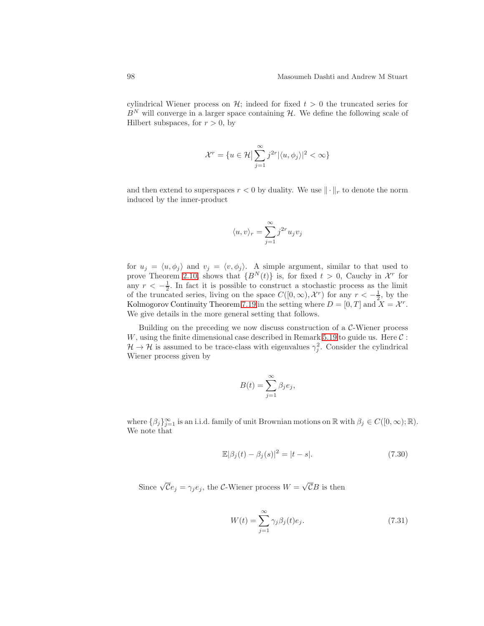cylindrical Wiener process on  $\mathcal{H}$ ; indeed for fixed  $t > 0$  the truncated series for  $B<sup>N</sup>$  will converge in a larger space containing  $H$ . We define the following scale of Hilbert subspaces, for  $r > 0$ , by

$$
\mathcal{X}^r = \{ u \in \mathcal{H} \mid \sum_{j=1}^{\infty} j^{2r} |\langle u, \phi_j \rangle|^2 < \infty \}
$$

and then extend to superspaces  $r < 0$  by duality. We use  $\|\cdot\|_r$  to denote the norm induced by the inner-product

$$
\langle u, v \rangle_r = \sum_{j=1}^\infty j^{2r} u_j v_j
$$

for  $u_j = \langle u, \phi_j \rangle$  and  $v_j = \langle v, \phi_j \rangle$ . A simple argument, similar to that used to prove Theorem [2.10,](#page-17-0) shows that  $\{B^{N}(t)\}\$ is, for fixed  $t>0$ , Cauchy in  $\mathcal{X}^{r}$  for any  $r < -\frac{1}{2}$ . In fact it is possible to construct a stochastic process as the limit of the truncated series, living on the space  $C([0,\infty), \mathcal{X}^r)$  for any  $r < -\frac{1}{2}$ , by the Kolmogorov Continuity Theorem [7.19](#page-89-0) in the setting where  $D = [0, T]$  and  $X = \mathcal{X}^r$ . We give details in the more general setting that follows.

Building on the preceding we now discuss construction of a  $C$ -Wiener process W, using the finite dimensional case described in Remark [5.19](#page-63-1) to guide us. Here  $\mathcal{C}$ :  $\mathcal{H} \to \mathcal{H}$  is assumed to be trace-class with eigenvalues  $\gamma_j^2$ . Consider the cylindrical Wiener process given by

$$
B(t) = \sum_{j=1}^{\infty} \beta_j e_j,
$$

where  $\{\beta_j\}_{j=1}^{\infty}$  is an i.i.d. family of unit Brownian motions on  $\mathbb R$  with  $\beta_j \in C([0,\infty);\mathbb R)$ . We note that

<span id="page-97-0"></span>
$$
\mathbb{E}|\beta_j(t) - \beta_j(s)|^2 = |t - s|.
$$
 (7.30)

Since  $\sqrt{\mathcal{C}}e_j = \gamma_j e_j$ , the  $\mathcal{C}\text{-}\text{Wiener process } W = \sqrt{\mathcal{C}}B$  is then

<span id="page-97-1"></span>
$$
W(t) = \sum_{j=1}^{\infty} \gamma_j \beta_j(t) e_j.
$$
 (7.31)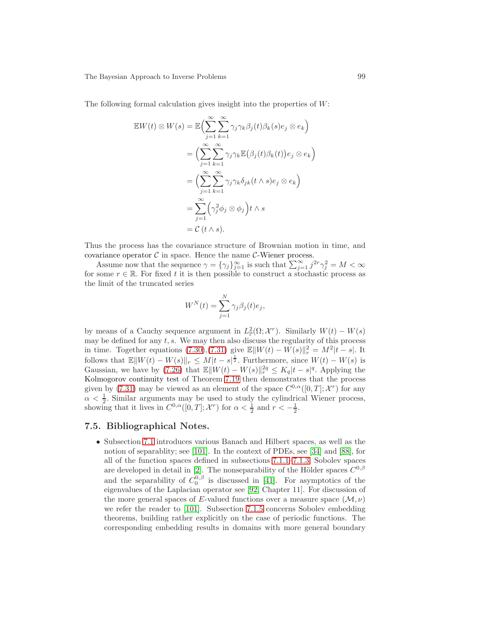The following formal calculation gives insight into the properties of W:

$$
\mathbb{E}W(t) \otimes W(s) = \mathbb{E}\Big(\sum_{j=1}^{\infty} \sum_{k=1}^{\infty} \gamma_j \gamma_k \beta_j(t) \beta_k(s) e_j \otimes e_k\Big)
$$
  
= 
$$
\Big(\sum_{j=1}^{\infty} \sum_{k=1}^{\infty} \gamma_j \gamma_k \mathbb{E}\big(\beta_j(t) \beta_k(t)\big) e_j \otimes e_k\Big)
$$
  
= 
$$
\Big(\sum_{j=1}^{\infty} \sum_{k=1}^{\infty} \gamma_j \gamma_k \delta_{jk}(t \wedge s) e_j \otimes e_k\Big)
$$
  
= 
$$
\sum_{j=1}^{\infty} \Big(\gamma_j^2 \phi_j \otimes \phi_j\Big) t \wedge s
$$
  
= 
$$
\mathcal{C}(t \wedge s).
$$

Thus the process has the covariance structure of Brownian motion in time, and covariance operator  $\mathcal C$  in space. Hence the name  $\mathcal C$ -Wiener process.

Assume now that the sequence  $\gamma = \{\gamma_j\}_{j=1}^{\infty}$  is such that  $\sum_{j=1}^{\infty} j^{2r} \gamma_j^2 = M < \infty$ for some  $r \in \mathbb{R}$ . For fixed t it is then possible to construct a stochastic process as the limit of the truncated series

$$
W^{N}(t) = \sum_{j=1}^{N} \gamma_{j} \beta_{j}(t) e_{j},
$$

by means of a Cauchy sequence argument in  $L^2_{\mathbb{P}}(\Omega; \mathcal{X}^r)$ . Similarly  $W(t) - W(s)$ may be defined for any  $t, s$ . We may then also discuss the regularity of this process in time. Together equations [\(7.30\)](#page-97-0),[\(7.31\)](#page-97-1) give  $\mathbb{E} \|W(t) - W(s)\|_{r}^{2} = M^{2}|t - s|$ . It follows that  $\mathbb{E} \|W(t) - W(s)\|_r \leq M|t - s|^{\frac{1}{2}}$ . Furthermore, since  $W(t) - W(s)$  is Gaussian, we have by [\(7.26\)](#page-92-1) that  $\mathbb{E} \|W(t) - W(s)\|_{r}^{2q} \leq K_q |t - s|^q$ . Applying the Kolmogorov continuity test of Theorem [7.19](#page-89-0) then demonstrates that the process given by [\(7.31\)](#page-97-1) may be viewed as an element of the space  $C^{0,\alpha}([0,T];\mathcal{X}^r)$  for any  $\alpha < \frac{1}{2}$ . Similar arguments may be used to study the cylindrical Wiener process, showing that it lives in  $C^{0,\alpha}([0,T]; \mathcal{X}^r)$  for  $\alpha < \frac{1}{2}$  and  $r < -\frac{1}{2}$ .

### 7.5. Bibliographical Notes.

• Subsection [7.1](#page-74-0) introduces various Banach and Hilbert spaces, as well as the notion of separablity; see [\[101\]](#page-106-2). In the context of PDEs, see [\[34\]](#page-102-7) and [\[88\]](#page-105-9), for all of the function spaces defined in subsections [7.1.1–](#page-74-1)[7.1.3;](#page-76-2) Sobolev spaces are developed in detail in [\[2\]](#page-100-0). The nonseparability of the Hölder spaces  $C^{0,\beta}$ and the separability of  $C_0^{0,\beta}$  is discussed in [\[41\]](#page-103-7). For asymptotics of the eigenvalues of the Laplacian operator see [\[92,](#page-105-10) Chapter 11]. For discussion of the more general spaces of E-valued functions over a measure space  $(\mathcal{M}, \nu)$ we refer the reader to [\[101\]](#page-106-2). Subsection [7.1.5](#page-79-2) concerns Sobolev embedding theorems, building rather explicitly on the case of periodic functions. The corresponding embedding results in domains with more general boundary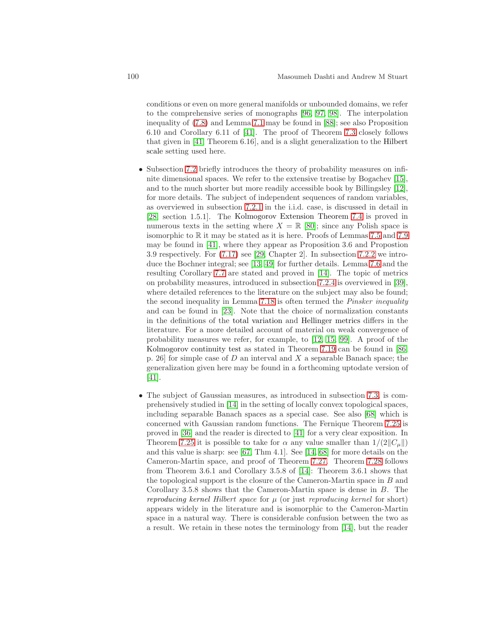conditions or even on more general manifolds or unbounded domains, we refer to the comprehensive series of monographs [\[96,](#page-105-11) [97,](#page-105-12) [98\]](#page-106-3). The interpolation inequality of [\(7.8\)](#page-79-0) and Lemma [7.1](#page-79-3) may be found in [\[88\]](#page-105-9); see also Proposition 6.10 and Corollary 6.11 of [\[41\]](#page-103-7). The proof of Theorem [7.3](#page-80-1) closely follows that given in [\[41,](#page-103-7) Theorem 6.16], and is a slight generalization to the Hilbert scale setting used here.

- Subsection [7.2](#page-81-1) briefly introduces the theory of probability measures on infinite dimensional spaces. We refer to the extensive treatise by Bogachev [\[15\]](#page-101-9), and to the much shorter but more readily accessible book by Billingsley [\[12\]](#page-101-10), for more details. The subject of independent sequences of random variables, as overviewed in subsection [7.2.1](#page-81-2) in the i.i.d. case, is discussed in detail in [\[28,](#page-102-8) section 1.5.1]. The Kolmogorov Extension Theorem [7.4](#page-81-0) is proved in numerous texts in the setting where  $X = \mathbb{R}$  [\[80\]](#page-105-4); since any Polish space is isomorphic to  $\mathbb R$  it may be stated as it is here. Proofs of Lemmas [7.5](#page-82-0) and [7.9](#page-84-0) may be found in [\[41\]](#page-103-7), where they appear as Proposition 3.6 and Propostion 3.9 respectively. For [\(7.17\)](#page-84-1) see [\[29,](#page-102-4) Chapter 2]. In subsection [7.2.2](#page-82-1) we introduce the Bochner integral; see [\[13,](#page-101-11) [49\]](#page-103-8) for further details. Lemma [7.6](#page-83-5) and the resulting Corollary [7.7](#page-83-4) are stated and proved in [\[14\]](#page-101-12). The topic of metrics on probability measures, introduced in subsection [7.2.4](#page-84-2) is overviewed in [\[39\]](#page-102-9), where detailed references to the literature on the subject may also be found; the second inequality in Lemma [7.18](#page-89-1) is often termed the Pinsker inequality and can be found in [\[23\]](#page-102-10). Note that the choice of normalization constants in the definitions of the total variation and Hellinger metrics differs in the literature. For a more detailed account of material on weak convergence of probability measures we refer, for example, to  $[12, 15, 99]$  $[12, 15, 99]$  $[12, 15, 99]$ . A proof of the Kolmogorov continuity test as stated in Theorem [7.19](#page-89-0) can be found in [\[86,](#page-105-13) p. 26] for simple case of D an interval and X a separable Banach space; the generalization given here may be found in a forthcoming uptodate version of [\[41\]](#page-103-7).
- The subject of Gaussian measures, as introduced in subsection [7.3,](#page-91-0) is comprehensively studied in [\[14\]](#page-101-12) in the setting of locally convex topological spaces, including separable Banach spaces as a special case. See also [\[68\]](#page-104-6) which is concerned with Gaussian random functions. The Fernique Theorem [7.25](#page-92-2) is proved in [\[36\]](#page-102-11) and the reader is directed to [\[41\]](#page-103-7) for a very clear exposition. In Theorem [7.25](#page-92-2) it is possible to take for  $\alpha$  any value smaller than  $1/(2||C_{\mu}||)$ and this value is sharp: see [\[67,](#page-104-7) Thm 4.1]. See [\[14,](#page-101-12) [68\]](#page-104-6) for more details on the Cameron-Martin space, and proof of Theorem [7.27.](#page-92-3) Theorem [7.28](#page-93-1) follows from Theorem 3.6.1 and Corollary 3.5.8 of [\[14\]](#page-101-12): Theorem 3.6.1 shows that the topological support is the closure of the Cameron-Martin space in B and Corollary 3.5.8 shows that the Cameron-Martin space is dense in B. The reproducing kernel Hilbert space for  $\mu$  (or just reproducing kernel for short) appears widely in the literature and is isomorphic to the Cameron-Martin space in a natural way. There is considerable confusion between the two as a result. We retain in these notes the terminology from [\[14\]](#page-101-12), but the reader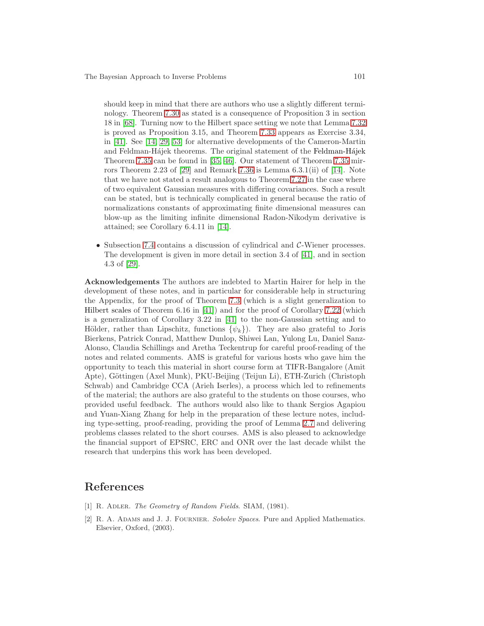should keep in mind that there are authors who use a slightly different terminology. Theorem [7.30](#page-93-0) as stated is a consequence of Proposition 3 in section 18 in [\[68\]](#page-104-6). Turning now to the Hilbert space setting we note that Lemma [7.32](#page-94-0) is proved as Proposition 3.15, and Theorem [7.33](#page-94-1) appears as Exercise 3.34, in [\[41\]](#page-103-7). See [\[14,](#page-101-12) [29,](#page-102-4) [53\]](#page-103-9) for alternative developments of the Cameron-Martin and Feldman-Hájek theorems. The original statement of the Feldman-Hájek Theorem [7.35](#page-94-2) can be found in [\[35,](#page-102-12) [46\]](#page-103-10). Our statement of Theorem [7.35](#page-94-2) mirrors Theorem 2.23 of [\[29\]](#page-102-4) and Remark [7.36](#page-95-0) is Lemma 6.3.1(ii) of [\[14\]](#page-101-12). Note that we have not stated a result analogous to Theorem [7.27](#page-92-3) in the case where of two equivalent Gaussian measures with differing covariances. Such a result can be stated, but is technically complicated in general because the ratio of normalizations constants of approximating finite dimensional measures can blow-up as the limiting infinite dimensional Radon-Nikodym derivative is attained; see Corollary 6.4.11 in [\[14\]](#page-101-12).

• Subsection [7.4](#page-96-0) contains a discussion of cylindrical and C-Wiener processes. The development is given in more detail in section 3.4 of [\[41\]](#page-103-7), and in section 4.3 of [\[29\]](#page-102-4).

Acknowledgements The authors are indebted to Martin Hairer for help in the development of these notes, and in particular for considerable help in structuring the Appendix, for the proof of Theorem [7.3](#page-80-1) (which is a slight generalization to Hilbert scales of Theorem 6.16 in [\[41\]](#page-103-7)) and for the proof of Corollary [7.22](#page-90-3) (which is a generalization of Corollary 3.22 in [\[41\]](#page-103-7) to the non-Gaussian setting and to Hölder, rather than Lipschitz, functions  $\{\psi_k\}$ . They are also grateful to Joris Bierkens, Patrick Conrad, Matthew Dunlop, Shiwei Lan, Yulong Lu, Daniel Sanz-Alonso, Claudia Schillings and Aretha Teckentrup for careful proof-reading of the notes and related comments. AMS is grateful for various hosts who gave him the opportunity to teach this material in short course form at TIFR-Bangalore (Amit Apte), Göttingen (Axel Munk), PKU-Beijing (Teijun Li), ETH-Zurich (Christoph Schwab) and Cambridge CCA (Arieh Iserles), a process which led to refinements of the material; the authors are also grateful to the students on those courses, who provided useful feedback. The authors would also like to thank Sergios Agapiou and Yuan-Xiang Zhang for help in the preparation of these lecture notes, including type-setting, proof-reading, providing the proof of Lemma [2.7](#page-15-0) and delivering problems classes related to the short courses. AMS is also pleased to acknowledge the financial support of EPSRC, ERC and ONR over the last decade whilst the research that underpins this work has been developed.

## References

- <span id="page-100-0"></span>[1] R. ADLER. *The Geometry of Random Fields.* SIAM, (1981).
- [2] R. A. Adams and J. J. Fournier. Sobolev Spaces. Pure and Applied Mathematics. Elsevier, Oxford, (2003).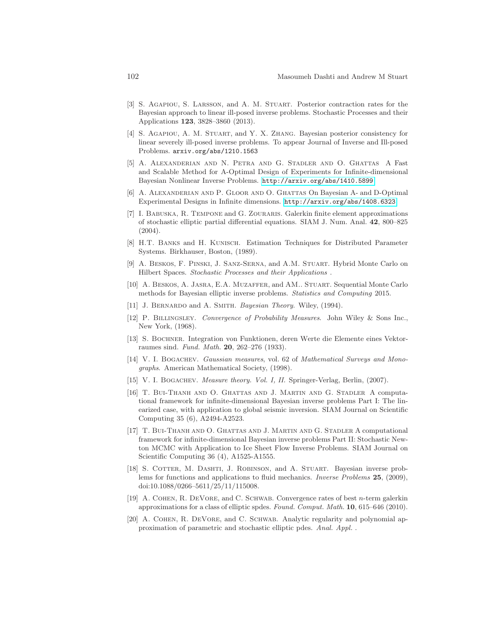- <span id="page-101-3"></span>[3] S. Agapiou, S. Larsson, and A. M. Stuart. Posterior contraction rates for the Bayesian approach to linear ill-posed inverse problems. Stochastic Processes and their Applications 123, 3828–3860 (2013).
- <span id="page-101-4"></span>[4] S. Agapiou, A. M. Stuart, and Y. X. Zhang. Bayesian posterior consistency for linear severely ill-posed inverse problems. To appear Journal of Inverse and Ill-posed Problems. arxiv.org/abs/1210.1563
- <span id="page-101-7"></span>[5] A. Alexanderian and N. Petra and G. Stadler and O. Ghattas A Fast and Scalable Method for A-Optimal Design of Experiments for Infinite-dimensional Bayesian Nonlinear Inverse Problems. <http://arxiv.org/abs/1410.5899>
- <span id="page-101-8"></span>[6] A. Alexanderian and P. Gloor and O. Ghattas On Bayesian A- and D-Optimal Experimental Designs in Infinite dimensions. <http://arxiv.org/abs/1408.6323>
- <span id="page-101-2"></span>[7] I. Babuska, R. Tempone and G. Zouraris. Galerkin finite element approximations of stochastic elliptic partial differential equations. SIAM J. Num. Anal. 42, 800–825 (2004).
- [8] H.T. Banks and H. Kunisch. Estimation Techniques for Distributed Parameter Systems. Birkhauser, Boston, (1989).
- <span id="page-101-1"></span>[9] A. Beskos, F. Pinski, J. Sanz-Serna, and A.M. Stuart. Hybrid Monte Carlo on Hilbert Spaces. Stochastic Processes and their Applications .
- <span id="page-101-0"></span>[10] A. Beskos, A. Jasra, E.A. Muzaffer, and AM.. Stuart. Sequential Monte Carlo methods for Bayesian elliptic inverse problems. Statistics and Computing 2015.
- <span id="page-101-10"></span>[11] J. BERNARDO and A. SMITH. Bayesian Theory. Wiley, (1994).
- [12] P. Billingsley. Convergence of Probability Measures. John Wiley & Sons Inc., New York, (1968).
- <span id="page-101-11"></span>[13] S. Bochner. Integration von Funktionen, deren Werte die Elemente eines Vektorraumes sind. Fund. Math. 20, 262–276 (1933).
- <span id="page-101-12"></span>[14] V. I. BOGACHEV. *Gaussian measures*, vol. 62 of *Mathematical Surveys and Mono*graphs. American Mathematical Society, (1998).
- <span id="page-101-9"></span><span id="page-101-5"></span>[15] V. I. BOGACHEV. *Measure theory. Vol. I, II. Springer-Verlag, Berlin, (2007).*
- [16] T. Bui-Thanh and O. Ghattas and J. Martin and G. Stadler A computational framework for infinite-dimensional Bayesian inverse problems Part I: The linearized case, with application to global seismic inversion. SIAM Journal on Scientific Computing 35 (6), A2494-A2523.
- <span id="page-101-6"></span>[17] T. Bui-Thanh and O. Ghattas and J. Martin and G. Stadler A computational framework for infinite-dimensional Bayesian inverse problems Part II: Stochastic Newton MCMC with Application to Ice Sheet Flow Inverse Problems. SIAM Journal on Scientific Computing 36 (4), A1525-A1555.
- [18] S. COTTER, M. DASHTI, J. ROBINSON, and A. STUART. Bayesian inverse problems for functions and applications to fluid mechanics. Inverse Problems 25, (2009), doi:10.1088/0266–5611/25/11/115008.
- [19] A. Cohen, R. DeVore, and C. Schwab. Convergence rates of best n-term galerkin approximations for a class of elliptic spdes. Found. Comput. Math. 10, 615–646 (2010).
- [20] A. COHEN, R. DEVORE, and C. SCHWAB. Analytic regularity and polynomial approximation of parametric and stochastic elliptic pdes. Anal. Appl. .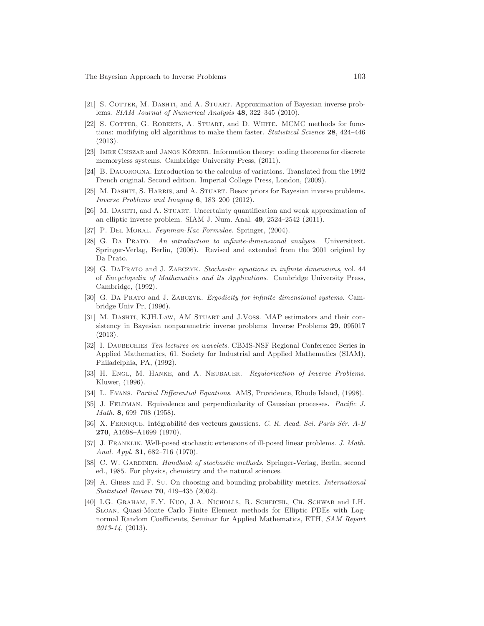- [21] S. COTTER, M. DASHTI, and A. STUART. Approximation of Bayesian inverse problems. SIAM Journal of Numerical Analysis 48, 322–345 (2010).
- <span id="page-102-0"></span>[22] S. COTTER, G. ROBERTS, A. STUART, and D. WHITE. MCMC methods for functions: modifying old algorithms to make them faster. *Statistical Science* 28, 424–446 (2013).
- <span id="page-102-10"></span>[23] IMRE CSISZAR and JANOS KÖRNER. Information theory: coding theorems for discrete memoryless systems. Cambridge University Press, (2011).
- [24] B. Dacorogna. Introduction to the calculus of variations. Translated from the 1992 French original. Second edition. Imperial College Press, London, (2009).
- [25] M. DASHTI, S. HARRIS, and A. STUART. Besov priors for Bayesian inverse problems. Inverse Problems and Imaging 6, 183–200 (2012).
- [26] M. DASHTI, and A. STUART. Uncertainty quantification and weak approximation of an elliptic inverse problem. SIAM J. Num. Anal. 49, 2524–2542 (2011).
- <span id="page-102-8"></span><span id="page-102-1"></span>[27] P. DEL MORAL. Feynman-Kac Formulae. Springer, (2004).
- [28] G. Da Prato. An introduction to infinite-dimensional analysis. Universitext. Springer-Verlag, Berlin, (2006). Revised and extended from the 2001 original by Da Prato.
- <span id="page-102-4"></span>[29] G. DaPrato and J. Zabczyk. Stochastic equations in infinite dimensions, vol. 44 of Encyclopedia of Mathematics and its Applications. Cambridge University Press, Cambridge, (1992).
- <span id="page-102-3"></span>[30] G. Da Prato and J. Zabczyk. Ergodicity for infinite dimensional systems. Cambridge Univ Pr, (1996).
- <span id="page-102-6"></span>[31] M. DASHTI, KJH.LAW, AM STUART and J.VOSS. MAP estimators and their consistency in Bayesian nonparametric inverse problems Inverse Problems 29, 095017 (2013).
- [32] I. DAUBECHIES Ten lectures on wavelets. CBMS-NSF Regional Conference Series in Applied Mathematics, 61. Society for Industrial and Applied Mathematics (SIAM), Philadelphia, PA, (1992).
- [33] H. ENGL, M. HANKE, and A. NEUBAUER. Regularization of Inverse Problems. Kluwer, (1996).
- <span id="page-102-12"></span><span id="page-102-7"></span>[34] L. Evans. Partial Differential Equations. AMS, Providence, Rhode Island, (1998).
- [35] J. FELDMAN. Equivalence and perpendicularity of Gaussian processes. Pacific J. Math. 8, 699-708 (1958).
- <span id="page-102-11"></span>[36] X. FERNIQUE. Intégrabilité des vecteurs gaussiens. C. R. Acad. Sci. Paris Sér. A-B 270, A1698–A1699 (1970).
- [37] J. Franklin. Well-posed stochastic extensions of ill-posed linear problems. J. Math. Anal. Appl. **31**, 682–716 (1970).
- <span id="page-102-2"></span>[38] C. W. GARDINER. Handbook of stochastic methods. Springer-Verlag, Berlin, second ed., 1985. For physics, chemistry and the natural sciences.
- <span id="page-102-9"></span>[39] A. GIBBS and F. Su. On choosing and bounding probability metrics. *International* Statistical Review 70, 419–435 (2002).
- <span id="page-102-5"></span>[40] I.G. Graham, F.Y. Kuo, J.A. Nicholls, R. Scheichl, Ch. Schwab and I.H. Sloan, Quasi-Monte Carlo Finite Element methods for Elliptic PDEs with Lognormal Random Coefficients, Seminar for Applied Mathematics, ETH, SAM Report 2013-14, (2013).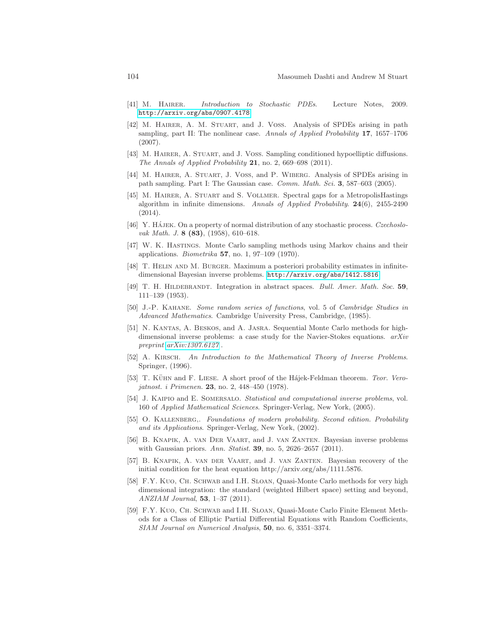- <span id="page-103-7"></span><span id="page-103-2"></span>[41] M. HAIRER. Introduction to Stochastic PDEs. Lecture Notes, 2009. <http://arxiv.org/abs/0907.4178>
- [42] M. Hairer, A. M. Stuart, and J. Voss. Analysis of SPDEs arising in path sampling, part II: The nonlinear case. Annals of Applied Probability 17, 1657–1706 (2007).
- <span id="page-103-3"></span>[43] M. Hairer, A. Stuart, and J. Voss. Sampling conditioned hypoelliptic diffusions. The Annals of Applied Probability 21, no. 2, 669–698 (2011).
- [44] M. Hairer, A. Stuart, J. Voss, and P. Wiberg. Analysis of SPDEs arising in path sampling. Part I: The Gaussian case. *Comm. Math. Sci.* 3, 587–603 (2005).
- [45] M. Hairer, A. Stuart and S. Vollmer. Spectral gaps for a MetropolisHastings algorithm in infinite dimensions. Annals of Applied Probability.  $24(6)$ , 2455-2490 (2014).
- <span id="page-103-10"></span>[46] Y. HÁJEK. On a property of normal distribution of any stochastic process. Czechoslovak Math. J. **8 (83)**, (1958), 610–618.
- <span id="page-103-0"></span>[47] W. K. Hastings. Monte Carlo sampling methods using Markov chains and their applications. *Biometrika* 57, no. 1, 97–109 (1970).
- <span id="page-103-6"></span>[48] T. Helin and M. Burger. Maximum a posteriori probability estimates in infinitedimensional Bayesian inverse problems. <http://arxiv.org/abs/1412.5816>
- <span id="page-103-8"></span>[49] T. H. HILDEBRANDT. Integration in abstract spaces. Bull. Amer. Math. Soc. 59, 111–139 (1953).
- [50] J.-P. Kahane. Some random series of functions, vol. 5 of Cambridge Studies in Advanced Mathematics. Cambridge University Press, Cambridge, (1985).
- <span id="page-103-1"></span>[51] N. Kantas, A. Beskos, and A. Jasra. Sequential Monte Carlo methods for highdimensional inverse problems: a case study for the Navier-Stokes equations.  $arXiv$ preprint [arXiv:1307.6127](http://arxiv.org/abs/1307.6127) .
- [52] A. Kirsch. An Introduction to the Mathematical Theory of Inverse Problems. Springer, (1996).
- <span id="page-103-9"></span>[53] T. KÜHN and F. LIESE. A short proof of the Hájek-Feldman theorem. Teor. Verojatnost. i Primenen. 23, no. 2, 448–450 (1978).
- [54] J. KAIPIO and E. SOMERSALO. Statistical and computational inverse problems, vol. 160 of Applied Mathematical Sciences. Springer-Verlag, New York, (2005).
- [55] O. KALLENBERG,. Foundations of modern probability. Second edition. Probability and its Applications. Springer-Verlag, New York, (2002).
- [56] B. Knapik, A. van Der Vaart, and J. van Zanten. Bayesian inverse problems with Gaussian priors. Ann. Statist. **39**, no. 5, 2626–2657 (2011).
- [57] B. Knapik, A. van der Vaart, and J. van Zanten. Bayesian recovery of the initial condition for the heat equation http://arxiv.org/abs/1111.5876.
- <span id="page-103-4"></span>[58] F.Y. Kuo, Ch. Schwab and I.H. Sloan, Quasi-Monte Carlo methods for very high dimensional integration: the standard (weighted Hilbert space) setting and beyond, ANZIAM Journal, 53, 1–37 (2011).
- <span id="page-103-5"></span>[59] F.Y. Kuo, Ch. Schwab and I.H. Sloan, Quasi-Monte Carlo Finite Element Methods for a Class of Elliptic Partial Differential Equations with Random Coefficients, SIAM Journal on Numerical Analysis, 50, no. 6, 3351–3374.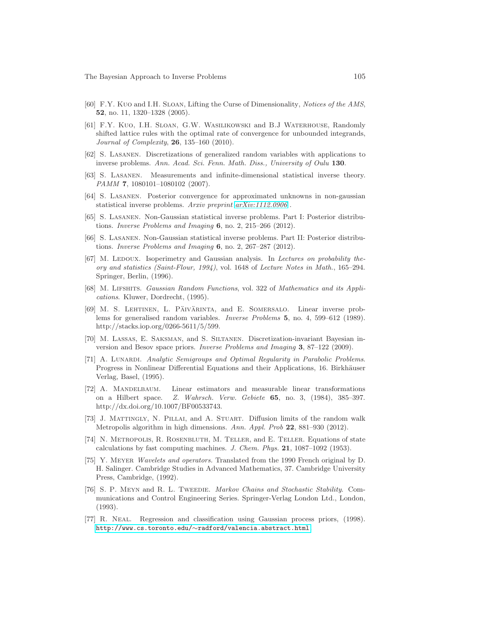- <span id="page-104-4"></span>[60] F.Y. Kuo and I.H. Sloan, Lifting the Curse of Dimensionality, Notices of the AMS, 52, no. 11, 1320–1328 (2005).
- <span id="page-104-5"></span>[61] F.Y. Kuo, I.H. Sloan, G.W. Wasilikowski and B.J Waterhouse, Randomly shifted lattice rules with the optimal rate of convergence for unbounded integrands, Journal of Complexity, 26, 135–160 (2010).
- [62] S. Lasanen. Discretizations of generalized random variables with applications to inverse problems. Ann. Acad. Sci. Fenn. Math. Diss., University of Oulu 130.
- [63] S. Lasanen. Measurements and infinite-dimensional statistical inverse theory. PAMM 7, 1080101-1080102 (2007).
- [64] S. Lasanen. Posterior convergence for approximated unknowns in non-gaussian statistical inverse problems. Arxiv preprint [arXiv:1112.0906](http://arxiv.org/abs/1112.0906) .
- [65] S. Lasanen. Non-Gaussian statistical inverse problems. Part I: Posterior distributions. Inverse Problems and Imaging  $6$ , no. 2, 215–266 (2012).
- [66] S. Lasanen. Non-Gaussian statistical inverse problems. Part II: Posterior distributions. Inverse Problems and Imaging  $6$ , no. 2, 267–287 (2012).
- <span id="page-104-7"></span>[67] M. Ledoux. Isoperimetry and Gaussian analysis. In Lectures on probability theory and statistics (Saint-Flour, 1994), vol. 1648 of Lecture Notes in Math., 165–294. Springer, Berlin, (1996).
- <span id="page-104-6"></span>[68] M. Lifshits. Gaussian Random Functions, vol. 322 of Mathematics and its Applications. Kluwer, Dordrecht, (1995).
- [69] M. S. LEHTINEN, L. PÄIVÄRINTA, and E. SOMERSALO. Linear inverse problems for generalised random variables. Inverse Problems 5, no. 4, 599–612 (1989). http://stacks.iop.org/0266-5611/5/599.
- [70] M. Lassas, E. Saksman, and S. Siltanen. Discretization-invariant Bayesian inversion and Besov space priors. Inverse Problems and Imaging 3, 87–122 (2009).
- [71] A. LUNARDI. Analytic Semigroups and Optimal Regularity in Parabolic Problems. Progress in Nonlinear Differential Equations and their Applications, 16. Birkhäuser Verlag, Basel, (1995).
- [72] A. Mandelbaum. Linear estimators and measurable linear transformations on a Hilbert space. Z. Wahrsch. Verw. Gebiete 65, no. 3, (1984), 385–397. http://dx.doi.org/10.1007/BF00533743.
- <span id="page-104-3"></span>[73] J. Mattingly, N. Pillai, and A. Stuart. Diffusion limits of the random walk Metropolis algorithm in high dimensions. Ann. Appl. Prob 22, 881–930 (2012).
- <span id="page-104-1"></span>[74] N. Metropolis, R. Rosenbluth, M. Teller, and E. Teller. Equations of state calculations by fast computing machines. J. Chem. Phys. 21, 1087–1092 (1953).
- [75] Y. Meyer Wavelets and operators. Translated from the 1990 French original by D. H. Salinger. Cambridge Studies in Advanced Mathematics, 37. Cambridge University Press, Cambridge, (1992).
- <span id="page-104-0"></span>[76] S. P. Meyn and R. L. Tweedie. Markov Chains and Stochastic Stability. Communications and Control Engineering Series. Springer-Verlag London Ltd., London, (1993).
- <span id="page-104-2"></span>[77] R. Neal. Regression and classification using Gaussian process priors, (1998). http://www.cs.toronto.edu/∼[radford/valencia.abstract.html](http://www.cs.toronto.edu/~radford/valencia.abstract.html).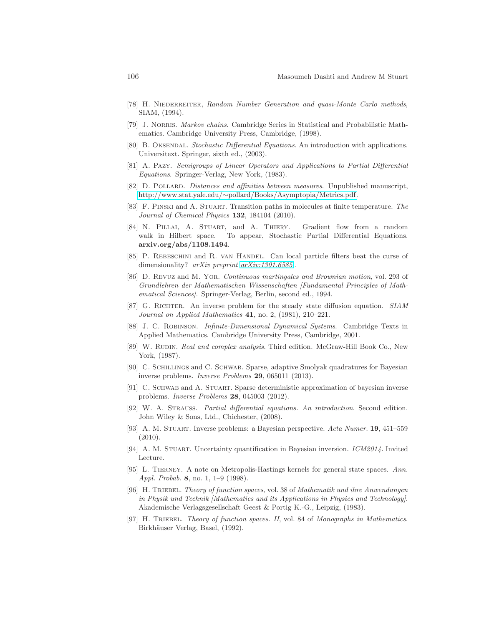- <span id="page-105-5"></span><span id="page-105-0"></span>[78] H. NIEDERREITER, Random Number Generation and quasi-Monte Carlo methods, SIAM, (1994).
- <span id="page-105-4"></span>[79] J. Norris. Markov chains. Cambridge Series in Statistical and Probabilistic Mathematics. Cambridge University Press, Cambridge, (1998).
- [80] B. OKSENDAL. Stochastic Differential Equations. An introduction with applications. Universitext. Springer, sixth ed., (2003).
- [81] A. Pazy. Semigroups of Linear Operators and Applications to Partial Differential Equations. Springer-Verlag, New York, (1983).
- [82] D. POLLARD. Distances and affinities between measures. Unpublished manuscript, http://www.stat.yale.edu/∼[pollard/Books/Asymptopia/Metrics.pdf.](http://www.stat.yale.edu/~pollard/Books/Asymptopia/Metrics.pdf)
- [83] F. PINSKI and A. STUART. Transition paths in molecules at finite temperature. The Journal of Chemical Physics 132, 184104 (2010).
- <span id="page-105-2"></span>[84] N. Pillai, A. Stuart, and A. Thiery. Gradient flow from a random walk in Hilbert space. To appear, Stochastic Partial Differential Equations. arxiv.org/abs/1108.1494.
- <span id="page-105-3"></span>[85] P. REBESCHINI and R. VAN HANDEL. Can local particle filters beat the curse of dimensionality? arXiv preprint [arXiv:1301.6585](http://arxiv.org/abs/1301.6585).
- <span id="page-105-13"></span>[86] D. Revuz and M. Yor. Continuous martingales and Brownian motion, vol. 293 of Grundlehren der Mathematischen Wissenschaften [Fundamental Principles of Mathematical Sciences]. Springer-Verlag, Berlin, second ed., 1994.
- [87] G. Richter. An inverse problem for the steady state diffusion equation. SIAM Journal on Applied Mathematics 41, no. 2, (1981), 210–221.
- <span id="page-105-9"></span>[88] J. C. ROBINSON. Infinite-Dimensional Dynamical Systems. Cambridge Texts in Applied Mathematics. Cambridge University Press, Cambridge, 2001.
- [89] W. Rudin. Real and complex analysis. Third edition. McGraw-Hill Book Co., New York, (1987).
- <span id="page-105-7"></span>[90] C. Schillings and C. Schwab. Sparse, adaptive Smolyak quadratures for Bayesian inverse problems. Inverse Problems 29, 065011 (2013).
- <span id="page-105-6"></span>[91] C. SCHWAB and A. STUART. Sparse deterministic approximation of bayesian inverse problems. Inverse Problems 28, 045003 (2012).
- <span id="page-105-10"></span>[92] W. A. Strauss. Partial differential equations. An introduction. Second edition. John Wiley & Sons, Ltd., Chichester, (2008).
- <span id="page-105-8"></span>[93] A. M. Stuart. Inverse problems: a Bayesian perspective. Acta Numer. 19, 451–559 (2010).
- <span id="page-105-1"></span>[94] A. M. STUART. Uncertainty quantification in Bayesian inversion. *ICM2014*. Invited Lecture.
- [95] L. Tierney. A note on Metropolis-Hastings kernels for general state spaces. Ann. Appl. Probab. 8, no. 1, 1-9 (1998).
- <span id="page-105-11"></span>[96] H. TRIEBEL. Theory of function spaces, vol. 38 of Mathematik und ihre Anwendungen in Physik und Technik [Mathematics and its Applications in Physics and Technology]. Akademische Verlagsgesellschaft Geest & Portig K.-G., Leipzig, (1983).
- <span id="page-105-12"></span>[97] H. TRIEBEL. Theory of function spaces. II, vol. 84 of Monographs in Mathematics. Birkhäuser Verlag, Basel, (1992).